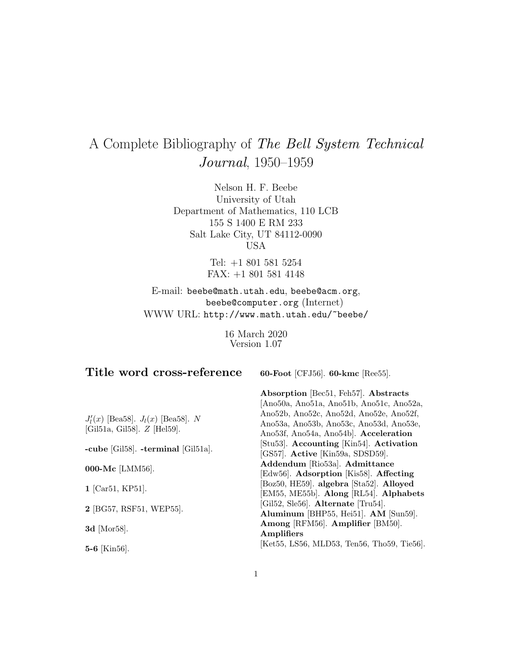# A Complete Bibliography of The Bell System Technical Journal, 1950–1959

Nelson H. F. Beebe University of Utah Department of Mathematics, 110 LCB 155 S 1400 E RM 233 Salt Lake City, UT 84112-0090 USA

> Tel: +1 801 581 5254 FAX: +1 801 581 4148

E-mail: beebe@math.utah.edu, beebe@acm.org, beebe@computer.org (Internet) WWW URL: http://www.math.utah.edu/~beebe/

> 16 March 2020 Version 1.07

# **Title word cross-reference**

**60-Foot** [CFJ56]. **60-kmc** [Ree55].

 $J_l'(x)$  [Bea58].  $J_l(x)$  [Bea58]. N [Gil51a, Gil58]. Z [Hel59].

**-cube** [Gil58]. **-terminal** [Gil51a].

**000-Mc** [LMM56].

**1** [Car51, KP51].

**2** [BG57, RSF51, WEP55].

**3d** [Mor58].

**5-6** [Kin56].

**Absorption** [Bec51, Feh57]. **Abstracts** [Ano50a, Ano51a, Ano51b, Ano51c, Ano52a, Ano52b, Ano52c, Ano52d, Ano52e, Ano52f, Ano53a, Ano53b, Ano53c, Ano53d, Ano53e, Ano53f, Ano54a, Ano54b]. **Acceleration** [Stu53]. **Accounting** [Kin54]. **Activation** [GS57]. **Active** [Kin59a, SDSD59]. **Addendum** [Rio53a]. **Admittance** [Edw56]. **Adsorption** [Kis58]. **Affecting** [Boz50, HE59]. **algebra** [Sta52]. **Alloyed** [EM55, ME55b]. **Along** [RL54]. **Alphabets** [Gil52, Sle56]. **Alternate** [Tru54]. **Aluminum** [BHP55, Hei51]. **AM** [Sun59]. **Among** [RFM56]. **Amplifier** [BM50]. **Amplifiers** [Ket55, LS56, MLD53, Ten56, Tho59, Tie56].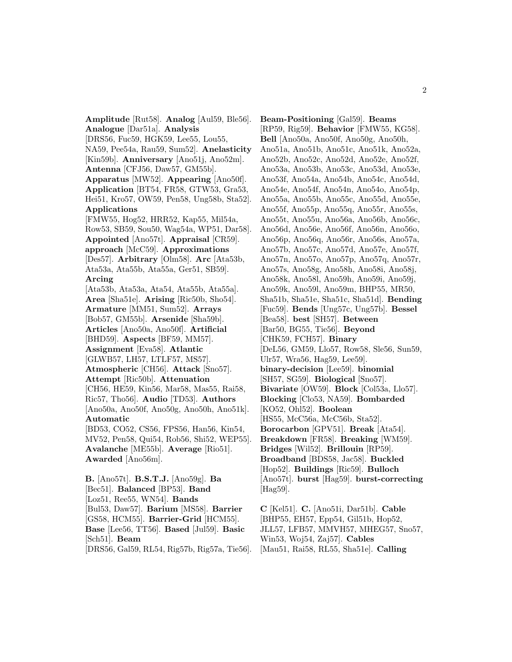**Amplitude** [Rut58]. **Analog** [Aul59, Ble56]. **Analogue** [Dar51a]. **Analysis** [DRS56, Fuc59, HGK59, Lee55, Lou55, NA59, Pee54a, Rau59, Sum52]. **Anelasticity** [Kin59b]. **Anniversary** [Ano51j, Ano52m]. **Antenna** [CFJ56, Daw57, GM55b]. **Apparatus** [MW52]. **Appearing** [Ano50f]. **Application** [BT54, FR58, GTW53, Gra53, Hei51, Kro57, OW59, Pen58, Ung58b, Sta52]. **Applications** [FMW55, Hog52, HRR52, Kap55, Mil54a, Row53, SB59, Sou50, Wag54a, WP51, Dar58]. **Appointed** [Ano57t]. **Appraisal** [CR59]. **approach** [McC59]. **Approximations** [Des57]. **Arbitrary** [Olm58]. **Arc** [Ata53b, Ata53a, Ata55b, Ata55a, Ger51, SB59]. **Arcing** [Ata53b, Ata53a, Ata54, Ata55b, Ata55a]. **Area** [Sha51e]. **Arising** [Ric50b, Sho54]. **Armature** [MM51, Sum52]. **Arrays** [Bob57, GM55b]. **Arsenide** [Sha59b]. **Articles** [Ano50a, Ano50f]. **Artificial** [BHD59]. **Aspects** [BF59, MM57]. **Assignment** [Eva58]. **Atlantic** [GLWB57, LH57, LTLF57, MS57]. **Atmospheric** [CH56]. **Attack** [Sno57]. **Attempt** [Ric50b]. **Attenuation** [CH56, HE59, Kin56, Mar58, Mas55, Rai58, Ric57, Tho56]. **Audio** [TD53]. **Authors** [Ano50a, Ano50f, Ano50g, Ano50h, Ano51k]. **Automatic** [BD53, CO52, CS56, FPS56, Han56, Kin54, MV52, Pen58, Qui54, Rob56, Shi52, WEP55]. **Avalanche** [ME55b]. **Average** [Rio51]. **Awarded** [Ano56m]. **B.** [Ano57t]. **B.S.T.J.** [Ano59g]. **Ba** [Bec51]. **Balanced** [BP53]. **Band**

[Loz51, Ree55, WN54]. **Bands** [Bul53, Daw57]. **Barium** [MS58]. **Barrier** [GS58, HCM55]. **Barrier-Grid** [HCM55]. **Base** [Lee56, TT56]. **Based** [Jul59]. **Basic** [Sch51]. **Beam**

[DRS56, Gal59, RL54, Rig57b, Rig57a, Tie56].

**Beam-Positioning** [Gal59]. **Beams** [RP59, Rig59]. **Behavior** [FMW55, KG58]. **Bell** [Ano50a, Ano50f, Ano50g, Ano50h, Ano51a, Ano51b, Ano51c, Ano51k, Ano52a, Ano52b, Ano52c, Ano52d, Ano52e, Ano52f, Ano53a, Ano53b, Ano53c, Ano53d, Ano53e, Ano53f, Ano54a, Ano54b, Ano54c, Ano54d, Ano54e, Ano54f, Ano54n, Ano54o, Ano54p, Ano55a, Ano55b, Ano55c, Ano55d, Ano55e, Ano55f, Ano55p, Ano55q, Ano55r, Ano55s, Ano55t, Ano55u, Ano56a, Ano56b, Ano56c, Ano56d, Ano56e, Ano56f, Ano56n, Ano56o, Ano56p, Ano56q, Ano56r, Ano56s, Ano57a, Ano57b, Ano57c, Ano57d, Ano57e, Ano57f, Ano57n, Ano57o, Ano57p, Ano57q, Ano57r, Ano57s, Ano58g, Ano58h, Ano58i, Ano58j, Ano58k, Ano58l, Ano59h, Ano59i, Ano59j, Ano59k, Ano59l, Ano59m, BHP55, MR50, Sha51b, Sha51e, Sha51c, Sha51d]. **Bending** [Fuc59]. **Bends** [Ung57c, Ung57b]. **Bessel** [Bea58]. **best** [SH57]. **Between** [Bar50, BG55, Tie56]. **Beyond** [CHK59, FCH57]. **Binary** [DeL56, GM59, Llo57, Row58, Sle56, Sun59, Ulr57, Wra56, Hag59, Lee59]. **binary-decision** [Lee59]. **binomial** [SH57, SG59]. **Biological** [Sno57]. **Bivariate** [OW59]. **Block** [Col53a, Llo57]. **Blocking** [Clo53, NA59]. **Bombarded** [KO52, Ohl52]. **Boolean** [HS55, McC56a, McC56b, Sta52]. **Borocarbon** [GPV51]. **Break** [Ata54]. **Breakdown** [FR58]. **Breaking** [WM59]. **Bridges** [Wil52]. **Brillouin** [RP59]. **Broadband** [BDS58, Jac58]. **Buckled** [Hop52]. **Buildings** [Ric59]. **Bulloch** [Ano57t]. **burst** [Hag59]. **burst-correcting** [Hag59].

**C** [Kel51]. **C.** [Ano51i, Dar51b]. **Cable** [BHP55, EH57, Epp54, Gil51b, Hop52, JLL57, LFB57, MMVH57, MHEG57, Sno57, Win53, Woj54, Zaj57]. **Cables** [Mau51, Rai58, RL55, Sha51e]. **Calling**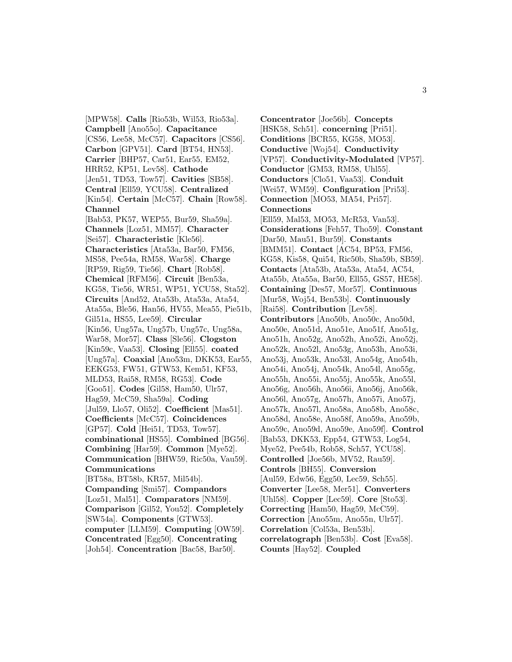[MPW58]. **Calls** [Rio53b, Wil53, Rio53a]. **Campbell** [Ano55o]. **Capacitance** [CS56, Lee58, McC57]. **Capacitors** [CS56]. **Carbon** [GPV51]. **Card** [BT54, HN53]. **Carrier** [BHP57, Car51, Ear55, EM52, HRR52, KP51, Lev58]. **Cathode** [Jen51, TD53, Tow57]. **Cavities** [SB58]. **Central** [Ell59, YCU58]. **Centralized** [Kin54]. **Certain** [McC57]. **Chain** [Row58]. **Channel** [Bab53, PK57, WEP55, Bur59, Sha59a]. **Channels** [Loz51, MM57]. **Character** [Sei57]. **Characteristic** [Kle56]. **Characteristics** [Ata53a, Bar50, FM56, MS58, Pee54a, RM58, War58]. **Charge** [RP59, Rig59, Tie56]. **Chart** [Rob58]. **Chemical** [RFM56]. **Circuit** [Ben53a, KG58, Tie56, WR51, WP51, YCU58, Sta52]. **Circuits** [And52, Ata53b, Ata53a, Ata54, Ata55a, Ble56, Han56, HV55, Mea55, Pie51b, Gil51a, HS55, Lee59]. **Circular** [Kin56, Ung57a, Ung57b, Ung57c, Ung58a, War58, Mor57]. **Class** [Sle56]. **Clogston** [Kin59c, Vaa53]. **Closing** [Ell55]. **coated** [Ung57a]. **Coaxial** [Ano53m, DKK53, Ear55, EEKG53, FW51, GTW53, Kem51, KF53, MLD53, Rai58, RM58, RG53]. **Code** [Goo51]. **Codes** [Gil58, Ham50, Ulr57, Hag59, McC59, Sha59a]. **Coding** [Jul59, Llo57, Oli52]. **Coefficient** [Mas51]. **Coefficients** [McC57]. **Coincidences** [GP57]. **Cold** [Hei51, TD53, Tow57]. **combinational** [HS55]. **Combined** [BG56]. **Combining** [Har59]. **Common** [Mye52]. **Communication** [BHW59, Ric50a, Vau59]. **Communications** [BT58a, BT58b, KR57, Mil54b]. **Companding** [Smi57]. **Compandors** [Loz51, Mal51]. **Comparators** [NM59]. **Comparison** [Gil52, You52]. **Completely** [SW54a]. **Components** [GTW53]. **computer** [LLM59]. **Computing** [OW59]. **Concentrated** [Egg50]. **Concentrating** [Joh54]. **Concentration** [Bac58, Bar50].

**Concentrator** [Joe56b]. **Concepts** [HSK58, Sch51]. **concerning** [Pri51]. **Conditions** [BCR55, KG58, MO53]. **Conductive** [Woj54]. **Conductivity** [VP57]. **Conductivity-Modulated** [VP57]. **Conductor** [GM53, RM58, Uhl55]. **Conductors** [Clo51, Vaa53]. **Conduit** [Wei57, WM59]. **Configuration** [Pri53]. **Connection** [MO53, MA54, Pri57]. **Connections** [Ell59, Mal53, MO53, McR53, Van53]. **Considerations** [Feh57, Tho59]. **Constant** [Dar50, Mau51, Bur59]. **Constants** [BMM51]. **Contact** [AC54, BP53, FM56, KG58, Kis58, Qui54, Ric50b, Sha59b, SB59]. **Contacts** [Ata53b, Ata53a, Ata54, AC54, Ata55b, Ata55a, Bar50, Ell55, GS57, HE58]. **Containing** [Des57, Mor57]. **Continuous** [Mur58, Woj54, Ben53b]. **Continuously** [Rai58]. **Contribution** [Lev58]. **Contributors** [Ano50b, Ano50c, Ano50d, Ano50e, Ano51d, Ano51e, Ano51f, Ano51g, Ano51h, Ano52g, Ano52h, Ano52i, Ano52j, Ano52k, Ano52l, Ano53g, Ano53h, Ano53i, Ano53j, Ano53k, Ano53l, Ano54g, Ano54h, Ano54i, Ano54j, Ano54k, Ano54l, Ano55g, Ano55h, Ano55i, Ano55j, Ano55k, Ano55l, Ano56g, Ano56h, Ano56i, Ano56j, Ano56k, Ano56l, Ano57g, Ano57h, Ano57i, Ano57j, Ano57k, Ano57l, Ano58a, Ano58b, Ano58c, Ano58d, Ano58e, Ano58f, Ano59a, Ano59b, Ano59c, Ano59d, Ano59e, Ano59f]. **Control** [Bab53, DKK53, Epp54, GTW53, Log54, Mye52, Pee54b, Rob58, Sch57, YCU58]. **Controlled** [Joe56b, MV52, Rau59]. **Controls** [BH55]. **Conversion** [Aul59, Edw56, Egg50, Lec59, Sch55]. **Converter** [Lee58, Mer51]. **Converters** [Uhl58]. **Copper** [Lec59]. **Core** [Sto53]. **Correcting** [Ham50, Hag59, McC59]. **Correction** [Ano55m, Ano55n, Ulr57]. **Correlation** [Col53a, Ben53b]. **correlatograph** [Ben53b]. **Cost** [Eva58]. **Counts** [Hay52]. **Coupled**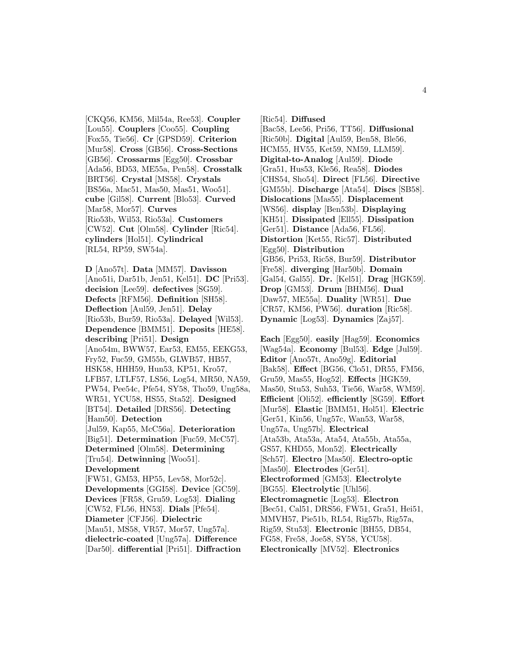[CKQ56, KM56, Mil54a, Ree53]. **Coupler** [Lou55]. **Couplers** [Coo55]. **Coupling** [Fox55, Tie56]. **Cr** [GPSD59]. **Criterion** [Mur58]. **Cross** [GB56]. **Cross-Sections** [GB56]. **Crossarms** [Egg50]. **Crossbar** [Ada56, BD53, ME55a, Pen58]. **Crosstalk** [BRT56]. **Crystal** [MS58]. **Crystals** [BS56a, Mac51, Mas50, Mas51, Woo51]. **cube** [Gil58]. **Current** [Blo53]. **Curved** [Mar58, Mor57]. **Curves** [Rio53b, Wil53, Rio53a]. **Customers** [CW52]. **Cut** [Olm58]. **Cylinder** [Ric54]. **cylinders** [Hol51]. **Cylindrical** [RL54, RP59, SW54a].

**D** [Ano57t]. **Data** [MM57]. **Davisson** [Ano51i, Dar51b, Jen51, Kel51]. **DC** [Pri53]. **decision** [Lee59]. **defectives** [SG59]. **Defects** [RFM56]. **Definition** [SH58]. **Deflection** [Aul59, Jen51]. **Delay** [Rio53b, Bur59, Rio53a]. **Delayed** [Wil53]. **Dependence** [BMM51]. **Deposits** [HE58]. **describing** [Pri51]. **Design** [Ano54m, BWW57, Ear53, EM55, EEKG53, Fry52, Fuc59, GM55b, GLWB57, HB57, HSK58, HHH59, Hun53, KP51, Kro57, LFB57, LTLF57, LS56, Log54, MR50, NA59, PW54, Pee54c, Pfe54, SY58, Tho59, Ung58a, WR51, YCU58, HS55, Sta52]. **Designed** [BT54]. **Detailed** [DRS56]. **Detecting** [Ham50]. **Detection** [Jul59, Kap55, McC56a]. **Deterioration** [Big51]. **Determination** [Fuc59, McC57]. **Determined** [Olm58]. **Determining** [Tru54]. **Detwinning** [Woo51]. **Development** [FW51, GM53, HP55, Lev58, Mor52c]. **Developments** [GGI58]. **Device** [GC59]. **Devices** [FR58, Gru59, Log53]. **Dialing** [CW52, FL56, HN53]. **Dials** [Pfe54]. **Diameter** [CFJ56]. **Dielectric** [Mau51, MS58, VR57, Mor57, Ung57a]. **dielectric-coated** [Ung57a]. **Difference** [Dar50]. **differential** [Pri51]. **Diffraction**

[Ric54]. **Diffused** [Bac58, Lee56, Pri56, TT56]. **Diffusional** [Ric50b]. **Digital** [Aul59, Ben58, Ble56, HCM55, HV55, Ket59, NM59, LLM59]. **Digital-to-Analog** [Aul59]. **Diode** [Gra51, Hus53, Kle56, Rea58]. **Diodes** [CHS54, Sho54]. **Direct** [FL56]. **Directive** [GM55b]. **Discharge** [Ata54]. **Discs** [SB58]. **Dislocations** [Mas55]. **Displacement** [WS56]. **display** [Ben53b]. **Displaying** [KH51]. **Dissipated** [Ell55]. **Dissipation** [Ger51]. **Distance** [Ada56, FL56]. **Distortion** [Ket55, Ric57]. **Distributed** [Egg50]. **Distribution** [GB56, Pri53, Ric58, Bur59]. **Distributor** [Fre58]. **diverging** [Har50b]. **Domain** [Gal54, Gal55]. **Dr.** [Kel51]. **Drag** [HGK59]. **Drop** [GM53]. **Drum** [BHM56]. **Dual** [Daw57, ME55a]. **Duality** [WR51]. **Due** [CR57, KM56, PW56]. **duration** [Ric58]. **Dynamic** [Log53]. **Dynamics** [Zaj57].

**Each** [Egg50]. **easily** [Hag59]. **Economics** [Wag54a]. **Economy** [Bul53]. **Edge** [Jul59]. **Editor** [Ano57t, Ano59g]. **Editorial** [Bak58]. **Effect** [BG56, Clo51, DR55, FM56, Gru59, Mas55, Hog52]. **Effects** [HGK59, Mas50, Stu53, Suh53, Tie56, War58, WM59]. **Efficient** [Oli52]. **efficiently** [SG59]. **Effort** [Mur58]. **Elastic** [BMM51, Hol51]. **Electric** [Ger51, Kin56, Ung57c, Wan53, War58, Ung57a, Ung57b]. **Electrical** [Ata53b, Ata53a, Ata54, Ata55b, Ata55a, GS57, KHD55, Mon52]. **Electrically** [Sch57]. **Electro** [Mas50]. **Electro-optic** [Mas50]. **Electrodes** [Ger51]. **Electroformed** [GM53]. **Electrolyte** [BG55]. **Electrolytic** [Uhl56]. **Electromagnetic** [Log53]. **Electron** [Bec51, Cal51, DRS56, FW51, Gra51, Hei51, MMVH57, Pie51b, RL54, Rig57b, Rig57a, Rig59, Stu53]. **Electronic** [BH55, DB54, FG58, Fre58, Joe58, SY58, YCU58]. **Electronically** [MV52]. **Electronics**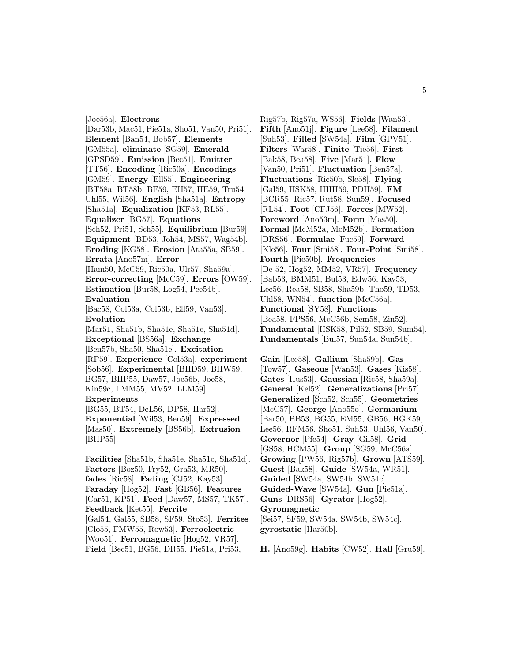[Joe56a]. **Electrons** [Dar53b, Mac51, Pie51a, Sho51, Van50, Pri51]. **Element** [Ban54, Bob57]. **Elements** [GM55a]. **eliminate** [SG59]. **Emerald** [GPSD59]. **Emission** [Bec51]. **Emitter** [TT56]. **Encoding** [Ric50a]. **Encodings** [GM59]. **Energy** [Ell55]. **Engineering** [BT58a, BT58b, BF59, EH57, HE59, Tru54, Uhl55, Wil56]. **English** [Sha51a]. **Entropy** [Sha51a]. **Equalization** [KF53, RL55]. **Equalizer** [BG57]. **Equations** [Sch52, Pri51, Sch55]. **Equilibrium** [Bur59]. **Equipment** [BD53, Joh54, MS57, Wag54b]. **Eroding** [KG58]. **Erosion** [Ata55a, SB59]. **Errata** [Ano57m]. **Error** [Ham50, McC59, Ric50a, Ulr57, Sha59a]. **Error-correcting** [McC59]. **Errors** [OW59]. **Estimation** [Bur58, Log54, Pee54b]. **Evaluation** [Bac58, Col53a, Col53b, Ell59, Van53]. **Evolution** [Mar51, Sha51b, Sha51e, Sha51c, Sha51d]. **Exceptional** [BS56a]. **Exchange** [Ben57b, Sha50, Sha51e]. **Excitation** [RP59]. **Experience** [Col53a]. **experiment** [Sob56]. **Experimental** [BHD59, BHW59, BG57, BHP55, Daw57, Joe56b, Joe58, Kin59c, LMM55, MV52, LLM59]. **Experiments** [BG55, BT54, DeL56, DP58, Har52]. **Exponential** [Wil53, Ben59]. **Expressed** [Mas50]. **Extremely** [BS56b]. **Extrusion** [BHP55]. **Facilities** [Sha51b, Sha51e, Sha51c, Sha51d]. **Factors** [Boz50, Fry52, Gra53, MR50]. **fades** [Ric58]. **Fading** [CJ52, Kay53].

**Faraday** [Hog52]. **Fast** [GB56]. **Features** [Car51, KP51]. **Feed** [Daw57, MS57, TK57]. **Feedback** [Ket55]. **Ferrite** [Gal54, Gal55, SB58, SF59, Sto53]. **Ferrites** [Clo55, FMW55, Row53]. **Ferroelectric** [Woo51]. **Ferromagnetic** [Hog52, VR57]. **Field** [Bec51, BG56, DR55, Pie51a, Pri53,

Rig57b, Rig57a, WS56]. **Fields** [Wan53]. **Fifth** [Ano51j]. **Figure** [Lee58]. **Filament** [Suh53]. **Filled** [SW54a]. **Film** [GPV51]. **Filters** [War58]. **Finite** [Tie56]. **First** [Bak58, Bea58]. **Five** [Mar51]. **Flow** [Van50, Pri51]. **Fluctuation** [Ben57a]. **Fluctuations** [Ric50b, Sle58]. **Flying** [Gal59, HSK58, HHH59, PDH59]. **FM** [BCR55, Ric57, Rut58, Sun59]. **Focused** [RL54]. **Foot** [CFJ56]. **Forces** [MW52]. **Foreword** [Ano53m]. **Form** [Mas50]. **Formal** [McM52a, McM52b]. **Formation** [DRS56]. **Formulae** [Fuc59]. **Forward** [Kle56]. **Four** [Smi58]. **Four-Point** [Smi58]. **Fourth** [Pie50b]. **Frequencies** [De 52, Hog52, MM52, VR57]. **Frequency** [Bab53, BMM51, Bul53, Edw56, Kay53, Lee56, Rea58, SB58, Sha59b, Tho59, TD53, Uhl58, WN54]. **function** [McC56a]. **Functional** [SY58]. **Functions** [Bea58, FPS56, McC56b, Sem58, Zin52]. **Fundamental** [HSK58, Pil52, SB59, Sum54]. **Fundamentals** [Bul57, Sun54a, Sun54b].

**Gain** [Lee58]. **Gallium** [Sha59b]. **Gas** [Tow57]. **Gaseous** [Wan53]. **Gases** [Kis58]. **Gates** [Hus53]. **Gaussian** [Ric58, Sha59a]. **General** [Kel52]. **Generalizations** [Pri57]. **Generalized** [Sch52, Sch55]. **Geometries** [McC57]. **George** [Ano55o]. **Germanium** [Bar50, BB53, BG55, EM55, GB56, HGK59, Lee56, RFM56, Sho51, Suh53, Uhl56, Van50]. **Governor** [Pfe54]. **Gray** [Gil58]. **Grid** [GS58, HCM55]. **Group** [SG59, McC56a]. **Growing** [PW56, Rig57b]. **Grown** [ATS59]. **Guest** [Bak58]. **Guide** [SW54a, WR51]. **Guided** [SW54a, SW54b, SW54c]. **Guided-Wave** [SW54a]. **Gun** [Pie51a]. **Guns** [DRS56]. **Gyrator** [Hog52]. **Gyromagnetic** [Sei57, SF59, SW54a, SW54b, SW54c]. **gyrostatic** [Har50b].

**H.** [Ano59g]. **Habits** [CW52]. **Hall** [Gru59].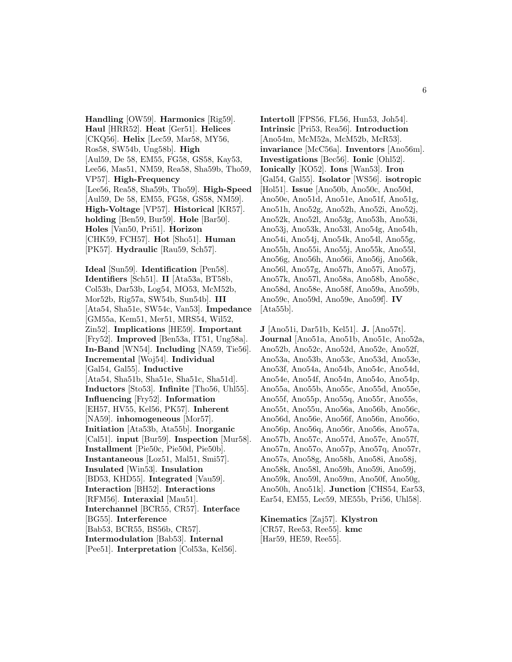**Handling** [OW59]. **Harmonics** [Rig59]. **Haul** [HRR52]. **Heat** [Ger51]. **Helices** [CKQ56]. **Helix** [Lec59, Mar58, MY56, Ros58, SW54b, Ung58b]. **High** [Aul59, De 58, EM55, FG58, GS58, Kay53, Lee56, Mas51, NM59, Rea58, Sha59b, Tho59, VP57]. **High-Frequency** [Lee56, Rea58, Sha59b, Tho59]. **High-Speed** [Aul59, De 58, EM55, FG58, GS58, NM59]. **High-Voltage** [VP57]. **Historical** [KR57]. **holding** [Ben59, Bur59]. **Hole** [Bar50]. **Holes** [Van50, Pri51]. **Horizon** [CHK59, FCH57]. **Hot** [Sho51]. **Human** [PK57]. **Hydraulic** [Rau59, Sch57].

**Ideal** [Sun59]. **Identification** [Pen58]. **Identifiers** [Sch51]. **II** [Ata53a, BT58b, Col53b, Dar53b, Log54, MO53, McM52b, Mor52b, Rig57a, SW54b, Sun54b]. **III** [Ata54, Sha51e, SW54c, Van53]. **Impedance** [GM55a, Kem51, Mer51, MRS54, Wil52, Zin52]. **Implications** [HE59]. **Important** [Fry52]. **Improved** [Ben53a, IT51, Ung58a]. **In-Band** [WN54]. **Including** [NA59, Tie56]. **Incremental** [Woj54]. **Individual** [Gal54, Gal55]. **Inductive** [Ata54, Sha51b, Sha51e, Sha51c, Sha51d]. **Inductors** [Sto53]. **Infinite** [Tho56, Uhl55]. **Influencing** [Fry52]. **Information** [EH57, HV55, Kel56, PK57]. **Inherent** [NA59]. **inhomogeneous** [Mor57]. **Initiation** [Ata53b, Ata55b]. **Inorganic** [Cal51]. **input** [Bur59]. **Inspection** [Mur58]. **Installment** [Pie50c, Pie50d, Pie50b]. **Instantaneous** [Loz51, Mal51, Smi57]. **Insulated** [Win53]. **Insulation** [BD53, KHD55]. **Integrated** [Vau59]. **Interaction** [BH52]. **Interactions** [RFM56]. **Interaxial** [Mau51]. **Interchannel** [BCR55, CR57]. **Interface** [BG55]. **Interference** [Bab53, BCR55, BS56b, CR57]. **Intermodulation** [Bab53]. **Internal** [Pee51]. **Interpretation** [Col53a, Kel56].

**Intertoll** [FPS56, FL56, Hun53, Joh54]. **Intrinsic** [Pri53, Rea56]. **Introduction** [Ano54m, McM52a, McM52b, McR53]. **invariance** [McC56a]. **Inventors** [Ano56m]. **Investigations** [Bec56]. **Ionic** [Ohl52]. **Ionically** [KO52]. **Ions** [Wan53]. **Iron** [Gal54, Gal55]. **Isolator** [WS56]. **isotropic** [Hol51]. **Issue** [Ano50b, Ano50c, Ano50d, Ano50e, Ano51d, Ano51e, Ano51f, Ano51g, Ano51h, Ano52g, Ano52h, Ano52i, Ano52j, Ano52k, Ano52l, Ano53g, Ano53h, Ano53i, Ano53j, Ano53k, Ano53l, Ano54g, Ano54h, Ano54i, Ano54j, Ano54k, Ano54l, Ano55g, Ano55h, Ano55i, Ano55j, Ano55k, Ano55l, Ano56g, Ano56h, Ano56i, Ano56j, Ano56k, Ano56l, Ano57g, Ano57h, Ano57i, Ano57j, Ano57k, Ano57l, Ano58a, Ano58b, Ano58c, Ano58d, Ano58e, Ano58f, Ano59a, Ano59b, Ano59c, Ano59d, Ano59e, Ano59f]. **IV** [Ata55b].

**J** [Ano51i, Dar51b, Kel51]. **J.** [Ano57t]. **Journal** [Ano51a, Ano51b, Ano51c, Ano52a, Ano52b, Ano52c, Ano52d, Ano52e, Ano52f, Ano53a, Ano53b, Ano53c, Ano53d, Ano53e, Ano53f, Ano54a, Ano54b, Ano54c, Ano54d, Ano54e, Ano54f, Ano54n, Ano54o, Ano54p, Ano55a, Ano55b, Ano55c, Ano55d, Ano55e, Ano55f, Ano55p, Ano55q, Ano55r, Ano55s, Ano55t, Ano55u, Ano56a, Ano56b, Ano56c, Ano56d, Ano56e, Ano56f, Ano56n, Ano56o, Ano56p, Ano56q, Ano56r, Ano56s, Ano57a, Ano57b, Ano57c, Ano57d, Ano57e, Ano57f, Ano57n, Ano57o, Ano57p, Ano57q, Ano57r, Ano57s, Ano58g, Ano58h, Ano58i, Ano58j, Ano58k, Ano58l, Ano59h, Ano59i, Ano59j, Ano59k, Ano59l, Ano59m, Ano50f, Ano50g, Ano50h, Ano51k]. **Junction** [CHS54, Ear53, Ear54, EM55, Lec59, ME55b, Pri56, Uhl58].

**Kinematics** [Zaj57]. **Klystron** [CR57, Ree53, Ree55]. **kmc** [Har59, HE59, Ree55].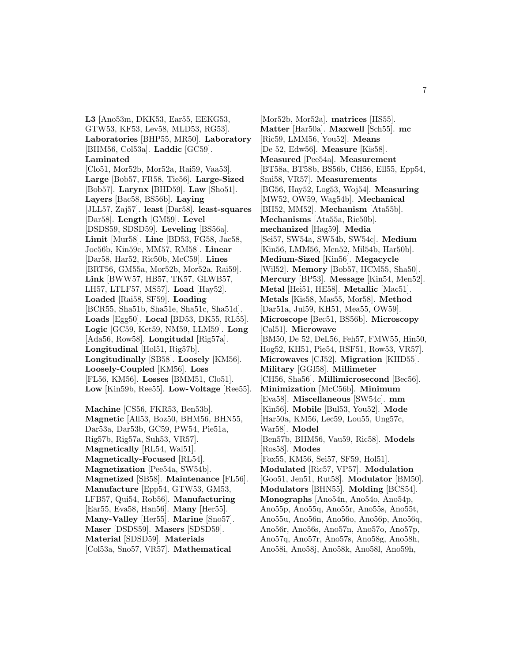**L3** [Ano53m, DKK53, Ear55, EEKG53, GTW53, KF53, Lev58, MLD53, RG53]. **Laboratories** [BHP55, MR50]. **Laboratory** [BHM56, Col53a]. **Laddic** [GC59]. **Laminated** [Clo51, Mor52b, Mor52a, Rai59, Vaa53]. **Large** [Bob57, FR58, Tie56]. **Large-Sized** [Bob57]. **Larynx** [BHD59]. **Law** [Sho51]. **Layers** [Bac58, BS56b]. **Laying** [JLL57, Zaj57]. **least** [Dar58]. **least-squares** [Dar58]. **Length** [GM59]. **Level** [DSDS59, SDSD59]. **Leveling** [BS56a]. **Limit** [Mur58]. **Line** [BD53, FG58, Jac58, Joe56b, Kin59c, MM57, RM58]. **Linear** [Dar58, Har52, Ric50b, McC59]. **Lines** [BRT56, GM55a, Mor52b, Mor52a, Rai59]. **Link** [BWW57, HB57, TK57, GLWB57, LH57, LTLF57, MS57]. **Load** [Hay52]. **Loaded** [Rai58, SF59]. **Loading** [BCR55, Sha51b, Sha51e, Sha51c, Sha51d]. **Loads** [Egg50]. **Local** [BD53, DK55, RL55]. **Logic** [GC59, Ket59, NM59, LLM59]. **Long** [Ada56, Row58]. **Longitudal** [Rig57a]. **Longitudinal** [Hol51, Rig57b]. **Longitudinally** [SB58]. **Loosely** [KM56]. **Loosely-Coupled** [KM56]. **Loss** [FL56, KM56]. **Losses** [BMM51, Clo51]. **Low** [Kin59b, Ree55]. **Low-Voltage** [Ree55].

**Machine** [CS56, FKR53, Ben53b]. **Magnetic** [All53, Boz50, BHM56, BHN55, Dar53a, Dar53b, GC59, PW54, Pie51a, Rig57b, Rig57a, Suh53, VR57]. **Magnetically** [RL54, Wal51]. **Magnetically-Focused** [RL54]. **Magnetization** [Pee54a, SW54b]. **Magnetized** [SB58]. **Maintenance** [FL56]. **Manufacture** [Epp54, GTW53, GM53, LFB57, Qui54, Rob56]. **Manufacturing** [Ear55, Eva58, Han56]. **Many** [Her55]. **Many-Valley** [Her55]. **Marine** [Sno57]. **Maser** [DSDS59]. **Masers** [SDSD59]. **Material** [SDSD59]. **Materials** [Col53a, Sno57, VR57]. **Mathematical**

[Mor52b, Mor52a]. **matrices** [HS55]. **Matter** [Har50a]. **Maxwell** [Sch55]. **mc** [Ric59, LMM56, You52]. **Means** [De 52, Edw56]. **Measure** [Kis58]. **Measured** [Pee54a]. **Measurement** [BT58a, BT58b, BS56b, CH56, Ell55, Epp54, Smi58, VR57]. **Measurements** [BG56, Hay52, Log53, Woj54]. **Measuring** [MW52, OW59, Wag54b]. **Mechanical** [BH52, MM52]. **Mechanism** [Ata55b]. **Mechanisms** [Ata55a, Ric50b]. **mechanized** [Hag59]. **Media** [Sei57, SW54a, SW54b, SW54c]. **Medium** [Kin56, LMM56, Men52, Mil54b, Har50b]. **Medium-Sized** [Kin56]. **Megacycle** [Wil52]. **Memory** [Bob57, HCM55, Sha50]. **Mercury** [BP53]. **Message** [Kin54, Men52]. **Metal** [Hei51, HE58]. **Metallic** [Mac51]. **Metals** [Kis58, Mas55, Mor58]. **Method** [Dar51a, Jul59, KH51, Mea55, OW59]. **Microscope** [Bec51, BS56b]. **Microscopy** [Cal51]. **Microwave** [BM50, De 52, DeL56, Feh57, FMW55, Hin50, Hog52, KH51, Pie54, RSF51, Row53, VR57]. **Microwaves** [CJ52]. **Migration** [KHD55]. **Military** [GGI58]. **Millimeter** [CH56, Sha56]. **Millimicrosecond** [Bec56]. **Minimization** [McC56b]. **Minimum** [Eva58]. **Miscellaneous** [SW54c]. **mm** [Kin56]. **Mobile** [Bul53, You52]. **Mode** [Har50a, KM56, Lec59, Lou55, Ung57c, War58]. **Model** [Ben57b, BHM56, Vau59, Ric58]. **Models** [Ros58]. **Modes** [Fox55, KM56, Sei57, SF59, Hol51]. **Modulated** [Ric57, VP57]. **Modulation** [Goo51, Jen51, Rut58]. **Modulator** [BM50]. **Modulators** [BHN55]. **Molding** [BCS54]. **Monographs** [Ano54n, Ano54o, Ano54p, Ano55p, Ano55q, Ano55r, Ano55s, Ano55t, Ano55u, Ano56n, Ano56o, Ano56p, Ano56q, Ano56r, Ano56s, Ano57n, Ano57o, Ano57p, Ano57q, Ano57r, Ano57s, Ano58g, Ano58h, Ano58i, Ano58j, Ano58k, Ano58l, Ano59h,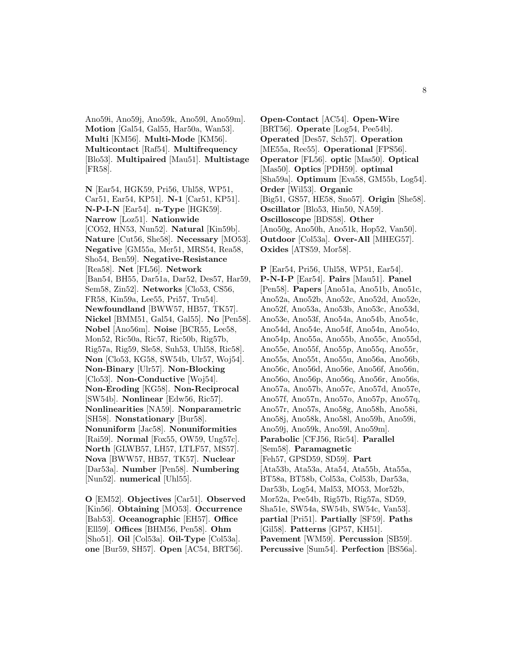Ano59i, Ano59j, Ano59k, Ano59l, Ano59m]. **Motion** [Gal54, Gal55, Har50a, Wan53]. **Multi** [KM56]. **Multi-Mode** [KM56]. **Multicontact** [Raf54]. **Multifrequency** [Blo53]. **Multipaired** [Mau51]. **Multistage** [FR58].

**N** [Ear54, HGK59, Pri56, Uhl58, WP51, Car51, Ear54, KP51]. **N-1** [Car51, KP51]. **N-P-I-N** [Ear54]. **n-Type** [HGK59]. **Narrow** [Loz51]. **Nationwide** [CO52, HN53, Nun52]. **Natural** [Kin59b]. **Nature** [Cut56, She58]. **Necessary** [MO53]. **Negative** [GM55a, Mer51, MRS54, Rea58, Sho54, Ben59]. **Negative-Resistance** [Rea58]. **Net** [FL56]. **Network** [Ban54, BH55, Dar51a, Dar52, Des57, Har59, Sem58, Zin52]. **Networks** [Clo53, CS56, FR58, Kin59a, Lee55, Pri57, Tru54]. **Newfoundland** [BWW57, HB57, TK57]. **Nickel** [BMM51, Gal54, Gal55]. **No** [Pen58]. **Nobel** [Ano56m]. **Noise** [BCR55, Lee58, Mon52, Ric50a, Ric57, Ric50b, Rig57b, Rig57a, Rig59, Sle58, Suh53, Uhl58, Ric58]. **Non** [Clo53, KG58, SW54b, Ulr57, Woj54]. **Non-Binary** [Ulr57]. **Non-Blocking** [Clo53]. **Non-Conductive** [Woj54]. **Non-Eroding** [KG58]. **Non-Reciprocal** [SW54b]. **Nonlinear** [Edw56, Ric57]. **Nonlinearities** [NA59]. **Nonparametric** [SH58]. **Nonstationary** [Bur58]. **Nonuniform** [Jac58]. **Nonuniformities** [Rai59]. **Normal** [Fox55, OW59, Ung57c]. **North** [GLWB57, LH57, LTLF57, MS57]. **Nova** [BWW57, HB57, TK57]. **Nuclear** [Dar53a]. **Number** [Pen58]. **Numbering** [Nun52]. **numerical** [Uhl55].

**O** [EM52]. **Objectives** [Car51]. **Observed** [Kin56]. **Obtaining** [MO53]. **Occurrence** [Bab53]. **Oceanographic** [EH57]. **Office** [Ell59]. **Offices** [BHM56, Pen58]. **Ohm** [Sho51]. **Oil** [Col53a]. **Oil-Type** [Col53a]. **one** [Bur59, SH57]. **Open** [AC54, BRT56].

**Open-Contact** [AC54]. **Open-Wire** [BRT56]. **Operate** [Log54, Pee54b]. **Operated** [Des57, Sch57]. **Operation** [ME55a, Ree55]. **Operational** [FPS56]. **Operator** [FL56]. **optic** [Mas50]. **Optical** [Mas50]. **Optics** [PDH59]. **optimal** [Sha59a]. **Optimum** [Eva58, GM55b, Log54]. **Order** [Wil53]. **Organic** [Big51, GS57, HE58, Sno57]. **Origin** [She58]. **Oscillator** [Blo53, Hin50, NA59]. **Oscilloscope** [BDS58]. **Other** [Ano50g, Ano50h, Ano51k, Hop52, Van50]. **Outdoor** [Col53a]. **Over-All** [MHEG57]. **Oxides** [ATS59, Mor58].

**P** [Ear54, Pri56, Uhl58, WP51, Ear54]. **P-N-I-P** [Ear54]. **Pairs** [Mau51]. **Panel** [Pen58]. **Papers** [Ano51a, Ano51b, Ano51c, Ano52a, Ano52b, Ano52c, Ano52d, Ano52e, Ano52f, Ano53a, Ano53b, Ano53c, Ano53d, Ano53e, Ano53f, Ano54a, Ano54b, Ano54c, Ano54d, Ano54e, Ano54f, Ano54n, Ano54o, Ano54p, Ano55a, Ano55b, Ano55c, Ano55d, Ano55e, Ano55f, Ano55p, Ano55q, Ano55r, Ano55s, Ano55t, Ano55u, Ano56a, Ano56b, Ano56c, Ano56d, Ano56e, Ano56f, Ano56n, Ano56o, Ano56p, Ano56q, Ano56r, Ano56s, Ano57a, Ano57b, Ano57c, Ano57d, Ano57e, Ano57f, Ano57n, Ano57o, Ano57p, Ano57q, Ano57r, Ano57s, Ano58g, Ano58h, Ano58i, Ano58j, Ano58k, Ano58l, Ano59h, Ano59i, Ano59j, Ano59k, Ano59l, Ano59m]. **Parabolic** [CFJ56, Ric54]. **Parallel** [Sem58]. **Paramagnetic** [Feh57, GPSD59, SD59]. **Part** [Ata53b, Ata53a, Ata54, Ata55b, Ata55a, BT58a, BT58b, Col53a, Col53b, Dar53a, Dar53b, Log54, Mal53, MO53, Mor52b, Mor52a, Pee54b, Rig57b, Rig57a, SD59, Sha51e, SW54a, SW54b, SW54c, Van53]. **partial** [Pri51]. **Partially** [SF59]. **Paths** [Gil58]. **Patterns** [GP57, KH51]. **Pavement** [WM59]. **Percussion** [SB59]. **Percussive** [Sum54]. **Perfection** [BS56a].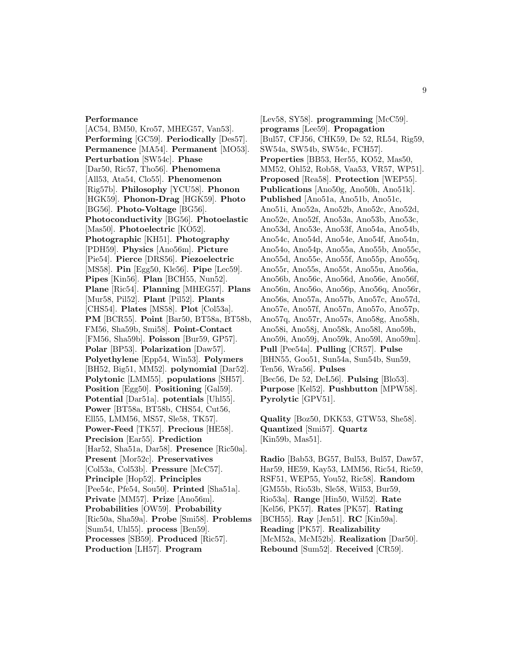#### **Performance**

[AC54, BM50, Kro57, MHEG57, Van53]. **Performing** [GC59]. **Periodically** [Des57]. **Permanence** [MA54]. **Permanent** [MO53]. **Perturbation** [SW54c]. **Phase** [Dar50, Ric57, Tho56]. **Phenomena** [All53, Ata54, Clo55]. **Phenomenon** [Rig57b]. **Philosophy** [YCU58]. **Phonon** [HGK59]. **Phonon-Drag** [HGK59]. **Photo** [BG56]. **Photo-Voltage** [BG56]. **Photoconductivity** [BG56]. **Photoelastic** [Mas50]. **Photoelectric** [KO52]. **Photographic** [KH51]. **Photography** [PDH59]. **Physics** [Ano56m]. **Picture** [Pie54]. **Pierce** [DRS56]. **Piezoelectric** [MS58]. **Pin** [Egg50, Kle56]. **Pipe** [Lec59]. **Pipes** [Kin56]. **Plan** [BCH55, Nun52]. **Plane** [Ric54]. **Planning** [MHEG57]. **Plans** [Mur58, Pil52]. **Plant** [Pil52]. **Plants** [CHS54]. **Plates** [MS58]. **Plot** [Col53a]. **PM** [BCR55]. **Point** [Bar50, BT58a, BT58b, FM56, Sha59b, Smi58]. **Point-Contact** [FM56, Sha59b]. **Poisson** [Bur59, GP57]. **Polar** [BP53]. **Polarization** [Daw57]. **Polyethylene** [Epp54, Win53]. **Polymers** [BH52, Big51, MM52]. **polynomial** [Dar52]. **Polytonic** [LMM55]. **populations** [SH57]. **Position** [Egg50]. **Positioning** [Gal59]. **Potential** [Dar51a]. **potentials** [Uhl55]. **Power** [BT58a, BT58b, CHS54, Cut56, Ell55, LMM56, MS57, Sle58, TK57]. **Power-Feed** [TK57]. **Precious** [HE58]. **Precision** [Ear55]. **Prediction** [Har52, Sha51a, Dar58]. **Presence** [Ric50a]. **Present** [Mor52c]. **Preservatives** [Col53a, Col53b]. **Pressure** [McC57]. **Principle** [Hop52]. **Principles** [Pee54c, Pfe54, Sou50]. **Printed** [Sha51a]. **Private** [MM57]. **Prize** [Ano56m]. **Probabilities** [OW59]. **Probability** [Ric50a, Sha59a]. **Probe** [Smi58]. **Problems** [Sum54, Uhl55]. **process** [Ben59]. **Processes** [SB59]. **Produced** [Ric57]. **Production** [LH57]. **Program**

[Lev58, SY58]. **programming** [McC59]. **programs** [Lee59]. **Propagation** [Bul57, CFJ56, CHK59, De 52, RL54, Rig59, SW54a, SW54b, SW54c, FCH57]. **Properties** [BB53, Her55, KO52, Mas50, MM52, Ohl52, Rob58, Vaa53, VR57, WP51]. **Proposed** [Rea58]. **Protection** [WEP55]. **Publications** [Ano50g, Ano50h, Ano51k]. **Published** [Ano51a, Ano51b, Ano51c, Ano51i, Ano52a, Ano52b, Ano52c, Ano52d, Ano52e, Ano52f, Ano53a, Ano53b, Ano53c, Ano53d, Ano53e, Ano53f, Ano54a, Ano54b, Ano54c, Ano54d, Ano54e, Ano54f, Ano54n, Ano54o, Ano54p, Ano55a, Ano55b, Ano55c, Ano55d, Ano55e, Ano55f, Ano55p, Ano55q, Ano55r, Ano55s, Ano55t, Ano55u, Ano56a, Ano56b, Ano56c, Ano56d, Ano56e, Ano56f, Ano56n, Ano56o, Ano56p, Ano56q, Ano56r, Ano56s, Ano57a, Ano57b, Ano57c, Ano57d, Ano57e, Ano57f, Ano57n, Ano57o, Ano57p, Ano57q, Ano57r, Ano57s, Ano58g, Ano58h, Ano58i, Ano58j, Ano58k, Ano58l, Ano59h, Ano59i, Ano59j, Ano59k, Ano59l, Ano59m]. **Pull** [Pee54a]. **Pulling** [CR57]. **Pulse** [BHN55, Goo51, Sun54a, Sun54b, Sun59, Ten56, Wra56]. **Pulses** [Bec56, De 52, DeL56]. **Pulsing** [Blo53]. **Purpose** [Kel52]. **Pushbutton** [MPW58]. **Pyrolytic** [GPV51].

**Quality** [Boz50, DKK53, GTW53, She58]. **Quantized** [Smi57]. **Quartz** [Kin59b, Mas51].

**Radio** [Bab53, BG57, Bul53, Bul57, Daw57, Har59, HE59, Kay53, LMM56, Ric54, Ric59, RSF51, WEP55, You52, Ric58]. **Random** [GM55b, Rio53b, Sle58, Wil53, Bur59, Rio53a]. **Range** [Hin50, Wil52]. **Rate** [Kel56, PK57]. **Rates** [PK57]. **Rating** [BCH55]. **Ray** [Jen51]. **RC** [Kin59a]. **Reading** [PK57]. **Realizability** [McM52a, McM52b]. **Realization** [Dar50]. **Rebound** [Sum52]. **Received** [CR59].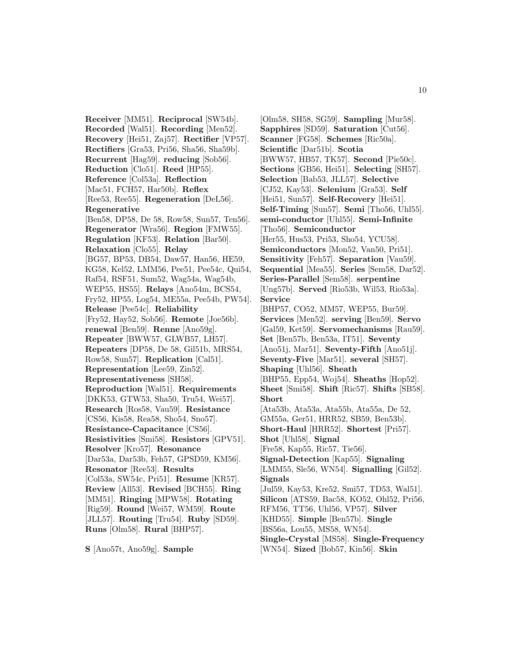**Receiver** [MM51]. **Reciprocal** [SW54b]. **Recorded** [Wal51]. **Recording** [Men52]. **Recovery** [Hei51, Zaj57]. **Rectifier** [VP57]. **Rectifiers** [Gra53, Pri56, Sha56, Sha59b]. **Recurrent** [Hag59]. **reducing** [Sob56]. **Reduction** [Clo51]. **Reed** [HP55]. **Reference** [Col53a]. **Reflection** [Mac51, FCH57, Har50b]. **Reflex** [Ree53, Ree55]. **Regeneration** [DeL56]. **Regenerative** [Ben58, DP58, De 58, Row58, Sun57, Ten56]. **Regenerator** [Wra56]. **Region** [FMW55]. **Regulation** [KF53]. **Relation** [Bar50]. **Relaxation** [Clo55]. **Relay** [BG57, BP53, DB54, Daw57, Han56, HE59, KG58, Kel52, LMM56, Pee51, Pee54c, Qui54, Raf54, RSF51, Sum52, Wag54a, Wag54b, WEP55, HS55]. **Relays** [Ano54m, BCS54, Fry52, HP55, Log54, ME55a, Pee54b, PW54]. **Release** [Pee54c]. **Reliability** [Fry52, Hay52, Sob56]. **Remote** [Joe56b]. **renewal** [Ben59]. **Renne** [Ano59g]. **Repeater** [BWW57, GLWB57, LH57]. **Repeaters** [DP58, De 58, Gil51b, MRS54, Row58, Sun57]. **Replication** [Cal51]. **Representation** [Lee59, Zin52]. **Representativeness** [SH58]. **Reproduction** [Wal51]. **Requirements** [DKK53, GTW53, Sha50, Tru54, Wei57]. **Research** [Ros58, Vau59]. **Resistance** [CS56, Kis58, Rea58, Sho54, Sno57]. **Resistance-Capacitance** [CS56]. **Resistivities** [Smi58]. **Resistors** [GPV51]. **Resolver** [Kro57]. **Resonance** [Dar53a, Dar53b, Feh57, GPSD59, KM56]. **Resonator** [Ree53]. **Results** [Col53a, SW54c, Pri51]. **Resume** [KR57]. **Review** [All53]. **Revised** [BCH55]. **Ring** [MM51]. **Ringing** [MPW58]. **Rotating** [Rig59]. **Round** [Wei57, WM59]. **Route** [JLL57]. **Routing** [Tru54]. **Ruby** [SD59]. **Runs** [Olm58]. **Rural** [BHP57].

**S** [Ano57t, Ano59g]. **Sample**

[Olm58, SH58, SG59]. **Sampling** [Mur58]. **Sapphires** [SD59]. **Saturation** [Cut56]. **Scanner** [FG58]. **Schemes** [Ric50a]. **Scientific** [Dar51b]. **Scotia** [BWW57, HB57, TK57]. **Second** [Pie50c]. **Sections** [GB56, Hei51]. **Selecting** [SH57]. **Selection** [Bab53, JLL57]. **Selective** [CJ52, Kay53]. **Selenium** [Gra53]. **Self** [Hei51, Sun57]. **Self-Recovery** [Hei51]. **Self-Timing** [Sun57]. **Semi** [Tho56, Uhl55]. **semi-conductor** [Uhl55]. **Semi-Infinite** [Tho56]. **Semiconductor** [Her55, Hus53, Pri53, Sho54, YCU58]. **Semiconductors** [Mon52, Van50, Pri51]. **Sensitivity** [Feh57]. **Separation** [Vau59]. **Sequential** [Mea55]. **Series** [Sem58, Dar52]. **Series-Parallel** [Sem58]. **serpentine** [Ung57b]. **Served** [Rio53b, Wil53, Rio53a]. **Service** [BHP57, CO52, MM57, WEP55, Bur59]. **Services** [Men52]. **serving** [Ben59]. **Servo** [Gal59, Ket59]. **Servomechanisms** [Rau59]. **Set** [Ben57b, Ben53a, IT51]. **Seventy** [Ano51j, Mar51]. **Seventy-Fifth** [Ano51j]. **Seventy-Five** [Mar51]. **several** [SH57]. **Shaping** [Uhl56]. **Sheath** [BHP55, Epp54, Woj54]. **Sheaths** [Hop52]. **Sheet** [Smi58]. **Shift** [Ric57]. **Shifts** [SB58]. **Short** [Ata53b, Ata53a, Ata55b, Ata55a, De 52, GM55a, Ger51, HRR52, SB59, Ben53b]. **Short-Haul** [HRR52]. **Shortest** [Pri57]. **Shot** [Uhl58]. **Signal** [Fre58, Kap55, Ric57, Tie56]. **Signal-Detection** [Kap55]. **Signaling** [LMM55, Sle56, WN54]. **Signalling** [Gil52]. **Signals** [Jul59, Kay53, Kre52, Smi57, TD53, Wal51]. **Silicon** [ATS59, Bac58, KO52, Ohl52, Pri56, RFM56, TT56, Uhl56, VP57]. **Silver** [KHD55]. **Simple** [Ben57b]. **Single** [BS56a, Lou55, MS58, WN54]. **Single-Crystal** [MS58]. **Single-Frequency**

[WN54]. **Sized** [Bob57, Kin56]. **Skin**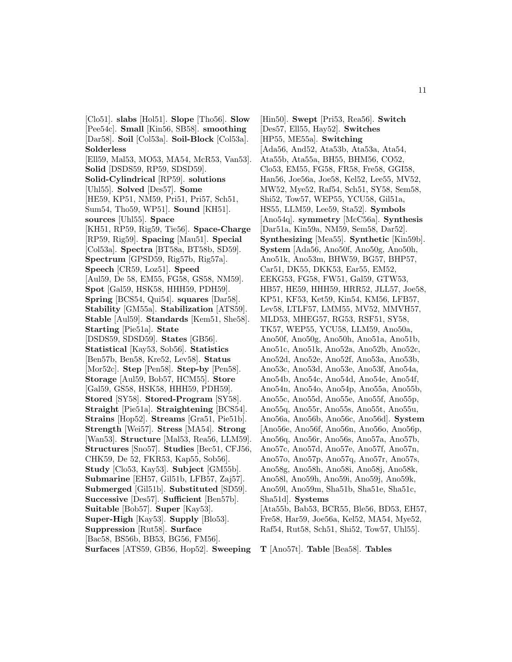[Clo51]. **slabs** [Hol51]. **Slope** [Tho56]. **Slow** [Pee54c]. **Small** [Kin56, SB58]. **smoothing** [Dar58]. **Soil** [Col53a]. **Soil-Block** [Col53a]. **Solderless** [Ell59, Mal53, MO53, MA54, McR53, Van53]. **Solid** [DSDS59, RP59, SDSD59]. **Solid-Cylindrical** [RP59]. **solutions** [Uhl55]. **Solved** [Des57]. **Some** [HE59, KP51, NM59, Pri51, Pri57, Sch51, Sum54, Tho59, WP51]. **Sound** [KH51]. **sources** [Uhl55]. **Space** [KH51, RP59, Rig59, Tie56]. **Space-Charge** [RP59, Rig59]. **Spacing** [Mau51]. **Special** [Col53a]. **Spectra** [BT58a, BT58b, SD59]. **Spectrum** [GPSD59, Rig57b, Rig57a]. **Speech** [CR59, Loz51]. **Speed** [Aul59, De 58, EM55, FG58, GS58, NM59]. **Spot** [Gal59, HSK58, HHH59, PDH59]. **Spring** [BCS54, Qui54]. **squares** [Dar58]. **Stability** [GM55a]. **Stabilization** [ATS59]. **Stable** [Aul59]. **Standards** [Kem51, She58]. **Starting** [Pie51a]. **State** [DSDS59, SDSD59]. **States** [GB56]. **Statistical** [Kay53, Sob56]. **Statistics** [Ben57b, Ben58, Kre52, Lev58]. **Status** [Mor52c]. **Step** [Pen58]. **Step-by** [Pen58]. **Storage** [Aul59, Bob57, HCM55]. **Store** [Gal59, GS58, HSK58, HHH59, PDH59]. **Stored** [SY58]. **Stored-Program** [SY58]. **Straight** [Pie51a]. **Straightening** [BCS54]. **Strains** [Hop52]. **Streams** [Gra51, Pie51b]. **Strength** [Wei57]. **Stress** [MA54]. **Strong** [Wan53]. **Structure** [Mal53, Rea56, LLM59]. **Structures** [Sno57]. **Studies** [Bec51, CFJ56, CHK59, De 52, FKR53, Kap55, Sob56]. **Study** [Clo53, Kay53]. **Subject** [GM55b]. **Submarine** [EH57, Gil51b, LFB57, Zaj57]. **Submerged** [Gil51b]. **Substituted** [SD59]. **Successive** [Des57]. **Sufficient** [Ben57b]. **Suitable** [Bob57]. **Super** [Kay53]. **Super-High** [Kay53]. **Supply** [Blo53]. **Suppression** [Rut58]. **Surface** [Bac58, BS56b, BB53, BG56, FM56]. **Surfaces** [ATS59, GB56, Hop52]. **Sweeping**

[Hin50]. **Swept** [Pri53, Rea56]. **Switch** [Des57, Ell55, Hay52]. **Switches** [HP55, ME55a]. **Switching** [Ada56, And52, Ata53b, Ata53a, Ata54, Ata55b, Ata55a, BH55, BHM56, CO52, Clo53, EM55, FG58, FR58, Fre58, GGI58, Han56, Joe56a, Joe58, Kel52, Lee55, MV52, MW52, Mye52, Raf54, Sch51, SY58, Sem58, Shi52, Tow57, WEP55, YCU58, Gil51a, HS55, LLM59, Lee59, Sta52]. **Symbols** [Ano54q]. **symmetry** [McC56a]. **Synthesis** [Dar51a, Kin59a, NM59, Sem58, Dar52]. **Synthesizing** [Mea55]. **Synthetic** [Kin59b]. **System** [Ada56, Ano50f, Ano50g, Ano50h, Ano51k, Ano53m, BHW59, BG57, BHP57, Car51, DK55, DKK53, Ear55, EM52, EEKG53, FG58, FW51, Gal59, GTW53, HB57, HE59, HHH59, HRR52, JLL57, Joe58, KP51, KF53, Ket59, Kin54, KM56, LFB57, Lev58, LTLF57, LMM55, MV52, MMVH57, MLD53, MHEG57, RG53, RSF51, SY58, TK57, WEP55, YCU58, LLM59, Ano50a, Ano50f, Ano50g, Ano50h, Ano51a, Ano51b, Ano51c, Ano51k, Ano52a, Ano52b, Ano52c, Ano52d, Ano52e, Ano52f, Ano53a, Ano53b, Ano53c, Ano53d, Ano53e, Ano53f, Ano54a, Ano54b, Ano54c, Ano54d, Ano54e, Ano54f, Ano54n, Ano54o, Ano54p, Ano55a, Ano55b, Ano55c, Ano55d, Ano55e, Ano55f, Ano55p, Ano55q, Ano55r, Ano55s, Ano55t, Ano55u, Ano56a, Ano56b, Ano56c, Ano56d]. **System** [Ano56e, Ano56f, Ano56n, Ano56o, Ano56p, Ano56q, Ano56r, Ano56s, Ano57a, Ano57b, Ano57c, Ano57d, Ano57e, Ano57f, Ano57n, Ano57o, Ano57p, Ano57q, Ano57r, Ano57s, Ano58g, Ano58h, Ano58i, Ano58j, Ano58k, Ano58l, Ano59h, Ano59i, Ano59j, Ano59k, Ano59l, Ano59m, Sha51b, Sha51e, Sha51c, Sha51d]. **Systems** [Ata55b, Bab53, BCR55, Ble56, BD53, EH57, Fre58, Har59, Joe56a, Kel52, MA54, Mye52, Raf54, Rut58, Sch51, Shi52, Tow57, Uhl55].

**T** [Ano57t]. **Table** [Bea58]. **Tables**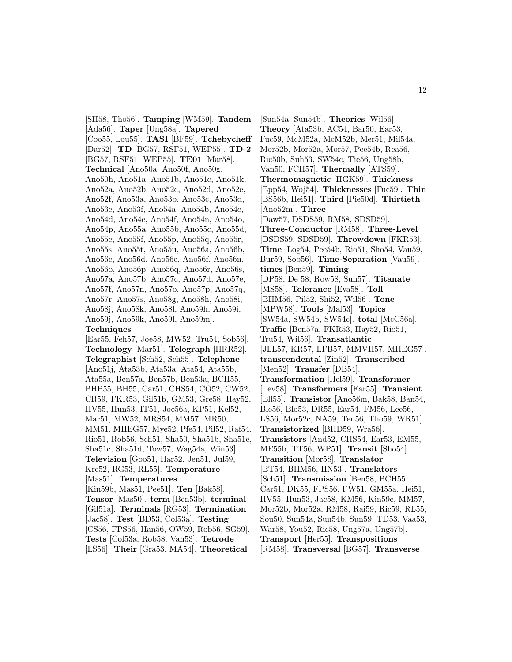[SH58, Tho56]. **Tamping** [WM59]. **Tandem** [Ada56]. **Taper** [Ung58a]. **Tapered** [Coo55, Lou55]. **TASI** [BF59]. **Tchebycheff** [Dar52]. **TD** [BG57, RSF51, WEP55]. **TD-2** [BG57, RSF51, WEP55]. **TE01** [Mar58]. **Technical** [Ano50a, Ano50f, Ano50g, Ano50h, Ano51a, Ano51b, Ano51c, Ano51k, Ano52a, Ano52b, Ano52c, Ano52d, Ano52e, Ano52f, Ano53a, Ano53b, Ano53c, Ano53d, Ano53e, Ano53f, Ano54a, Ano54b, Ano54c, Ano54d, Ano54e, Ano54f, Ano54n, Ano54o, Ano54p, Ano55a, Ano55b, Ano55c, Ano55d, Ano55e, Ano55f, Ano55p, Ano55q, Ano55r, Ano55s, Ano55t, Ano55u, Ano56a, Ano56b, Ano56c, Ano56d, Ano56e, Ano56f, Ano56n, Ano56o, Ano56p, Ano56q, Ano56r, Ano56s, Ano57a, Ano57b, Ano57c, Ano57d, Ano57e, Ano57f, Ano57n, Ano57o, Ano57p, Ano57q, Ano57r, Ano57s, Ano58g, Ano58h, Ano58i, Ano58j, Ano58k, Ano58l, Ano59h, Ano59i, Ano59j, Ano59k, Ano59l, Ano59m]. **Techniques** [Ear55, Feh57, Joe58, MW52, Tru54, Sob56]. **Technology** [Mar51]. **Telegraph** [HRR52]. **Telegraphist** [Sch52, Sch55]. **Telephone** [Ano51j, Ata53b, Ata53a, Ata54, Ata55b, Ata55a, Ben57a, Ben57b, Ben53a, BCH55, BHP55, BH55, Car51, CHS54, CO52, CW52, CR59, FKR53, Gil51b, GM53, Gre58, Hay52, HV55, Hun53, IT51, Joe56a, KP51, Kel52, Mar51, MW52, MRS54, MM57, MR50, MM51, MHEG57, Mye52, Pfe54, Pil52, Raf54, Rio51, Rob56, Sch51, Sha50, Sha51b, Sha51e, Sha51c, Sha51d, Tow57, Wag54a, Win53]. **Television** [Goo51, Har52, Jen51, Jul59, Kre52, RG53, RL55]. **Temperature** [Mas51]. **Temperatures** [Kin59b, Mas51, Pee51]. **Ten** [Bak58]. **Tensor** [Mas50]. **term** [Ben53b]. **terminal** [Gil51a]. **Terminals** [RG53]. **Termination** [Jac58]. **Test** [BD53, Col53a]. **Testing** [CS56, FPS56, Han56, OW59, Rob56, SG59]. **Tests** [Col53a, Rob58, Van53]. **Tetrode** [LS56]. **Their** [Gra53, MA54]. **Theoretical**

[Sun54a, Sun54b]. **Theories** [Wil56]. **Theory** [Ata53b, AC54, Bar50, Ear53, Fuc59, McM52a, McM52b, Mer51, Mil54a, Mor52b, Mor52a, Mor57, Pee54b, Rea56, Ric50b, Suh53, SW54c, Tie56, Ung58b, Van50, FCH57]. **Thermally** [ATS59]. **Thermomagnetic** [HGK59]. **Thickness** [Epp54, Woj54]. **Thicknesses** [Fuc59]. **Thin** [BS56b, Hei51]. **Third** [Pie50d]. **Thirtieth** [Ano52m]. **Three** [Daw57, DSDS59, RM58, SDSD59]. **Three-Conductor** [RM58]. **Three-Level** [DSDS59, SDSD59]. **Throwdown** [FKR53]. **Time** [Log54, Pee54b, Rio51, Sho54, Vau59, Bur59, Sob56]. **Time-Separation** [Vau59]. **times** [Ben59]. **Timing** [DP58, De 58, Row58, Sun57]. **Titanate** [MS58]. **Tolerance** [Eva58]. **Toll** [BHM56, Pil52, Shi52, Wil56]. **Tone** [MPW58]. **Tools** [Mal53]. **Topics** [SW54a, SW54b, SW54c]. **total** [McC56a]. **Traffic** [Ben57a, FKR53, Hay52, Rio51, Tru54, Wil56]. **Transatlantic** [JLL57, KR57, LFB57, MMVH57, MHEG57]. **transcendental** [Zin52]. **Transcribed** [Men52]. **Transfer** [DB54]. **Transformation** [Hel59]. **Transformer** [Lev58]. **Transformers** [Ear55]. **Transient** [Ell55]. **Transistor** [Ano56m, Bak58, Ban54, Ble56, Blo53, DR55, Ear54, FM56, Lee56, LS56, Mor52c, NA59, Ten56, Tho59, WR51]. **Transistorized** [BHD59, Wra56]. **Transistors** [And52, CHS54, Ear53, EM55, ME55b, TT56, WP51]. **Transit** [Sho54]. **Transition** [Mor58]. **Translator** [BT54, BHM56, HN53]. **Translators** [Sch51]. **Transmission** [Ben58, BCH55, Car51, DK55, FPS56, FW51, GM55a, Hei51, HV55, Hun53, Jac58, KM56, Kin59c, MM57, Mor52b, Mor52a, RM58, Rai59, Ric59, RL55, Sou50, Sun54a, Sun54b, Sun59, TD53, Vaa53, War58, You52, Ric58, Ung57a, Ung57b]. **Transport** [Her55]. **Transpositions** [RM58]. **Transversal** [BG57]. **Transverse**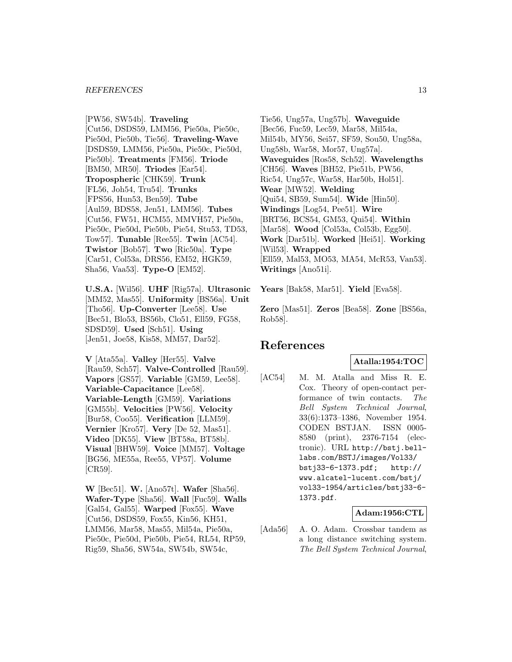#### *REFERENCES* 13

[PW56, SW54b]. **Traveling** [Cut56, DSDS59, LMM56, Pie50a, Pie50c, Pie50d, Pie50b, Tie56]. **Traveling-Wave** [DSDS59, LMM56, Pie50a, Pie50c, Pie50d, Pie50b]. **Treatments** [FM56]. **Triode** [BM50, MR50]. **Triodes** [Ear54]. **Tropospheric** [CHK59]. **Trunk** [FL56, Joh54, Tru54]. **Trunks** [FPS56, Hun53, Ben59]. **Tube** [Aul59, BDS58, Jen51, LMM56]. **Tubes** [Cut56, FW51, HCM55, MMVH57, Pie50a, Pie50c, Pie50d, Pie50b, Pie54, Stu53, TD53, Tow57]. **Tunable** [Ree55]. **Twin** [AC54]. **Twistor** [Bob57]. **Two** [Ric50a]. **Type** [Car51, Col53a, DRS56, EM52, HGK59, Sha56, Vaa53]. **Type-O** [EM52].

**U.S.A.** [Wil56]. **UHF** [Rig57a]. **Ultrasonic** [MM52, Mas55]. **Uniformity** [BS56a]. **Unit** [Tho56]. **Up-Converter** [Lee58]. **Use** [Bec51, Blo53, BS56b, Clo51, Ell59, FG58, SDSD59]. **Used** [Sch51]. **Using** [Jen51, Joe58, Kis58, MM57, Dar52].

**V** [Ata55a]. **Valley** [Her55]. **Valve** [Rau59, Sch57]. **Valve-Controlled** [Rau59]. **Vapors** [GS57]. **Variable** [GM59, Lee58]. **Variable-Capacitance** [Lee58]. **Variable-Length** [GM59]. **Variations** [GM55b]. **Velocities** [PW56]. **Velocity** [Bur58, Coo55]. **Verification** [LLM59]. **Vernier** [Kro57]. **Very** [De 52, Mas51]. **Video** [DK55]. **View** [BT58a, BT58b]. **Visual** [BHW59]. **Voice** [MM57]. **Voltage** [BG56, ME55a, Ree55, VP57]. **Volume** [CR59].

**W** [Bec51]. **W.** [Ano57t]. **Wafer** [Sha56]. **Wafer-Type** [Sha56]. **Wall** [Fuc59]. **Walls** [Gal54, Gal55]. **Warped** [Fox55]. **Wave** [Cut56, DSDS59, Fox55, Kin56, KH51, LMM56, Mar58, Mas55, Mil54a, Pie50a, Pie50c, Pie50d, Pie50b, Pie54, RL54, RP59, Rig59, Sha56, SW54a, SW54b, SW54c,

Tie56, Ung57a, Ung57b]. **Waveguide** [Bec56, Fuc59, Lec59, Mar58, Mil54a, Mil54b, MY56, Sei57, SF59, Sou50, Ung58a, Ung58b, War58, Mor57, Ung57a]. **Waveguides** [Ros58, Sch52]. **Wavelengths** [CH56]. **Waves** [BH52, Pie51b, PW56, Ric54, Ung57c, War58, Har50b, Hol51]. **Wear** [MW52]. **Welding** [Qui54, SB59, Sum54]. **Wide** [Hin50]. **Windings** [Log54, Pee51]. **Wire** [BRT56, BCS54, GM53, Qui54]. **Within** [Mar58]. **Wood** [Col53a, Col53b, Egg50]. **Work** [Dar51b]. **Worked** [Hei51]. **Working** [Wil53]. **Wrapped** [Ell59, Mal53, MO53, MA54, McR53, Van53]. **Writings** [Ano51i].

**Years** [Bak58, Mar51]. **Yield** [Eva58].

**Zero** [Mas51]. **Zeros** [Bea58]. **Zone** [BS56a, Rob58].

# **References**

## **Atalla:1954:TOC**

[AC54] M. M. Atalla and Miss R. E. Cox. Theory of open-contact performance of twin contacts. The Bell System Technical Journal, 33(6):1373–1386, November 1954. CODEN BSTJAN. ISSN 0005- 8580 (print), 2376-7154 (electronic). URL http://bstj.belllabs.com/BSTJ/images/Vol33/ bstj33-6-1373.pdf; http:// www.alcatel-lucent.com/bstj/ vol33-1954/articles/bstj33-6- 1373.pdf.

## **Adam:1956:CTL**

[Ada56] A. O. Adam. Crossbar tandem as a long distance switching system. The Bell System Technical Journal,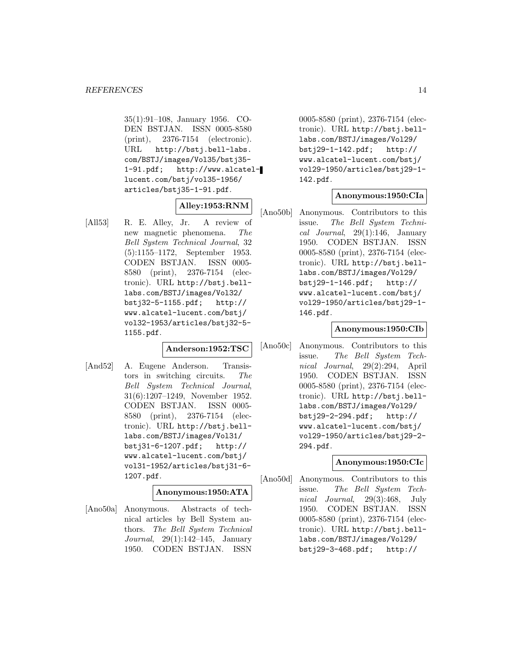35(1):91–108, January 1956. CO-DEN BSTJAN. ISSN 0005-8580 (print), 2376-7154 (electronic). URL http://bstj.bell-labs. com/BSTJ/images/Vol35/bstj35- 1-91.pdf; http://www.alcatellucent.com/bstj/vol35-1956/ articles/bstj35-1-91.pdf.

## **Alley:1953:RNM**

[All53] R. E. Alley, Jr. A review of new magnetic phenomena. The Bell System Technical Journal, 32 (5):1155–1172, September 1953. CODEN BSTJAN. ISSN 0005- 8580 (print), 2376-7154 (electronic). URL http://bstj.belllabs.com/BSTJ/images/Vol32/ bstj32-5-1155.pdf; http:// www.alcatel-lucent.com/bstj/ vol32-1953/articles/bstj32-5- 1155.pdf.

#### **Anderson:1952:TSC**

[And52] A. Eugene Anderson. Transistors in switching circuits. The Bell System Technical Journal, 31(6):1207–1249, November 1952. CODEN BSTJAN. ISSN 0005- 8580 (print), 2376-7154 (electronic). URL http://bstj.belllabs.com/BSTJ/images/Vol31/ bstj31-6-1207.pdf; http:// www.alcatel-lucent.com/bstj/ vol31-1952/articles/bstj31-6- 1207.pdf.

## **Anonymous:1950:ATA**

[Ano50a] Anonymous. Abstracts of technical articles by Bell System authors. The Bell System Technical Journal, 29(1):142–145, January 1950. CODEN BSTJAN. ISSN

0005-8580 (print), 2376-7154 (electronic). URL http://bstj.belllabs.com/BSTJ/images/Vol29/ bstj29-1-142.pdf; http:// www.alcatel-lucent.com/bstj/ vol29-1950/articles/bstj29-1- 142.pdf.

# **Anonymous:1950:CIa**

[Ano50b] Anonymous. Contributors to this issue. The Bell System Technical Journal, 29(1):146, January 1950. CODEN BSTJAN. ISSN 0005-8580 (print), 2376-7154 (electronic). URL http://bstj.belllabs.com/BSTJ/images/Vol29/ bstj29-1-146.pdf; http:// www.alcatel-lucent.com/bstj/ vol29-1950/articles/bstj29-1- 146.pdf.

#### **Anonymous:1950:CIb**

[Ano50c] Anonymous. Contributors to this issue. The Bell System Technical Journal, 29(2):294, April 1950. CODEN BSTJAN. ISSN 0005-8580 (print), 2376-7154 (electronic). URL http://bstj.belllabs.com/BSTJ/images/Vol29/ bstj29-2-294.pdf; http:// www.alcatel-lucent.com/bstj/ vol29-1950/articles/bstj29-2- 294.pdf.

#### **Anonymous:1950:CIc**

[Ano50d] Anonymous. Contributors to this issue. The Bell System Technical Journal, 29(3):468, July 1950. CODEN BSTJAN. ISSN 0005-8580 (print), 2376-7154 (electronic). URL http://bstj.belllabs.com/BSTJ/images/Vol29/ bstj29-3-468.pdf; http://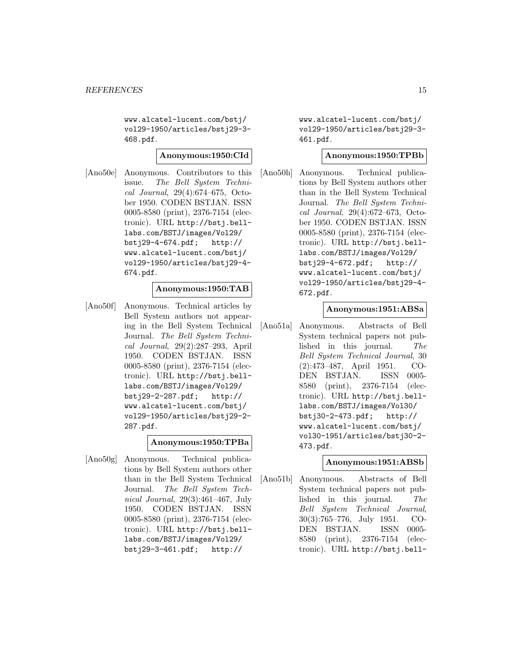www.alcatel-lucent.com/bstj/ vol29-1950/articles/bstj29-3- 468.pdf.

#### **Anonymous:1950:CId**

[Ano50e] Anonymous. Contributors to this issue. The Bell System Technical Journal, 29(4):674–675, October 1950. CODEN BSTJAN. ISSN 0005-8580 (print), 2376-7154 (electronic). URL http://bstj.belllabs.com/BSTJ/images/Vol29/ bstj29-4-674.pdf; http:// www.alcatel-lucent.com/bstj/ vol29-1950/articles/bstj29-4- 674.pdf.

## **Anonymous:1950:TAB**

[Ano50f] Anonymous. Technical articles by Bell System authors not appearing in the Bell System Technical Journal. The Bell System Technical Journal, 29(2):287–293, April 1950. CODEN BSTJAN. ISSN 0005-8580 (print), 2376-7154 (electronic). URL http://bstj.belllabs.com/BSTJ/images/Vol29/ bstj29-2-287.pdf; http:// www.alcatel-lucent.com/bstj/ vol29-1950/articles/bstj29-2- 287.pdf.

## **Anonymous:1950:TPBa**

[Ano50g] Anonymous. Technical publications by Bell System authors other than in the Bell System Technical Journal. The Bell System Technical Journal, 29(3):461–467, July 1950. CODEN BSTJAN. ISSN 0005-8580 (print), 2376-7154 (electronic). URL http://bstj.belllabs.com/BSTJ/images/Vol29/ bstj29-3-461.pdf; http://

www.alcatel-lucent.com/bstj/ vol29-1950/articles/bstj29-3- 461.pdf.

## **Anonymous:1950:TPBb**

[Ano50h] Anonymous. Technical publications by Bell System authors other than in the Bell System Technical Journal. The Bell System Technical Journal, 29(4):672–673, October 1950. CODEN BSTJAN. ISSN 0005-8580 (print), 2376-7154 (electronic). URL http://bstj.belllabs.com/BSTJ/images/Vol29/ bstj29-4-672.pdf; http:// www.alcatel-lucent.com/bstj/ vol29-1950/articles/bstj29-4- 672.pdf.

#### **Anonymous:1951:ABSa**

[Ano51a] Anonymous. Abstracts of Bell System technical papers not published in this journal. The Bell System Technical Journal, 30 (2):473–487, April 1951. CO-DEN BSTJAN. ISSN 0005- 8580 (print), 2376-7154 (electronic). URL http://bstj.belllabs.com/BSTJ/images/Vol30/ bstj30-2-473.pdf; http:// www.alcatel-lucent.com/bstj/ vol30-1951/articles/bstj30-2- 473.pdf.

#### **Anonymous:1951:ABSb**

[Ano51b] Anonymous. Abstracts of Bell System technical papers not published in this journal. The Bell System Technical Journal, 30(3):765–776, July 1951. CO-DEN BSTJAN. ISSN 0005- 8580 (print), 2376-7154 (electronic). URL http://bstj.bell-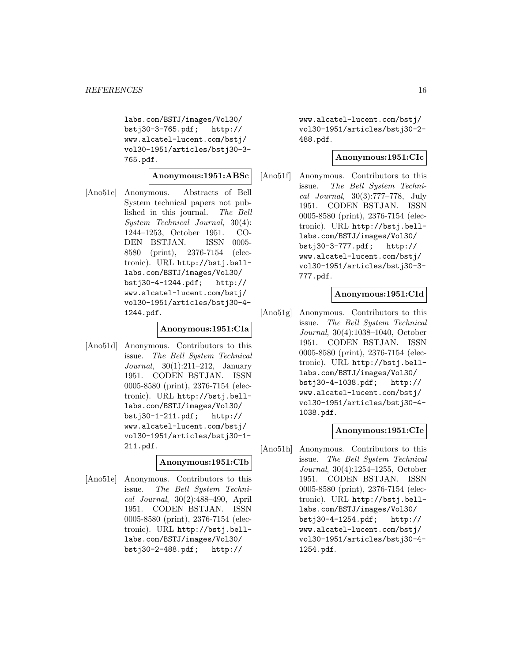labs.com/BSTJ/images/Vol30/ bstj30-3-765.pdf; http:// www.alcatel-lucent.com/bstj/ vol30-1951/articles/bstj30-3- 765.pdf.

#### **Anonymous:1951:ABSc**

[Ano51c] Anonymous. Abstracts of Bell System technical papers not published in this journal. The Bell System Technical Journal, 30(4): 1244–1253, October 1951. CO-DEN BSTJAN. ISSN 0005- 8580 (print), 2376-7154 (electronic). URL http://bstj.belllabs.com/BSTJ/images/Vol30/ bstj30-4-1244.pdf; http:// www.alcatel-lucent.com/bstj/ vol30-1951/articles/bstj30-4- 1244.pdf.

## **Anonymous:1951:CIa**

[Ano51d] Anonymous. Contributors to this issue. The Bell System Technical Journal, 30(1):211–212, January 1951. CODEN BSTJAN. ISSN 0005-8580 (print), 2376-7154 (electronic). URL http://bstj.belllabs.com/BSTJ/images/Vol30/ bstj30-1-211.pdf; http:// www.alcatel-lucent.com/bstj/ vol30-1951/articles/bstj30-1- 211.pdf.

## **Anonymous:1951:CIb**

[Ano51e] Anonymous. Contributors to this issue. The Bell System Technical Journal, 30(2):488–490, April 1951. CODEN BSTJAN. ISSN 0005-8580 (print), 2376-7154 (electronic). URL http://bstj.belllabs.com/BSTJ/images/Vol30/ bstj30-2-488.pdf; http://

www.alcatel-lucent.com/bstj/ vol30-1951/articles/bstj30-2- 488.pdf.

## **Anonymous:1951:CIc**

[Ano51f] Anonymous. Contributors to this issue. The Bell System Technical Journal, 30(3):777–778, July 1951. CODEN BSTJAN. ISSN 0005-8580 (print), 2376-7154 (electronic). URL http://bstj.belllabs.com/BSTJ/images/Vol30/ bstj30-3-777.pdf; http:// www.alcatel-lucent.com/bstj/ vol30-1951/articles/bstj30-3- 777.pdf.

#### **Anonymous:1951:CId**

[Ano51g] Anonymous. Contributors to this issue. The Bell System Technical Journal, 30(4):1038–1040, October 1951. CODEN BSTJAN. ISSN 0005-8580 (print), 2376-7154 (electronic). URL http://bstj.belllabs.com/BSTJ/images/Vol30/ bstj30-4-1038.pdf; http:// www.alcatel-lucent.com/bstj/ vol30-1951/articles/bstj30-4- 1038.pdf.

#### **Anonymous:1951:CIe**

[Ano51h] Anonymous. Contributors to this issue. The Bell System Technical Journal, 30(4):1254–1255, October 1951. CODEN BSTJAN. ISSN 0005-8580 (print), 2376-7154 (electronic). URL http://bstj.belllabs.com/BSTJ/images/Vol30/ bstj30-4-1254.pdf; http:// www.alcatel-lucent.com/bstj/ vol30-1951/articles/bstj30-4- 1254.pdf.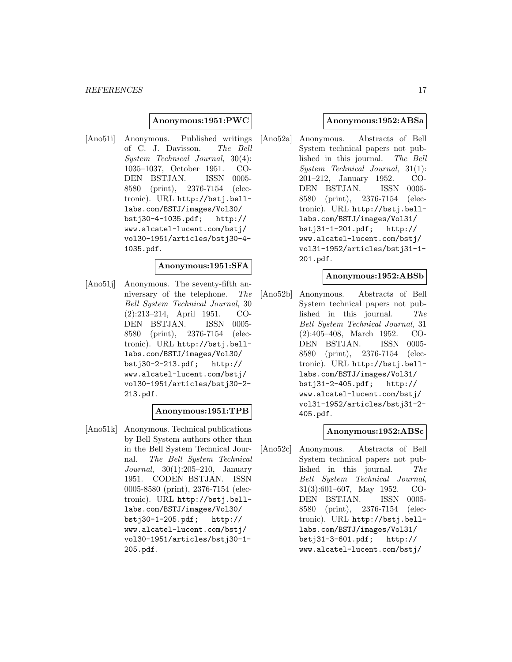#### **Anonymous:1951:PWC**

[Ano51i] Anonymous. Published writings of C. J. Davisson. The Bell System Technical Journal, 30(4): 1035–1037, October 1951. CO-DEN BSTJAN. ISSN 0005- 8580 (print), 2376-7154 (electronic). URL http://bstj.belllabs.com/BSTJ/images/Vol30/ bstj30-4-1035.pdf; http:// www.alcatel-lucent.com/bstj/ vol30-1951/articles/bstj30-4- 1035.pdf.

#### **Anonymous:1951:SFA**

[Ano51j] Anonymous. The seventy-fifth anniversary of the telephone. The Bell System Technical Journal, 30 (2):213–214, April 1951. CO-DEN BSTJAN. ISSN 0005- 8580 (print), 2376-7154 (electronic). URL http://bstj.belllabs.com/BSTJ/images/Vol30/ bstj30-2-213.pdf; http:// www.alcatel-lucent.com/bstj/ vol30-1951/articles/bstj30-2- 213.pdf.

## **Anonymous:1951:TPB**

[Ano51k] Anonymous. Technical publications by Bell System authors other than in the Bell System Technical Journal. The Bell System Technical Journal, 30(1):205–210, January 1951. CODEN BSTJAN. ISSN 0005-8580 (print), 2376-7154 (electronic). URL http://bstj.belllabs.com/BSTJ/images/Vol30/ bstj30-1-205.pdf; http:// www.alcatel-lucent.com/bstj/ vol30-1951/articles/bstj30-1- 205.pdf.

#### **Anonymous:1952:ABSa**

[Ano52a] Anonymous. Abstracts of Bell System technical papers not published in this journal. The Bell System Technical Journal, 31(1): 201–212, January 1952. CO-DEN BSTJAN. ISSN 0005- 8580 (print), 2376-7154 (electronic). URL http://bstj.belllabs.com/BSTJ/images/Vol31/ bstj31-1-201.pdf; http:// www.alcatel-lucent.com/bstj/ vol31-1952/articles/bstj31-1- 201.pdf.

#### **Anonymous:1952:ABSb**

[Ano52b] Anonymous. Abstracts of Bell System technical papers not published in this journal. The Bell System Technical Journal, 31 (2):405–408, March 1952. CO-DEN BSTJAN. ISSN 0005- 8580 (print), 2376-7154 (electronic). URL http://bstj.belllabs.com/BSTJ/images/Vol31/ bstj31-2-405.pdf; http:// www.alcatel-lucent.com/bstj/ vol31-1952/articles/bstj31-2- 405.pdf.

#### **Anonymous:1952:ABSc**

[Ano52c] Anonymous. Abstracts of Bell System technical papers not published in this journal. The Bell System Technical Journal, 31(3):601–607, May 1952. CO-DEN BSTJAN. ISSN 0005- 8580 (print), 2376-7154 (electronic). URL http://bstj.belllabs.com/BSTJ/images/Vol31/ bstj31-3-601.pdf; http:// www.alcatel-lucent.com/bstj/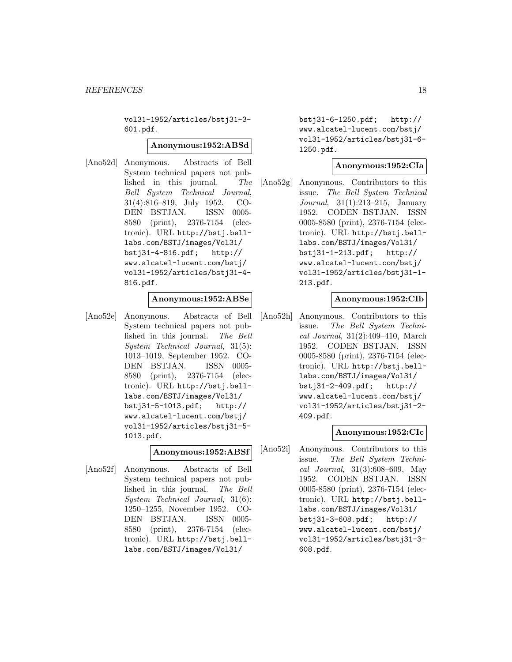vol31-1952/articles/bstj31-3- 601.pdf.

#### **Anonymous:1952:ABSd**

[Ano52d] Anonymous. Abstracts of Bell System technical papers not published in this journal. The Bell System Technical Journal, 31(4):816–819, July 1952. CO-DEN BSTJAN. ISSN 0005- 8580 (print), 2376-7154 (electronic). URL http://bstj.belllabs.com/BSTJ/images/Vol31/ bstj31-4-816.pdf; http:// www.alcatel-lucent.com/bstj/ vol31-1952/articles/bstj31-4- 816.pdf.

#### **Anonymous:1952:ABSe**

[Ano52e] Anonymous. Abstracts of Bell System technical papers not published in this journal. The Bell System Technical Journal, 31(5): 1013–1019, September 1952. CO-DEN BSTJAN. ISSN 0005- 8580 (print), 2376-7154 (electronic). URL http://bstj.belllabs.com/BSTJ/images/Vol31/ bstj31-5-1013.pdf; http:// www.alcatel-lucent.com/bstj/ vol31-1952/articles/bstj31-5- 1013.pdf.

## **Anonymous:1952:ABSf**

[Ano52f] Anonymous. Abstracts of Bell System technical papers not published in this journal. The Bell System Technical Journal, 31(6): 1250–1255, November 1952. CO-DEN BSTJAN. ISSN 0005- 8580 (print), 2376-7154 (electronic). URL http://bstj.belllabs.com/BSTJ/images/Vol31/

bstj31-6-1250.pdf; http:// www.alcatel-lucent.com/bstj/ vol31-1952/articles/bstj31-6- 1250.pdf.

#### **Anonymous:1952:CIa**

[Ano52g] Anonymous. Contributors to this issue. The Bell System Technical Journal, 31(1):213–215, January 1952. CODEN BSTJAN. ISSN 0005-8580 (print), 2376-7154 (electronic). URL http://bstj.belllabs.com/BSTJ/images/Vol31/ bstj31-1-213.pdf; http:// www.alcatel-lucent.com/bstj/ vol31-1952/articles/bstj31-1- 213.pdf.

#### **Anonymous:1952:CIb**

[Ano52h] Anonymous. Contributors to this issue. The Bell System Technical Journal, 31(2):409–410, March 1952. CODEN BSTJAN. ISSN 0005-8580 (print), 2376-7154 (electronic). URL http://bstj.belllabs.com/BSTJ/images/Vol31/ bstj31-2-409.pdf; http:// www.alcatel-lucent.com/bstj/ vol31-1952/articles/bstj31-2- 409.pdf.

#### **Anonymous:1952:CIc**

[Ano52i] Anonymous. Contributors to this issue. The Bell System Technical Journal, 31(3):608–609, May 1952. CODEN BSTJAN. ISSN 0005-8580 (print), 2376-7154 (electronic). URL http://bstj.belllabs.com/BSTJ/images/Vol31/ bstj31-3-608.pdf; http:// www.alcatel-lucent.com/bstj/ vol31-1952/articles/bstj31-3- 608.pdf.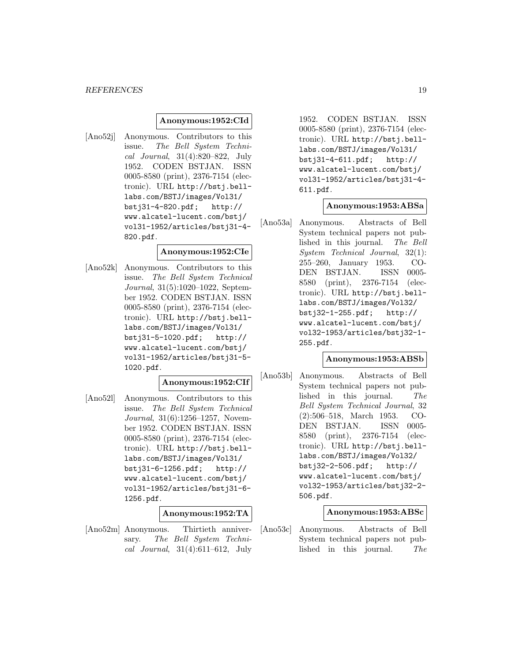#### **Anonymous:1952:CId**

[Ano52j] Anonymous. Contributors to this issue. The Bell System Technical Journal, 31(4):820–822, July 1952. CODEN BSTJAN. ISSN 0005-8580 (print), 2376-7154 (electronic). URL http://bstj.belllabs.com/BSTJ/images/Vol31/ bstj31-4-820.pdf; http:// www.alcatel-lucent.com/bstj/ vol31-1952/articles/bstj31-4- 820.pdf.

#### **Anonymous:1952:CIe**

[Ano52k] Anonymous. Contributors to this issue. The Bell System Technical Journal, 31(5):1020–1022, September 1952. CODEN BSTJAN. ISSN 0005-8580 (print), 2376-7154 (electronic). URL http://bstj.belllabs.com/BSTJ/images/Vol31/ bstj31-5-1020.pdf; http:// www.alcatel-lucent.com/bstj/ vol31-1952/articles/bstj31-5- 1020.pdf.

#### **Anonymous:1952:CIf**

[Ano52l] Anonymous. Contributors to this issue. The Bell System Technical Journal, 31(6):1256–1257, November 1952. CODEN BSTJAN. ISSN 0005-8580 (print), 2376-7154 (electronic). URL http://bstj.belllabs.com/BSTJ/images/Vol31/ bstj31-6-1256.pdf; http:// www.alcatel-lucent.com/bstj/ vol31-1952/articles/bstj31-6- 1256.pdf.

## **Anonymous:1952:TA**

[Ano52m] Anonymous. Thirtieth anniversary. The Bell System Technical Journal, 31(4):611–612, July

1952. CODEN BSTJAN. ISSN 0005-8580 (print), 2376-7154 (electronic). URL http://bstj.belllabs.com/BSTJ/images/Vol31/ bstj31-4-611.pdf; http:// www.alcatel-lucent.com/bstj/ vol31-1952/articles/bstj31-4- 611.pdf.

#### **Anonymous:1953:ABSa**

[Ano53a] Anonymous. Abstracts of Bell System technical papers not published in this journal. The Bell System Technical Journal, 32(1): 255–260, January 1953. CO-DEN BSTJAN. ISSN 0005- 8580 (print), 2376-7154 (electronic). URL http://bstj.belllabs.com/BSTJ/images/Vol32/ bstj32-1-255.pdf; http:// www.alcatel-lucent.com/bstj/ vol32-1953/articles/bstj32-1- 255.pdf.

#### **Anonymous:1953:ABSb**

[Ano53b] Anonymous. Abstracts of Bell System technical papers not published in this journal. The Bell System Technical Journal, 32 (2):506–518, March 1953. CO-DEN BSTJAN. ISSN 0005- 8580 (print), 2376-7154 (electronic). URL http://bstj.belllabs.com/BSTJ/images/Vol32/ bstj32-2-506.pdf; http:// www.alcatel-lucent.com/bstj/ vol32-1953/articles/bstj32-2- 506.pdf.

#### **Anonymous:1953:ABSc**

[Ano53c] Anonymous. Abstracts of Bell System technical papers not published in this journal. The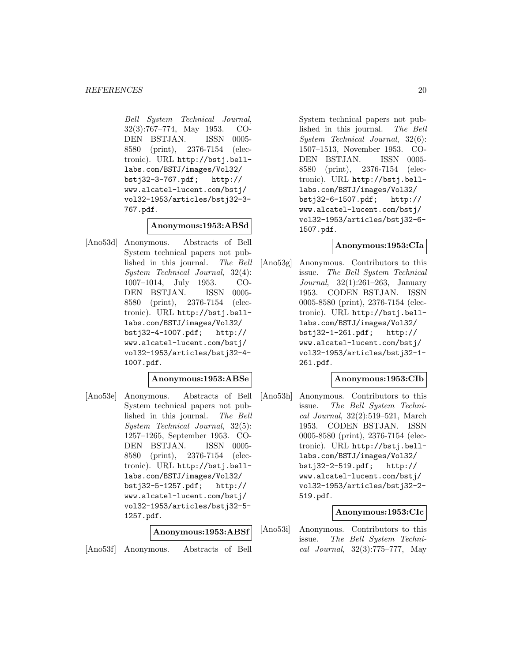Bell System Technical Journal, 32(3):767–774, May 1953. CO-DEN BSTJAN. ISSN 0005- 8580 (print), 2376-7154 (electronic). URL http://bstj.belllabs.com/BSTJ/images/Vol32/ bstj32-3-767.pdf; http:// www.alcatel-lucent.com/bstj/ vol32-1953/articles/bstj32-3- 767.pdf.

## **Anonymous:1953:ABSd**

[Ano53d] Anonymous. Abstracts of Bell System technical papers not published in this journal. The Bell System Technical Journal, 32(4): 1007–1014, July 1953. CO-DEN BSTJAN. ISSN 0005- 8580 (print), 2376-7154 (electronic). URL http://bstj.belllabs.com/BSTJ/images/Vol32/ bstj32-4-1007.pdf; http:// www.alcatel-lucent.com/bstj/ vol32-1953/articles/bstj32-4- 1007.pdf.

#### **Anonymous:1953:ABSe**

[Ano53e] Anonymous. Abstracts of Bell System technical papers not published in this journal. The Bell System Technical Journal, 32(5): 1257–1265, September 1953. CO-DEN BSTJAN. ISSN 0005- 8580 (print), 2376-7154 (electronic). URL http://bstj.belllabs.com/BSTJ/images/Vol32/ bstj32-5-1257.pdf; http:// www.alcatel-lucent.com/bstj/ vol32-1953/articles/bstj32-5- 1257.pdf.

## **Anonymous:1953:ABSf**

[Ano53f] Anonymous. Abstracts of Bell

System technical papers not published in this journal. The Bell System Technical Journal, 32(6): 1507–1513, November 1953. CO-DEN BSTJAN. ISSN 0005- 8580 (print), 2376-7154 (electronic). URL http://bstj.belllabs.com/BSTJ/images/Vol32/ bstj32-6-1507.pdf; http:// www.alcatel-lucent.com/bstj/ vol32-1953/articles/bstj32-6- 1507.pdf.

#### **Anonymous:1953:CIa**

[Ano53g] Anonymous. Contributors to this issue. The Bell System Technical Journal, 32(1):261–263, January 1953. CODEN BSTJAN. ISSN 0005-8580 (print), 2376-7154 (electronic). URL http://bstj.belllabs.com/BSTJ/images/Vol32/ bstj32-1-261.pdf; http:// www.alcatel-lucent.com/bstj/ vol32-1953/articles/bstj32-1- 261.pdf.

#### **Anonymous:1953:CIb**

[Ano53h] Anonymous. Contributors to this issue. The Bell System Technical Journal, 32(2):519–521, March 1953. CODEN BSTJAN. ISSN 0005-8580 (print), 2376-7154 (electronic). URL http://bstj.belllabs.com/BSTJ/images/Vol32/ bstj32-2-519.pdf; http:// www.alcatel-lucent.com/bstj/ vol32-1953/articles/bstj32-2- 519.pdf.

#### **Anonymous:1953:CIc**

[Ano53i] Anonymous. Contributors to this issue. The Bell System Technical Journal, 32(3):775–777, May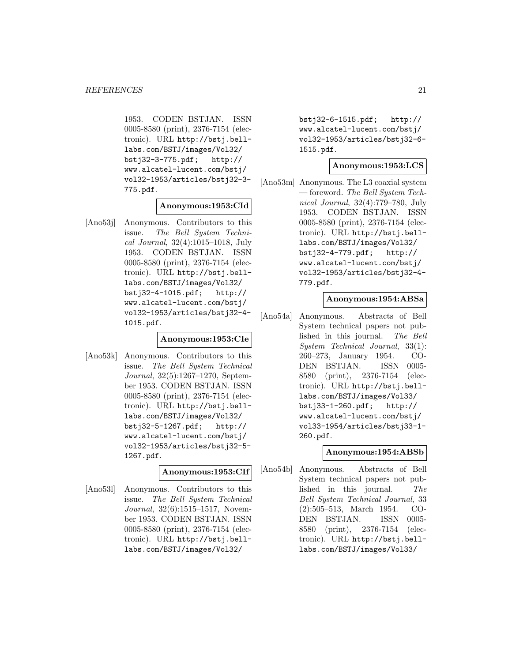1953. CODEN BSTJAN. ISSN 0005-8580 (print), 2376-7154 (electronic). URL http://bstj.belllabs.com/BSTJ/images/Vol32/ bstj32-3-775.pdf; http:// www.alcatel-lucent.com/bstj/ vol32-1953/articles/bstj32-3- 775.pdf.

## **Anonymous:1953:CId**

[Ano53j] Anonymous. Contributors to this issue. The Bell System Technical Journal, 32(4):1015–1018, July 1953. CODEN BSTJAN. ISSN 0005-8580 (print), 2376-7154 (electronic). URL http://bstj.belllabs.com/BSTJ/images/Vol32/ bstj32-4-1015.pdf; http:// www.alcatel-lucent.com/bstj/ vol32-1953/articles/bstj32-4- 1015.pdf.

#### **Anonymous:1953:CIe**

[Ano53k] Anonymous. Contributors to this issue. The Bell System Technical Journal, 32(5):1267–1270, September 1953. CODEN BSTJAN. ISSN 0005-8580 (print), 2376-7154 (electronic). URL http://bstj.belllabs.com/BSTJ/images/Vol32/ bstj32-5-1267.pdf; http:// www.alcatel-lucent.com/bstj/ vol32-1953/articles/bstj32-5- 1267.pdf.

## **Anonymous:1953:CIf**

[Ano53l] Anonymous. Contributors to this issue. The Bell System Technical Journal, 32(6):1515–1517, November 1953. CODEN BSTJAN. ISSN 0005-8580 (print), 2376-7154 (electronic). URL http://bstj.belllabs.com/BSTJ/images/Vol32/

bstj32-6-1515.pdf; http:// www.alcatel-lucent.com/bstj/ vol32-1953/articles/bstj32-6- 1515.pdf.

#### **Anonymous:1953:LCS**

[Ano53m] Anonymous. The L3 coaxial system — foreword. The Bell System Technical Journal, 32(4):779–780, July 1953. CODEN BSTJAN. ISSN 0005-8580 (print), 2376-7154 (electronic). URL http://bstj.belllabs.com/BSTJ/images/Vol32/ bstj32-4-779.pdf; http:// www.alcatel-lucent.com/bstj/ vol32-1953/articles/bstj32-4- 779.pdf.

#### **Anonymous:1954:ABSa**

[Ano54a] Anonymous. Abstracts of Bell System technical papers not published in this journal. The Bell System Technical Journal, 33(1): 260–273, January 1954. CO-DEN BSTJAN. ISSN 0005- 8580 (print), 2376-7154 (electronic). URL http://bstj.belllabs.com/BSTJ/images/Vol33/ bstj33-1-260.pdf; http:// www.alcatel-lucent.com/bstj/ vol33-1954/articles/bstj33-1- 260.pdf.

## **Anonymous:1954:ABSb**

[Ano54b] Anonymous. Abstracts of Bell System technical papers not published in this journal. The Bell System Technical Journal, 33 (2):505–513, March 1954. CO-DEN BSTJAN. ISSN 0005- 8580 (print), 2376-7154 (electronic). URL http://bstj.belllabs.com/BSTJ/images/Vol33/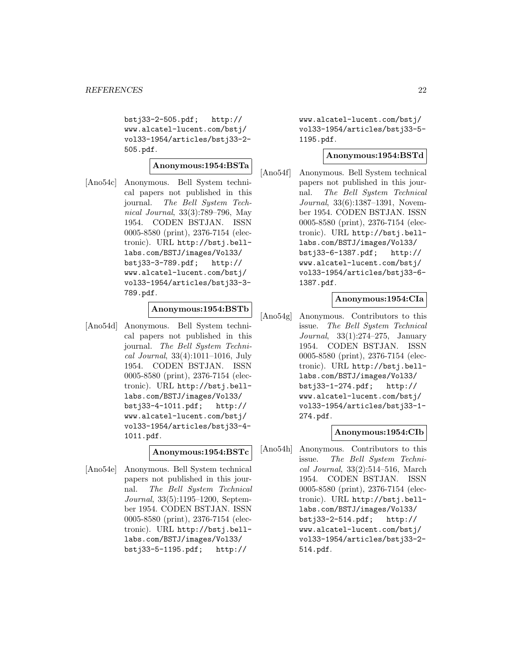bstj33-2-505.pdf; http:// www.alcatel-lucent.com/bstj/ vol33-1954/articles/bstj33-2- 505.pdf.

**Anonymous:1954:BSTa**

[Ano54c] Anonymous. Bell System technical papers not published in this journal. The Bell System Technical Journal, 33(3):789–796, May 1954. CODEN BSTJAN. ISSN 0005-8580 (print), 2376-7154 (electronic). URL http://bstj.belllabs.com/BSTJ/images/Vol33/ bstj33-3-789.pdf; http:// www.alcatel-lucent.com/bstj/ vol33-1954/articles/bstj33-3- 789.pdf.

## **Anonymous:1954:BSTb**

[Ano54d] Anonymous. Bell System technical papers not published in this journal. The Bell System Technical Journal, 33(4):1011–1016, July 1954. CODEN BSTJAN. ISSN 0005-8580 (print), 2376-7154 (electronic). URL http://bstj.belllabs.com/BSTJ/images/Vol33/ bstj33-4-1011.pdf; http:// www.alcatel-lucent.com/bstj/ vol33-1954/articles/bstj33-4- 1011.pdf.

## **Anonymous:1954:BSTc**

[Ano54e] Anonymous. Bell System technical papers not published in this journal. The Bell System Technical Journal, 33(5):1195–1200, September 1954. CODEN BSTJAN. ISSN 0005-8580 (print), 2376-7154 (electronic). URL http://bstj.belllabs.com/BSTJ/images/Vol33/ bstj33-5-1195.pdf; http://

www.alcatel-lucent.com/bstj/ vol33-1954/articles/bstj33-5- 1195.pdf.

## **Anonymous:1954:BSTd**

[Ano54f] Anonymous. Bell System technical papers not published in this journal. The Bell System Technical Journal, 33(6):1387–1391, November 1954. CODEN BSTJAN. ISSN 0005-8580 (print), 2376-7154 (electronic). URL http://bstj.belllabs.com/BSTJ/images/Vol33/ bstj33-6-1387.pdf; http:// www.alcatel-lucent.com/bstj/ vol33-1954/articles/bstj33-6- 1387.pdf.

## **Anonymous:1954:CIa**

[Ano54g] Anonymous. Contributors to this issue. The Bell System Technical Journal, 33(1):274–275, January 1954. CODEN BSTJAN. ISSN 0005-8580 (print), 2376-7154 (electronic). URL http://bstj.belllabs.com/BSTJ/images/Vol33/ bstj33-1-274.pdf; http:// www.alcatel-lucent.com/bstj/ vol33-1954/articles/bstj33-1- 274.pdf.

## **Anonymous:1954:CIb**

[Ano54h] Anonymous. Contributors to this issue. The Bell System Technical Journal, 33(2):514–516, March 1954. CODEN BSTJAN. ISSN 0005-8580 (print), 2376-7154 (electronic). URL http://bstj.belllabs.com/BSTJ/images/Vol33/ bstj33-2-514.pdf; http:// www.alcatel-lucent.com/bstj/ vol33-1954/articles/bstj33-2- 514.pdf.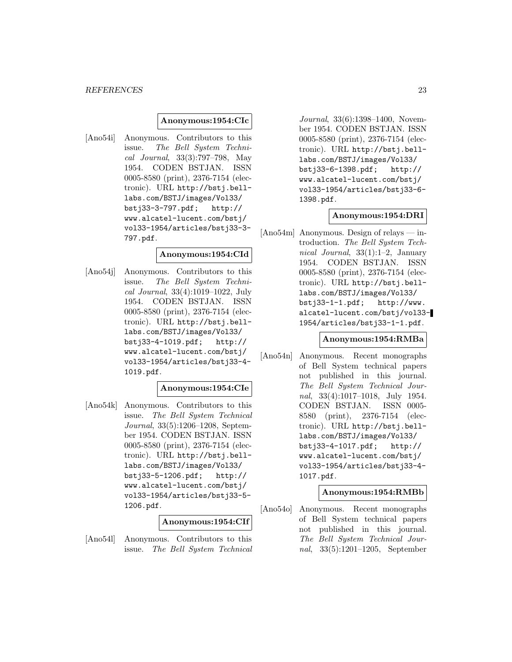#### **Anonymous:1954:CIc**

[Ano54i] Anonymous. Contributors to this issue. The Bell System Technical Journal, 33(3):797–798, May 1954. CODEN BSTJAN. ISSN 0005-8580 (print), 2376-7154 (electronic). URL http://bstj.belllabs.com/BSTJ/images/Vol33/ bstj33-3-797.pdf; http:// www.alcatel-lucent.com/bstj/ vol33-1954/articles/bstj33-3- 797.pdf.

#### **Anonymous:1954:CId**

[Ano54j] Anonymous. Contributors to this issue. The Bell System Technical Journal, 33(4):1019–1022, July 1954. CODEN BSTJAN. ISSN 0005-8580 (print), 2376-7154 (electronic). URL http://bstj.belllabs.com/BSTJ/images/Vol33/ bstj33-4-1019.pdf; http:// www.alcatel-lucent.com/bstj/ vol33-1954/articles/bstj33-4- 1019.pdf.

## **Anonymous:1954:CIe**

[Ano54k] Anonymous. Contributors to this issue. The Bell System Technical Journal, 33(5):1206–1208, September 1954. CODEN BSTJAN. ISSN 0005-8580 (print), 2376-7154 (electronic). URL http://bstj.belllabs.com/BSTJ/images/Vol33/ bstj33-5-1206.pdf; http:// www.alcatel-lucent.com/bstj/ vol33-1954/articles/bstj33-5- 1206.pdf.

#### **Anonymous:1954:CIf**

[Ano54l] Anonymous. Contributors to this issue. The Bell System Technical

Journal, 33(6):1398–1400, November 1954. CODEN BSTJAN. ISSN 0005-8580 (print), 2376-7154 (electronic). URL http://bstj.belllabs.com/BSTJ/images/Vol33/ bstj33-6-1398.pdf; http:// www.alcatel-lucent.com/bstj/ vol33-1954/articles/bstj33-6- 1398.pdf.

#### **Anonymous:1954:DRI**

[Ano54m] Anonymous. Design of relays — introduction. The Bell System Technical Journal, 33(1):1–2, January 1954. CODEN BSTJAN. ISSN 0005-8580 (print), 2376-7154 (electronic). URL http://bstj.belllabs.com/BSTJ/images/Vol33/ bstj33-1-1.pdf; http://www. alcatel-lucent.com/bstj/vol33- 1954/articles/bstj33-1-1.pdf.

#### **Anonymous:1954:RMBa**

[Ano54n] Anonymous. Recent monographs of Bell System technical papers not published in this journal. The Bell System Technical Journal, 33(4):1017–1018, July 1954. CODEN BSTJAN. ISSN 0005- 8580 (print), 2376-7154 (electronic). URL http://bstj.belllabs.com/BSTJ/images/Vol33/ bstj33-4-1017.pdf; http:// www.alcatel-lucent.com/bstj/ vol33-1954/articles/bstj33-4- 1017.pdf.

#### **Anonymous:1954:RMBb**

[Ano54o] Anonymous. Recent monographs of Bell System technical papers not published in this journal. The Bell System Technical Journal, 33(5):1201–1205, September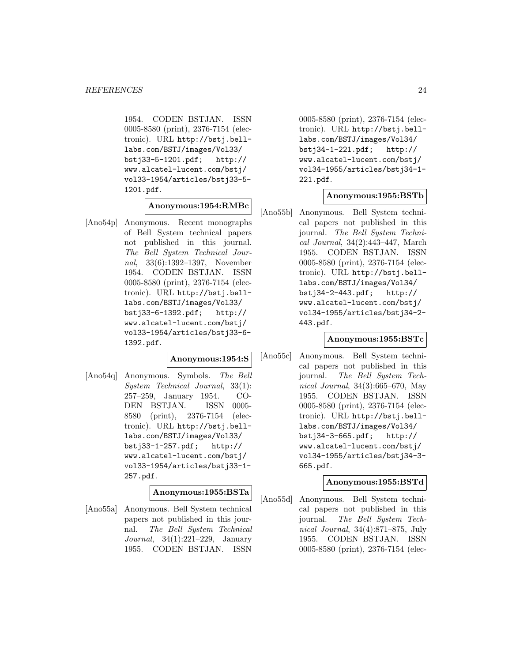1954. CODEN BSTJAN. ISSN 0005-8580 (print), 2376-7154 (electronic). URL http://bstj.belllabs.com/BSTJ/images/Vol33/ bstj33-5-1201.pdf; http:// www.alcatel-lucent.com/bstj/ vol33-1954/articles/bstj33-5- 1201.pdf.

**Anonymous:1954:RMBc**

[Ano54p] Anonymous. Recent monographs of Bell System technical papers not published in this journal. The Bell System Technical Journal, 33(6):1392–1397, November 1954. CODEN BSTJAN. ISSN 0005-8580 (print), 2376-7154 (electronic). URL http://bstj.belllabs.com/BSTJ/images/Vol33/ bstj33-6-1392.pdf; http:// www.alcatel-lucent.com/bstj/ vol33-1954/articles/bstj33-6- 1392.pdf.

#### **Anonymous:1954:S**

[Ano54q] Anonymous. Symbols. The Bell System Technical Journal, 33(1): 257–259, January 1954. CO-DEN BSTJAN. ISSN 0005- 8580 (print), 2376-7154 (electronic). URL http://bstj.belllabs.com/BSTJ/images/Vol33/ bstj33-1-257.pdf; http:// www.alcatel-lucent.com/bstj/ vol33-1954/articles/bstj33-1- 257.pdf.

#### **Anonymous:1955:BSTa**

[Ano55a] Anonymous. Bell System technical papers not published in this journal. The Bell System Technical Journal, 34(1):221–229, January 1955. CODEN BSTJAN. ISSN

0005-8580 (print), 2376-7154 (electronic). URL http://bstj.belllabs.com/BSTJ/images/Vol34/ bstj34-1-221.pdf; http:// www.alcatel-lucent.com/bstj/ vol34-1955/articles/bstj34-1- 221.pdf.

## **Anonymous:1955:BSTb**

[Ano55b] Anonymous. Bell System technical papers not published in this journal. The Bell System Technical Journal, 34(2):443–447, March 1955. CODEN BSTJAN. ISSN 0005-8580 (print), 2376-7154 (electronic). URL http://bstj.belllabs.com/BSTJ/images/Vol34/ bstj34-2-443.pdf; http:// www.alcatel-lucent.com/bstj/ vol34-1955/articles/bstj34-2- 443.pdf.

#### **Anonymous:1955:BSTc**

[Ano55c] Anonymous. Bell System technical papers not published in this journal. The Bell System Technical Journal, 34(3):665–670, May 1955. CODEN BSTJAN. ISSN 0005-8580 (print), 2376-7154 (electronic). URL http://bstj.belllabs.com/BSTJ/images/Vol34/ bstj34-3-665.pdf; http:// www.alcatel-lucent.com/bstj/ vol34-1955/articles/bstj34-3- 665.pdf.

#### **Anonymous:1955:BSTd**

[Ano55d] Anonymous. Bell System technical papers not published in this journal. The Bell System Technical Journal, 34(4):871–875, July 1955. CODEN BSTJAN. ISSN 0005-8580 (print), 2376-7154 (elec-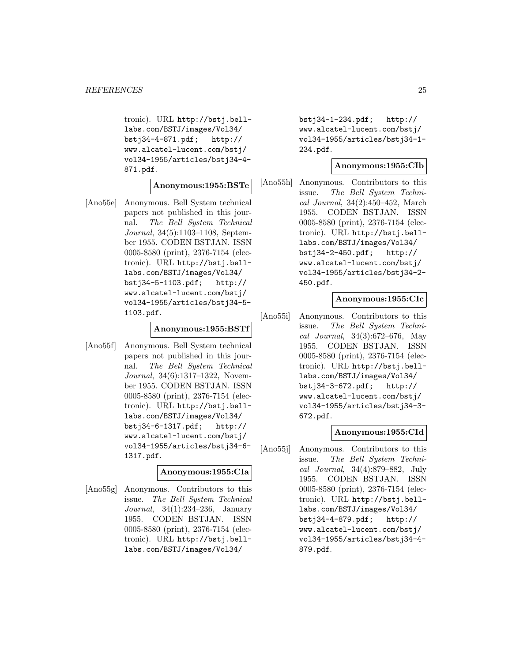tronic). URL http://bstj.belllabs.com/BSTJ/images/Vol34/ bstj34-4-871.pdf; http:// www.alcatel-lucent.com/bstj/ vol34-1955/articles/bstj34-4- 871.pdf.

#### **Anonymous:1955:BSTe**

[Ano55e] Anonymous. Bell System technical papers not published in this journal. The Bell System Technical Journal, 34(5):1103–1108, September 1955. CODEN BSTJAN. ISSN 0005-8580 (print), 2376-7154 (electronic). URL http://bstj.belllabs.com/BSTJ/images/Vol34/ bstj34-5-1103.pdf; http:// www.alcatel-lucent.com/bstj/ vol34-1955/articles/bstj34-5- 1103.pdf.

#### **Anonymous:1955:BSTf**

[Ano55f] Anonymous. Bell System technical papers not published in this journal. The Bell System Technical Journal, 34(6):1317–1322, November 1955. CODEN BSTJAN. ISSN 0005-8580 (print), 2376-7154 (electronic). URL http://bstj.belllabs.com/BSTJ/images/Vol34/ bstj34-6-1317.pdf; http:// www.alcatel-lucent.com/bstj/ vol34-1955/articles/bstj34-6- 1317.pdf.

#### **Anonymous:1955:CIa**

[Ano55g] Anonymous. Contributors to this issue. The Bell System Technical Journal, 34(1):234–236, January 1955. CODEN BSTJAN. ISSN 0005-8580 (print), 2376-7154 (electronic). URL http://bstj.belllabs.com/BSTJ/images/Vol34/

bstj34-1-234.pdf; http:// www.alcatel-lucent.com/bstj/ vol34-1955/articles/bstj34-1- 234.pdf.

#### **Anonymous:1955:CIb**

[Ano55h] Anonymous. Contributors to this issue. The Bell System Technical Journal, 34(2):450–452, March 1955. CODEN BSTJAN. ISSN 0005-8580 (print), 2376-7154 (electronic). URL http://bstj.belllabs.com/BSTJ/images/Vol34/ bstj34-2-450.pdf; http:// www.alcatel-lucent.com/bstj/ vol34-1955/articles/bstj34-2- 450.pdf.

## **Anonymous:1955:CIc**

[Ano55i] Anonymous. Contributors to this issue. The Bell System Technical Journal, 34(3):672–676, May 1955. CODEN BSTJAN. ISSN 0005-8580 (print), 2376-7154 (electronic). URL http://bstj.belllabs.com/BSTJ/images/Vol34/ bstj34-3-672.pdf; http:// www.alcatel-lucent.com/bstj/ vol34-1955/articles/bstj34-3- 672.pdf.

#### **Anonymous:1955:CId**

[Ano55j] Anonymous. Contributors to this issue. The Bell System Technical Journal, 34(4):879–882, July 1955. CODEN BSTJAN. ISSN 0005-8580 (print), 2376-7154 (electronic). URL http://bstj.belllabs.com/BSTJ/images/Vol34/ bstj34-4-879.pdf; http:// www.alcatel-lucent.com/bstj/ vol34-1955/articles/bstj34-4- 879.pdf.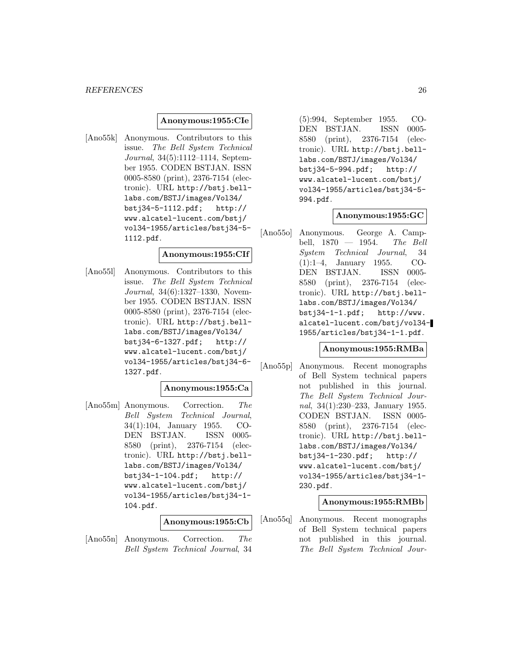#### *REFERENCES* 26

#### **Anonymous:1955:CIe**

[Ano55k] Anonymous. Contributors to this issue. The Bell System Technical Journal, 34(5):1112–1114, September 1955. CODEN BSTJAN. ISSN 0005-8580 (print), 2376-7154 (electronic). URL http://bstj.belllabs.com/BSTJ/images/Vol34/ bstj34-5-1112.pdf; http:// www.alcatel-lucent.com/bstj/ vol34-1955/articles/bstj34-5- 1112.pdf.

## **Anonymous:1955:CIf**

[Ano55l] Anonymous. Contributors to this issue. The Bell System Technical Journal, 34(6):1327–1330, November 1955. CODEN BSTJAN. ISSN 0005-8580 (print), 2376-7154 (electronic). URL http://bstj.belllabs.com/BSTJ/images/Vol34/ bstj34-6-1327.pdf; http:// www.alcatel-lucent.com/bstj/ vol34-1955/articles/bstj34-6- 1327.pdf.

#### **Anonymous:1955:Ca**

[Ano55m] Anonymous. Correction. The Bell System Technical Journal, 34(1):104, January 1955. CO-DEN BSTJAN. ISSN 0005- 8580 (print), 2376-7154 (electronic). URL http://bstj.belllabs.com/BSTJ/images/Vol34/ bstj34-1-104.pdf; http:// www.alcatel-lucent.com/bstj/ vol34-1955/articles/bstj34-1- 104.pdf.

#### **Anonymous:1955:Cb**

[Ano55n] Anonymous. Correction. The Bell System Technical Journal, 34

(5):994, September 1955. CO-DEN BSTJAN. ISSN 0005- 8580 (print), 2376-7154 (electronic). URL http://bstj.belllabs.com/BSTJ/images/Vol34/ bstj34-5-994.pdf; http:// www.alcatel-lucent.com/bstj/ vol34-1955/articles/bstj34-5- 994.pdf.

#### **Anonymous:1955:GC**

[Ano55o] Anonymous. George A. Campbell, 1870 — 1954. The Bell System Technical Journal, 34 (1):1–4, January 1955. CO-DEN BSTJAN. ISSN 0005- 8580 (print), 2376-7154 (electronic). URL http://bstj.belllabs.com/BSTJ/images/Vol34/ bstj34-1-1.pdf; http://www. alcatel-lucent.com/bstj/vol34- 1955/articles/bstj34-1-1.pdf.

## **Anonymous:1955:RMBa**

[Ano55p] Anonymous. Recent monographs of Bell System technical papers not published in this journal. The Bell System Technical Journal, 34(1):230–233, January 1955. CODEN BSTJAN. ISSN 0005- 8580 (print), 2376-7154 (electronic). URL http://bstj.belllabs.com/BSTJ/images/Vol34/ bstj34-1-230.pdf; http:// www.alcatel-lucent.com/bstj/ vol34-1955/articles/bstj34-1- 230.pdf.

#### **Anonymous:1955:RMBb**

[Ano55q] Anonymous. Recent monographs of Bell System technical papers not published in this journal. The Bell System Technical Jour-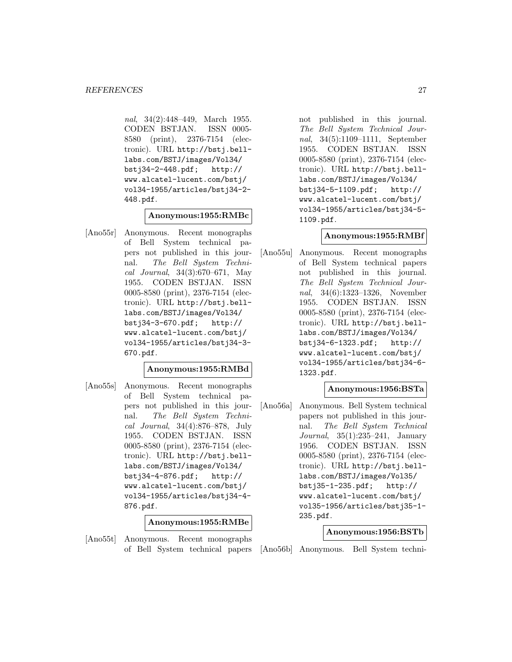nal, 34(2):448–449, March 1955. CODEN BSTJAN. ISSN 0005- 8580 (print), 2376-7154 (electronic). URL http://bstj.belllabs.com/BSTJ/images/Vol34/ bstj34-2-448.pdf; http:// www.alcatel-lucent.com/bstj/ vol34-1955/articles/bstj34-2- 448.pdf.

## **Anonymous:1955:RMBc**

[Ano55r] Anonymous. Recent monographs of Bell System technical papers not published in this journal. The Bell System Technical Journal, 34(3):670–671, May 1955. CODEN BSTJAN. ISSN 0005-8580 (print), 2376-7154 (electronic). URL http://bstj.belllabs.com/BSTJ/images/Vol34/ bstj34-3-670.pdf; http:// www.alcatel-lucent.com/bstj/ vol34-1955/articles/bstj34-3- 670.pdf.

## **Anonymous:1955:RMBd**

[Ano55s] Anonymous. Recent monographs of Bell System technical papers not published in this journal. The Bell System Technical Journal, 34(4):876–878, July 1955. CODEN BSTJAN. ISSN 0005-8580 (print), 2376-7154 (electronic). URL http://bstj.belllabs.com/BSTJ/images/Vol34/ bstj34-4-876.pdf; http:// www.alcatel-lucent.com/bstj/ vol34-1955/articles/bstj34-4- 876.pdf.

**Anonymous:1955:RMBe**

[Ano55t] Anonymous. Recent monographs of Bell System technical papers not published in this journal. The Bell System Technical Journal, 34(5):1109–1111, September 1955. CODEN BSTJAN. ISSN 0005-8580 (print), 2376-7154 (electronic). URL http://bstj.belllabs.com/BSTJ/images/Vol34/ bstj34-5-1109.pdf; http:// www.alcatel-lucent.com/bstj/ vol34-1955/articles/bstj34-5- 1109.pdf.

#### **Anonymous:1955:RMBf**

[Ano55u] Anonymous. Recent monographs of Bell System technical papers not published in this journal. The Bell System Technical Journal, 34(6):1323–1326, November 1955. CODEN BSTJAN. ISSN 0005-8580 (print), 2376-7154 (electronic). URL http://bstj.belllabs.com/BSTJ/images/Vol34/ bstj34-6-1323.pdf; http:// www.alcatel-lucent.com/bstj/ vol34-1955/articles/bstj34-6- 1323.pdf.

## **Anonymous:1956:BSTa**

[Ano56a] Anonymous. Bell System technical papers not published in this journal. The Bell System Technical Journal, 35(1):235–241, January 1956. CODEN BSTJAN. ISSN 0005-8580 (print), 2376-7154 (electronic). URL http://bstj.belllabs.com/BSTJ/images/Vol35/ bstj35-1-235.pdf; http:// www.alcatel-lucent.com/bstj/ vol35-1956/articles/bstj35-1- 235.pdf.

#### **Anonymous:1956:BSTb**

[Ano56b] Anonymous. Bell System techni-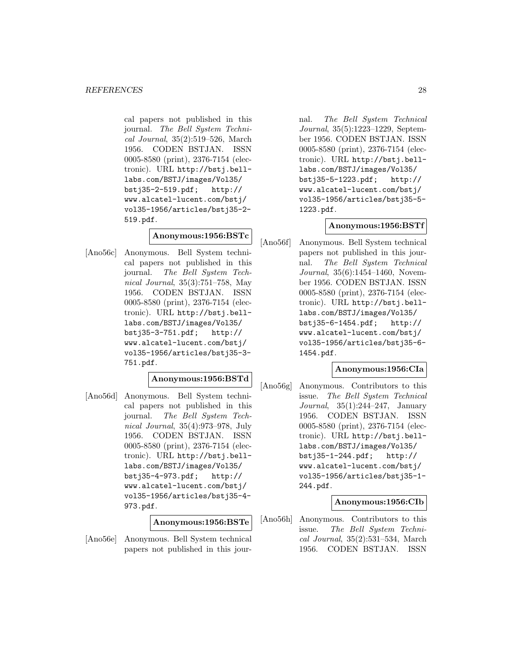cal papers not published in this journal. The Bell System Technical Journal, 35(2):519–526, March 1956. CODEN BSTJAN. ISSN 0005-8580 (print), 2376-7154 (electronic). URL http://bstj.belllabs.com/BSTJ/images/Vol35/ bstj35-2-519.pdf; http:// www.alcatel-lucent.com/bstj/ vol35-1956/articles/bstj35-2- 519.pdf.

## **Anonymous:1956:BSTc**

[Ano56c] Anonymous. Bell System technical papers not published in this journal. The Bell System Technical Journal, 35(3):751–758, May 1956. CODEN BSTJAN. ISSN 0005-8580 (print), 2376-7154 (electronic). URL http://bstj.belllabs.com/BSTJ/images/Vol35/ bstj35-3-751.pdf; http:// www.alcatel-lucent.com/bstj/ vol35-1956/articles/bstj35-3- 751.pdf.

## **Anonymous:1956:BSTd**

[Ano56d] Anonymous. Bell System technical papers not published in this journal. The Bell System Technical Journal, 35(4):973–978, July 1956. CODEN BSTJAN. ISSN 0005-8580 (print), 2376-7154 (electronic). URL http://bstj.belllabs.com/BSTJ/images/Vol35/ bstj35-4-973.pdf; http:// www.alcatel-lucent.com/bstj/ vol35-1956/articles/bstj35-4- 973.pdf.

**Anonymous:1956:BSTe**

[Ano56e] Anonymous. Bell System technical papers not published in this journal. The Bell System Technical Journal, 35(5):1223–1229, September 1956. CODEN BSTJAN. ISSN 0005-8580 (print), 2376-7154 (electronic). URL http://bstj.belllabs.com/BSTJ/images/Vol35/ bstj35-5-1223.pdf; http:// www.alcatel-lucent.com/bstj/ vol35-1956/articles/bstj35-5- 1223.pdf.

#### **Anonymous:1956:BSTf**

[Ano56f] Anonymous. Bell System technical papers not published in this journal. The Bell System Technical Journal, 35(6):1454–1460, November 1956. CODEN BSTJAN. ISSN 0005-8580 (print), 2376-7154 (electronic). URL http://bstj.belllabs.com/BSTJ/images/Vol35/ bstj35-6-1454.pdf; http:// www.alcatel-lucent.com/bstj/ vol35-1956/articles/bstj35-6- 1454.pdf.

## **Anonymous:1956:CIa**

[Ano56g] Anonymous. Contributors to this issue. The Bell System Technical Journal, 35(1):244–247, January 1956. CODEN BSTJAN. ISSN 0005-8580 (print), 2376-7154 (electronic). URL http://bstj.belllabs.com/BSTJ/images/Vol35/ bstj35-1-244.pdf; http:// www.alcatel-lucent.com/bstj/ vol35-1956/articles/bstj35-1- 244.pdf.

**Anonymous:1956:CIb**

[Ano56h] Anonymous. Contributors to this issue. The Bell System Technical Journal, 35(2):531–534, March 1956. CODEN BSTJAN. ISSN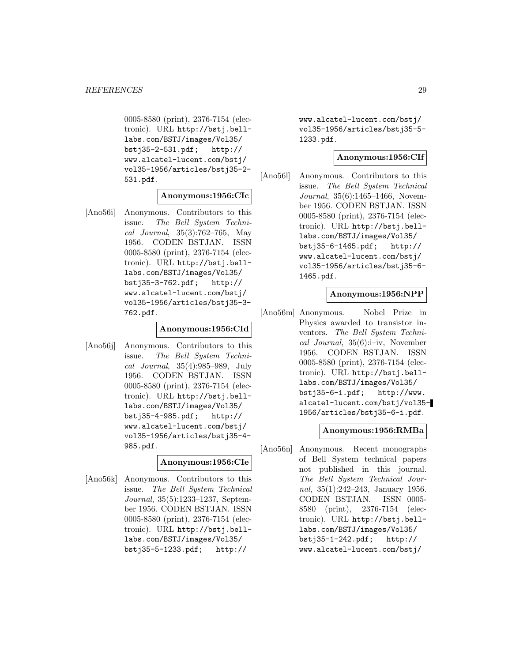0005-8580 (print), 2376-7154 (electronic). URL http://bstj.belllabs.com/BSTJ/images/Vol35/ bstj35-2-531.pdf; http:// www.alcatel-lucent.com/bstj/ vol35-1956/articles/bstj35-2- 531.pdf.

## **Anonymous:1956:CIc**

[Ano56i] Anonymous. Contributors to this issue. The Bell System Technical Journal, 35(3):762–765, May 1956. CODEN BSTJAN. ISSN 0005-8580 (print), 2376-7154 (electronic). URL http://bstj.belllabs.com/BSTJ/images/Vol35/ bstj35-3-762.pdf; http:// www.alcatel-lucent.com/bstj/ vol35-1956/articles/bstj35-3- 762.pdf.

## **Anonymous:1956:CId**

[Ano56j] Anonymous. Contributors to this issue. The Bell System Technical Journal, 35(4):985–989, July 1956. CODEN BSTJAN. ISSN 0005-8580 (print), 2376-7154 (electronic). URL http://bstj.belllabs.com/BSTJ/images/Vol35/ bstj35-4-985.pdf; http:// www.alcatel-lucent.com/bstj/ vol35-1956/articles/bstj35-4- 985.pdf.

## **Anonymous:1956:CIe**

[Ano56k] Anonymous. Contributors to this issue. The Bell System Technical Journal, 35(5):1233–1237, September 1956. CODEN BSTJAN. ISSN 0005-8580 (print), 2376-7154 (electronic). URL http://bstj.belllabs.com/BSTJ/images/Vol35/ bstj35-5-1233.pdf; http://

www.alcatel-lucent.com/bstj/ vol35-1956/articles/bstj35-5- 1233.pdf.

## **Anonymous:1956:CIf**

[Ano56l] Anonymous. Contributors to this issue. The Bell System Technical Journal, 35(6):1465–1466, November 1956. CODEN BSTJAN. ISSN 0005-8580 (print), 2376-7154 (electronic). URL http://bstj.belllabs.com/BSTJ/images/Vol35/ bstj35-6-1465.pdf; http:// www.alcatel-lucent.com/bstj/ vol35-1956/articles/bstj35-6- 1465.pdf.

#### **Anonymous:1956:NPP**

[Ano56m] Anonymous. Nobel Prize in Physics awarded to transistor inventors. The Bell System Technical Journal, 35(6):i–iv, November 1956. CODEN BSTJAN. ISSN 0005-8580 (print), 2376-7154 (electronic). URL http://bstj.belllabs.com/BSTJ/images/Vol35/ bstj35-6-i.pdf; http://www. alcatel-lucent.com/bstj/vol35- 1956/articles/bstj35-6-i.pdf.

## **Anonymous:1956:RMBa**

[Ano56n] Anonymous. Recent monographs of Bell System technical papers not published in this journal. The Bell System Technical Journal, 35(1):242–243, January 1956. CODEN BSTJAN. ISSN 0005- 8580 (print), 2376-7154 (electronic). URL http://bstj.belllabs.com/BSTJ/images/Vol35/ bstj35-1-242.pdf; http:// www.alcatel-lucent.com/bstj/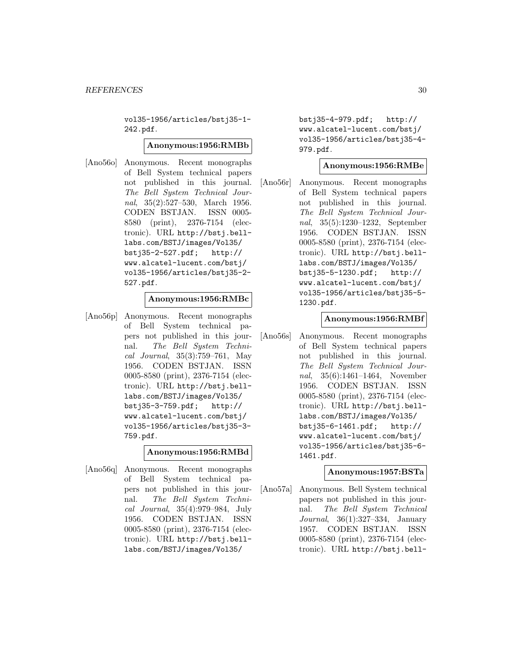vol35-1956/articles/bstj35-1- 242.pdf.

#### **Anonymous:1956:RMBb**

[Ano56o] Anonymous. Recent monographs of Bell System technical papers not published in this journal. The Bell System Technical Journal, 35(2):527–530, March 1956. CODEN BSTJAN. ISSN 0005- 8580 (print), 2376-7154 (electronic). URL http://bstj.belllabs.com/BSTJ/images/Vol35/ bstj35-2-527.pdf; http:// www.alcatel-lucent.com/bstj/ vol35-1956/articles/bstj35-2- 527.pdf.

## **Anonymous:1956:RMBc**

[Ano56p] Anonymous. Recent monographs of Bell System technical papers not published in this journal. The Bell System Technical Journal, 35(3):759–761, May 1956. CODEN BSTJAN. ISSN 0005-8580 (print), 2376-7154 (electronic). URL http://bstj.belllabs.com/BSTJ/images/Vol35/ bstj35-3-759.pdf; http:// www.alcatel-lucent.com/bstj/ vol35-1956/articles/bstj35-3- 759.pdf.

**Anonymous:1956:RMBd**

[Ano56q] Anonymous. Recent monographs of Bell System technical papers not published in this journal. The Bell System Technical Journal, 35(4):979–984, July 1956. CODEN BSTJAN. ISSN 0005-8580 (print), 2376-7154 (electronic). URL http://bstj.belllabs.com/BSTJ/images/Vol35/

bstj35-4-979.pdf; http:// www.alcatel-lucent.com/bstj/ vol35-1956/articles/bstj35-4- 979.pdf.

#### **Anonymous:1956:RMBe**

[Ano56r] Anonymous. Recent monographs of Bell System technical papers not published in this journal. The Bell System Technical Journal, 35(5):1230–1232, September 1956. CODEN BSTJAN. ISSN 0005-8580 (print), 2376-7154 (electronic). URL http://bstj.belllabs.com/BSTJ/images/Vol35/ bstj35-5-1230.pdf; http:// www.alcatel-lucent.com/bstj/ vol35-1956/articles/bstj35-5- 1230.pdf.

#### **Anonymous:1956:RMBf**

[Ano56s] Anonymous. Recent monographs of Bell System technical papers not published in this journal. The Bell System Technical Journal, 35(6):1461–1464, November 1956. CODEN BSTJAN. ISSN 0005-8580 (print), 2376-7154 (electronic). URL http://bstj.belllabs.com/BSTJ/images/Vol35/ bstj35-6-1461.pdf; http:// www.alcatel-lucent.com/bstj/ vol35-1956/articles/bstj35-6- 1461.pdf.

#### **Anonymous:1957:BSTa**

[Ano57a] Anonymous. Bell System technical papers not published in this journal. The Bell System Technical Journal, 36(1):327–334, January 1957. CODEN BSTJAN. ISSN 0005-8580 (print), 2376-7154 (electronic). URL http://bstj.bell-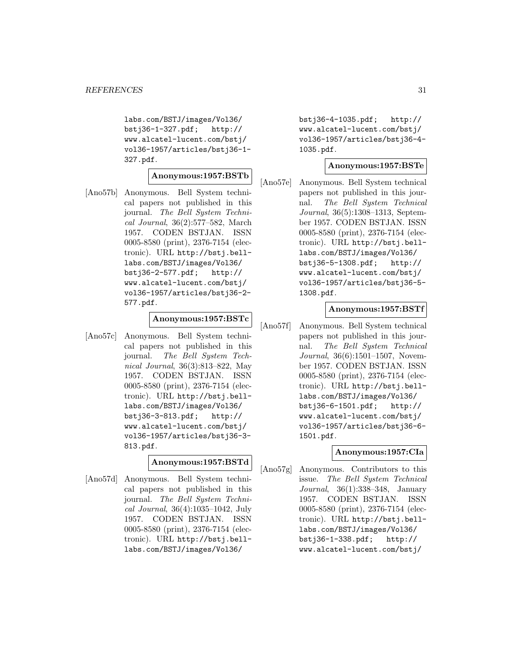labs.com/BSTJ/images/Vol36/ bstj36-1-327.pdf; http:// www.alcatel-lucent.com/bstj/ vol36-1957/articles/bstj36-1- 327.pdf.

#### **Anonymous:1957:BSTb**

[Ano57b] Anonymous. Bell System technical papers not published in this journal. The Bell System Technical Journal, 36(2):577–582, March 1957. CODEN BSTJAN. ISSN 0005-8580 (print), 2376-7154 (electronic). URL http://bstj.belllabs.com/BSTJ/images/Vol36/ bstj36-2-577.pdf; http:// www.alcatel-lucent.com/bstj/ vol36-1957/articles/bstj36-2- 577.pdf.

## **Anonymous:1957:BSTc**

[Ano57c] Anonymous. Bell System technical papers not published in this journal. The Bell System Technical Journal, 36(3):813–822, May 1957. CODEN BSTJAN. ISSN 0005-8580 (print), 2376-7154 (electronic). URL http://bstj.belllabs.com/BSTJ/images/Vol36/ bstj36-3-813.pdf; http:// www.alcatel-lucent.com/bstj/ vol36-1957/articles/bstj36-3- 813.pdf.

## **Anonymous:1957:BSTd**

[Ano57d] Anonymous. Bell System technical papers not published in this journal. The Bell System Technical Journal, 36(4):1035–1042, July 1957. CODEN BSTJAN. ISSN 0005-8580 (print), 2376-7154 (electronic). URL http://bstj.belllabs.com/BSTJ/images/Vol36/

bstj36-4-1035.pdf; http:// www.alcatel-lucent.com/bstj/ vol36-1957/articles/bstj36-4- 1035.pdf.

#### **Anonymous:1957:BSTe**

[Ano57e] Anonymous. Bell System technical papers not published in this journal. The Bell System Technical Journal, 36(5):1308–1313, September 1957. CODEN BSTJAN. ISSN 0005-8580 (print), 2376-7154 (electronic). URL http://bstj.belllabs.com/BSTJ/images/Vol36/ bstj36-5-1308.pdf; http:// www.alcatel-lucent.com/bstj/ vol36-1957/articles/bstj36-5- 1308.pdf.

#### **Anonymous:1957:BSTf**

[Ano57f] Anonymous. Bell System technical papers not published in this journal. The Bell System Technical Journal, 36(6):1501–1507, November 1957. CODEN BSTJAN. ISSN 0005-8580 (print), 2376-7154 (electronic). URL http://bstj.belllabs.com/BSTJ/images/Vol36/ bstj36-6-1501.pdf; http:// www.alcatel-lucent.com/bstj/ vol36-1957/articles/bstj36-6- 1501.pdf.

## **Anonymous:1957:CIa**

[Ano57g] Anonymous. Contributors to this issue. The Bell System Technical Journal, 36(1):338–348, January 1957. CODEN BSTJAN. ISSN 0005-8580 (print), 2376-7154 (electronic). URL http://bstj.belllabs.com/BSTJ/images/Vol36/ bstj36-1-338.pdf; http:// www.alcatel-lucent.com/bstj/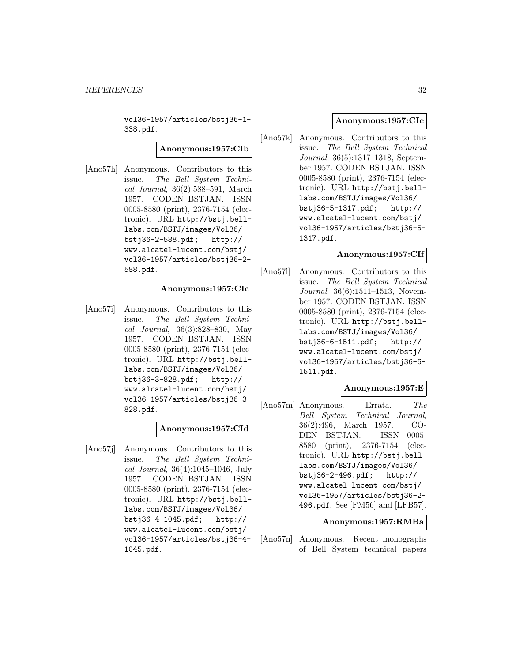vol36-1957/articles/bstj36-1- 338.pdf.

**Anonymous:1957:CIb**

[Ano57h] Anonymous. Contributors to this issue. The Bell System Technical Journal, 36(2):588–591, March 1957. CODEN BSTJAN. ISSN 0005-8580 (print), 2376-7154 (electronic). URL http://bstj.belllabs.com/BSTJ/images/Vol36/ bstj36-2-588.pdf; http:// www.alcatel-lucent.com/bstj/ vol36-1957/articles/bstj36-2- 588.pdf.

# **Anonymous:1957:CIc**

[Ano57i] Anonymous. Contributors to this issue. The Bell System Technical Journal, 36(3):828–830, May 1957. CODEN BSTJAN. ISSN 0005-8580 (print), 2376-7154 (electronic). URL http://bstj.belllabs.com/BSTJ/images/Vol36/ bstj36-3-828.pdf; http:// www.alcatel-lucent.com/bstj/ vol36-1957/articles/bstj36-3- 828.pdf.

## **Anonymous:1957:CId**

[Ano57j] Anonymous. Contributors to this issue. The Bell System Technical Journal, 36(4):1045–1046, July 1957. CODEN BSTJAN. ISSN 0005-8580 (print), 2376-7154 (electronic). URL http://bstj.belllabs.com/BSTJ/images/Vol36/ bstj36-4-1045.pdf; http:// www.alcatel-lucent.com/bstj/ vol36-1957/articles/bstj36-4- 1045.pdf.

## **Anonymous:1957:CIe**

[Ano57k] Anonymous. Contributors to this issue. The Bell System Technical Journal, 36(5):1317–1318, September 1957. CODEN BSTJAN. ISSN 0005-8580 (print), 2376-7154 (electronic). URL http://bstj.belllabs.com/BSTJ/images/Vol36/ bstj36-5-1317.pdf; http:// www.alcatel-lucent.com/bstj/ vol36-1957/articles/bstj36-5- 1317.pdf.

## **Anonymous:1957:CIf**

[Ano57l] Anonymous. Contributors to this issue. The Bell System Technical Journal, 36(6):1511–1513, November 1957. CODEN BSTJAN. ISSN 0005-8580 (print), 2376-7154 (electronic). URL http://bstj.belllabs.com/BSTJ/images/Vol36/ bstj36-6-1511.pdf; http:// www.alcatel-lucent.com/bstj/ vol36-1957/articles/bstj36-6- 1511.pdf.

## **Anonymous:1957:E**

[Ano57m] Anonymous. Errata. The Bell System Technical Journal, 36(2):496, March 1957. CO-DEN BSTJAN. ISSN 0005- 8580 (print), 2376-7154 (electronic). URL http://bstj.belllabs.com/BSTJ/images/Vol36/ bstj36-2-496.pdf; http:// www.alcatel-lucent.com/bstj/ vol36-1957/articles/bstj36-2- 496.pdf. See [FM56] and [LFB57].

#### **Anonymous:1957:RMBa**

[Ano57n] Anonymous. Recent monographs of Bell System technical papers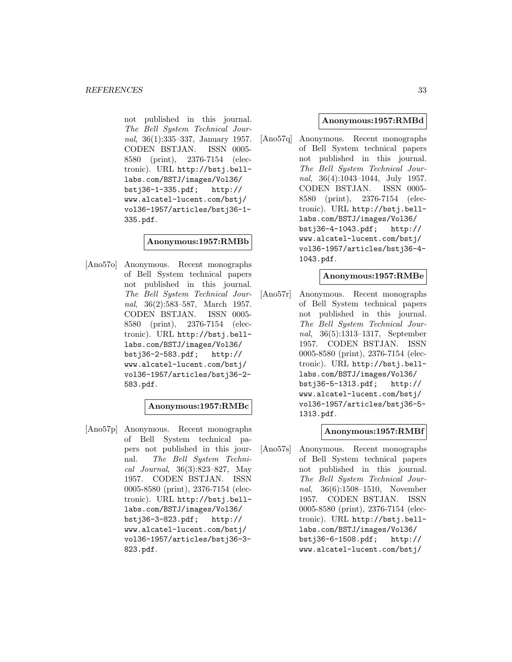not published in this journal. The Bell System Technical Journal, 36(1):335–337, January 1957. CODEN BSTJAN. ISSN 0005- 8580 (print), 2376-7154 (electronic). URL http://bstj.belllabs.com/BSTJ/images/Vol36/ bstj36-1-335.pdf; http:// www.alcatel-lucent.com/bstj/ vol36-1957/articles/bstj36-1- 335.pdf.

## **Anonymous:1957:RMBb**

[Ano57o] Anonymous. Recent monographs of Bell System technical papers not published in this journal. The Bell System Technical Journal, 36(2):583–587, March 1957. CODEN BSTJAN. ISSN 0005- 8580 (print), 2376-7154 (electronic). URL http://bstj.belllabs.com/BSTJ/images/Vol36/ bstj36-2-583.pdf; http:// www.alcatel-lucent.com/bstj/ vol36-1957/articles/bstj36-2- 583.pdf.

#### **Anonymous:1957:RMBc**

[Ano57p] Anonymous. Recent monographs of Bell System technical papers not published in this journal. The Bell System Technical Journal, 36(3):823–827, May 1957. CODEN BSTJAN. ISSN 0005-8580 (print), 2376-7154 (electronic). URL http://bstj.belllabs.com/BSTJ/images/Vol36/ bstj36-3-823.pdf; http:// www.alcatel-lucent.com/bstj/ vol36-1957/articles/bstj36-3- 823.pdf.

## **Anonymous:1957:RMBd**

[Ano57q] Anonymous. Recent monographs of Bell System technical papers not published in this journal. The Bell System Technical Journal, 36(4):1043–1044, July 1957. CODEN BSTJAN. ISSN 0005- 8580 (print), 2376-7154 (electronic). URL http://bstj.belllabs.com/BSTJ/images/Vol36/ bstj36-4-1043.pdf; http:// www.alcatel-lucent.com/bstj/ vol36-1957/articles/bstj36-4- 1043.pdf.

## **Anonymous:1957:RMBe**

[Ano57r] Anonymous. Recent monographs of Bell System technical papers not published in this journal. The Bell System Technical Journal, 36(5):1313–1317, September 1957. CODEN BSTJAN. ISSN 0005-8580 (print), 2376-7154 (electronic). URL http://bstj.belllabs.com/BSTJ/images/Vol36/ bstj36-5-1313.pdf; http:// www.alcatel-lucent.com/bstj/ vol36-1957/articles/bstj36-5- 1313.pdf.

## **Anonymous:1957:RMBf**

[Ano57s] Anonymous. Recent monographs of Bell System technical papers not published in this journal. The Bell System Technical Journal, 36(6):1508–1510, November 1957. CODEN BSTJAN. ISSN 0005-8580 (print), 2376-7154 (electronic). URL http://bstj.belllabs.com/BSTJ/images/Vol36/ bstj36-6-1508.pdf; http:// www.alcatel-lucent.com/bstj/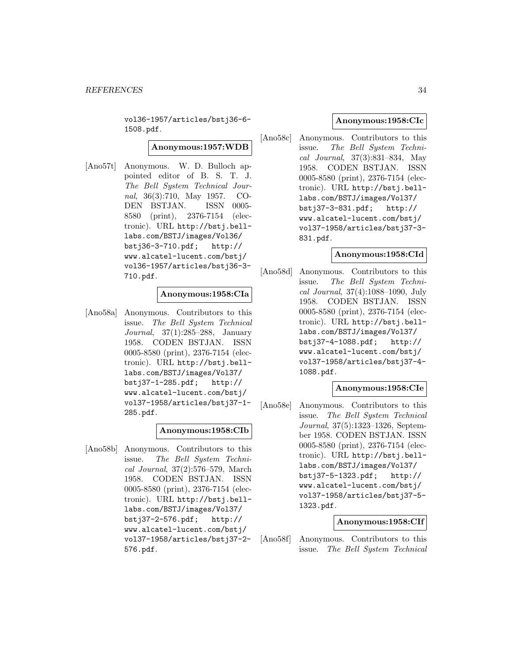vol36-1957/articles/bstj36-6- 1508.pdf.

## **Anonymous:1957:WDB**

[Ano57t] Anonymous. W. D. Bulloch appointed editor of B. S. T. J. The Bell System Technical Journal, 36(3):710, May 1957. CO-DEN BSTJAN. ISSN 0005- 8580 (print), 2376-7154 (electronic). URL http://bstj.belllabs.com/BSTJ/images/Vol36/ bstj36-3-710.pdf; http:// www.alcatel-lucent.com/bstj/ vol36-1957/articles/bstj36-3- 710.pdf.

#### **Anonymous:1958:CIa**

[Ano58a] Anonymous. Contributors to this issue. The Bell System Technical Journal, 37(1):285–288, January 1958. CODEN BSTJAN. ISSN 0005-8580 (print), 2376-7154 (electronic). URL http://bstj.belllabs.com/BSTJ/images/Vol37/ bstj37-1-285.pdf; http:// www.alcatel-lucent.com/bstj/ vol37-1958/articles/bstj37-1- 285.pdf.

#### **Anonymous:1958:CIb**

[Ano58b] Anonymous. Contributors to this issue. The Bell System Technical Journal, 37(2):576–579, March 1958. CODEN BSTJAN. ISSN 0005-8580 (print), 2376-7154 (electronic). URL http://bstj.belllabs.com/BSTJ/images/Vol37/<br>bstj37-2-576.pdf; http://  $bstj37-2-576.pdf;$ www.alcatel-lucent.com/bstj/ vol37-1958/articles/bstj37-2- 576.pdf.

## **Anonymous:1958:CIc**

[Ano58c] Anonymous. Contributors to this issue. The Bell System Technical Journal, 37(3):831–834, May 1958. CODEN BSTJAN. ISSN 0005-8580 (print), 2376-7154 (electronic). URL http://bstj.belllabs.com/BSTJ/images/Vol37/ bstj37-3-831.pdf; http:// www.alcatel-lucent.com/bstj/ vol37-1958/articles/bstj37-3- 831.pdf.

#### **Anonymous:1958:CId**

[Ano58d] Anonymous. Contributors to this issue. The Bell System Technical Journal, 37(4):1088–1090, July 1958. CODEN BSTJAN. ISSN 0005-8580 (print), 2376-7154 (electronic). URL http://bstj.belllabs.com/BSTJ/images/Vol37/ bstj37-4-1088.pdf; http:// www.alcatel-lucent.com/bstj/ vol37-1958/articles/bstj37-4- 1088.pdf.

## **Anonymous:1958:CIe**

[Ano58e] Anonymous. Contributors to this issue. The Bell System Technical Journal, 37(5):1323–1326, September 1958. CODEN BSTJAN. ISSN 0005-8580 (print), 2376-7154 (electronic). URL http://bstj.belllabs.com/BSTJ/images/Vol37/ bstj37-5-1323.pdf; http:// www.alcatel-lucent.com/bstj/ vol37-1958/articles/bstj37-5- 1323.pdf.

#### **Anonymous:1958:CIf**

[Ano58f] Anonymous. Contributors to this issue. The Bell System Technical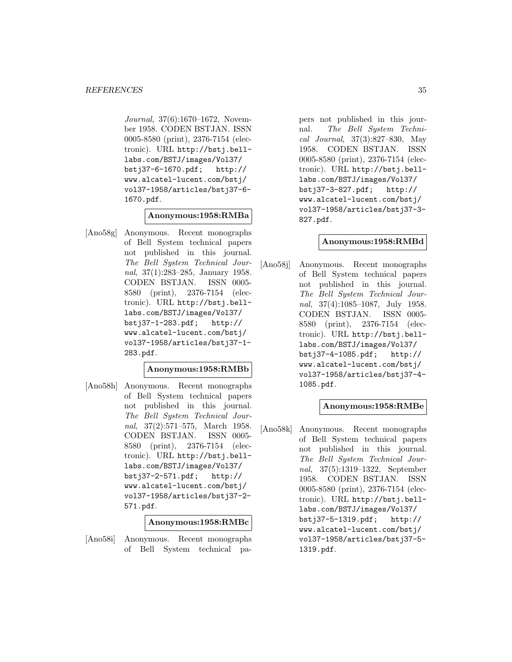Journal, 37(6):1670–1672, November 1958. CODEN BSTJAN. ISSN 0005-8580 (print), 2376-7154 (electronic). URL http://bstj.belllabs.com/BSTJ/images/Vol37/ bstj37-6-1670.pdf; http:// www.alcatel-lucent.com/bstj/ vol37-1958/articles/bstj37-6- 1670.pdf.

## **Anonymous:1958:RMBa**

[Ano58g] Anonymous. Recent monographs of Bell System technical papers not published in this journal. The Bell System Technical Journal, 37(1):283–285, January 1958. CODEN BSTJAN. ISSN 0005- 8580 (print), 2376-7154 (electronic). URL http://bstj.belllabs.com/BSTJ/images/Vol37/ bstj37-1-283.pdf; http:// www.alcatel-lucent.com/bstj/ vol37-1958/articles/bstj37-1- 283.pdf.

## **Anonymous:1958:RMBb**

[Ano58h] Anonymous. Recent monographs of Bell System technical papers not published in this journal. The Bell System Technical Journal, 37(2):571–575, March 1958. CODEN BSTJAN. ISSN 0005- 8580 (print), 2376-7154 (electronic). URL http://bstj.belllabs.com/BSTJ/images/Vol37/ bstj37-2-571.pdf; http:// www.alcatel-lucent.com/bstj/ vol37-1958/articles/bstj37-2- 571.pdf.

**Anonymous:1958:RMBc**

[Ano58i] Anonymous. Recent monographs of Bell System technical papers not published in this journal. The Bell System Technical Journal, 37(3):827–830, May 1958. CODEN BSTJAN. ISSN 0005-8580 (print), 2376-7154 (electronic). URL http://bstj.belllabs.com/BSTJ/images/Vol37/ bstj37-3-827.pdf; http:// www.alcatel-lucent.com/bstj/ vol37-1958/articles/bstj37-3- 827.pdf.

#### **Anonymous:1958:RMBd**

[Ano58j] Anonymous. Recent monographs of Bell System technical papers not published in this journal. The Bell System Technical Journal, 37(4):1085–1087, July 1958. CODEN BSTJAN. ISSN 0005- 8580 (print), 2376-7154 (electronic). URL http://bstj.belllabs.com/BSTJ/images/Vol37/ bstj37-4-1085.pdf; http:// www.alcatel-lucent.com/bstj/ vol37-1958/articles/bstj37-4- 1085.pdf.

## **Anonymous:1958:RMBe**

[Ano58k] Anonymous. Recent monographs of Bell System technical papers not published in this journal. The Bell System Technical Journal, 37(5):1319–1322, September 1958. CODEN BSTJAN. ISSN 0005-8580 (print), 2376-7154 (electronic). URL http://bstj.belllabs.com/BSTJ/images/Vol37/ bstj37-5-1319.pdf; http:// www.alcatel-lucent.com/bstj/ vol37-1958/articles/bstj37-5- 1319.pdf.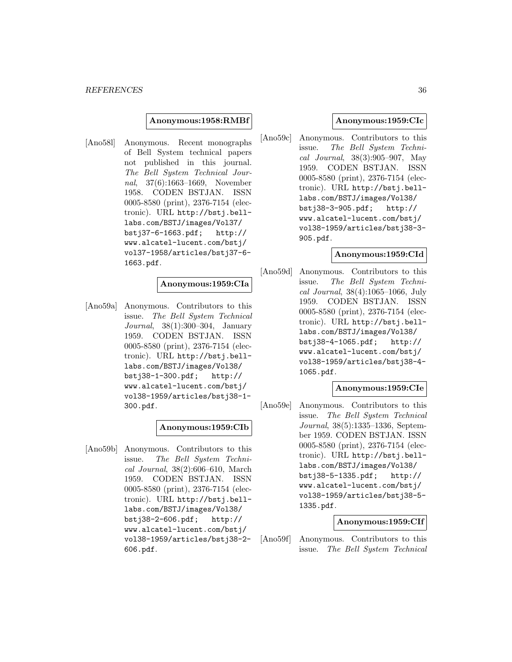#### **Anonymous:1958:RMBf**

[Ano58l] Anonymous. Recent monographs of Bell System technical papers not published in this journal. The Bell System Technical Journal, 37(6):1663–1669, November 1958. CODEN BSTJAN. ISSN 0005-8580 (print), 2376-7154 (electronic). URL http://bstj.belllabs.com/BSTJ/images/Vol37/ bstj37-6-1663.pdf; http:// www.alcatel-lucent.com/bstj/ vol37-1958/articles/bstj37-6- 1663.pdf.

## **Anonymous:1959:CIa**

[Ano59a] Anonymous. Contributors to this issue. The Bell System Technical Journal, 38(1):300–304, January 1959. CODEN BSTJAN. ISSN 0005-8580 (print), 2376-7154 (electronic). URL http://bstj.belllabs.com/BSTJ/images/Vol38/ bstj38-1-300.pdf; http:// www.alcatel-lucent.com/bstj/ vol38-1959/articles/bstj38-1- 300.pdf.

## **Anonymous:1959:CIb**

[Ano59b] Anonymous. Contributors to this issue. The Bell System Technical Journal, 38(2):606–610, March 1959. CODEN BSTJAN. ISSN 0005-8580 (print), 2376-7154 (electronic). URL http://bstj.belllabs.com/BSTJ/images/Vol38/ bstj38-2-606.pdf; http:// www.alcatel-lucent.com/bstj/ vol38-1959/articles/bstj38-2- 606.pdf.

## **Anonymous:1959:CIc**

[Ano59c] Anonymous. Contributors to this issue. The Bell System Technical Journal, 38(3):905–907, May 1959. CODEN BSTJAN. ISSN 0005-8580 (print), 2376-7154 (electronic). URL http://bstj.belllabs.com/BSTJ/images/Vol38/ bstj38-3-905.pdf; http:// www.alcatel-lucent.com/bstj/ vol38-1959/articles/bstj38-3- 905.pdf.

#### **Anonymous:1959:CId**

[Ano59d] Anonymous. Contributors to this issue. The Bell System Technical Journal, 38(4):1065–1066, July 1959. CODEN BSTJAN. ISSN 0005-8580 (print), 2376-7154 (electronic). URL http://bstj.belllabs.com/BSTJ/images/Vol38/ bstj38-4-1065.pdf; http:// www.alcatel-lucent.com/bstj/ vol38-1959/articles/bstj38-4- 1065.pdf.

## **Anonymous:1959:CIe**

[Ano59e] Anonymous. Contributors to this issue. The Bell System Technical Journal, 38(5):1335–1336, September 1959. CODEN BSTJAN. ISSN 0005-8580 (print), 2376-7154 (electronic). URL http://bstj.belllabs.com/BSTJ/images/Vol38/ bstj38-5-1335.pdf; http:// www.alcatel-lucent.com/bstj/ vol38-1959/articles/bstj38-5- 1335.pdf.

## **Anonymous:1959:CIf**

[Ano59f] Anonymous. Contributors to this issue. The Bell System Technical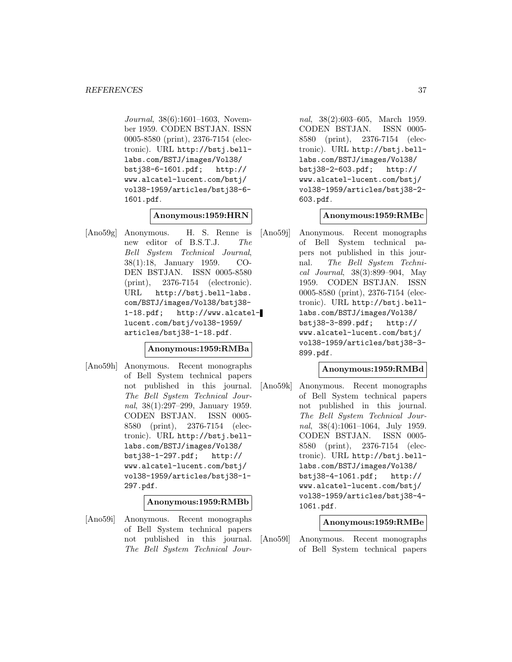Journal, 38(6):1601–1603, November 1959. CODEN BSTJAN. ISSN 0005-8580 (print), 2376-7154 (electronic). URL http://bstj.belllabs.com/BSTJ/images/Vol38/ bstj38-6-1601.pdf; http:// www.alcatel-lucent.com/bstj/ vol38-1959/articles/bstj38-6- 1601.pdf.

### **Anonymous:1959:HRN**

[Ano59g] Anonymous. H. S. Renne is new editor of B.S.T.J. The Bell System Technical Journal, 38(1):18, January 1959. CO-DEN BSTJAN. ISSN 0005-8580 (print), 2376-7154 (electronic). URL http://bstj.bell-labs. com/BSTJ/images/Vol38/bstj38- 1-18.pdf; http://www.alcatellucent.com/bstj/vol38-1959/ articles/bstj38-1-18.pdf.

### **Anonymous:1959:RMBa**

[Ano59h] Anonymous. Recent monographs of Bell System technical papers not published in this journal. The Bell System Technical Journal, 38(1):297–299, January 1959. CODEN BSTJAN. ISSN 0005- 8580 (print), 2376-7154 (electronic). URL http://bstj.belllabs.com/BSTJ/images/Vol38/ bstj38-1-297.pdf; http:// www.alcatel-lucent.com/bstj/ vol38-1959/articles/bstj38-1- 297.pdf.

#### **Anonymous:1959:RMBb**

[Ano59i] Anonymous. Recent monographs of Bell System technical papers not published in this journal. The Bell System Technical Journal, 38(2):603–605, March 1959. CODEN BSTJAN. ISSN 0005- 8580 (print), 2376-7154 (electronic). URL http://bstj.belllabs.com/BSTJ/images/Vol38/ bstj38-2-603.pdf; http:// www.alcatel-lucent.com/bstj/ vol38-1959/articles/bstj38-2- 603.pdf.

### **Anonymous:1959:RMBc**

[Ano59j] Anonymous. Recent monographs of Bell System technical papers not published in this journal. The Bell System Technical Journal, 38(3):899–904, May 1959. CODEN BSTJAN. ISSN 0005-8580 (print), 2376-7154 (electronic). URL http://bstj.belllabs.com/BSTJ/images/Vol38/ bstj38-3-899.pdf; http:// www.alcatel-lucent.com/bstj/ vol38-1959/articles/bstj38-3- 899.pdf.

### **Anonymous:1959:RMBd**

[Ano59k] Anonymous. Recent monographs of Bell System technical papers not published in this journal. The Bell System Technical Journal, 38(4):1061–1064, July 1959. CODEN BSTJAN. ISSN 0005- 8580 (print), 2376-7154 (electronic). URL http://bstj.belllabs.com/BSTJ/images/Vol38/ bstj38-4-1061.pdf; http:// www.alcatel-lucent.com/bstj/ vol38-1959/articles/bstj38-4- 1061.pdf.

### **Anonymous:1959:RMBe**

[Ano59l] Anonymous. Recent monographs of Bell System technical papers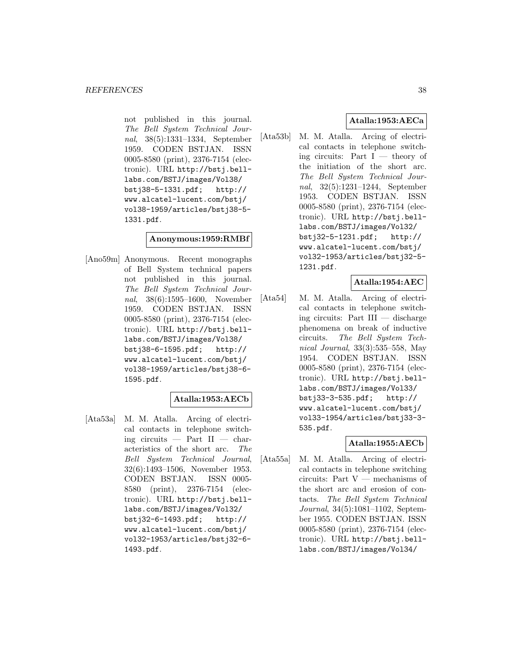not published in this journal. The Bell System Technical Journal, 38(5):1331–1334, September 1959. CODEN BSTJAN. ISSN 0005-8580 (print), 2376-7154 (electronic). URL http://bstj.belllabs.com/BSTJ/images/Vol38/ bstj38-5-1331.pdf; http:// www.alcatel-lucent.com/bstj/ vol38-1959/articles/bstj38-5- 1331.pdf.

#### **Anonymous:1959:RMBf**

[Ano59m] Anonymous. Recent monographs of Bell System technical papers not published in this journal. The Bell System Technical Journal, 38(6):1595–1600, November 1959. CODEN BSTJAN. ISSN 0005-8580 (print), 2376-7154 (electronic). URL http://bstj.belllabs.com/BSTJ/images/Vol38/ bstj38-6-1595.pdf; http:// www.alcatel-lucent.com/bstj/ vol38-1959/articles/bstj38-6- 1595.pdf.

# **Atalla:1953:AECb**

[Ata53a] M. M. Atalla. Arcing of electrical contacts in telephone switching circuits  $-$  Part II  $-$  characteristics of the short arc. The Bell System Technical Journal, 32(6):1493–1506, November 1953. CODEN BSTJAN. ISSN 0005- 8580 (print), 2376-7154 (electronic). URL http://bstj.belllabs.com/BSTJ/images/Vol32/ bstj32-6-1493.pdf; http:// www.alcatel-lucent.com/bstj/ vol32-1953/articles/bstj32-6- 1493.pdf.

# **Atalla:1953:AECa**

[Ata53b] M. M. Atalla. Arcing of electrical contacts in telephone switching circuits: Part  $I$  — theory of the initiation of the short arc. The Bell System Technical Journal, 32(5):1231–1244, September 1953. CODEN BSTJAN. ISSN 0005-8580 (print), 2376-7154 (electronic). URL http://bstj.belllabs.com/BSTJ/images/Vol32/ bstj32-5-1231.pdf; http:// www.alcatel-lucent.com/bstj/ vol32-1953/articles/bstj32-5- 1231.pdf.

### **Atalla:1954:AEC**

[Ata54] M. M. Atalla. Arcing of electrical contacts in telephone switching circuits: Part III — discharge phenomena on break of inductive circuits. The Bell System Technical Journal, 33(3):535–558, May 1954. CODEN BSTJAN. ISSN 0005-8580 (print), 2376-7154 (electronic). URL http://bstj.belllabs.com/BSTJ/images/Vol33/ bstj33-3-535.pdf; http:// www.alcatel-lucent.com/bstj/ vol33-1954/articles/bstj33-3- 535.pdf.

### **Atalla:1955:AECb**

[Ata55a] M. M. Atalla. Arcing of electrical contacts in telephone switching circuits: Part V — mechanisms of the short arc and erosion of contacts. The Bell System Technical Journal, 34(5):1081–1102, September 1955. CODEN BSTJAN. ISSN 0005-8580 (print), 2376-7154 (electronic). URL http://bstj.belllabs.com/BSTJ/images/Vol34/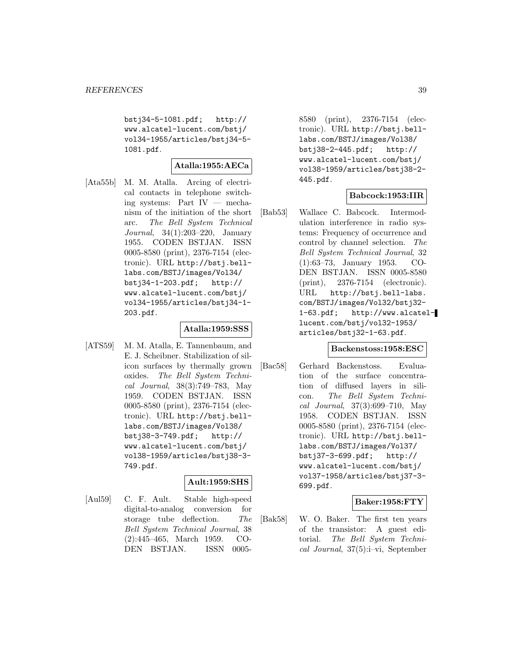bstj34-5-1081.pdf; http:// www.alcatel-lucent.com/bstj/ vol34-1955/articles/bstj34-5- 1081.pdf.

# **Atalla:1955:AECa**

[Ata55b] M. M. Atalla. Arcing of electrical contacts in telephone switching systems: Part IV — mechanism of the initiation of the short arc. The Bell System Technical Journal, 34(1):203–220, January 1955. CODEN BSTJAN. ISSN 0005-8580 (print), 2376-7154 (electronic). URL http://bstj.belllabs.com/BSTJ/images/Vol34/ bstj34-1-203.pdf; http:// www.alcatel-lucent.com/bstj/ vol34-1955/articles/bstj34-1- 203.pdf.

### **Atalla:1959:SSS**

[ATS59] M. M. Atalla, E. Tannenbaum, and E. J. Scheibner. Stabilization of silicon surfaces by thermally grown oxides. The Bell System Technical Journal, 38(3):749–783, May 1959. CODEN BSTJAN. ISSN 0005-8580 (print), 2376-7154 (electronic). URL http://bstj.belllabs.com/BSTJ/images/Vol38/ bstj38-3-749.pdf; http:// www.alcatel-lucent.com/bstj/ vol38-1959/articles/bstj38-3- 749.pdf.

# **Ault:1959:SHS**

[Aul59] C. F. Ault. Stable high-speed digital-to-analog conversion for storage tube deflection. The Bell System Technical Journal, 38 (2):445–465, March 1959. CO-DEN BSTJAN. ISSN 00058580 (print), 2376-7154 (electronic). URL http://bstj.belllabs.com/BSTJ/images/Vol38/ bstj38-2-445.pdf; http:// www.alcatel-lucent.com/bstj/ vol38-1959/articles/bstj38-2- 445.pdf.

### **Babcock:1953:IIR**

[Bab53] Wallace C. Babcock. Intermodulation interference in radio systems: Frequency of occurrence and control by channel selection. The Bell System Technical Journal, 32 (1):63–73, January 1953. CO-DEN BSTJAN. ISSN 0005-8580 (print), 2376-7154 (electronic). URL http://bstj.bell-labs. com/BSTJ/images/Vol32/bstj32- 1-63.pdf; http://www.alcatellucent.com/bstj/vol32-1953/ articles/bstj32-1-63.pdf.

### **Backenstoss:1958:ESC**

[Bac58] Gerhard Backenstoss. Evaluation of the surface concentration of diffused layers in silicon. The Bell System Technical Journal, 37(3):699–710, May 1958. CODEN BSTJAN. ISSN 0005-8580 (print), 2376-7154 (electronic). URL http://bstj.belllabs.com/BSTJ/images/Vol37/ bstj37-3-699.pdf; http:// www.alcatel-lucent.com/bstj/ vol37-1958/articles/bstj37-3- 699.pdf.

# **Baker:1958:FTY**

[Bak58] W. O. Baker. The first ten years of the transistor: A guest editorial. The Bell System Technical Journal, 37(5):i–vi, September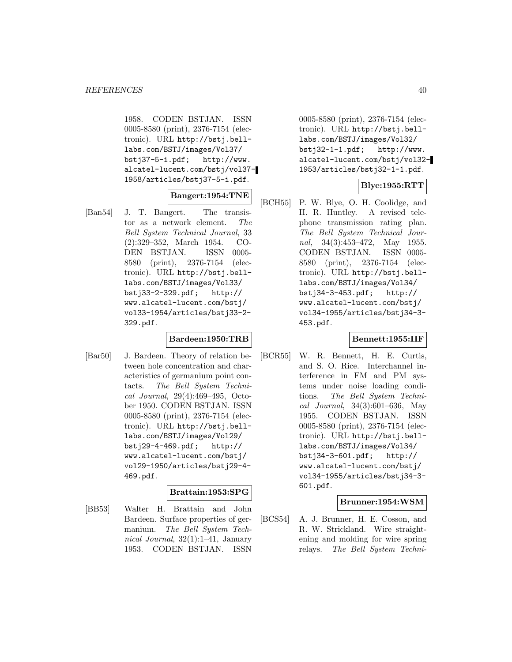1958. CODEN BSTJAN. ISSN 0005-8580 (print), 2376-7154 (electronic). URL http://bstj.belllabs.com/BSTJ/images/Vol37/ bstj37-5-i.pdf; http://www. alcatel-lucent.com/bstj/vol37- 1958/articles/bstj37-5-i.pdf.

# **Bangert:1954:TNE**

[Ban54] J. T. Bangert. The transistor as a network element. The Bell System Technical Journal, 33 (2):329–352, March 1954. CO-DEN BSTJAN. ISSN 0005- 8580 (print), 2376-7154 (electronic). URL http://bstj.belllabs.com/BSTJ/images/Vol33/ bstj33-2-329.pdf; http:// www.alcatel-lucent.com/bstj/ vol33-1954/articles/bstj33-2- 329.pdf.

### **Bardeen:1950:TRB**

[Bar50] J. Bardeen. Theory of relation between hole concentration and characteristics of germanium point contacts. The Bell System Technical Journal, 29(4):469–495, October 1950. CODEN BSTJAN. ISSN 0005-8580 (print), 2376-7154 (electronic). URL http://bstj.belllabs.com/BSTJ/images/Vol29/ bstj29-4-469.pdf; http:// www.alcatel-lucent.com/bstj/ vol29-1950/articles/bstj29-4- 469.pdf.

### **Brattain:1953:SPG**

[BB53] Walter H. Brattain and John Bardeen. Surface properties of germanium. The Bell System Technical Journal, 32(1):1–41, January 1953. CODEN BSTJAN. ISSN

0005-8580 (print), 2376-7154 (electronic). URL http://bstj.belllabs.com/BSTJ/images/Vol32/ bstj32-1-1.pdf; http://www. alcatel-lucent.com/bstj/vol32- 1953/articles/bstj32-1-1.pdf.

### **Blye:1955:RTT**

[BCH55] P. W. Blye, O. H. Coolidge, and H. R. Huntley. A revised telephone transmission rating plan. The Bell System Technical Journal, 34(3):453-472, May 1955. CODEN BSTJAN. ISSN 0005- 8580 (print), 2376-7154 (electronic). URL http://bstj.belllabs.com/BSTJ/images/Vol34/ bstj34-3-453.pdf; http:// www.alcatel-lucent.com/bstj/ vol34-1955/articles/bstj34-3- 453.pdf.

### **Bennett:1955:IIF**

[BCR55] W. R. Bennett, H. E. Curtis, and S. O. Rice. Interchannel interference in FM and PM systems under noise loading conditions. The Bell System Technical Journal, 34(3):601–636, May 1955. CODEN BSTJAN. ISSN 0005-8580 (print), 2376-7154 (electronic). URL http://bstj.belllabs.com/BSTJ/images/Vol34/ bstj34-3-601.pdf; http:// www.alcatel-lucent.com/bstj/ vol34-1955/articles/bstj34-3- 601.pdf.

### **Brunner:1954:WSM**

[BCS54] A. J. Brunner, H. E. Cosson, and R. W. Strickland. Wire straightening and molding for wire spring relays. The Bell System Techni-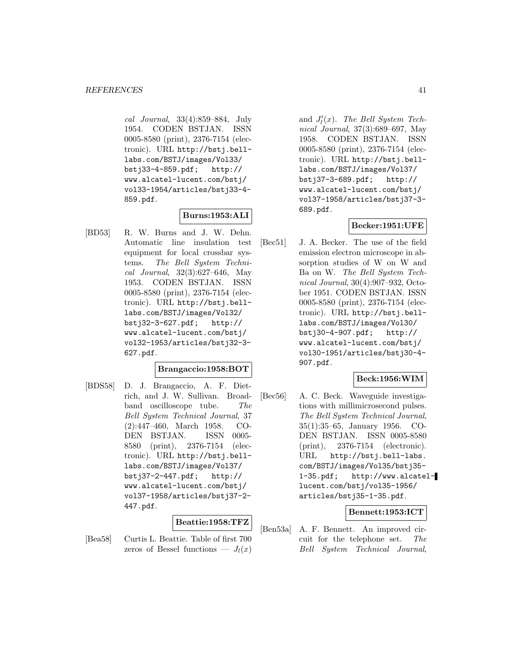cal Journal, 33(4):859–884, July 1954. CODEN BSTJAN. ISSN 0005-8580 (print), 2376-7154 (electronic). URL http://bstj.belllabs.com/BSTJ/images/Vol33/ bstj33-4-859.pdf; http:// www.alcatel-lucent.com/bstj/ vol33-1954/articles/bstj33-4- 859.pdf.

# **Burns:1953:ALI**

[BD53] R. W. Burns and J. W. Dehn. Automatic line insulation test equipment for local crossbar systems. The Bell System Technical Journal, 32(3):627–646, May 1953. CODEN BSTJAN. ISSN 0005-8580 (print), 2376-7154 (electronic). URL http://bstj.belllabs.com/BSTJ/images/Vol32/ bstj32-3-627.pdf; http:// www.alcatel-lucent.com/bstj/ vol32-1953/articles/bstj32-3- 627.pdf.

### **Brangaccio:1958:BOT**

[BDS58] D. J. Brangaccio, A. F. Dietrich, and J. W. Sullivan. Broadband oscilloscope tube. The Bell System Technical Journal, 37 (2):447–460, March 1958. CO-DEN BSTJAN. ISSN 0005- 8580 (print), 2376-7154 (electronic). URL http://bstj.belllabs.com/BSTJ/images/Vol37/ bstj37-2-447.pdf; http:// www.alcatel-lucent.com/bstj/ vol37-1958/articles/bstj37-2- 447.pdf.

### **Beattie:1958:TFZ**

[Bea58] Curtis L. Beattie. Table of first 700 zeros of Bessel functions —  $J_l(x)$ 

and  $J_l'(x)$ . The Bell System Technical Journal, 37(3):689–697, May 1958. CODEN BSTJAN. ISSN 0005-8580 (print), 2376-7154 (electronic). URL http://bstj.belllabs.com/BSTJ/images/Vol37/ bstj37-3-689.pdf; http:// www.alcatel-lucent.com/bstj/ vol37-1958/articles/bstj37-3- 689.pdf.

### **Becker:1951:UFE**

[Bec51] J. A. Becker. The use of the field emission electron microscope in absorption studies of W on W and Ba on W. The Bell System Technical Journal, 30(4):907–932, October 1951. CODEN BSTJAN. ISSN 0005-8580 (print), 2376-7154 (electronic). URL http://bstj.belllabs.com/BSTJ/images/Vol30/ bstj30-4-907.pdf; http:// www.alcatel-lucent.com/bstj/ vol30-1951/articles/bstj30-4- 907.pdf.

### **Beck:1956:WIM**

[Bec56] A. C. Beck. Waveguide investigations with millimicrosecond pulses. The Bell System Technical Journal, 35(1):35–65, January 1956. CO-DEN BSTJAN. ISSN 0005-8580 (print), 2376-7154 (electronic). URL http://bstj.bell-labs. com/BSTJ/images/Vol35/bstj35- 1-35.pdf; http://www.alcatellucent.com/bstj/vol35-1956/ articles/bstj35-1-35.pdf.

### **Bennett:1953:ICT**

[Ben53a] A. F. Bennett. An improved circuit for the telephone set. The Bell System Technical Journal,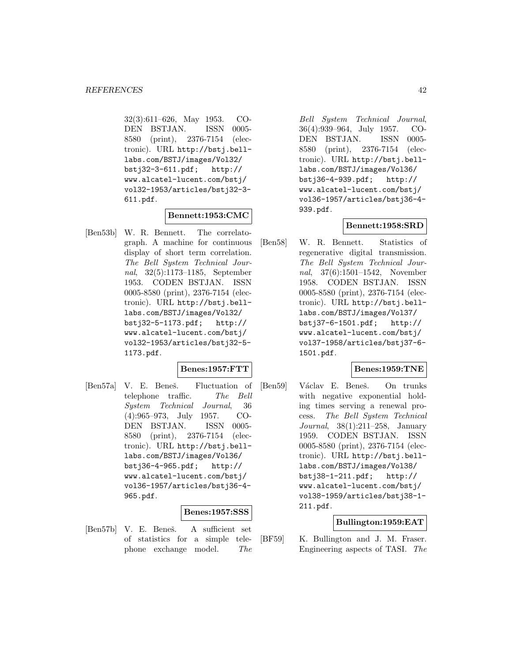32(3):611–626, May 1953. CO-DEN BSTJAN. ISSN 0005- 8580 (print), 2376-7154 (electronic). URL http://bstj.belllabs.com/BSTJ/images/Vol32/ bstj32-3-611.pdf; http:// www.alcatel-lucent.com/bstj/ vol32-1953/articles/bstj32-3- 611.pdf.

### **Bennett:1953:CMC**

[Ben53b] W. R. Bennett. The correlatograph. A machine for continuous display of short term correlation. The Bell System Technical Journal, 32(5):1173–1185, September 1953. CODEN BSTJAN. ISSN 0005-8580 (print), 2376-7154 (electronic). URL http://bstj.belllabs.com/BSTJ/images/Vol32/ bstj32-5-1173.pdf; http:// www.alcatel-lucent.com/bstj/ vol32-1953/articles/bstj32-5- 1173.pdf.

### **Benes:1957:FTT**

[Ben57a] V. E. Beneš. Fluctuation of telephone traffic. The Bell System Technical Journal, 36 (4):965–973, July 1957. CO-DEN BSTJAN. ISSN 0005- 8580 (print), 2376-7154 (electronic). URL http://bstj.belllabs.com/BSTJ/images/Vol36/ bstj36-4-965.pdf; http:// www.alcatel-lucent.com/bstj/ vol36-1957/articles/bstj36-4- 965.pdf.

#### **Benes:1957:SSS**

[Ben57b] V. E. Beneš. A sufficient set of statistics for a simple telephone exchange model. The

Bell System Technical Journal, 36(4):939–964, July 1957. CO-DEN BSTJAN. ISSN 0005- 8580 (print), 2376-7154 (electronic). URL http://bstj.belllabs.com/BSTJ/images/Vol36/ bstj36-4-939.pdf; http:// www.alcatel-lucent.com/bstj/ vol36-1957/articles/bstj36-4- 939.pdf.

### **Bennett:1958:SRD**

[Ben58] W. R. Bennett. Statistics of regenerative digital transmission. The Bell System Technical Journal, 37(6):1501–1542, November 1958. CODEN BSTJAN. ISSN 0005-8580 (print), 2376-7154 (electronic). URL http://bstj.belllabs.com/BSTJ/images/Vol37/ bstj37-6-1501.pdf; http:// www.alcatel-lucent.com/bstj/ vol37-1958/articles/bstj37-6- 1501.pdf.

#### **Benes:1959:TNE**

[Ben59] Václav E. Beneš. On trunks with negative exponential holding times serving a renewal process. The Bell System Technical Journal, 38(1):211–258, January 1959. CODEN BSTJAN. ISSN 0005-8580 (print), 2376-7154 (electronic). URL http://bstj.belllabs.com/BSTJ/images/Vol38/ bstj38-1-211.pdf; http:// www.alcatel-lucent.com/bstj/ vol38-1959/articles/bstj38-1- 211.pdf.

### **Bullington:1959:EAT**

[BF59] K. Bullington and J. M. Fraser. Engineering aspects of TASI. The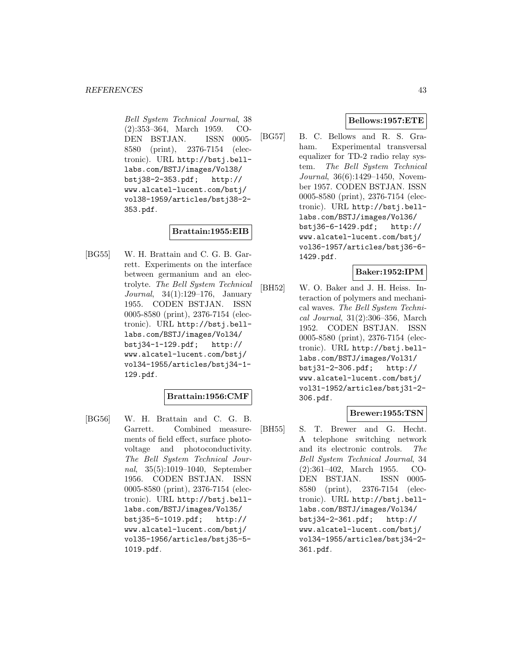Bell System Technical Journal, 38 (2):353–364, March 1959. CO-DEN BSTJAN. ISSN 0005- 8580 (print), 2376-7154 (electronic). URL http://bstj.belllabs.com/BSTJ/images/Vol38/ bstj38-2-353.pdf; http:// www.alcatel-lucent.com/bstj/ vol38-1959/articles/bstj38-2- 353.pdf.

### **Brattain:1955:EIB**

[BG55] W. H. Brattain and C. G. B. Garrett. Experiments on the interface between germanium and an electrolyte. The Bell System Technical Journal, 34(1):129–176, January 1955. CODEN BSTJAN. ISSN 0005-8580 (print), 2376-7154 (electronic). URL http://bstj.belllabs.com/BSTJ/images/Vol34/ bstj34-1-129.pdf; http:// www.alcatel-lucent.com/bstj/ vol34-1955/articles/bstj34-1- 129.pdf.

### **Brattain:1956:CMF**

[BG56] W. H. Brattain and C. G. B. Garrett. Combined measurements of field effect, surface photovoltage and photoconductivity. The Bell System Technical Journal, 35(5):1019–1040, September 1956. CODEN BSTJAN. ISSN 0005-8580 (print), 2376-7154 (electronic). URL http://bstj.belllabs.com/BSTJ/images/Vol35/ bstj35-5-1019.pdf; http:// www.alcatel-lucent.com/bstj/ vol35-1956/articles/bstj35-5- 1019.pdf.

### **Bellows:1957:ETE**

[BG57] B. C. Bellows and R. S. Graham. Experimental transversal equalizer for TD-2 radio relay system. The Bell System Technical Journal, 36(6):1429–1450, November 1957. CODEN BSTJAN. ISSN 0005-8580 (print), 2376-7154 (electronic). URL http://bstj.belllabs.com/BSTJ/images/Vol36/ bstj36-6-1429.pdf; http:// www.alcatel-lucent.com/bstj/ vol36-1957/articles/bstj36-6- 1429.pdf.

### **Baker:1952:IPM**

[BH52] W. O. Baker and J. H. Heiss. Interaction of polymers and mechanical waves. The Bell System Technical Journal, 31(2):306–356, March 1952. CODEN BSTJAN. ISSN 0005-8580 (print), 2376-7154 (electronic). URL http://bstj.belllabs.com/BSTJ/images/Vol31/ bstj31-2-306.pdf; http:// www.alcatel-lucent.com/bstj/ vol31-1952/articles/bstj31-2- 306.pdf.

# **Brewer:1955:TSN**

[BH55] S. T. Brewer and G. Hecht. A telephone switching network and its electronic controls. The Bell System Technical Journal, 34 (2):361–402, March 1955. CO-DEN BSTJAN. ISSN 0005- 8580 (print), 2376-7154 (electronic). URL http://bstj.belllabs.com/BSTJ/images/Vol34/ bstj34-2-361.pdf; http:// www.alcatel-lucent.com/bstj/ vol34-1955/articles/bstj34-2- 361.pdf.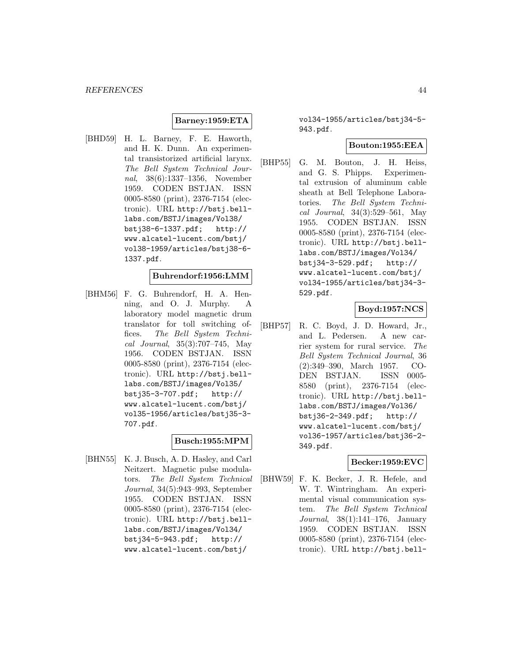## **Barney:1959:ETA**

[BHD59] H. L. Barney, F. E. Haworth, and H. K. Dunn. An experimental transistorized artificial larynx. The Bell System Technical Journal, 38(6):1337–1356, November 1959. CODEN BSTJAN. ISSN 0005-8580 (print), 2376-7154 (electronic). URL http://bstj.belllabs.com/BSTJ/images/Vol38/ bstj38-6-1337.pdf; http:// www.alcatel-lucent.com/bstj/ vol38-1959/articles/bstj38-6- 1337.pdf.

### **Buhrendorf:1956:LMM**

[BHM56] F. G. Buhrendorf, H. A. Henning, and O. J. Murphy. A laboratory model magnetic drum translator for toll switching offices. The Bell System Technical Journal, 35(3):707–745, May 1956. CODEN BSTJAN. ISSN 0005-8580 (print), 2376-7154 (electronic). URL http://bstj.belllabs.com/BSTJ/images/Vol35/ bstj35-3-707.pdf; http:// www.alcatel-lucent.com/bstj/ vol35-1956/articles/bstj35-3- 707.pdf.

# **Busch:1955:MPM**

[BHN55] K. J. Busch, A. D. Hasley, and Carl Neitzert. Magnetic pulse modulators. The Bell System Technical Journal, 34(5):943–993, September 1955. CODEN BSTJAN. ISSN 0005-8580 (print), 2376-7154 (electronic). URL http://bstj.belllabs.com/BSTJ/images/Vol34/ bstj34-5-943.pdf; http:// www.alcatel-lucent.com/bstj/

vol34-1955/articles/bstj34-5- 943.pdf.

#### **Bouton:1955:EEA**

[BHP55] G. M. Bouton, J. H. Heiss, and G. S. Phipps. Experimental extrusion of aluminum cable sheath at Bell Telephone Laboratories. The Bell System Technical Journal, 34(3):529–561, May 1955. CODEN BSTJAN. ISSN 0005-8580 (print), 2376-7154 (electronic). URL http://bstj.belllabs.com/BSTJ/images/Vol34/ bstj34-3-529.pdf; http:// www.alcatel-lucent.com/bstj/ vol34-1955/articles/bstj34-3- 529.pdf.

### **Boyd:1957:NCS**

[BHP57] R. C. Boyd, J. D. Howard, Jr., and L. Pedersen. A new carrier system for rural service. The Bell System Technical Journal, 36 (2):349–390, March 1957. CO-DEN BSTJAN. ISSN 0005- 8580 (print), 2376-7154 (electronic). URL http://bstj.belllabs.com/BSTJ/images/Vol36/ bstj36-2-349.pdf; http:// www.alcatel-lucent.com/bstj/ vol36-1957/articles/bstj36-2- 349.pdf.

### **Becker:1959:EVC**

[BHW59] F. K. Becker, J. R. Hefele, and W. T. Wintringham. An experimental visual communication system. The Bell System Technical Journal, 38(1):141–176, January 1959. CODEN BSTJAN. ISSN 0005-8580 (print), 2376-7154 (electronic). URL http://bstj.bell-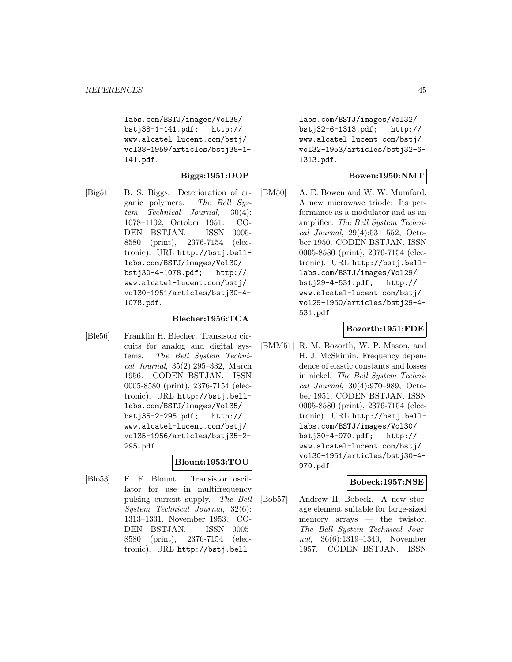labs.com/BSTJ/images/Vol38/ bstj38-1-141.pdf; http:// www.alcatel-lucent.com/bstj/ vol38-1959/articles/bstj38-1- 141.pdf.

# **Biggs:1951:DOP**

[Big51] B. S. Biggs. Deterioration of organic polymers. The Bell System Technical Journal, 30(4): 1078–1102, October 1951. CO-DEN BSTJAN. ISSN 0005- 8580 (print), 2376-7154 (electronic). URL http://bstj.belllabs.com/BSTJ/images/Vol30/ bstj30-4-1078.pdf; http:// www.alcatel-lucent.com/bstj/ vol30-1951/articles/bstj30-4- 1078.pdf.

### **Blecher:1956:TCA**

[Ble56] Franklin H. Blecher. Transistor circuits for analog and digital systems. The Bell System Technical Journal, 35(2):295–332, March 1956. CODEN BSTJAN. ISSN 0005-8580 (print), 2376-7154 (electronic). URL http://bstj.belllabs.com/BSTJ/images/Vol35/ bstj35-2-295.pdf; http:// www.alcatel-lucent.com/bstj/ vol35-1956/articles/bstj35-2- 295.pdf.

# **Blount:1953:TOU**

[Blo53] F. E. Blount. Transistor oscillator for use in multifrequency pulsing current supply. The Bell System Technical Journal, 32(6): 1313–1331, November 1953. CO-DEN BSTJAN. ISSN 0005- 8580 (print), 2376-7154 (electronic). URL http://bstj.belllabs.com/BSTJ/images/Vol32/ bstj32-6-1313.pdf; http:// www.alcatel-lucent.com/bstj/ vol32-1953/articles/bstj32-6- 1313.pdf.

### **Bowen:1950:NMT**

[BM50] A. E. Bowen and W. W. Mumford. A new microwave triode: Its performance as a modulator and as an amplifier. The Bell System Technical Journal, 29(4):531–552, October 1950. CODEN BSTJAN. ISSN 0005-8580 (print), 2376-7154 (electronic). URL http://bstj.belllabs.com/BSTJ/images/Vol29/ bstj29-4-531.pdf; http:// www.alcatel-lucent.com/bstj/ vol29-1950/articles/bstj29-4- 531.pdf.

### **Bozorth:1951:FDE**

[BMM51] R. M. Bozorth, W. P. Mason, and H. J. McSkimin. Frequency dependence of elastic constants and losses in nickel. The Bell System Technical Journal, 30(4):970–989, October 1951. CODEN BSTJAN. ISSN 0005-8580 (print), 2376-7154 (electronic). URL http://bstj.belllabs.com/BSTJ/images/Vol30/ bstj30-4-970.pdf; http:// www.alcatel-lucent.com/bstj/ vol30-1951/articles/bstj30-4- 970.pdf.

### **Bobeck:1957:NSE**

[Bob57] Andrew H. Bobeck. A new storage element suitable for large-sized memory arrays — the twistor. The Bell System Technical Journal, 36(6):1319–1340, November 1957. CODEN BSTJAN. ISSN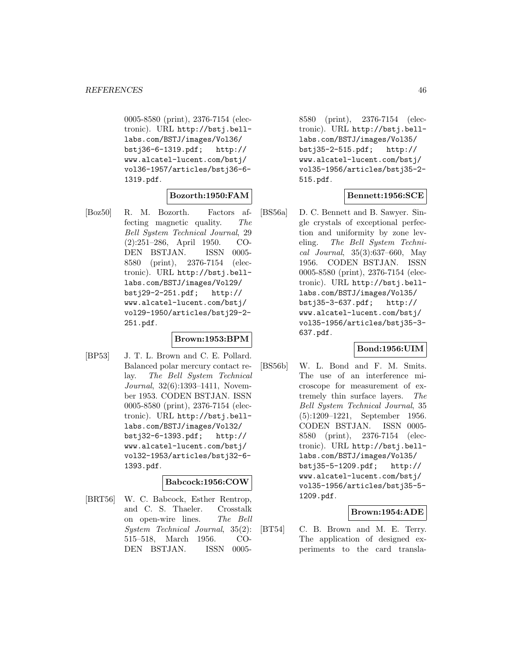0005-8580 (print), 2376-7154 (electronic). URL http://bstj.belllabs.com/BSTJ/images/Vol36/ bstj36-6-1319.pdf; http:// www.alcatel-lucent.com/bstj/ vol36-1957/articles/bstj36-6- 1319.pdf.

# **Bozorth:1950:FAM**

[Boz50] R. M. Bozorth. Factors affecting magnetic quality. The Bell System Technical Journal, 29 (2):251–286, April 1950. CO-DEN BSTJAN. ISSN 0005- 8580 (print), 2376-7154 (electronic). URL http://bstj.belllabs.com/BSTJ/images/Vol29/ bstj29-2-251.pdf; http:// www.alcatel-lucent.com/bstj/ vol29-1950/articles/bstj29-2- 251.pdf.

# **Brown:1953:BPM**

[BP53] J. T. L. Brown and C. E. Pollard. Balanced polar mercury contact relay. The Bell System Technical Journal, 32(6):1393–1411, November 1953. CODEN BSTJAN. ISSN 0005-8580 (print), 2376-7154 (electronic). URL http://bstj.belllabs.com/BSTJ/images/Vol32/ bstj32-6-1393.pdf; http:// www.alcatel-lucent.com/bstj/ vol32-1953/articles/bstj32-6- 1393.pdf.

### **Babcock:1956:COW**

[BRT56] W. C. Babcock, Esther Rentrop, and C. S. Thaeler. Crosstalk on open-wire lines. The Bell System Technical Journal, 35(2): 515–518, March 1956. CO-DEN BSTJAN. ISSN 00058580 (print), 2376-7154 (electronic). URL http://bstj.belllabs.com/BSTJ/images/Vol35/ bstj35-2-515.pdf; http:// www.alcatel-lucent.com/bstj/ vol35-1956/articles/bstj35-2- 515.pdf.

# **Bennett:1956:SCE**

[BS56a] D. C. Bennett and B. Sawyer. Single crystals of exceptional perfection and uniformity by zone leveling. The Bell System Technical Journal, 35(3):637–660, May 1956. CODEN BSTJAN. ISSN 0005-8580 (print), 2376-7154 (electronic). URL http://bstj.belllabs.com/BSTJ/images/Vol35/ bstj35-3-637.pdf; http:// www.alcatel-lucent.com/bstj/ vol35-1956/articles/bstj35-3- 637.pdf.

### **Bond:1956:UIM**

[BS56b] W. L. Bond and F. M. Smits. The use of an interference microscope for measurement of extremely thin surface layers. The Bell System Technical Journal, 35 (5):1209–1221, September 1956. CODEN BSTJAN. ISSN 0005- 8580 (print), 2376-7154 (electronic). URL http://bstj.belllabs.com/BSTJ/images/Vol35/ bstj35-5-1209.pdf; http:// www.alcatel-lucent.com/bstj/ vol35-1956/articles/bstj35-5- 1209.pdf.

### **Brown:1954:ADE**

[BT54] C. B. Brown and M. E. Terry. The application of designed experiments to the card transla-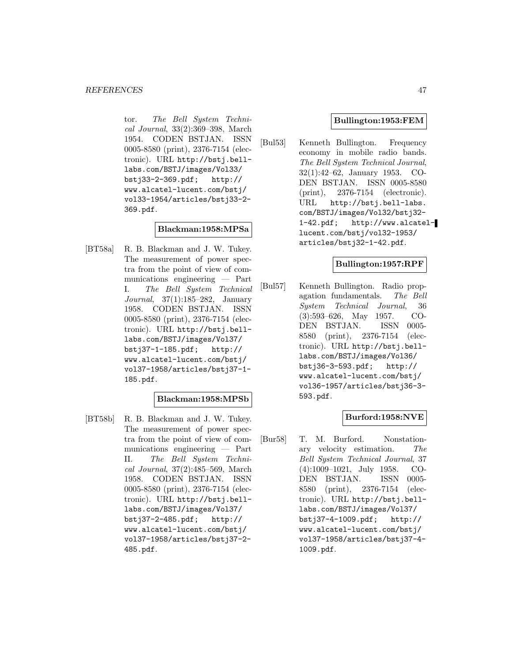tor. The Bell System Technical Journal, 33(2):369–398, March 1954. CODEN BSTJAN. ISSN 0005-8580 (print), 2376-7154 (electronic). URL http://bstj.belllabs.com/BSTJ/images/Vol33/ bstj33-2-369.pdf; http:// www.alcatel-lucent.com/bstj/ vol33-1954/articles/bstj33-2- 369.pdf.

### **Blackman:1958:MPSa**

[BT58a] R. B. Blackman and J. W. Tukey. The measurement of power spectra from the point of view of communications engineering — Part I. The Bell System Technical Journal, 37(1):185–282, January 1958. CODEN BSTJAN. ISSN 0005-8580 (print), 2376-7154 (electronic). URL http://bstj.belllabs.com/BSTJ/images/Vol37/<br>bstj37-1-185.pdf; http://  $bstj37-1-185.pdf;$ www.alcatel-lucent.com/bstj/ vol37-1958/articles/bstj37-1- 185.pdf.

### **Blackman:1958:MPSb**

[BT58b] R. B. Blackman and J. W. Tukey. The measurement of power spectra from the point of view of communications engineering — Part II. The Bell System Technical Journal, 37(2):485–569, March 1958. CODEN BSTJAN. ISSN 0005-8580 (print), 2376-7154 (electronic). URL http://bstj.belllabs.com/BSTJ/images/Vol37/ bstj37-2-485.pdf; http:// www.alcatel-lucent.com/bstj/ vol37-1958/articles/bstj37-2- 485.pdf.

### **Bullington:1953:FEM**

[Bul53] Kenneth Bullington. Frequency economy in mobile radio bands. The Bell System Technical Journal, 32(1):42–62, January 1953. CO-DEN BSTJAN. ISSN 0005-8580 (print), 2376-7154 (electronic). URL http://bstj.bell-labs. com/BSTJ/images/Vol32/bstj32- 1-42.pdf; http://www.alcatellucent.com/bstj/vol32-1953/ articles/bstj32-1-42.pdf.

### **Bullington:1957:RPF**

[Bul57] Kenneth Bullington. Radio propagation fundamentals. The Bell System Technical Journal, 36 (3):593–626, May 1957. CO-DEN BSTJAN. ISSN 0005- 8580 (print), 2376-7154 (electronic). URL http://bstj.belllabs.com/BSTJ/images/Vol36/ bstj36-3-593.pdf; http:// www.alcatel-lucent.com/bstj/ vol36-1957/articles/bstj36-3- 593.pdf.

# **Burford:1958:NVE**

[Bur58] T. M. Burford. Nonstationary velocity estimation. The Bell System Technical Journal, 37 (4):1009–1021, July 1958. CO-DEN BSTJAN. ISSN 0005- 8580 (print), 2376-7154 (electronic). URL http://bstj.belllabs.com/BSTJ/images/Vol37/ bstj37-4-1009.pdf; http:// www.alcatel-lucent.com/bstj/ vol37-1958/articles/bstj37-4- 1009.pdf.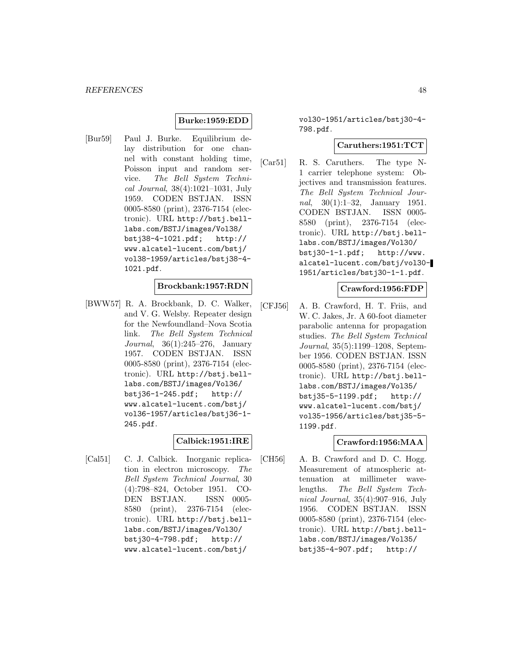### **Burke:1959:EDD**

[Bur59] Paul J. Burke. Equilibrium delay distribution for one channel with constant holding time, Poisson input and random service. The Bell System Technical Journal, 38(4):1021–1031, July 1959. CODEN BSTJAN. ISSN 0005-8580 (print), 2376-7154 (electronic). URL http://bstj.belllabs.com/BSTJ/images/Vol38/ bstj38-4-1021.pdf; http:// www.alcatel-lucent.com/bstj/ vol38-1959/articles/bstj38-4- 1021.pdf.

### **Brockbank:1957:RDN**

[BWW57] R. A. Brockbank, D. C. Walker, and V. G. Welsby. Repeater design for the Newfoundland–Nova Scotia link. The Bell System Technical Journal, 36(1):245–276, January 1957. CODEN BSTJAN. ISSN 0005-8580 (print), 2376-7154 (electronic). URL http://bstj.belllabs.com/BSTJ/images/Vol36/ bstj36-1-245.pdf; http:// www.alcatel-lucent.com/bstj/ vol36-1957/articles/bstj36-1- 245.pdf.

# **Calbick:1951:IRE**

[Cal51] C. J. Calbick. Inorganic replication in electron microscopy. The Bell System Technical Journal, 30 (4):798–824, October 1951. CO-DEN BSTJAN. ISSN 0005- 8580 (print), 2376-7154 (electronic). URL http://bstj.belllabs.com/BSTJ/images/Vol30/ bstj30-4-798.pdf; http:// www.alcatel-lucent.com/bstj/

vol30-1951/articles/bstj30-4- 798.pdf.

### **Caruthers:1951:TCT**

[Car51] R. S. Caruthers. The type N-1 carrier telephone system: Objectives and transmission features. The Bell System Technical Journal, 30(1):1–32, January 1951. CODEN BSTJAN. ISSN 0005- 8580 (print), 2376-7154 (electronic). URL http://bstj.belllabs.com/BSTJ/images/Vol30/ bstj30-1-1.pdf; http://www. alcatel-lucent.com/bstj/vol30- 1951/articles/bstj30-1-1.pdf.

### **Crawford:1956:FDP**

[CFJ56] A. B. Crawford, H. T. Friis, and W. C. Jakes, Jr. A 60-foot diameter parabolic antenna for propagation studies. The Bell System Technical Journal, 35(5):1199–1208, September 1956. CODEN BSTJAN. ISSN 0005-8580 (print), 2376-7154 (electronic). URL http://bstj.belllabs.com/BSTJ/images/Vol35/ bstj35-5-1199.pdf; http:// www.alcatel-lucent.com/bstj/ vol35-1956/articles/bstj35-5- 1199.pdf.

### **Crawford:1956:MAA**

[CH56] A. B. Crawford and D. C. Hogg. Measurement of atmospheric attenuation at millimeter wavelengths. The Bell System Technical Journal, 35(4):907–916, July 1956. CODEN BSTJAN. ISSN 0005-8580 (print), 2376-7154 (electronic). URL http://bstj.belllabs.com/BSTJ/images/Vol35/ bstj35-4-907.pdf; http://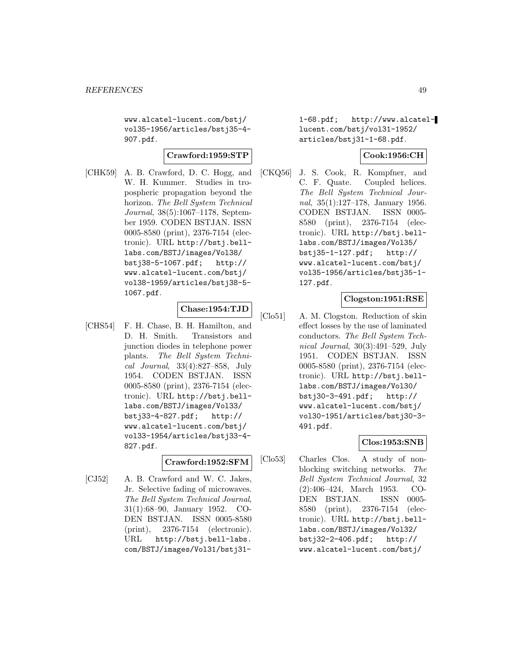www.alcatel-lucent.com/bstj/ vol35-1956/articles/bstj35-4- 907.pdf.

#### **Crawford:1959:STP**

[CHK59] A. B. Crawford, D. C. Hogg, and W. H. Kummer. Studies in tropospheric propagation beyond the horizon. The Bell System Technical Journal, 38(5):1067–1178, September 1959. CODEN BSTJAN. ISSN 0005-8580 (print), 2376-7154 (electronic). URL http://bstj.belllabs.com/BSTJ/images/Vol38/ bstj38-5-1067.pdf; http:// www.alcatel-lucent.com/bstj/ vol38-1959/articles/bstj38-5- 1067.pdf.

## **Chase:1954:TJD**

[CHS54] F. H. Chase, B. H. Hamilton, and D. H. Smith. Transistors and junction diodes in telephone power plants. The Bell System Technical Journal, 33(4):827–858, July 1954. CODEN BSTJAN. ISSN 0005-8580 (print), 2376-7154 (electronic). URL http://bstj.belllabs.com/BSTJ/images/Vol33/ bstj33-4-827.pdf; http:// www.alcatel-lucent.com/bstj/ vol33-1954/articles/bstj33-4- 827.pdf.

### **Crawford:1952:SFM**

[CJ52] A. B. Crawford and W. C. Jakes, Jr. Selective fading of microwaves. The Bell System Technical Journal, 31(1):68–90, January 1952. CO-DEN BSTJAN. ISSN 0005-8580 (print), 2376-7154 (electronic). URL http://bstj.bell-labs. com/BSTJ/images/Vol31/bstj311-68.pdf; http://www.alcatellucent.com/bstj/vol31-1952/ articles/bstj31-1-68.pdf.

### **Cook:1956:CH**

[CKQ56] J. S. Cook, R. Kompfner, and C. F. Quate. Coupled helices. The Bell System Technical Journal, 35(1):127–178, January 1956. CODEN BSTJAN. ISSN 0005- 8580 (print), 2376-7154 (electronic). URL http://bstj.belllabs.com/BSTJ/images/Vol35/ bstj35-1-127.pdf; http:// www.alcatel-lucent.com/bstj/ vol35-1956/articles/bstj35-1- 127.pdf.

### **Clogston:1951:RSE**

[Clo51] A. M. Clogston. Reduction of skin effect losses by the use of laminated conductors. The Bell System Technical Journal, 30(3):491–529, July 1951. CODEN BSTJAN. ISSN 0005-8580 (print), 2376-7154 (electronic). URL http://bstj.belllabs.com/BSTJ/images/Vol30/ bstj30-3-491.pdf; http:// www.alcatel-lucent.com/bstj/ vol30-1951/articles/bstj30-3- 491.pdf.

# **Clos:1953:SNB**

[Clo53] Charles Clos. A study of nonblocking switching networks. The Bell System Technical Journal, 32 (2):406–424, March 1953. CO-DEN BSTJAN. ISSN 0005- 8580 (print), 2376-7154 (electronic). URL http://bstj.belllabs.com/BSTJ/images/Vol32/ bstj32-2-406.pdf; http:// www.alcatel-lucent.com/bstj/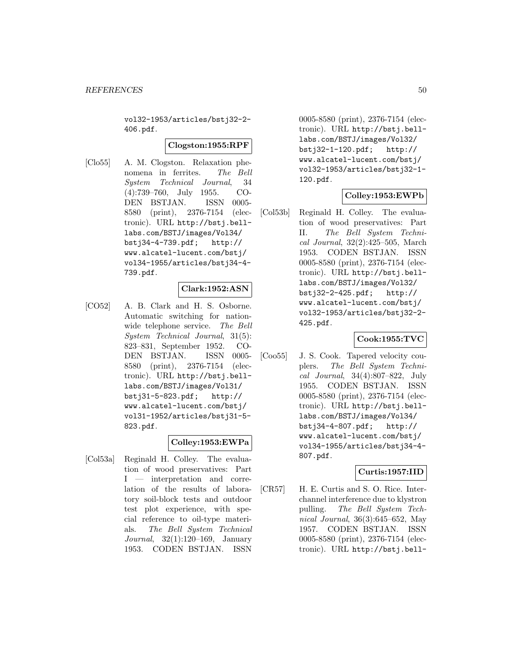vol32-1953/articles/bstj32-2- 406.pdf.

#### **Clogston:1955:RPF**

[Clo55] A. M. Clogston. Relaxation phenomena in ferrites. The Bell System Technical Journal, 34 (4):739–760, July 1955. CO-DEN BSTJAN. ISSN 0005- 8580 (print), 2376-7154 (electronic). URL http://bstj.belllabs.com/BSTJ/images/Vol34/ bstj34-4-739.pdf; http:// www.alcatel-lucent.com/bstj/ vol34-1955/articles/bstj34-4- 739.pdf.

### **Clark:1952:ASN**

[CO52] A. B. Clark and H. S. Osborne. Automatic switching for nationwide telephone service. The Bell System Technical Journal, 31(5): 823–831, September 1952. CO-DEN BSTJAN. ISSN 0005- 8580 (print), 2376-7154 (electronic). URL http://bstj.belllabs.com/BSTJ/images/Vol31/ bstj31-5-823.pdf; http:// www.alcatel-lucent.com/bstj/ vol31-1952/articles/bstj31-5- 823.pdf.

### **Colley:1953:EWPa**

[Col53a] Reginald H. Colley. The evaluation of wood preservatives: Part I — interpretation and correlation of the results of laboratory soil-block tests and outdoor test plot experience, with special reference to oil-type materials. The Bell System Technical Journal, 32(1):120–169, January 1953. CODEN BSTJAN. ISSN

0005-8580 (print), 2376-7154 (electronic). URL http://bstj.belllabs.com/BSTJ/images/Vol32/ bstj32-1-120.pdf; http:// www.alcatel-lucent.com/bstj/ vol32-1953/articles/bstj32-1- 120.pdf.

## **Colley:1953:EWPb**

[Col53b] Reginald H. Colley. The evaluation of wood preservatives: Part II. The Bell System Technical Journal, 32(2):425–505, March 1953. CODEN BSTJAN. ISSN 0005-8580 (print), 2376-7154 (electronic). URL http://bstj.belllabs.com/BSTJ/images/Vol32/ bstj32-2-425.pdf; http:// www.alcatel-lucent.com/bstj/ vol32-1953/articles/bstj32-2- 425.pdf.

### **Cook:1955:TVC**

[Coo55] J. S. Cook. Tapered velocity couplers. The Bell System Technical Journal, 34(4):807–822, July 1955. CODEN BSTJAN. ISSN 0005-8580 (print), 2376-7154 (electronic). URL http://bstj.belllabs.com/BSTJ/images/Vol34/ bstj34-4-807.pdf; http:// www.alcatel-lucent.com/bstj/ vol34-1955/articles/bstj34-4- 807.pdf.

# **Curtis:1957:IID**

[CR57] H. E. Curtis and S. O. Rice. Interchannel interference due to klystron pulling. The Bell System Technical Journal, 36(3):645–652, May 1957. CODEN BSTJAN. ISSN 0005-8580 (print), 2376-7154 (electronic). URL http://bstj.bell-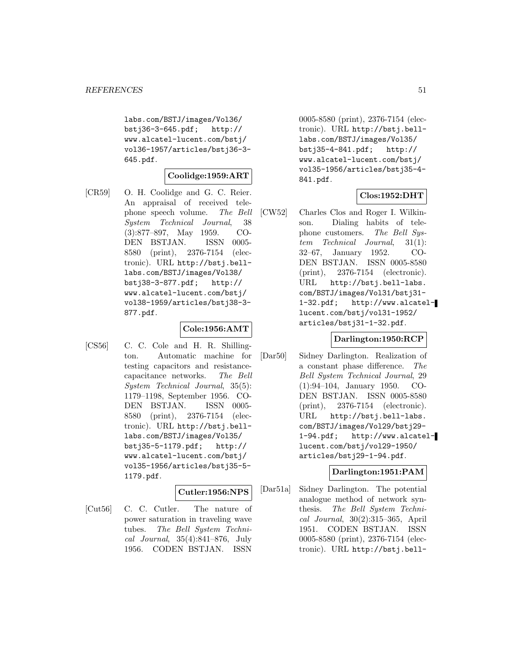labs.com/BSTJ/images/Vol36/ bstj36-3-645.pdf; http:// www.alcatel-lucent.com/bstj/ vol36-1957/articles/bstj36-3- 645.pdf.

### **Coolidge:1959:ART**

[CR59] O. H. Coolidge and G. C. Reier. An appraisal of received telephone speech volume. The Bell System Technical Journal, 38 (3):877–897, May 1959. CO-DEN BSTJAN. ISSN 0005- 8580 (print), 2376-7154 (electronic). URL http://bstj.belllabs.com/BSTJ/images/Vol38/ bstj38-3-877.pdf; http:// www.alcatel-lucent.com/bstj/ vol38-1959/articles/bstj38-3- 877.pdf.

### **Cole:1956:AMT**

[CS56] C. C. Cole and H. R. Shillington. Automatic machine for testing capacitors and resistancecapacitance networks. The Bell System Technical Journal, 35(5): 1179–1198, September 1956. CO-DEN BSTJAN. ISSN 0005- 8580 (print), 2376-7154 (electronic). URL http://bstj.belllabs.com/BSTJ/images/Vol35/ bstj35-5-1179.pdf; http:// www.alcatel-lucent.com/bstj/ vol35-1956/articles/bstj35-5- 1179.pdf.

### **Cutler:1956:NPS**

[Cut56] C. C. Cutler. The nature of power saturation in traveling wave tubes. The Bell System Technical Journal, 35(4):841–876, July 1956. CODEN BSTJAN. ISSN

0005-8580 (print), 2376-7154 (electronic). URL http://bstj.belllabs.com/BSTJ/images/Vol35/ bstj35-4-841.pdf; http:// www.alcatel-lucent.com/bstj/ vol35-1956/articles/bstj35-4- 841.pdf.

# **Clos:1952:DHT**

[CW52] Charles Clos and Roger I. Wilkinson. Dialing habits of telephone customers. The Bell System Technical Journal, 31(1): 32–67, January 1952. CO-DEN BSTJAN. ISSN 0005-8580 (print), 2376-7154 (electronic). URL http://bstj.bell-labs. com/BSTJ/images/Vol31/bstj31- 1-32.pdf; http://www.alcatellucent.com/bstj/vol31-1952/ articles/bstj31-1-32.pdf.

### **Darlington:1950:RCP**

[Dar50] Sidney Darlington. Realization of a constant phase difference. The Bell System Technical Journal, 29 (1):94–104, January 1950. CO-DEN BSTJAN. ISSN 0005-8580 (print), 2376-7154 (electronic). URL http://bstj.bell-labs. com/BSTJ/images/Vol29/bstj29- 1-94.pdf; http://www.alcatellucent.com/bstj/vol29-1950/ articles/bstj29-1-94.pdf.

### **Darlington:1951:PAM**

[Dar51a] Sidney Darlington. The potential analogue method of network synthesis. The Bell System Technical Journal, 30(2):315–365, April 1951. CODEN BSTJAN. ISSN 0005-8580 (print), 2376-7154 (electronic). URL http://bstj.bell-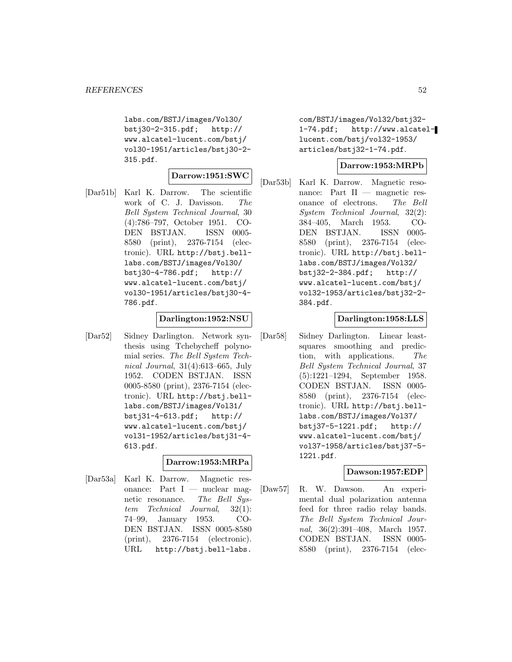labs.com/BSTJ/images/Vol30/ bstj30-2-315.pdf; http:// www.alcatel-lucent.com/bstj/ vol30-1951/articles/bstj30-2- 315.pdf.

#### **Darrow:1951:SWC**

[Dar51b] Karl K. Darrow. The scientific work of C. J. Davisson. The Bell System Technical Journal, 30 (4):786–797, October 1951. CO-DEN BSTJAN. ISSN 0005- 8580 (print), 2376-7154 (electronic). URL http://bstj.belllabs.com/BSTJ/images/Vol30/ bstj30-4-786.pdf; http:// www.alcatel-lucent.com/bstj/ vol30-1951/articles/bstj30-4- 786.pdf.

### **Darlington:1952:NSU**

[Dar52] Sidney Darlington. Network synthesis using Tchebycheff polynomial series. The Bell System Technical Journal, 31(4):613–665, July 1952. CODEN BSTJAN. ISSN 0005-8580 (print), 2376-7154 (electronic). URL http://bstj.belllabs.com/BSTJ/images/Vol31/ bstj31-4-613.pdf; http:// www.alcatel-lucent.com/bstj/ vol31-1952/articles/bstj31-4- 613.pdf.

### **Darrow:1953:MRPa**

[Dar53a] Karl K. Darrow. Magnetic resonance: Part  $I$  — nuclear magnetic resonance. The Bell System Technical Journal, 32(1): 74–99, January 1953. CO-DEN BSTJAN. ISSN 0005-8580 (print), 2376-7154 (electronic). URL http://bstj.bell-labs.

com/BSTJ/images/Vol32/bstj32- 1-74.pdf; http://www.alcatellucent.com/bstj/vol32-1953/ articles/bstj32-1-74.pdf.

### **Darrow:1953:MRPb**

[Dar53b] Karl K. Darrow. Magnetic resonance: Part II — magnetic resonance of electrons. The Bell System Technical Journal, 32(2): 384–405, March 1953. CO-DEN BSTJAN. ISSN 0005- 8580 (print), 2376-7154 (electronic). URL http://bstj.belllabs.com/BSTJ/images/Vol32/ bstj32-2-384.pdf; http:// www.alcatel-lucent.com/bstj/ vol32-1953/articles/bstj32-2- 384.pdf.

### **Darlington:1958:LLS**

[Dar58] Sidney Darlington. Linear leastsquares smoothing and prediction, with applications. The Bell System Technical Journal, 37 (5):1221–1294, September 1958. CODEN BSTJAN. ISSN 0005- 8580 (print), 2376-7154 (electronic). URL http://bstj.belllabs.com/BSTJ/images/Vol37/ bstj37-5-1221.pdf; http:// www.alcatel-lucent.com/bstj/ vol37-1958/articles/bstj37-5- 1221.pdf.

### **Dawson:1957:EDP**

[Daw57] R. W. Dawson. An experimental dual polarization antenna feed for three radio relay bands. The Bell System Technical Journal, 36(2):391–408, March 1957. CODEN BSTJAN. ISSN 0005- 8580 (print), 2376-7154 (elec-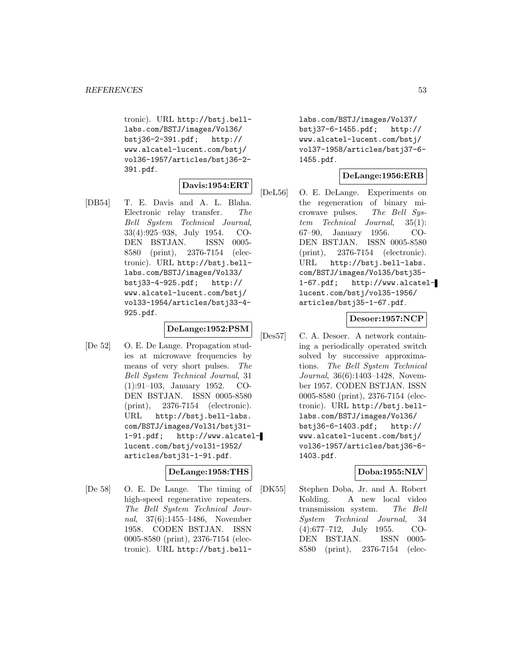tronic). URL http://bstj.belllabs.com/BSTJ/images/Vol36/ bstj36-2-391.pdf; http:// www.alcatel-lucent.com/bstj/ vol36-1957/articles/bstj36-2- 391.pdf.

### **Davis:1954:ERT**

[DB54] T. E. Davis and A. L. Blaha. Electronic relay transfer. The Bell System Technical Journal, 33(4):925–938, July 1954. CO-DEN BSTJAN. ISSN 0005- 8580 (print), 2376-7154 (electronic). URL http://bstj.belllabs.com/BSTJ/images/Vol33/ bstj33-4-925.pdf; http:// www.alcatel-lucent.com/bstj/ vol33-1954/articles/bstj33-4- 925.pdf.

### **DeLange:1952:PSM**

[De 52] O. E. De Lange. Propagation studies at microwave frequencies by means of very short pulses. The Bell System Technical Journal, 31 (1):91–103, January 1952. CO-DEN BSTJAN. ISSN 0005-8580 (print), 2376-7154 (electronic). URL http://bstj.bell-labs. com/BSTJ/images/Vol31/bstj31- 1-91.pdf; http://www.alcatellucent.com/bstj/vol31-1952/ articles/bstj31-1-91.pdf.

### **DeLange:1958:THS**

[De 58] O. E. De Lange. The timing of high-speed regenerative repeaters. The Bell System Technical Journal, 37(6):1455–1486, November 1958. CODEN BSTJAN. ISSN 0005-8580 (print), 2376-7154 (electronic). URL http://bstj.belllabs.com/BSTJ/images/Vol37/ bstj37-6-1455.pdf; http:// www.alcatel-lucent.com/bstj/ vol37-1958/articles/bstj37-6- 1455.pdf.

### **DeLange:1956:ERB**

[DeL56] O. E. DeLange. Experiments on the regeneration of binary microwave pulses. The Bell System Technical Journal, 35(1): 67–90, January 1956. CO-DEN BSTJAN. ISSN 0005-8580 (print), 2376-7154 (electronic). URL http://bstj.bell-labs. com/BSTJ/images/Vol35/bstj35- 1-67.pdf; http://www.alcatellucent.com/bstj/vol35-1956/ articles/bstj35-1-67.pdf.

# **Desoer:1957:NCP**

[Des57] C. A. Desoer. A network containing a periodically operated switch solved by successive approximations. The Bell System Technical Journal, 36(6):1403–1428, November 1957. CODEN BSTJAN. ISSN 0005-8580 (print), 2376-7154 (electronic). URL http://bstj.belllabs.com/BSTJ/images/Vol36/ bstj36-6-1403.pdf; http:// www.alcatel-lucent.com/bstj/ vol36-1957/articles/bstj36-6- 1403.pdf.

### **Doba:1955:NLV**

[DK55] Stephen Doba, Jr. and A. Robert Kolding. A new local video transmission system. The Bell System Technical Journal, 34 (4):677–712, July 1955. CO-DEN BSTJAN. ISSN 0005- 8580 (print), 2376-7154 (elec-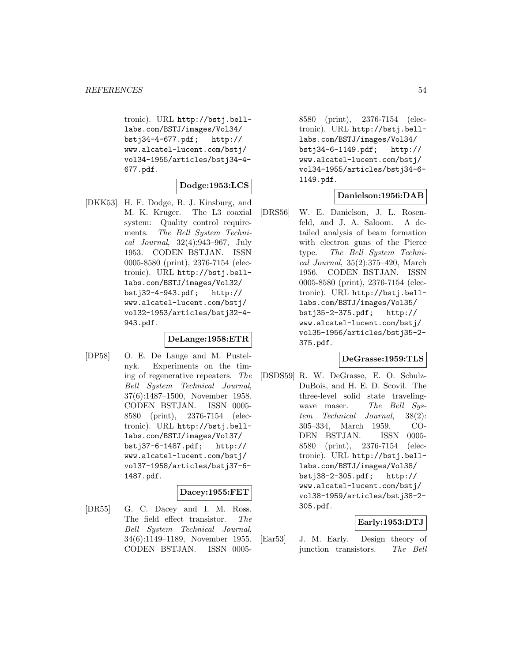tronic). URL http://bstj.belllabs.com/BSTJ/images/Vol34/ bstj34-4-677.pdf; http:// www.alcatel-lucent.com/bstj/ vol34-1955/articles/bstj34-4- 677.pdf.

#### **Dodge:1953:LCS**

[DKK53] H. F. Dodge, B. J. Kinsburg, and M. K. Kruger. The L3 coaxial system: Quality control requirements. The Bell System Technical Journal, 32(4):943–967, July 1953. CODEN BSTJAN. ISSN 0005-8580 (print), 2376-7154 (electronic). URL http://bstj.belllabs.com/BSTJ/images/Vol32/ bstj32-4-943.pdf; http:// www.alcatel-lucent.com/bstj/ vol32-1953/articles/bstj32-4- 943.pdf.

### **DeLange:1958:ETR**

[DP58] O. E. De Lange and M. Pustelnyk. Experiments on the timing of regenerative repeaters. The Bell System Technical Journal, 37(6):1487–1500, November 1958. CODEN BSTJAN. ISSN 0005- 8580 (print), 2376-7154 (electronic). URL http://bstj.belllabs.com/BSTJ/images/Vol37/ bstj37-6-1487.pdf; http:// www.alcatel-lucent.com/bstj/ vol37-1958/articles/bstj37-6- 1487.pdf.

### **Dacey:1955:FET**

[DR55] G. C. Dacey and I. M. Ross. The field effect transistor. The Bell System Technical Journal, 34(6):1149–1189, November 1955. CODEN BSTJAN. ISSN 00058580 (print), 2376-7154 (electronic). URL http://bstj.belllabs.com/BSTJ/images/Vol34/ bstj34-6-1149.pdf; http:// www.alcatel-lucent.com/bstj/ vol34-1955/articles/bstj34-6- 1149.pdf.

# **Danielson:1956:DAB**

[DRS56] W. E. Danielson, J. L. Rosenfeld, and J. A. Saloom. A detailed analysis of beam formation with electron guns of the Pierce type. The Bell System Technical Journal, 35(2):375–420, March 1956. CODEN BSTJAN. ISSN 0005-8580 (print), 2376-7154 (electronic). URL http://bstj.belllabs.com/BSTJ/images/Vol35/ bstj35-2-375.pdf; http:// www.alcatel-lucent.com/bstj/ vol35-1956/articles/bstj35-2- 375.pdf.

### **DeGrasse:1959:TLS**

[DSDS59] R. W. DeGrasse, E. O. Schulz-DuBois, and H. E. D. Scovil. The three-level solid state travelingwave maser. The Bell System Technical Journal, 38(2): 305–334, March 1959. CO-DEN BSTJAN. ISSN 0005- 8580 (print), 2376-7154 (electronic). URL http://bstj.belllabs.com/BSTJ/images/Vol38/ bstj38-2-305.pdf; http:// www.alcatel-lucent.com/bstj/ vol38-1959/articles/bstj38-2- 305.pdf.

### **Early:1953:DTJ**

[Ear53] J. M. Early. Design theory of junction transistors. The Bell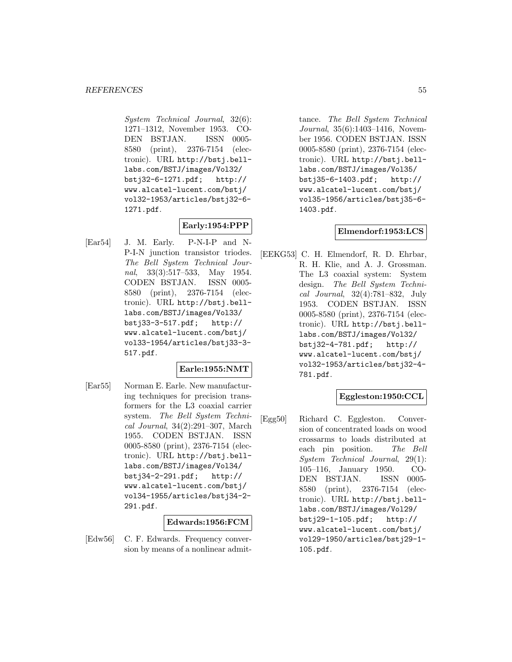System Technical Journal, 32(6): 1271–1312, November 1953. CO-DEN BSTJAN. ISSN 0005- 8580 (print), 2376-7154 (electronic). URL http://bstj.belllabs.com/BSTJ/images/Vol32/ bstj32-6-1271.pdf; http:// www.alcatel-lucent.com/bstj/ vol32-1953/articles/bstj32-6- 1271.pdf.

# **Early:1954:PPP**

[Ear54] J. M. Early. P-N-I-P and N-P-I-N junction transistor triodes. The Bell System Technical Journal, 33(3):517–533, May 1954. CODEN BSTJAN. ISSN 0005- 8580 (print), 2376-7154 (electronic). URL http://bstj.belllabs.com/BSTJ/images/Vol33/ bstj33-3-517.pdf; http:// www.alcatel-lucent.com/bstj/ vol33-1954/articles/bstj33-3- 517.pdf.

# **Earle:1955:NMT**

[Ear55] Norman E. Earle. New manufacturing techniques for precision transformers for the L3 coaxial carrier system. The Bell System Technical Journal, 34(2):291–307, March 1955. CODEN BSTJAN. ISSN 0005-8580 (print), 2376-7154 (electronic). URL http://bstj.belllabs.com/BSTJ/images/Vol34/ bstj34-2-291.pdf; http:// www.alcatel-lucent.com/bstj/ vol34-1955/articles/bstj34-2- 291.pdf.

### **Edwards:1956:FCM**

[Edw56] C. F. Edwards. Frequency conversion by means of a nonlinear admittance. The Bell System Technical Journal, 35(6):1403–1416, November 1956. CODEN BSTJAN. ISSN 0005-8580 (print), 2376-7154 (electronic). URL http://bstj.belllabs.com/BSTJ/images/Vol35/ bstj35-6-1403.pdf; http:// www.alcatel-lucent.com/bstj/ vol35-1956/articles/bstj35-6- 1403.pdf.

#### **Elmendorf:1953:LCS**

[EEKG53] C. H. Elmendorf, R. D. Ehrbar, R. H. Klie, and A. J. Grossman. The L3 coaxial system: System design. The Bell System Technical Journal, 32(4):781–832, July 1953. CODEN BSTJAN. ISSN 0005-8580 (print), 2376-7154 (electronic). URL http://bstj.belllabs.com/BSTJ/images/Vol32/ bstj32-4-781.pdf; http:// www.alcatel-lucent.com/bstj/ vol32-1953/articles/bstj32-4- 781.pdf.

### **Eggleston:1950:CCL**

[Egg50] Richard C. Eggleston. Conversion of concentrated loads on wood crossarms to loads distributed at each pin position. The Bell System Technical Journal, 29(1): 105–116, January 1950. CO-DEN BSTJAN. ISSN 0005- 8580 (print), 2376-7154 (electronic). URL http://bstj.belllabs.com/BSTJ/images/Vol29/ bstj29-1-105.pdf; http:// www.alcatel-lucent.com/bstj/ vol29-1950/articles/bstj29-1- 105.pdf.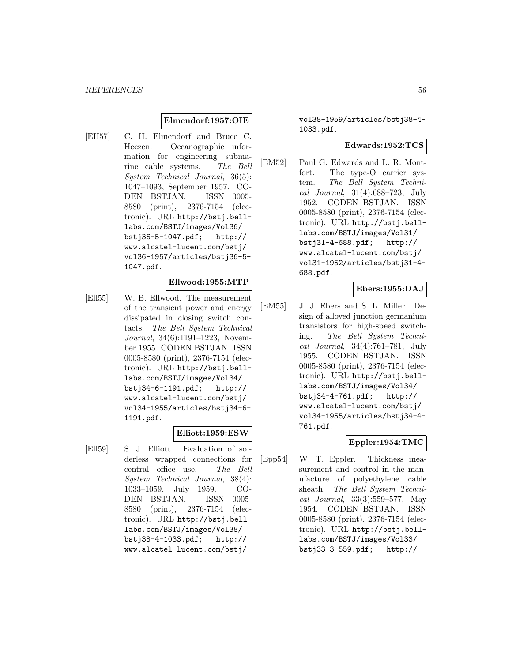### **Elmendorf:1957:OIE**

[EH57] C. H. Elmendorf and Bruce C. Heezen. Oceanographic information for engineering submarine cable systems. The Bell System Technical Journal, 36(5): 1047–1093, September 1957. CO-DEN BSTJAN. ISSN 0005- 8580 (print), 2376-7154 (electronic). URL http://bstj.belllabs.com/BSTJ/images/Vol36/ bstj36-5-1047.pdf; http:// www.alcatel-lucent.com/bstj/ vol36-1957/articles/bstj36-5- 1047.pdf.

### **Ellwood:1955:MTP**

[Ell55] W. B. Ellwood. The measurement of the transient power and energy dissipated in closing switch contacts. The Bell System Technical Journal, 34(6):1191–1223, November 1955. CODEN BSTJAN. ISSN 0005-8580 (print), 2376-7154 (electronic). URL http://bstj.belllabs.com/BSTJ/images/Vol34/ bstj34-6-1191.pdf; http:// www.alcatel-lucent.com/bstj/ vol34-1955/articles/bstj34-6- 1191.pdf.

### **Elliott:1959:ESW**

[Ell59] S. J. Elliott. Evaluation of solderless wrapped connections for central office use. The Bell System Technical Journal, 38(4): 1033–1059, July 1959. CO-DEN BSTJAN. ISSN 0005- 8580 (print), 2376-7154 (electronic). URL http://bstj.belllabs.com/BSTJ/images/Vol38/ bstj38-4-1033.pdf; http:// www.alcatel-lucent.com/bstj/

vol38-1959/articles/bstj38-4- 1033.pdf.

### **Edwards:1952:TCS**

[EM52] Paul G. Edwards and L. R. Montfort. The type-O carrier system. The Bell System Technical Journal, 31(4):688–723, July 1952. CODEN BSTJAN. ISSN 0005-8580 (print), 2376-7154 (electronic). URL http://bstj.belllabs.com/BSTJ/images/Vol31/ bstj31-4-688.pdf; http:// www.alcatel-lucent.com/bstj/ vol31-1952/articles/bstj31-4- 688.pdf.

### **Ebers:1955:DAJ**

[EM55] J. J. Ebers and S. L. Miller. Design of alloyed junction germanium transistors for high-speed switching. The Bell System Technical Journal, 34(4):761–781, July 1955. CODEN BSTJAN. ISSN 0005-8580 (print), 2376-7154 (electronic). URL http://bstj.belllabs.com/BSTJ/images/Vol34/ bstj34-4-761.pdf; http:// www.alcatel-lucent.com/bstj/ vol34-1955/articles/bstj34-4- 761.pdf.

### **Eppler:1954:TMC**

[Epp54] W. T. Eppler. Thickness measurement and control in the manufacture of polyethylene cable sheath. The Bell System Technical Journal, 33(3):559–577, May 1954. CODEN BSTJAN. ISSN 0005-8580 (print), 2376-7154 (electronic). URL http://bstj.belllabs.com/BSTJ/images/Vol33/ bstj33-3-559.pdf; http://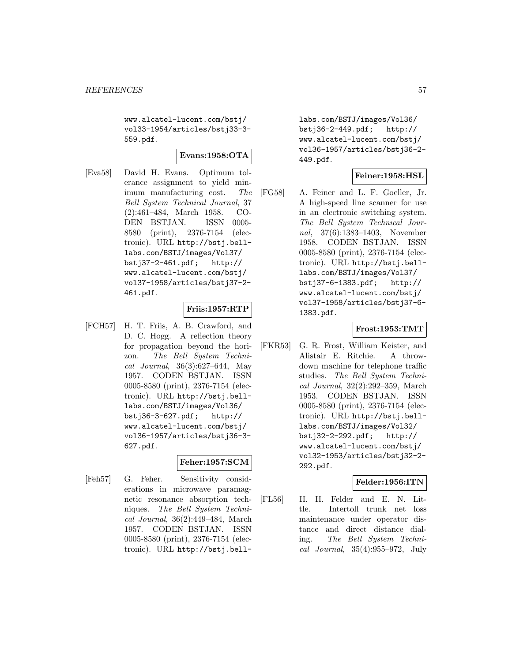www.alcatel-lucent.com/bstj/ vol33-1954/articles/bstj33-3- 559.pdf.

### **Evans:1958:OTA**

[Eva58] David H. Evans. Optimum tolerance assignment to yield minimum manufacturing cost. The Bell System Technical Journal, 37 (2):461–484, March 1958. CO-DEN BSTJAN. ISSN 0005- 8580 (print), 2376-7154 (electronic). URL http://bstj.belllabs.com/BSTJ/images/Vol37/ bstj37-2-461.pdf; http:// www.alcatel-lucent.com/bstj/ vol37-1958/articles/bstj37-2- 461.pdf.

### **Friis:1957:RTP**

[FCH57] H. T. Friis, A. B. Crawford, and D. C. Hogg. A reflection theory for propagation beyond the horizon. The Bell System Technical Journal, 36(3):627–644, May 1957. CODEN BSTJAN. ISSN 0005-8580 (print), 2376-7154 (electronic). URL http://bstj.belllabs.com/BSTJ/images/Vol36/ bstj36-3-627.pdf; http:// www.alcatel-lucent.com/bstj/ vol36-1957/articles/bstj36-3- 627.pdf.

# **Feher:1957:SCM**

[Feh57] G. Feher. Sensitivity considerations in microwave paramagnetic resonance absorption techniques. The Bell System Technical Journal, 36(2):449–484, March 1957. CODEN BSTJAN. ISSN 0005-8580 (print), 2376-7154 (electronic). URL http://bstj.belllabs.com/BSTJ/images/Vol36/ bstj36-2-449.pdf; http:// www.alcatel-lucent.com/bstj/ vol36-1957/articles/bstj36-2- 449.pdf.

### **Feiner:1958:HSL**

[FG58] A. Feiner and L. F. Goeller, Jr. A high-speed line scanner for use in an electronic switching system. The Bell System Technical Journal, 37(6):1383–1403, November 1958. CODEN BSTJAN. ISSN 0005-8580 (print), 2376-7154 (electronic). URL http://bstj.belllabs.com/BSTJ/images/Vol37/ bstj37-6-1383.pdf; http:// www.alcatel-lucent.com/bstj/ vol37-1958/articles/bstj37-6- 1383.pdf.

### **Frost:1953:TMT**

[FKR53] G. R. Frost, William Keister, and Alistair E. Ritchie. A throwdown machine for telephone traffic studies. The Bell System Technical Journal, 32(2):292–359, March 1953. CODEN BSTJAN. ISSN 0005-8580 (print), 2376-7154 (electronic). URL http://bstj.belllabs.com/BSTJ/images/Vol32/ bstj32-2-292.pdf; http:// www.alcatel-lucent.com/bstj/ vol32-1953/articles/bstj32-2- 292.pdf.

### **Felder:1956:ITN**

[FL56] H. H. Felder and E. N. Little. Intertoll trunk net loss maintenance under operator distance and direct distance dialing. The Bell System Technical Journal, 35(4):955–972, July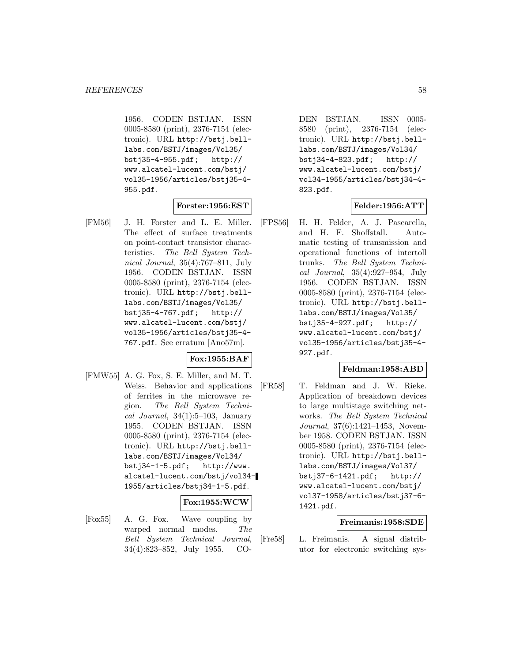1956. CODEN BSTJAN. ISSN 0005-8580 (print), 2376-7154 (electronic). URL http://bstj.belllabs.com/BSTJ/images/Vol35/ bstj35-4-955.pdf; http:// www.alcatel-lucent.com/bstj/ vol35-1956/articles/bstj35-4- 955.pdf.

### **Forster:1956:EST**

[FM56] J. H. Forster and L. E. Miller. The effect of surface treatments on point-contact transistor characteristics. The Bell System Technical Journal, 35(4):767–811, July 1956. CODEN BSTJAN. ISSN 0005-8580 (print), 2376-7154 (electronic). URL http://bstj.belllabs.com/BSTJ/images/Vol35/ bstj35-4-767.pdf; http:// www.alcatel-lucent.com/bstj/ vol35-1956/articles/bstj35-4- 767.pdf. See erratum [Ano57m].

# **Fox:1955:BAF**

[FMW55] A. G. Fox, S. E. Miller, and M. T. Weiss. Behavior and applications of ferrites in the microwave region. The Bell System Technical Journal,  $34(1):5-103$ , January 1955. CODEN BSTJAN. ISSN 0005-8580 (print), 2376-7154 (electronic). URL http://bstj.belllabs.com/BSTJ/images/Vol34/ bstj34-1-5.pdf; http://www. alcatel-lucent.com/bstj/vol34- 1955/articles/bstj34-1-5.pdf.

#### **Fox:1955:WCW**

[Fox55] A. G. Fox. Wave coupling by warped normal modes. The Bell System Technical Journal, 34(4):823–852, July 1955. CO-

DEN BSTJAN. ISSN 0005- 8580 (print), 2376-7154 (electronic). URL http://bstj.belllabs.com/BSTJ/images/Vol34/ bstj34-4-823.pdf; http:// www.alcatel-lucent.com/bstj/ vol34-1955/articles/bstj34-4- 823.pdf.

### **Felder:1956:ATT**

[FPS56] H. H. Felder, A. J. Pascarella, and H. F. Shoffstall. Automatic testing of transmission and operational functions of intertoll trunks. The Bell System Technical Journal, 35(4):927–954, July 1956. CODEN BSTJAN. ISSN 0005-8580 (print), 2376-7154 (electronic). URL http://bstj.belllabs.com/BSTJ/images/Vol35/ bstj35-4-927.pdf; http:// www.alcatel-lucent.com/bstj/ vol35-1956/articles/bstj35-4- 927.pdf.

### **Feldman:1958:ABD**

[FR58] T. Feldman and J. W. Rieke. Application of breakdown devices to large multistage switching networks. The Bell System Technical Journal, 37(6):1421–1453, November 1958. CODEN BSTJAN. ISSN 0005-8580 (print), 2376-7154 (electronic). URL http://bstj.belllabs.com/BSTJ/images/Vol37/ bstj37-6-1421.pdf; http:// www.alcatel-lucent.com/bstj/ vol37-1958/articles/bstj37-6- 1421.pdf.

### **Freimanis:1958:SDE**

[Fre58] L. Freimanis. A signal distributor for electronic switching sys-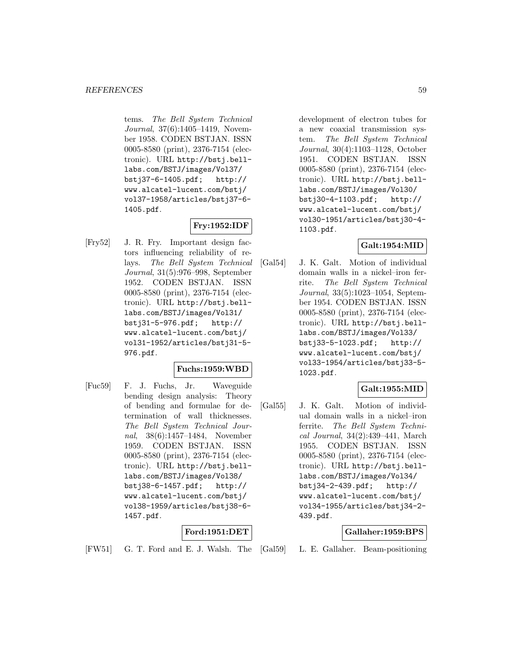tems. The Bell System Technical Journal, 37(6):1405–1419, November 1958. CODEN BSTJAN. ISSN 0005-8580 (print), 2376-7154 (electronic). URL http://bstj.belllabs.com/BSTJ/images/Vol37/ bstj37-6-1405.pdf; http:// www.alcatel-lucent.com/bstj/ vol37-1958/articles/bstj37-6- 1405.pdf.

# **Fry:1952:IDF**

[Fry52] J. R. Fry. Important design factors influencing reliability of relays. The Bell System Technical Journal, 31(5):976–998, September 1952. CODEN BSTJAN. ISSN 0005-8580 (print), 2376-7154 (electronic). URL http://bstj.belllabs.com/BSTJ/images/Vol31/ bstj31-5-976.pdf; http:// www.alcatel-lucent.com/bstj/ vol31-1952/articles/bstj31-5- 976.pdf.

# **Fuchs:1959:WBD**

[Fuc59] F. J. Fuchs, Jr. Waveguide bending design analysis: Theory of bending and formulae for determination of wall thicknesses. The Bell System Technical Journal, 38(6):1457–1484, November 1959. CODEN BSTJAN. ISSN 0005-8580 (print), 2376-7154 (electronic). URL http://bstj.belllabs.com/BSTJ/images/Vol38/ bstj38-6-1457.pdf; http:// www.alcatel-lucent.com/bstj/ vol38-1959/articles/bstj38-6- 1457.pdf.

### **Ford:1951:DET**

[FW51] G. T. Ford and E. J. Walsh. The

development of electron tubes for a new coaxial transmission system. The Bell System Technical Journal, 30(4):1103–1128, October 1951. CODEN BSTJAN. ISSN 0005-8580 (print), 2376-7154 (electronic). URL http://bstj.belllabs.com/BSTJ/images/Vol30/ bstj30-4-1103.pdf; http:// www.alcatel-lucent.com/bstj/ vol30-1951/articles/bstj30-4- 1103.pdf.

# **Galt:1954:MID**

[Gal54] J. K. Galt. Motion of individual domain walls in a nickel–iron ferrite. The Bell System Technical Journal, 33(5):1023–1054, September 1954. CODEN BSTJAN. ISSN 0005-8580 (print), 2376-7154 (electronic). URL http://bstj.belllabs.com/BSTJ/images/Vol33/ bstj33-5-1023.pdf; http:// www.alcatel-lucent.com/bstj/ vol33-1954/articles/bstj33-5- 1023.pdf.

# **Galt:1955:MID**

[Gal55] J. K. Galt. Motion of individual domain walls in a nickel–iron ferrite. The Bell System Technical Journal, 34(2):439–441, March 1955. CODEN BSTJAN. ISSN 0005-8580 (print), 2376-7154 (electronic). URL http://bstj.belllabs.com/BSTJ/images/Vol34/ bstj34-2-439.pdf; http:// www.alcatel-lucent.com/bstj/ vol34-1955/articles/bstj34-2- 439.pdf.

# **Gallaher:1959:BPS**

[Gal59] L. E. Gallaher. Beam-positioning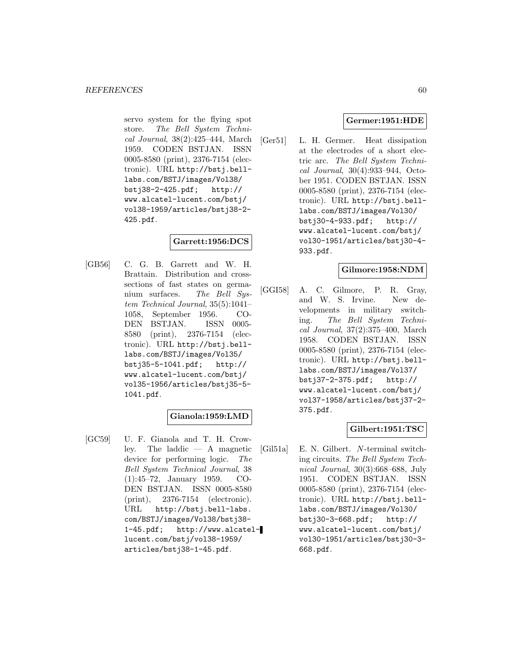servo system for the flying spot store. The Bell System Technical Journal, 38(2):425–444, March 1959. CODEN BSTJAN. ISSN 0005-8580 (print), 2376-7154 (electronic). URL http://bstj.belllabs.com/BSTJ/images/Vol38/ bstj38-2-425.pdf; http:// www.alcatel-lucent.com/bstj/ vol38-1959/articles/bstj38-2- 425.pdf.

### **Garrett:1956:DCS**

[GB56] C. G. B. Garrett and W. H. Brattain. Distribution and crosssections of fast states on germanium surfaces. The Bell System Technical Journal, 35(5):1041– 1058, September 1956. CO-DEN BSTJAN. ISSN 0005- 8580 (print), 2376-7154 (electronic). URL http://bstj.belllabs.com/BSTJ/images/Vol35/ bstj35-5-1041.pdf; http:// www.alcatel-lucent.com/bstj/ vol35-1956/articles/bstj35-5- 1041.pdf.

# **Gianola:1959:LMD**

[GC59] U. F. Gianola and T. H. Crowley. The laddic — A magnetic device for performing logic. The Bell System Technical Journal, 38 (1):45–72, January 1959. CO-DEN BSTJAN. ISSN 0005-8580 (print), 2376-7154 (electronic). URL http://bstj.bell-labs. com/BSTJ/images/Vol38/bstj38- 1-45.pdf; http://www.alcatellucent.com/bstj/vol38-1959/ articles/bstj38-1-45.pdf.

## **Germer:1951:HDE**

[Ger51] L. H. Germer. Heat dissipation at the electrodes of a short electric arc. The Bell System Technical Journal, 30(4):933–944, October 1951. CODEN BSTJAN. ISSN 0005-8580 (print), 2376-7154 (electronic). URL http://bstj.belllabs.com/BSTJ/images/Vol30/ bstj30-4-933.pdf; http:// www.alcatel-lucent.com/bstj/ vol30-1951/articles/bstj30-4- 933.pdf.

### **Gilmore:1958:NDM**

[GGI58] A. C. Gilmore, P. R. Gray, and W. S. Irvine. New developments in military switching. The Bell System Technical Journal, 37(2):375–400, March 1958. CODEN BSTJAN. ISSN 0005-8580 (print), 2376-7154 (electronic). URL http://bstj.belllabs.com/BSTJ/images/Vol37/ bstj37-2-375.pdf; http:// www.alcatel-lucent.com/bstj/ vol37-1958/articles/bstj37-2- 375.pdf.

# **Gilbert:1951:TSC**

[Gil51a] E. N. Gilbert. N-terminal switching circuits. The Bell System Technical Journal, 30(3):668–688, July 1951. CODEN BSTJAN. ISSN 0005-8580 (print), 2376-7154 (electronic). URL http://bstj.belllabs.com/BSTJ/images/Vol30/ bstj30-3-668.pdf; http:// www.alcatel-lucent.com/bstj/ vol30-1951/articles/bstj30-3- 668.pdf.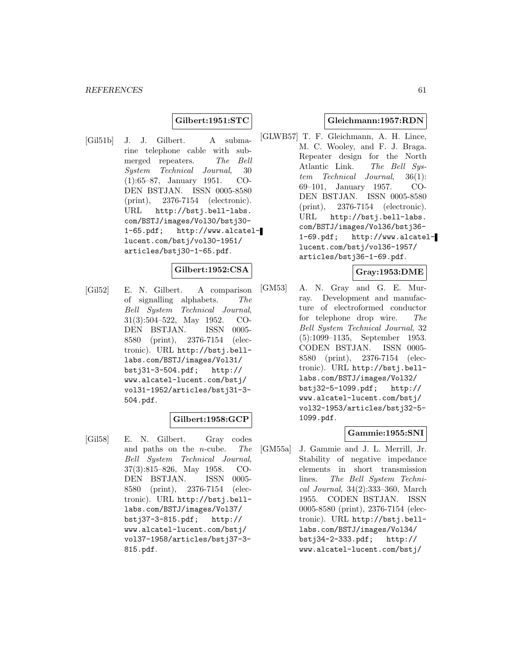### **Gilbert:1951:STC**

[Gil51b] J. J. Gilbert. A submarine telephone cable with submerged repeaters. The Bell System Technical Journal, 30 (1):65–87, January 1951. CO-DEN BSTJAN. ISSN 0005-8580 (print), 2376-7154 (electronic). URL http://bstj.bell-labs. com/BSTJ/images/Vol30/bstj30- 1-65.pdf; http://www.alcatellucent.com/bstj/vol30-1951/ articles/bstj30-1-65.pdf.

#### **Gilbert:1952:CSA**

[Gil52] E. N. Gilbert. A comparison of signalling alphabets. The Bell System Technical Journal, 31(3):504–522, May 1952. CO-DEN BSTJAN. ISSN 0005- 8580 (print), 2376-7154 (electronic). URL http://bstj.belllabs.com/BSTJ/images/Vol31/ bstj31-3-504.pdf; http:// www.alcatel-lucent.com/bstj/ vol31-1952/articles/bstj31-3- 504.pdf.

### **Gilbert:1958:GCP**

[Gil58] E. N. Gilbert. Gray codes and paths on the n-cube. The Bell System Technical Journal, 37(3):815–826, May 1958. CO-DEN BSTJAN. ISSN 0005- 8580 (print), 2376-7154 (electronic). URL http://bstj.belllabs.com/BSTJ/images/Vol37/ bstj37-3-815.pdf; http:// www.alcatel-lucent.com/bstj/ vol37-1958/articles/bstj37-3- 815.pdf.

#### **Gleichmann:1957:RDN**

[GLWB57] T. F. Gleichmann, A. H. Lince, M. C. Wooley, and F. J. Braga. Repeater design for the North Atlantic Link. The Bell System Technical Journal, 36(1): 69–101, January 1957. CO-DEN BSTJAN. ISSN 0005-8580 (print), 2376-7154 (electronic). URL http://bstj.bell-labs. com/BSTJ/images/Vol36/bstj36- 1-69.pdf; http://www.alcatellucent.com/bstj/vol36-1957/ articles/bstj36-1-69.pdf.

### **Gray:1953:DME**

[GM53] A. N. Gray and G. E. Murray. Development and manufacture of electroformed conductor for telephone drop wire. The Bell System Technical Journal, 32 (5):1099–1135, September 1953. CODEN BSTJAN. ISSN 0005- 8580 (print), 2376-7154 (electronic). URL http://bstj.belllabs.com/BSTJ/images/Vol32/ bstj32-5-1099.pdf; http:// www.alcatel-lucent.com/bstj/ vol32-1953/articles/bstj32-5- 1099.pdf.

### **Gammie:1955:SNI**

[GM55a] J. Gammie and J. L. Merrill, Jr. Stability of negative impedance elements in short transmission lines. The Bell System Technical Journal, 34(2):333–360, March 1955. CODEN BSTJAN. ISSN 0005-8580 (print), 2376-7154 (electronic). URL http://bstj.belllabs.com/BSTJ/images/Vol34/ bstj34-2-333.pdf; http:// www.alcatel-lucent.com/bstj/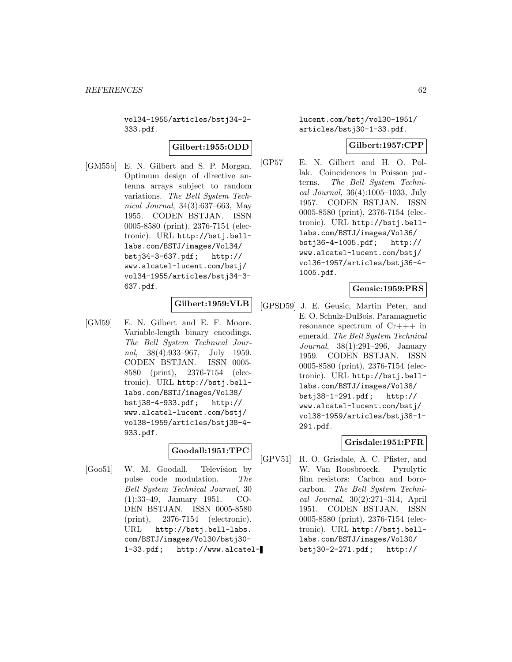vol34-1955/articles/bstj34-2- 333.pdf.

### **Gilbert:1955:ODD**

[GM55b] E. N. Gilbert and S. P. Morgan. Optimum design of directive antenna arrays subject to random variations. The Bell System Technical Journal, 34(3):637–663, May 1955. CODEN BSTJAN. ISSN 0005-8580 (print), 2376-7154 (electronic). URL http://bstj.belllabs.com/BSTJ/images/Vol34/ bstj34-3-637.pdf; http:// www.alcatel-lucent.com/bstj/ vol34-1955/articles/bstj34-3- 637.pdf.

# **Gilbert:1959:VLB**

[GM59] E. N. Gilbert and E. F. Moore. Variable-length binary encodings. The Bell System Technical Journal, 38(4):933–967, July 1959. CODEN BSTJAN. ISSN 0005- 8580 (print), 2376-7154 (electronic). URL http://bstj.belllabs.com/BSTJ/images/Vol38/ bstj38-4-933.pdf; http:// www.alcatel-lucent.com/bstj/ vol38-1959/articles/bstj38-4- 933.pdf.

# **Goodall:1951:TPC**

[Goo51] W. M. Goodall. Television by pulse code modulation. The Bell System Technical Journal, 30 (1):33–49, January 1951. CO-DEN BSTJAN. ISSN 0005-8580 (print), 2376-7154 (electronic). URL http://bstj.bell-labs. com/BSTJ/images/Vol30/bstj30- 1-33.pdf; http://www.alcatellucent.com/bstj/vol30-1951/ articles/bstj30-1-33.pdf.

### **Gilbert:1957:CPP**

[GP57] E. N. Gilbert and H. O. Pollak. Coincidences in Poisson patterns. The Bell System Technical Journal, 36(4):1005–1033, July 1957. CODEN BSTJAN. ISSN 0005-8580 (print), 2376-7154 (electronic). URL http://bstj.belllabs.com/BSTJ/images/Vol36/ bstj36-4-1005.pdf; http:// www.alcatel-lucent.com/bstj/ vol36-1957/articles/bstj36-4- 1005.pdf.

### **Geusic:1959:PRS**

[GPSD59] J. E. Geusic, Martin Peter, and E. O. Schulz-DuBois. Paramagnetic resonance spectrum of Cr+++ in emerald. The Bell System Technical Journal, 38(1):291–296, January 1959. CODEN BSTJAN. ISSN 0005-8580 (print), 2376-7154 (electronic). URL http://bstj.belllabs.com/BSTJ/images/Vol38/ bstj38-1-291.pdf; http:// www.alcatel-lucent.com/bstj/ vol38-1959/articles/bstj38-1- 291.pdf.

### **Grisdale:1951:PFR**

[GPV51] R. O. Grisdale, A. C. Pfister, and W. Van Roosbroeck. Pyrolytic film resistors: Carbon and borocarbon. The Bell System Technical Journal, 30(2):271–314, April 1951. CODEN BSTJAN. ISSN 0005-8580 (print), 2376-7154 (electronic). URL http://bstj.belllabs.com/BSTJ/images/Vol30/ bstj30-2-271.pdf; http://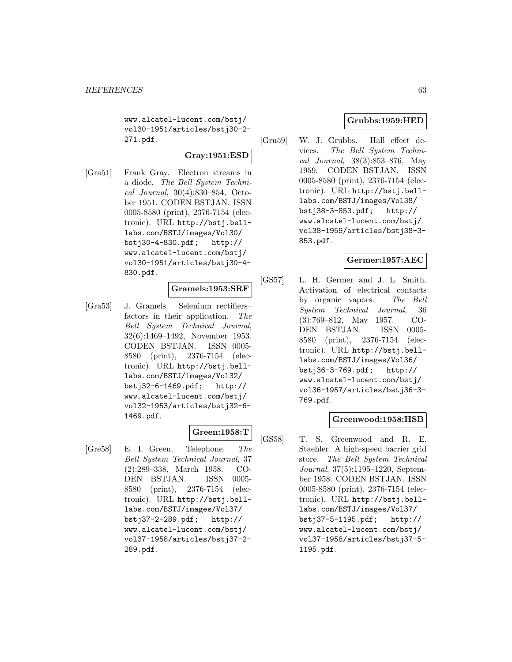www.alcatel-lucent.com/bstj/ vol30-1951/articles/bstj30-2- 271.pdf.

# **Gray:1951:ESD**

[Gra51] Frank Gray. Electron streams in a diode. The Bell System Technical Journal, 30(4):830–854, October 1951. CODEN BSTJAN. ISSN 0005-8580 (print), 2376-7154 (electronic). URL http://bstj.belllabs.com/BSTJ/images/Vol30/ bstj30-4-830.pdf; http:// www.alcatel-lucent.com/bstj/ vol30-1951/articles/bstj30-4- 830.pdf.

### **Gramels:1953:SRF**

[Gra53] J. Gramels. Selenium rectifiers– factors in their application. The Bell System Technical Journal, 32(6):1469–1492, November 1953. CODEN BSTJAN. ISSN 0005- 8580 (print), 2376-7154 (electronic). URL http://bstj.belllabs.com/BSTJ/images/Vol32/ bstj32-6-1469.pdf; http:// www.alcatel-lucent.com/bstj/ vol32-1953/articles/bstj32-6- 1469.pdf.

# **Green:1958:T**

[Gre58] E. I. Green. Telephone. The Bell System Technical Journal, 37 (2):289–338, March 1958. CO-DEN BSTJAN. ISSN 0005- 8580 (print), 2376-7154 (electronic). URL http://bstj.belllabs.com/BSTJ/images/Vol37/ bstj37-2-289.pdf; http:// www.alcatel-lucent.com/bstj/ vol37-1958/articles/bstj37-2- 289.pdf.

## **Grubbs:1959:HED**

[Gru59] W. J. Grubbs. Hall effect devices. The Bell System Technical Journal, 38(3):853–876, May 1959. CODEN BSTJAN. ISSN 0005-8580 (print), 2376-7154 (electronic). URL http://bstj.belllabs.com/BSTJ/images/Vol38/ bstj38-3-853.pdf; http:// www.alcatel-lucent.com/bstj/ vol38-1959/articles/bstj38-3- 853.pdf.

### **Germer:1957:AEC**

[GS57] L. H. Germer and J. L. Smith. Activation of electrical contacts by organic vapors. The Bell System Technical Journal, 36 (3):769–812, May 1957. CO-DEN BSTJAN. ISSN 0005- 8580 (print), 2376-7154 (electronic). URL http://bstj.belllabs.com/BSTJ/images/Vol36/ bstj36-3-769.pdf; http:// www.alcatel-lucent.com/bstj/ vol36-1957/articles/bstj36-3- 769.pdf.

### **Greenwood:1958:HSB**

[GS58] T. S. Greenwood and R. E. Staehler. A high-speed barrier grid store. The Bell System Technical Journal, 37(5):1195–1220, September 1958. CODEN BSTJAN. ISSN 0005-8580 (print), 2376-7154 (electronic). URL http://bstj.belllabs.com/BSTJ/images/Vol37/ bstj37-5-1195.pdf; http:// www.alcatel-lucent.com/bstj/ vol37-1958/articles/bstj37-5- 1195.pdf.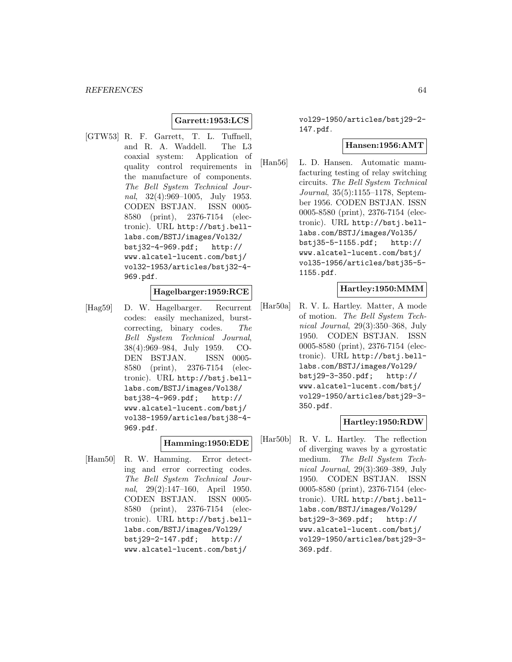## **Garrett:1953:LCS**

[GTW53] R. F. Garrett, T. L. Tuffnell, and R. A. Waddell. The L3 coaxial system: Application of quality control requirements in the manufacture of components. The Bell System Technical Journal, 32(4):969–1005, July 1953. CODEN BSTJAN. ISSN 0005- 8580 (print), 2376-7154 (electronic). URL http://bstj.belllabs.com/BSTJ/images/Vol32/ bstj32-4-969.pdf; http:// www.alcatel-lucent.com/bstj/ vol32-1953/articles/bstj32-4- 969.pdf.

### **Hagelbarger:1959:RCE**

[Hag59] D. W. Hagelbarger. Recurrent codes: easily mechanized, burstcorrecting, binary codes. The Bell System Technical Journal, 38(4):969–984, July 1959. CO-DEN BSTJAN. ISSN 0005- 8580 (print), 2376-7154 (electronic). URL http://bstj.belllabs.com/BSTJ/images/Vol38/ bstj38-4-969.pdf; http:// www.alcatel-lucent.com/bstj/ vol38-1959/articles/bstj38-4- 969.pdf.

#### **Hamming:1950:EDE**

[Ham50] R. W. Hamming. Error detecting and error correcting codes. The Bell System Technical Journal, 29(2):147–160, April 1950. CODEN BSTJAN. ISSN 0005- 8580 (print), 2376-7154 (electronic). URL http://bstj.belllabs.com/BSTJ/images/Vol29/ bstj29-2-147.pdf; http:// www.alcatel-lucent.com/bstj/

vol29-1950/articles/bstj29-2- 147.pdf.

#### **Hansen:1956:AMT**

[Han56] L. D. Hansen. Automatic manufacturing testing of relay switching circuits. The Bell System Technical Journal, 35(5):1155–1178, September 1956. CODEN BSTJAN. ISSN 0005-8580 (print), 2376-7154 (electronic). URL http://bstj.belllabs.com/BSTJ/images/Vol35/ bstj35-5-1155.pdf; http:// www.alcatel-lucent.com/bstj/ vol35-1956/articles/bstj35-5- 1155.pdf.

### **Hartley:1950:MMM**

[Har50a] R. V. L. Hartley. Matter, A mode of motion. The Bell System Technical Journal, 29(3):350–368, July 1950. CODEN BSTJAN. ISSN 0005-8580 (print), 2376-7154 (electronic). URL http://bstj.belllabs.com/BSTJ/images/Vol29/ bstj29-3-350.pdf; http:// www.alcatel-lucent.com/bstj/ vol29-1950/articles/bstj29-3- 350.pdf.

#### **Hartley:1950:RDW**

[Har50b] R. V. L. Hartley. The reflection of diverging waves by a gyrostatic medium. The Bell System Technical Journal, 29(3):369–389, July 1950. CODEN BSTJAN. ISSN 0005-8580 (print), 2376-7154 (electronic). URL http://bstj.belllabs.com/BSTJ/images/Vol29/ bstj29-3-369.pdf; http:// www.alcatel-lucent.com/bstj/ vol29-1950/articles/bstj29-3- 369.pdf.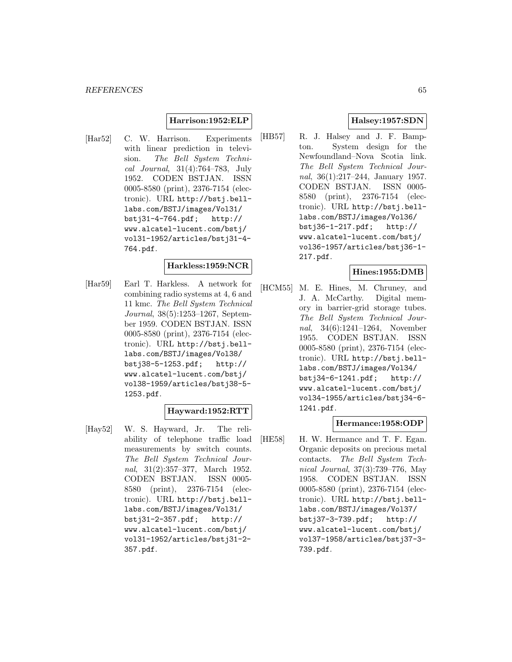### **Harrison:1952:ELP**

[Har52] C. W. Harrison. Experiments with linear prediction in television. The Bell System Technical Journal, 31(4):764–783, July 1952. CODEN BSTJAN. ISSN 0005-8580 (print), 2376-7154 (electronic). URL http://bstj.belllabs.com/BSTJ/images/Vol31/ bstj31-4-764.pdf; http:// www.alcatel-lucent.com/bstj/ vol31-1952/articles/bstj31-4- 764.pdf.

### **Harkless:1959:NCR**

[Har59] Earl T. Harkless. A network for combining radio systems at 4, 6 and 11 kmc. The Bell System Technical Journal, 38(5):1253–1267, September 1959. CODEN BSTJAN. ISSN 0005-8580 (print), 2376-7154 (electronic). URL http://bstj.belllabs.com/BSTJ/images/Vol38/ bstj38-5-1253.pdf; http:// www.alcatel-lucent.com/bstj/ vol38-1959/articles/bstj38-5- 1253.pdf.

#### **Hayward:1952:RTT**

[Hay52] W. S. Hayward, Jr. The reliability of telephone traffic load measurements by switch counts. The Bell System Technical Journal, 31(2):357–377, March 1952. CODEN BSTJAN. ISSN 0005- 8580 (print), 2376-7154 (electronic). URL http://bstj.belllabs.com/BSTJ/images/Vol31/ bstj31-2-357.pdf; http:// www.alcatel-lucent.com/bstj/ vol31-1952/articles/bstj31-2- 357.pdf.

### **Halsey:1957:SDN**

[HB57] R. J. Halsey and J. F. Bampton. System design for the Newfoundland–Nova Scotia link. The Bell System Technical Journal, 36(1):217–244, January 1957. CODEN BSTJAN. ISSN 0005- 8580 (print), 2376-7154 (electronic). URL http://bstj.belllabs.com/BSTJ/images/Vol36/ bstj36-1-217.pdf; http:// www.alcatel-lucent.com/bstj/ vol36-1957/articles/bstj36-1- 217.pdf.

#### **Hines:1955:DMB**

[HCM55] M. E. Hines, M. Chruney, and J. A. McCarthy. Digital memory in barrier-grid storage tubes. The Bell System Technical Journal, 34(6):1241–1264, November 1955. CODEN BSTJAN. ISSN 0005-8580 (print), 2376-7154 (electronic). URL http://bstj.belllabs.com/BSTJ/images/Vol34/ bstj34-6-1241.pdf; http:// www.alcatel-lucent.com/bstj/ vol34-1955/articles/bstj34-6- 1241.pdf.

### **Hermance:1958:ODP**

[HE58] H. W. Hermance and T. F. Egan. Organic deposits on precious metal contacts. The Bell System Technical Journal, 37(3):739–776, May 1958. CODEN BSTJAN. ISSN 0005-8580 (print), 2376-7154 (electronic). URL http://bstj.belllabs.com/BSTJ/images/Vol37/ bstj37-3-739.pdf; http:// www.alcatel-lucent.com/bstj/ vol37-1958/articles/bstj37-3- 739.pdf.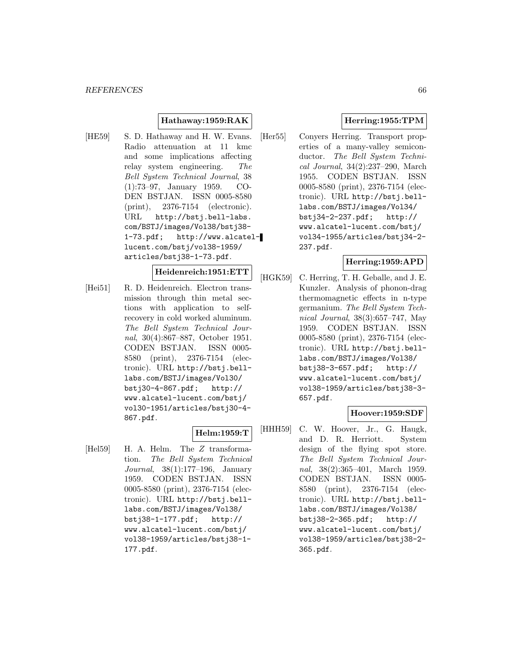## **Hathaway:1959:RAK**

[HE59] S. D. Hathaway and H. W. Evans. Radio attenuation at 11 kmc and some implications affecting relay system engineering. The Bell System Technical Journal, 38 (1):73–97, January 1959. CO-DEN BSTJAN. ISSN 0005-8580 (print), 2376-7154 (electronic). URL http://bstj.bell-labs. com/BSTJ/images/Vol38/bstj38- 1-73.pdf; http://www.alcatellucent.com/bstj/vol38-1959/ articles/bstj38-1-73.pdf.

### **Heidenreich:1951:ETT**

[Hei51] R. D. Heidenreich. Electron transmission through thin metal sections with application to selfrecovery in cold worked aluminum. The Bell System Technical Journal, 30(4):867–887, October 1951. CODEN BSTJAN. ISSN 0005- 8580 (print), 2376-7154 (electronic). URL http://bstj.belllabs.com/BSTJ/images/Vol30/ bstj30-4-867.pdf; http:// www.alcatel-lucent.com/bstj/ vol30-1951/articles/bstj30-4- 867.pdf.

### **Helm:1959:T**

[Hel59] H. A. Helm. The Z transformation. The Bell System Technical Journal, 38(1):177–196, January 1959. CODEN BSTJAN. ISSN 0005-8580 (print), 2376-7154 (electronic). URL http://bstj.belllabs.com/BSTJ/images/Vol38/<br>bstj38-1-177.pdf; http://  $bstj38-1-177.pdf;$ www.alcatel-lucent.com/bstj/ vol38-1959/articles/bstj38-1- 177.pdf.

# **Herring:1955:TPM**

[Her55] Conyers Herring. Transport properties of a many-valley semiconductor. The Bell System Technical Journal, 34(2):237–290, March 1955. CODEN BSTJAN. ISSN 0005-8580 (print), 2376-7154 (electronic). URL http://bstj.belllabs.com/BSTJ/images/Vol34/ bstj34-2-237.pdf; http:// www.alcatel-lucent.com/bstj/ vol34-1955/articles/bstj34-2- 237.pdf.

### **Herring:1959:APD**

[HGK59] C. Herring, T. H. Geballe, and J. E. Kunzler. Analysis of phonon-drag thermomagnetic effects in n-type germanium. The Bell System Technical Journal, 38(3):657–747, May 1959. CODEN BSTJAN. ISSN 0005-8580 (print), 2376-7154 (electronic). URL http://bstj.belllabs.com/BSTJ/images/Vol38/ bstj38-3-657.pdf; http:// www.alcatel-lucent.com/bstj/ vol38-1959/articles/bstj38-3- 657.pdf.

# **Hoover:1959:SDF**

[HHH59] C. W. Hoover, Jr., G. Haugk, and D. R. Herriott. System design of the flying spot store. The Bell System Technical Journal, 38(2):365–401, March 1959. CODEN BSTJAN. ISSN 0005- 8580 (print), 2376-7154 (electronic). URL http://bstj.belllabs.com/BSTJ/images/Vol38/ bstj38-2-365.pdf; http:// www.alcatel-lucent.com/bstj/ vol38-1959/articles/bstj38-2- 365.pdf.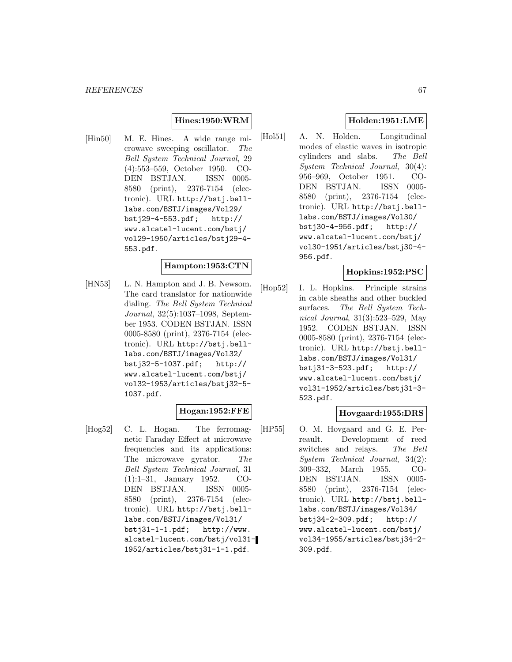## **Hines:1950:WRM**

[Hin50] M. E. Hines. A wide range microwave sweeping oscillator. The Bell System Technical Journal, 29 (4):553–559, October 1950. CO-DEN BSTJAN. ISSN 0005- 8580 (print), 2376-7154 (electronic). URL http://bstj.belllabs.com/BSTJ/images/Vol29/ bstj29-4-553.pdf; http:// www.alcatel-lucent.com/bstj/ vol29-1950/articles/bstj29-4- 553.pdf.

### **Hampton:1953:CTN**

[HN53] L. N. Hampton and J. B. Newsom. The card translator for nationwide dialing. The Bell System Technical Journal, 32(5):1037–1098, September 1953. CODEN BSTJAN. ISSN 0005-8580 (print), 2376-7154 (electronic). URL http://bstj.belllabs.com/BSTJ/images/Vol32/ bstj32-5-1037.pdf; http:// www.alcatel-lucent.com/bstj/ vol32-1953/articles/bstj32-5- 1037.pdf.

# **Hogan:1952:FFE**

[Hog52] C. L. Hogan. The ferromagnetic Faraday Effect at microwave frequencies and its applications: The microwave gyrator. The Bell System Technical Journal, 31 (1):1–31, January 1952. CO-DEN BSTJAN. ISSN 0005- 8580 (print), 2376-7154 (electronic). URL http://bstj.belllabs.com/BSTJ/images/Vol31/ bstj31-1-1.pdf; http://www. alcatel-lucent.com/bstj/vol31- 1952/articles/bstj31-1-1.pdf.

# **Holden:1951:LME**

[Hol51] A. N. Holden. Longitudinal modes of elastic waves in isotropic cylinders and slabs. The Bell System Technical Journal, 30(4): 956–969, October 1951. CO-DEN BSTJAN. ISSN 0005- 8580 (print), 2376-7154 (electronic). URL http://bstj.belllabs.com/BSTJ/images/Vol30/ bstj30-4-956.pdf; http:// www.alcatel-lucent.com/bstj/ vol30-1951/articles/bstj30-4- 956.pdf.

### **Hopkins:1952:PSC**

[Hop52] I. L. Hopkins. Principle strains in cable sheaths and other buckled surfaces. The Bell System Technical Journal, 31(3):523–529, May 1952. CODEN BSTJAN. ISSN 0005-8580 (print), 2376-7154 (electronic). URL http://bstj.belllabs.com/BSTJ/images/Vol31/ bstj31-3-523.pdf; http:// www.alcatel-lucent.com/bstj/ vol31-1952/articles/bstj31-3- 523.pdf.

# **Hovgaard:1955:DRS**

[HP55] O. M. Hovgaard and G. E. Perreault. Development of reed switches and relays. The Bell System Technical Journal, 34(2): 309–332, March 1955. CO-DEN BSTJAN. ISSN 0005- 8580 (print), 2376-7154 (electronic). URL http://bstj.belllabs.com/BSTJ/images/Vol34/ bstj34-2-309.pdf; http:// www.alcatel-lucent.com/bstj/ vol34-1955/articles/bstj34-2- 309.pdf.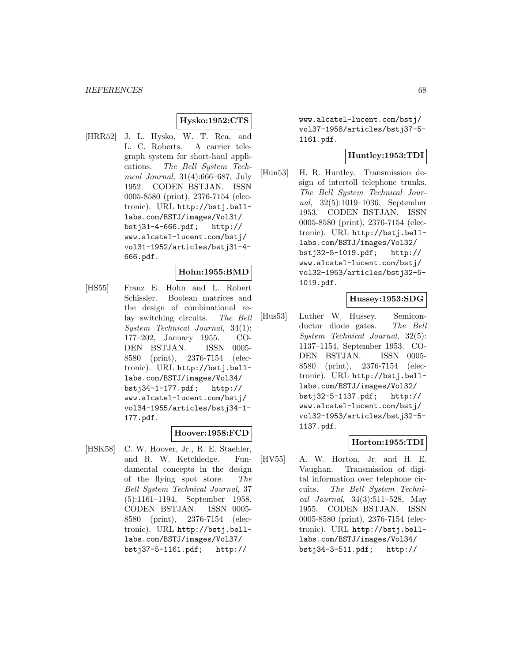### **Hysko:1952:CTS**

[HRR52] J. L. Hysko, W. T. Rea, and L. C. Roberts. A carrier telegraph system for short-haul applications. The Bell System Technical Journal, 31(4):666–687, July 1952. CODEN BSTJAN. ISSN 0005-8580 (print), 2376-7154 (electronic). URL http://bstj.belllabs.com/BSTJ/images/Vol31/ bstj31-4-666.pdf; http:// www.alcatel-lucent.com/bstj/ vol31-1952/articles/bstj31-4- 666.pdf.

### **Hohn:1955:BMD**

[HS55] Franz E. Hohn and L. Robert Schissler. Boolean matrices and the design of combinational relay switching circuits. The Bell System Technical Journal, 34(1): 177–202, January 1955. CO-DEN BSTJAN. ISSN 0005- 8580 (print), 2376-7154 (electronic). URL http://bstj.belllabs.com/BSTJ/images/Vol34/ bstj34-1-177.pdf; http:// www.alcatel-lucent.com/bstj/ vol34-1955/articles/bstj34-1- 177.pdf.

### **Hoover:1958:FCD**

[HSK58] C. W. Hoover, Jr., R. E. Staehler, and R. W. Ketchledge. Fundamental concepts in the design of the flying spot store. The Bell System Technical Journal, 37 (5):1161–1194, September 1958. CODEN BSTJAN. ISSN 0005- 8580 (print), 2376-7154 (electronic). URL http://bstj.belllabs.com/BSTJ/images/Vol37/ bstj37-5-1161.pdf; http://

www.alcatel-lucent.com/bstj/ vol37-1958/articles/bstj37-5- 1161.pdf.

# **Huntley:1953:TDI**

[Hun53] H. R. Huntley. Transmission design of intertoll telephone trunks. The Bell System Technical Journal, 32(5):1019–1036, September 1953. CODEN BSTJAN. ISSN 0005-8580 (print), 2376-7154 (electronic). URL http://bstj.belllabs.com/BSTJ/images/Vol32/ bstj32-5-1019.pdf; http:// www.alcatel-lucent.com/bstj/ vol32-1953/articles/bstj32-5- 1019.pdf.

### **Hussey:1953:SDG**

[Hus53] Luther W. Hussey. Semiconductor diode gates. The Bell System Technical Journal, 32(5): 1137–1154, September 1953. CO-DEN BSTJAN. ISSN 0005- 8580 (print), 2376-7154 (electronic). URL http://bstj.belllabs.com/BSTJ/images/Vol32/ bstj32-5-1137.pdf; http:// www.alcatel-lucent.com/bstj/ vol32-1953/articles/bstj32-5- 1137.pdf.

### **Horton:1955:TDI**

[HV55] A. W. Horton, Jr. and H. E. Vaughan. Transmission of digital information over telephone circuits. The Bell System Technical Journal, 34(3):511–528, May 1955. CODEN BSTJAN. ISSN 0005-8580 (print), 2376-7154 (electronic). URL http://bstj.belllabs.com/BSTJ/images/Vol34/ bstj34-3-511.pdf; http://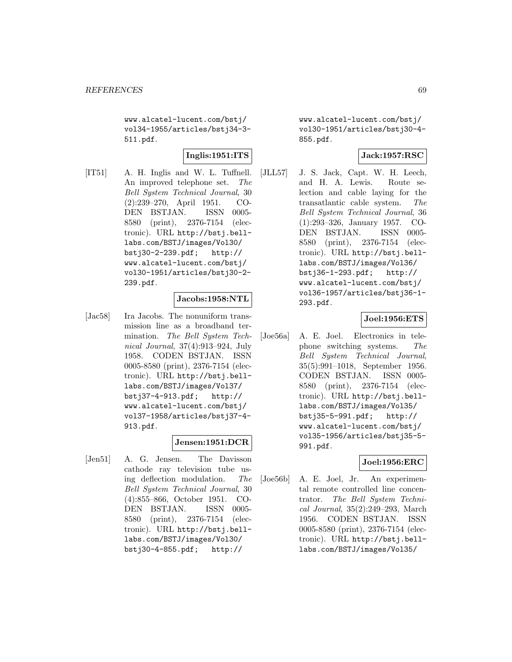www.alcatel-lucent.com/bstj/ vol34-1955/articles/bstj34-3- 511.pdf.

# **Inglis:1951:ITS**

[IT51] A. H. Inglis and W. L. Tuffnell. An improved telephone set. The Bell System Technical Journal, 30 (2):239–270, April 1951. CO-DEN BSTJAN. ISSN 0005- 8580 (print), 2376-7154 (electronic). URL http://bstj.belllabs.com/BSTJ/images/Vol30/ bstj30-2-239.pdf; http:// www.alcatel-lucent.com/bstj/ vol30-1951/articles/bstj30-2- 239.pdf.

### **Jacobs:1958:NTL**

[Jac58] Ira Jacobs. The nonuniform transmission line as a broadband termination. The Bell System Technical Journal, 37(4):913–924, July 1958. CODEN BSTJAN. ISSN 0005-8580 (print), 2376-7154 (electronic). URL http://bstj.belllabs.com/BSTJ/images/Vol37/ bstj37-4-913.pdf; http:// www.alcatel-lucent.com/bstj/ vol37-1958/articles/bstj37-4- 913.pdf.

### **Jensen:1951:DCR**

[Jen51] A. G. Jensen. The Davisson cathode ray television tube using deflection modulation. The Bell System Technical Journal, 30 (4):855–866, October 1951. CO-DEN BSTJAN. ISSN 0005- 8580 (print), 2376-7154 (electronic). URL http://bstj.belllabs.com/BSTJ/images/Vol30/ bstj30-4-855.pdf; http://

www.alcatel-lucent.com/bstj/ vol30-1951/articles/bstj30-4- 855.pdf.

### **Jack:1957:RSC**

[JLL57] J. S. Jack, Capt. W. H. Leech, and H. A. Lewis. Route selection and cable laying for the transatlantic cable system. The Bell System Technical Journal, 36 (1):293–326, January 1957. CO-DEN BSTJAN. ISSN 0005- 8580 (print), 2376-7154 (electronic). URL http://bstj.belllabs.com/BSTJ/images/Vol36/ bstj36-1-293.pdf; http:// www.alcatel-lucent.com/bstj/ vol36-1957/articles/bstj36-1- 293.pdf.

### **Joel:1956:ETS**

[Joe56a] A. E. Joel. Electronics in telephone switching systems. The Bell System Technical Journal, 35(5):991–1018, September 1956. CODEN BSTJAN. ISSN 0005- 8580 (print), 2376-7154 (electronic). URL http://bstj.belllabs.com/BSTJ/images/Vol35/ bstj35-5-991.pdf; http:// www.alcatel-lucent.com/bstj/ vol35-1956/articles/bstj35-5- 991.pdf.

### **Joel:1956:ERC**

[Joe56b] A. E. Joel, Jr. An experimental remote controlled line concentrator. The Bell System Technical Journal, 35(2):249–293, March 1956. CODEN BSTJAN. ISSN 0005-8580 (print), 2376-7154 (electronic). URL http://bstj.belllabs.com/BSTJ/images/Vol35/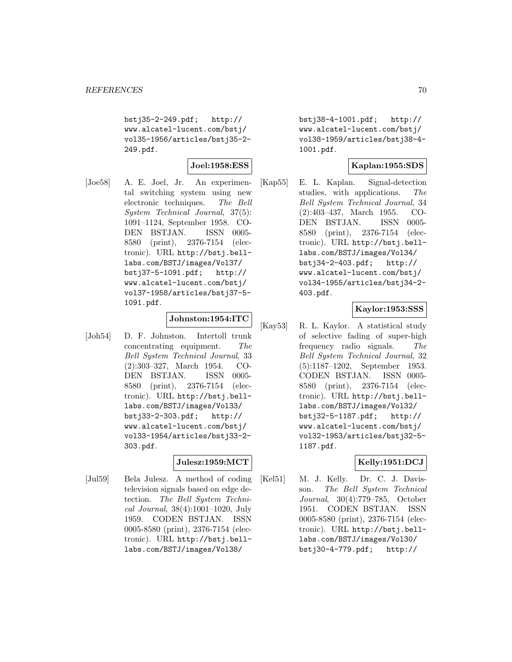bstj35-2-249.pdf; http:// www.alcatel-lucent.com/bstj/ vol35-1956/articles/bstj35-2- 249.pdf.

**Joel:1958:ESS**

[Joe58] A. E. Joel, Jr. An experimental switching system using new electronic techniques. The Bell System Technical Journal, 37(5): 1091–1124, September 1958. CO-DEN BSTJAN. ISSN 0005- 8580 (print), 2376-7154 (electronic). URL http://bstj.belllabs.com/BSTJ/images/Vol37/ bstj37-5-1091.pdf; http:// www.alcatel-lucent.com/bstj/ vol37-1958/articles/bstj37-5- 1091.pdf.

### **Johnston:1954:ITC**

[Joh54] D. F. Johnston. Intertoll trunk concentrating equipment. The Bell System Technical Journal, 33 (2):303–327, March 1954. CO-DEN BSTJAN. ISSN 0005- 8580 (print), 2376-7154 (electronic). URL http://bstj.belllabs.com/BSTJ/images/Vol33/ bstj33-2-303.pdf; http:// www.alcatel-lucent.com/bstj/ vol33-1954/articles/bstj33-2- 303.pdf.

# **Julesz:1959:MCT**

[Jul59] Bela Julesz. A method of coding television signals based on edge detection. The Bell System Technical Journal, 38(4):1001–1020, July 1959. CODEN BSTJAN. ISSN 0005-8580 (print), 2376-7154 (electronic). URL http://bstj.belllabs.com/BSTJ/images/Vol38/

bstj38-4-1001.pdf; http:// www.alcatel-lucent.com/bstj/ vol38-1959/articles/bstj38-4- 1001.pdf.

### **Kaplan:1955:SDS**

[Kap55] E. L. Kaplan. Signal-detection studies, with applications. The Bell System Technical Journal, 34 (2):403–437, March 1955. CO-DEN BSTJAN. ISSN 0005- 8580 (print), 2376-7154 (electronic). URL http://bstj.belllabs.com/BSTJ/images/Vol34/ bstj34-2-403.pdf; http:// www.alcatel-lucent.com/bstj/ vol34-1955/articles/bstj34-2- 403.pdf.

### **Kaylor:1953:SSS**

[Kay53] R. L. Kaylor. A statistical study of selective fading of super-high frequency radio signals. The Bell System Technical Journal, 32 (5):1187–1202, September 1953. CODEN BSTJAN. ISSN 0005- 8580 (print), 2376-7154 (electronic). URL http://bstj.belllabs.com/BSTJ/images/Vol32/ bstj32-5-1187.pdf; http:// www.alcatel-lucent.com/bstj/ vol32-1953/articles/bstj32-5- 1187.pdf.

### **Kelly:1951:DCJ**

[Kel51] M. J. Kelly. Dr. C. J. Davisson. The Bell System Technical Journal, 30(4):779–785, October 1951. CODEN BSTJAN. ISSN 0005-8580 (print), 2376-7154 (electronic). URL http://bstj.belllabs.com/BSTJ/images/Vol30/ bstj30-4-779.pdf; http://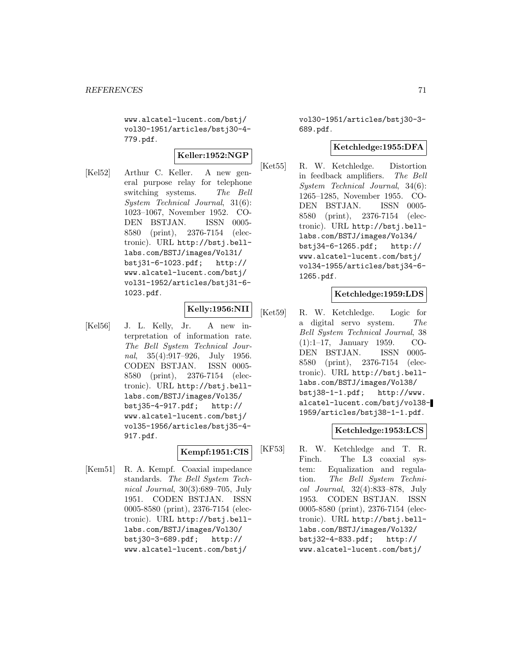www.alcatel-lucent.com/bstj/ vol30-1951/articles/bstj30-4- 779.pdf.

# **Keller:1952:NGP**

[Kel52] Arthur C. Keller. A new general purpose relay for telephone switching systems. The Bell System Technical Journal, 31(6): 1023–1067, November 1952. CO-DEN BSTJAN. ISSN 0005- 8580 (print), 2376-7154 (electronic). URL http://bstj.belllabs.com/BSTJ/images/Vol31/ bstj31-6-1023.pdf; http:// www.alcatel-lucent.com/bstj/ vol31-1952/articles/bstj31-6- 1023.pdf.

# **Kelly:1956:NII**

[Kel56] J. L. Kelly, Jr. A new interpretation of information rate. The Bell System Technical Journal, 35(4):917–926, July 1956. CODEN BSTJAN. ISSN 0005- 8580 (print), 2376-7154 (electronic). URL http://bstj.belllabs.com/BSTJ/images/Vol35/ bstj35-4-917.pdf; http:// www.alcatel-lucent.com/bstj/ vol35-1956/articles/bstj35-4- 917.pdf.

# **Kempf:1951:CIS**

[Kem51] R. A. Kempf. Coaxial impedance standards. The Bell System Technical Journal, 30(3):689–705, July 1951. CODEN BSTJAN. ISSN 0005-8580 (print), 2376-7154 (electronic). URL http://bstj.belllabs.com/BSTJ/images/Vol30/ bstj30-3-689.pdf; http:// www.alcatel-lucent.com/bstj/

vol30-1951/articles/bstj30-3- 689.pdf.

### **Ketchledge:1955:DFA**

[Ket55] R. W. Ketchledge. Distortion in feedback amplifiers. The Bell System Technical Journal, 34(6): 1265–1285, November 1955. CO-DEN BSTJAN. ISSN 0005- 8580 (print), 2376-7154 (electronic). URL http://bstj.belllabs.com/BSTJ/images/Vol34/ bstj34-6-1265.pdf; http:// www.alcatel-lucent.com/bstj/ vol34-1955/articles/bstj34-6- 1265.pdf.

### **Ketchledge:1959:LDS**

[Ket59] R. W. Ketchledge. Logic for a digital servo system. The Bell System Technical Journal, 38 (1):1–17, January 1959. CO-DEN BSTJAN. ISSN 0005- 8580 (print), 2376-7154 (electronic). URL http://bstj.belllabs.com/BSTJ/images/Vol38/ bstj38-1-1.pdf; http://www. alcatel-lucent.com/bstj/vol38- 1959/articles/bstj38-1-1.pdf.

### **Ketchledge:1953:LCS**

[KF53] R. W. Ketchledge and T. R. Finch. The L3 coaxial system: Equalization and regulation. The Bell System Technical Journal, 32(4):833–878, July 1953. CODEN BSTJAN. ISSN 0005-8580 (print), 2376-7154 (electronic). URL http://bstj.belllabs.com/BSTJ/images/Vol32/ bstj32-4-833.pdf; http:// www.alcatel-lucent.com/bstj/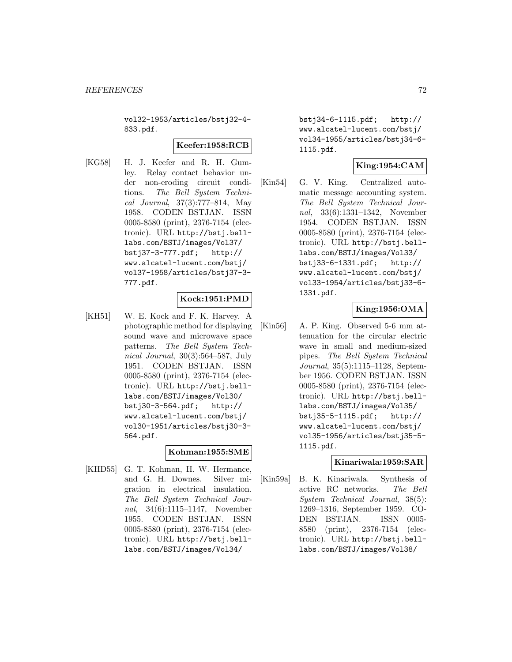vol32-1953/articles/bstj32-4- 833.pdf.

### **Keefer:1958:RCB**

[KG58] H. J. Keefer and R. H. Gumley. Relay contact behavior under non-eroding circuit conditions. The Bell System Technical Journal, 37(3):777–814, May 1958. CODEN BSTJAN. ISSN 0005-8580 (print), 2376-7154 (electronic). URL http://bstj.belllabs.com/BSTJ/images/Vol37/ bstj37-3-777.pdf; http:// www.alcatel-lucent.com/bstj/ vol37-1958/articles/bstj37-3- 777.pdf.

# **Kock:1951:PMD**

[KH51] W. E. Kock and F. K. Harvey. A photographic method for displaying sound wave and microwave space patterns. The Bell System Technical Journal, 30(3):564–587, July 1951. CODEN BSTJAN. ISSN 0005-8580 (print), 2376-7154 (electronic). URL http://bstj.belllabs.com/BSTJ/images/Vol30/ bstj30-3-564.pdf; http:// www.alcatel-lucent.com/bstj/ vol30-1951/articles/bstj30-3- 564.pdf.

### **Kohman:1955:SME**

[KHD55] G. T. Kohman, H. W. Hermance, and G. H. Downes. Silver migration in electrical insulation. The Bell System Technical Journal, 34(6):1115–1147, November 1955. CODEN BSTJAN. ISSN 0005-8580 (print), 2376-7154 (electronic). URL http://bstj.belllabs.com/BSTJ/images/Vol34/

bstj34-6-1115.pdf; http:// www.alcatel-lucent.com/bstj/ vol34-1955/articles/bstj34-6- 1115.pdf.

# **King:1954:CAM**

[Kin54] G. V. King. Centralized automatic message accounting system. The Bell System Technical Journal, 33(6):1331–1342, November 1954. CODEN BSTJAN. ISSN 0005-8580 (print), 2376-7154 (electronic). URL http://bstj.belllabs.com/BSTJ/images/Vol33/ bstj33-6-1331.pdf; http:// www.alcatel-lucent.com/bstj/ vol33-1954/articles/bstj33-6- 1331.pdf.

# **King:1956:OMA**

[Kin56] A. P. King. Observed 5-6 mm attenuation for the circular electric wave in small and medium-sized pipes. The Bell System Technical Journal, 35(5):1115–1128, September 1956. CODEN BSTJAN. ISSN 0005-8580 (print), 2376-7154 (electronic). URL http://bstj.belllabs.com/BSTJ/images/Vol35/ bstj35-5-1115.pdf; http:// www.alcatel-lucent.com/bstj/ vol35-1956/articles/bstj35-5- 1115.pdf.

### **Kinariwala:1959:SAR**

[Kin59a] B. K. Kinariwala. Synthesis of active RC networks. The Bell System Technical Journal, 38(5): 1269–1316, September 1959. CO-DEN BSTJAN. ISSN 0005- 8580 (print), 2376-7154 (electronic). URL http://bstj.belllabs.com/BSTJ/images/Vol38/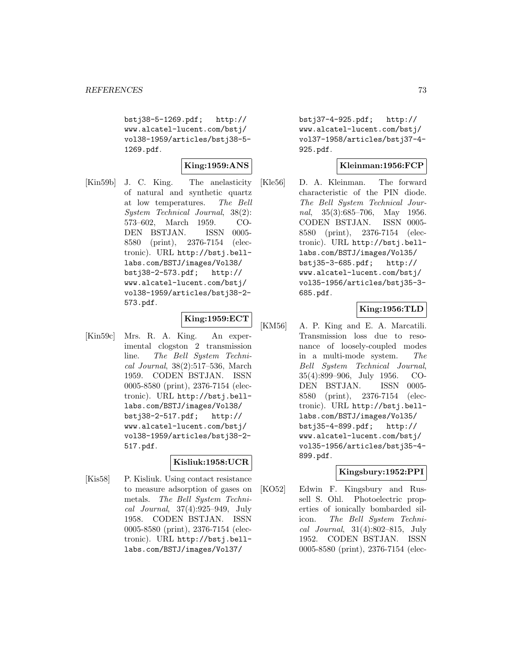bstj38-5-1269.pdf; http:// www.alcatel-lucent.com/bstj/ vol38-1959/articles/bstj38-5- 1269.pdf.

### **King:1959:ANS**

[Kin59b] J. C. King. The anelasticity of natural and synthetic quartz at low temperatures. The Bell System Technical Journal, 38(2): 573–602, March 1959. CO-DEN BSTJAN. ISSN 0005- 8580 (print), 2376-7154 (electronic). URL http://bstj.belllabs.com/BSTJ/images/Vol38/ bstj38-2-573.pdf; http:// www.alcatel-lucent.com/bstj/ vol38-1959/articles/bstj38-2- 573.pdf.

# **King:1959:ECT**

[Kin59c] Mrs. R. A. King. An experimental clogston 2 transmission line. The Bell System Technical Journal, 38(2):517–536, March 1959. CODEN BSTJAN. ISSN 0005-8580 (print), 2376-7154 (electronic). URL http://bstj.belllabs.com/BSTJ/images/Vol38/ bstj38-2-517.pdf; http:// www.alcatel-lucent.com/bstj/ vol38-1959/articles/bstj38-2- 517.pdf.

# **Kisliuk:1958:UCR**

[Kis58] P. Kisliuk. Using contact resistance to measure adsorption of gases on metals. The Bell System Technical Journal, 37(4):925–949, July 1958. CODEN BSTJAN. ISSN 0005-8580 (print), 2376-7154 (electronic). URL http://bstj.belllabs.com/BSTJ/images/Vol37/

bstj37-4-925.pdf; http:// www.alcatel-lucent.com/bstj/ vol37-1958/articles/bstj37-4- 925.pdf.

### **Kleinman:1956:FCP**

[Kle56] D. A. Kleinman. The forward characteristic of the PIN diode. The Bell System Technical Journal, 35(3):685–706, May 1956. CODEN BSTJAN. ISSN 0005- 8580 (print), 2376-7154 (electronic). URL http://bstj.belllabs.com/BSTJ/images/Vol35/ bstj35-3-685.pdf; http:// www.alcatel-lucent.com/bstj/ vol35-1956/articles/bstj35-3- 685.pdf.

### **King:1956:TLD**

[KM56] A. P. King and E. A. Marcatili. Transmission loss due to resonance of loosely-coupled modes in a multi-mode system. The Bell System Technical Journal, 35(4):899–906, July 1956. CO-DEN BSTJAN. ISSN 0005- 8580 (print), 2376-7154 (electronic). URL http://bstj.belllabs.com/BSTJ/images/Vol35/ bstj35-4-899.pdf; http:// www.alcatel-lucent.com/bstj/ vol35-1956/articles/bstj35-4- 899.pdf.

### **Kingsbury:1952:PPI**

[KO52] Edwin F. Kingsbury and Russell S. Ohl. Photoelectric properties of ionically bombarded silicon. The Bell System Technical Journal, 31(4):802–815, July 1952. CODEN BSTJAN. ISSN 0005-8580 (print), 2376-7154 (elec-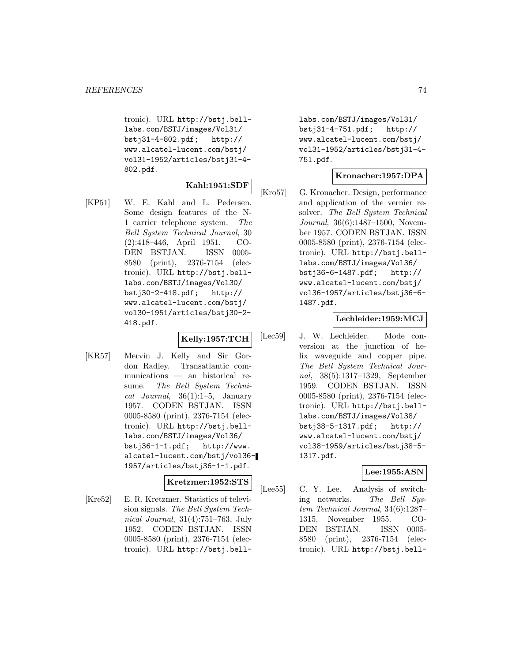tronic). URL http://bstj.belllabs.com/BSTJ/images/Vol31/ bstj31-4-802.pdf; http:// www.alcatel-lucent.com/bstj/ vol31-1952/articles/bstj31-4- 802.pdf.

# **Kahl:1951:SDF**

[KP51] W. E. Kahl and L. Pedersen. Some design features of the N-1 carrier telephone system. The Bell System Technical Journal, 30 (2):418–446, April 1951. CO-DEN BSTJAN. ISSN 0005- 8580 (print), 2376-7154 (electronic). URL http://bstj.belllabs.com/BSTJ/images/Vol30/ bstj30-2-418.pdf; http:// www.alcatel-lucent.com/bstj/ vol30-1951/articles/bstj30-2- 418.pdf.

# **Kelly:1957:TCH**

[KR57] Mervin J. Kelly and Sir Gordon Radley. Transatlantic communications — an historical resume. The Bell System Technical Journal,  $36(1):1-5$ , January 1957. CODEN BSTJAN. ISSN 0005-8580 (print), 2376-7154 (electronic). URL http://bstj.belllabs.com/BSTJ/images/Vol36/ bstj36-1-1.pdf; http://www. alcatel-lucent.com/bstj/vol36- 1957/articles/bstj36-1-1.pdf.

### **Kretzmer:1952:STS**

[Kre52] E. R. Kretzmer. Statistics of television signals. The Bell System Technical Journal, 31(4):751–763, July 1952. CODEN BSTJAN. ISSN 0005-8580 (print), 2376-7154 (electronic). URL http://bstj.belllabs.com/BSTJ/images/Vol31/ bstj31-4-751.pdf; http:// www.alcatel-lucent.com/bstj/ vol31-1952/articles/bstj31-4- 751.pdf.

### **Kronacher:1957:DPA**

[Kro57] G. Kronacher. Design, performance and application of the vernier resolver. The Bell System Technical Journal, 36(6):1487–1500, November 1957. CODEN BSTJAN. ISSN 0005-8580 (print), 2376-7154 (electronic). URL http://bstj.belllabs.com/BSTJ/images/Vol36/ bstj36-6-1487.pdf; http:// www.alcatel-lucent.com/bstj/ vol36-1957/articles/bstj36-6- 1487.pdf.

#### **Lechleider:1959:MCJ**

[Lec59] J. W. Lechleider. Mode conversion at the junction of helix waveguide and copper pipe. The Bell System Technical Journal, 38(5):1317–1329, September 1959. CODEN BSTJAN. ISSN 0005-8580 (print), 2376-7154 (electronic). URL http://bstj.belllabs.com/BSTJ/images/Vol38/ bstj38-5-1317.pdf; http:// www.alcatel-lucent.com/bstj/ vol38-1959/articles/bstj38-5- 1317.pdf.

### **Lee:1955:ASN**

[Lee55] C. Y. Lee. Analysis of switching networks. The Bell System Technical Journal, 34(6):1287– 1315, November 1955. CO-DEN BSTJAN. ISSN 0005- 8580 (print), 2376-7154 (electronic). URL http://bstj.bell-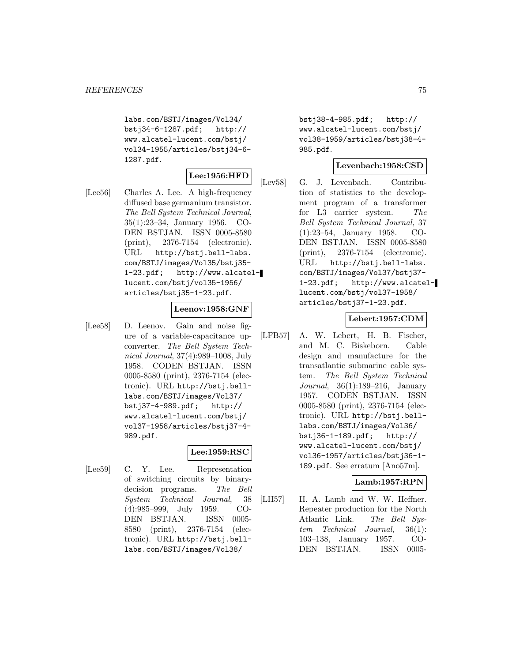labs.com/BSTJ/images/Vol34/ bstj34-6-1287.pdf; http:// www.alcatel-lucent.com/bstj/ vol34-1955/articles/bstj34-6- 1287.pdf.

# **Lee:1956:HFD**

[Lee56] Charles A. Lee. A high-frequency diffused base germanium transistor. The Bell System Technical Journal, 35(1):23–34, January 1956. CO-DEN BSTJAN. ISSN 0005-8580 (print), 2376-7154 (electronic). URL http://bstj.bell-labs. com/BSTJ/images/Vol35/bstj35- 1-23.pdf; http://www.alcatellucent.com/bstj/vol35-1956/ articles/bstj35-1-23.pdf.

### **Leenov:1958:GNF**

[Lee58] D. Leenov. Gain and noise figure of a variable-capacitance upconverter. The Bell System Technical Journal, 37(4):989–1008, July 1958. CODEN BSTJAN. ISSN 0005-8580 (print), 2376-7154 (electronic). URL http://bstj.belllabs.com/BSTJ/images/Vol37/ bstj37-4-989.pdf; http:// www.alcatel-lucent.com/bstj/ vol37-1958/articles/bstj37-4- 989.pdf.

### **Lee:1959:RSC**

[Lee59] C. Y. Lee. Representation of switching circuits by binarydecision programs. The Bell System Technical Journal, 38 (4):985–999, July 1959. CO-DEN BSTJAN. ISSN 0005- 8580 (print), 2376-7154 (electronic). URL http://bstj.belllabs.com/BSTJ/images/Vol38/

bstj38-4-985.pdf; http:// www.alcatel-lucent.com/bstj/ vol38-1959/articles/bstj38-4- 985.pdf.

### **Levenbach:1958:CSD**

[Lev58] G. J. Levenbach. Contribution of statistics to the development program of a transformer for L3 carrier system. The Bell System Technical Journal, 37 (1):23–54, January 1958. CO-DEN BSTJAN. ISSN 0005-8580 (print), 2376-7154 (electronic). URL http://bstj.bell-labs. com/BSTJ/images/Vol37/bstj37- 1-23.pdf; http://www.alcatellucent.com/bstj/vol37-1958/ articles/bstj37-1-23.pdf.

### **Lebert:1957:CDM**

[LFB57] A. W. Lebert, H. B. Fischer, and M. C. Biskeborn. Cable design and manufacture for the transatlantic submarine cable system. The Bell System Technical Journal, 36(1):189–216, January 1957. CODEN BSTJAN. ISSN 0005-8580 (print), 2376-7154 (electronic). URL http://bstj.belllabs.com/BSTJ/images/Vol36/ bstj36-1-189.pdf; http:// www.alcatel-lucent.com/bstj/ vol36-1957/articles/bstj36-1- 189.pdf. See erratum [Ano57m].

### **Lamb:1957:RPN**

[LH57] H. A. Lamb and W. W. Heffner. Repeater production for the North Atlantic Link. The Bell System Technical Journal, 36(1): 103–138, January 1957. CO-DEN BSTJAN. ISSN 0005-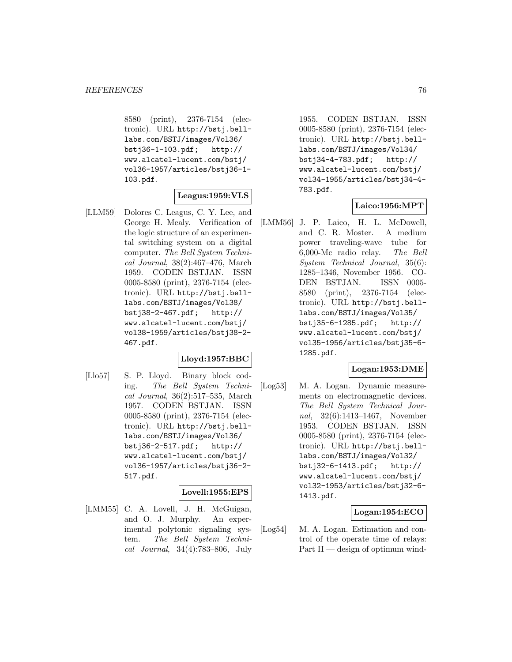8580 (print), 2376-7154 (electronic). URL http://bstj.belllabs.com/BSTJ/images/Vol36/ bstj36-1-103.pdf; http:// www.alcatel-lucent.com/bstj/ vol36-1957/articles/bstj36-1- 103.pdf.

### **Leagus:1959:VLS**

[LLM59] Dolores C. Leagus, C. Y. Lee, and George H. Mealy. Verification of the logic structure of an experimental switching system on a digital computer. The Bell System Technical Journal, 38(2):467–476, March 1959. CODEN BSTJAN. ISSN 0005-8580 (print), 2376-7154 (electronic). URL http://bstj.belllabs.com/BSTJ/images/Vol38/ bstj38-2-467.pdf; http:// www.alcatel-lucent.com/bstj/ vol38-1959/articles/bstj38-2- 467.pdf.

# **Lloyd:1957:BBC**

[Llo57] S. P. Lloyd. Binary block coding. The Bell System Technical Journal, 36(2):517–535, March 1957. CODEN BSTJAN. ISSN 0005-8580 (print), 2376-7154 (electronic). URL http://bstj.belllabs.com/BSTJ/images/Vol36/ bstj36-2-517.pdf; http:// www.alcatel-lucent.com/bstj/ vol36-1957/articles/bstj36-2- 517.pdf.

### **Lovell:1955:EPS**

[LMM55] C. A. Lovell, J. H. McGuigan, and O. J. Murphy. An experimental polytonic signaling system. The Bell System Technical Journal, 34(4):783–806, July

1955. CODEN BSTJAN. ISSN 0005-8580 (print), 2376-7154 (electronic). URL http://bstj.belllabs.com/BSTJ/images/Vol34/ bstj34-4-783.pdf; http:// www.alcatel-lucent.com/bstj/ vol34-1955/articles/bstj34-4- 783.pdf.

### **Laico:1956:MPT**

[LMM56] J. P. Laico, H. L. McDowell, and C. R. Moster. A medium power traveling-wave tube for 6,000-Mc radio relay. The Bell System Technical Journal, 35(6): 1285–1346, November 1956. CO-DEN BSTJAN. ISSN 0005- 8580 (print), 2376-7154 (electronic). URL http://bstj.belllabs.com/BSTJ/images/Vol35/ bstj35-6-1285.pdf; http:// www.alcatel-lucent.com/bstj/ vol35-1956/articles/bstj35-6- 1285.pdf.

### **Logan:1953:DME**

[Log53] M. A. Logan. Dynamic measurements on electromagnetic devices. The Bell System Technical Journal, 32(6):1413–1467, November 1953. CODEN BSTJAN. ISSN 0005-8580 (print), 2376-7154 (electronic). URL http://bstj.belllabs.com/BSTJ/images/Vol32/ bstj32-6-1413.pdf; http:// www.alcatel-lucent.com/bstj/ vol32-1953/articles/bstj32-6- 1413.pdf.

### **Logan:1954:ECO**

[Log54] M. A. Logan. Estimation and control of the operate time of relays: Part II — design of optimum wind-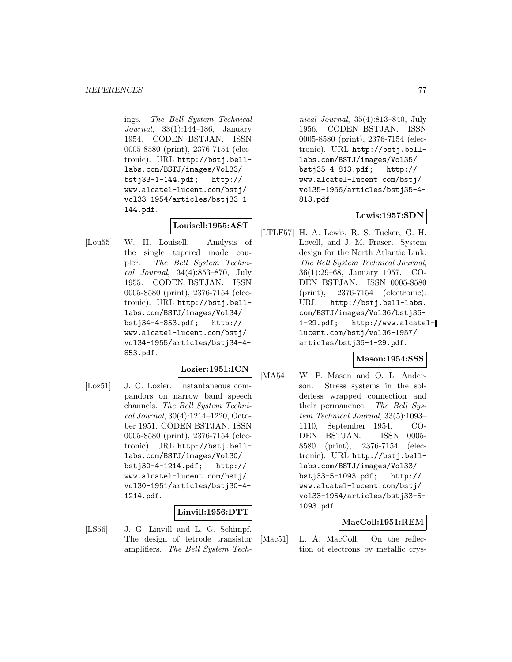ings. The Bell System Technical Journal, 33(1):144–186, January 1954. CODEN BSTJAN. ISSN 0005-8580 (print), 2376-7154 (electronic). URL http://bstj.belllabs.com/BSTJ/images/Vol33/ bstj33-1-144.pdf; http:// www.alcatel-lucent.com/bstj/ vol33-1954/articles/bstj33-1- 144.pdf.

# **Louisell:1955:AST**

[Lou55] W. H. Louisell. Analysis of the single tapered mode coupler. The Bell System Technical Journal, 34(4):853–870, July 1955. CODEN BSTJAN. ISSN 0005-8580 (print), 2376-7154 (electronic). URL http://bstj.belllabs.com/BSTJ/images/Vol34/ bstj34-4-853.pdf; http:// www.alcatel-lucent.com/bstj/ vol34-1955/articles/bstj34-4- 853.pdf.

### **Lozier:1951:ICN**

[Loz51] J. C. Lozier. Instantaneous compandors on narrow band speech channels. The Bell System Technical Journal, 30(4):1214–1220, October 1951. CODEN BSTJAN. ISSN 0005-8580 (print), 2376-7154 (electronic). URL http://bstj.belllabs.com/BSTJ/images/Vol30/ bstj30-4-1214.pdf; http:// www.alcatel-lucent.com/bstj/ vol30-1951/articles/bstj30-4- 1214.pdf.

# **Linvill:1956:DTT**

[LS56] J. G. Linvill and L. G. Schimpf. The design of tetrode transistor amplifiers. The Bell System Tech-

nical Journal, 35(4):813–840, July 1956. CODEN BSTJAN. ISSN 0005-8580 (print), 2376-7154 (electronic). URL http://bstj.belllabs.com/BSTJ/images/Vol35/ bstj35-4-813.pdf; http:// www.alcatel-lucent.com/bstj/ vol35-1956/articles/bstj35-4- 813.pdf.

### **Lewis:1957:SDN**

[LTLF57] H. A. Lewis, R. S. Tucker, G. H. Lovell, and J. M. Fraser. System design for the North Atlantic Link. The Bell System Technical Journal, 36(1):29–68, January 1957. CO-DEN BSTJAN. ISSN 0005-8580 (print), 2376-7154 (electronic). URL http://bstj.bell-labs. com/BSTJ/images/Vol36/bstj36- 1-29.pdf; http://www.alcatellucent.com/bstj/vol36-1957/ articles/bstj36-1-29.pdf.

### **Mason:1954:SSS**

[MA54] W. P. Mason and O. L. Anderson. Stress systems in the solderless wrapped connection and their permanence. The Bell System Technical Journal, 33(5):1093– 1110, September 1954. CO-DEN BSTJAN. ISSN 0005- 8580 (print), 2376-7154 (electronic). URL http://bstj.belllabs.com/BSTJ/images/Vol33/ bstj33-5-1093.pdf; http:// www.alcatel-lucent.com/bstj/ vol33-1954/articles/bstj33-5- 1093.pdf.

### **MacColl:1951:REM**

[Mac51] L. A. MacColl. On the reflection of electrons by metallic crys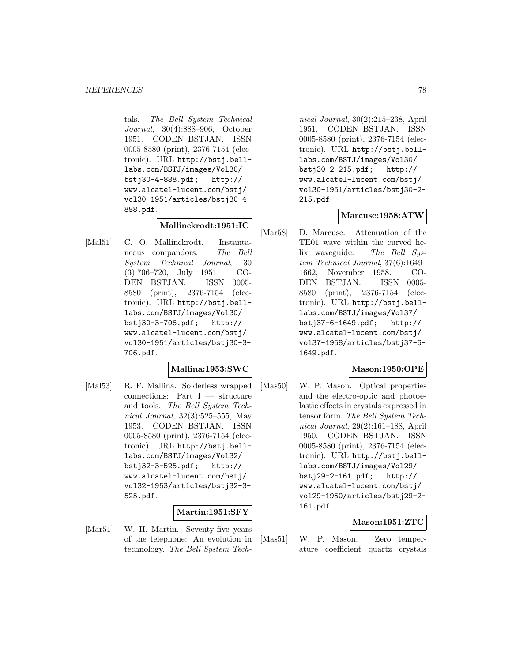tals. The Bell System Technical Journal, 30(4):888–906, October 1951. CODEN BSTJAN. ISSN 0005-8580 (print), 2376-7154 (electronic). URL http://bstj.belllabs.com/BSTJ/images/Vol30/ bstj30-4-888.pdf; http:// www.alcatel-lucent.com/bstj/ vol30-1951/articles/bstj30-4- 888.pdf.

# **Mallinckrodt:1951:IC**

[Mal51] C. O. Mallinckrodt. Instantaneous compandors. The Bell System Technical Journal, 30 (3):706–720, July 1951. CO-DEN BSTJAN. ISSN 0005- 8580 (print), 2376-7154 (electronic). URL http://bstj.belllabs.com/BSTJ/images/Vol30/ bstj30-3-706.pdf; http:// www.alcatel-lucent.com/bstj/ vol30-1951/articles/bstj30-3- 706.pdf.

# **Mallina:1953:SWC**

[Mal53] R. F. Mallina. Solderless wrapped connections: Part I — structure and tools. The Bell System Technical Journal, 32(3):525–555, May 1953. CODEN BSTJAN. ISSN 0005-8580 (print), 2376-7154 (electronic). URL http://bstj.belllabs.com/BSTJ/images/Vol32/ bstj32-3-525.pdf; http:// www.alcatel-lucent.com/bstj/ vol32-1953/articles/bstj32-3- 525.pdf.

# **Martin:1951:SFY**

[Mar51] W. H. Martin. Seventy-five years of the telephone: An evolution in technology. The Bell System Technical Journal, 30(2):215–238, April 1951. CODEN BSTJAN. ISSN 0005-8580 (print), 2376-7154 (electronic). URL http://bstj.belllabs.com/BSTJ/images/Vol30/ bstj30-2-215.pdf; http:// www.alcatel-lucent.com/bstj/ vol30-1951/articles/bstj30-2- 215.pdf.

### **Marcuse:1958:ATW**

[Mar58] D. Marcuse. Attenuation of the TE01 wave within the curved helix waveguide. The Bell System Technical Journal, 37(6):1649– 1662, November 1958. CO-DEN BSTJAN. ISSN 0005- 8580 (print), 2376-7154 (electronic). URL http://bstj.belllabs.com/BSTJ/images/Vol37/ bstj37-6-1649.pdf; http:// www.alcatel-lucent.com/bstj/ vol37-1958/articles/bstj37-6- 1649.pdf.

# **Mason:1950:OPE**

[Mas50] W. P. Mason. Optical properties and the electro-optic and photoelastic effects in crystals expressed in tensor form. The Bell System Technical Journal, 29(2):161–188, April 1950. CODEN BSTJAN. ISSN 0005-8580 (print), 2376-7154 (electronic). URL http://bstj.belllabs.com/BSTJ/images/Vol29/ bstj29-2-161.pdf; http:// www.alcatel-lucent.com/bstj/ vol29-1950/articles/bstj29-2- 161.pdf.

# **Mason:1951:ZTC**

[Mas51] W. P. Mason. Zero temperature coefficient quartz crystals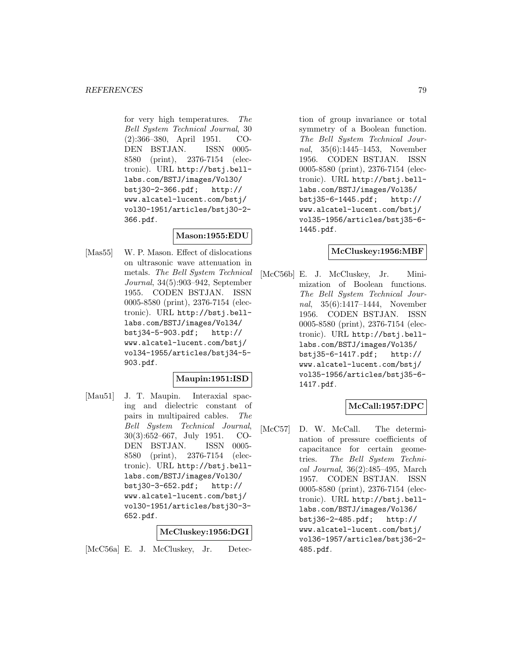for very high temperatures. The Bell System Technical Journal, 30 (2):366–380, April 1951. CO-DEN BSTJAN. ISSN 0005- 8580 (print), 2376-7154 (electronic). URL http://bstj.belllabs.com/BSTJ/images/Vol30/ bstj30-2-366.pdf; http:// www.alcatel-lucent.com/bstj/ vol30-1951/articles/bstj30-2- 366.pdf.

### **Mason:1955:EDU**

[Mas55] W. P. Mason. Effect of dislocations on ultrasonic wave attenuation in metals. The Bell System Technical Journal, 34(5):903–942, September 1955. CODEN BSTJAN. ISSN 0005-8580 (print), 2376-7154 (electronic). URL http://bstj.belllabs.com/BSTJ/images/Vol34/ bstj34-5-903.pdf; http:// www.alcatel-lucent.com/bstj/ vol34-1955/articles/bstj34-5- 903.pdf.

### **Maupin:1951:ISD**

[Mau51] J. T. Maupin. Interaxial spacing and dielectric constant of pairs in multipaired cables. The Bell System Technical Journal, 30(3):652–667, July 1951. CO-DEN BSTJAN. ISSN 0005- 8580 (print), 2376-7154 (electronic). URL http://bstj.belllabs.com/BSTJ/images/Vol30/ bstj30-3-652.pdf; http:// www.alcatel-lucent.com/bstj/ vol30-1951/articles/bstj30-3- 652.pdf.

#### **McCluskey:1956:DGI**

[McC56a] E. J. McCluskey, Jr. Detec-

tion of group invariance or total symmetry of a Boolean function. The Bell System Technical Journal, 35(6):1445–1453, November 1956. CODEN BSTJAN. ISSN 0005-8580 (print), 2376-7154 (electronic). URL http://bstj.belllabs.com/BSTJ/images/Vol35/ bstj35-6-1445.pdf; http:// www.alcatel-lucent.com/bstj/ vol35-1956/articles/bstj35-6- 1445.pdf.

### **McCluskey:1956:MBF**

[McC56b] E. J. McCluskey, Jr. Minimization of Boolean functions. The Bell System Technical Journal, 35(6):1417–1444, November 1956. CODEN BSTJAN. ISSN 0005-8580 (print), 2376-7154 (electronic). URL http://bstj.belllabs.com/BSTJ/images/Vol35/ bstj35-6-1417.pdf; http:// www.alcatel-lucent.com/bstj/ vol35-1956/articles/bstj35-6- 1417.pdf.

### **McCall:1957:DPC**

[McC57] D. W. McCall. The determination of pressure coefficients of capacitance for certain geometries. The Bell System Technical Journal, 36(2):485–495, March 1957. CODEN BSTJAN. ISSN 0005-8580 (print), 2376-7154 (electronic). URL http://bstj.belllabs.com/BSTJ/images/Vol36/ bstj36-2-485.pdf; http:// www.alcatel-lucent.com/bstj/ vol36-1957/articles/bstj36-2- 485.pdf.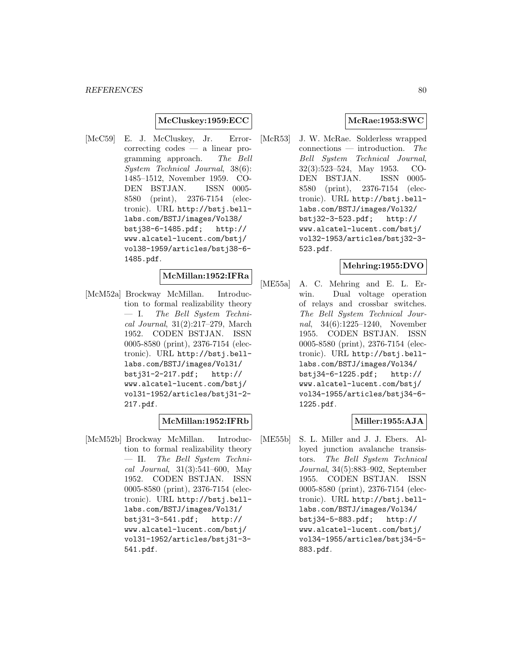### **McCluskey:1959:ECC**

[McC59] E. J. McCluskey, Jr. Errorcorrecting codes — a linear programming approach. The Bell System Technical Journal, 38(6): 1485–1512, November 1959. CO-DEN BSTJAN. ISSN 0005- 8580 (print), 2376-7154 (electronic). URL http://bstj.belllabs.com/BSTJ/images/Vol38/ bstj38-6-1485.pdf; http:// www.alcatel-lucent.com/bstj/ vol38-1959/articles/bstj38-6- 1485.pdf.

# **McMillan:1952:IFRa**

[McM52a] Brockway McMillan. Introduction to formal realizability theory — I. The Bell System Technical Journal, 31(2):217–279, March 1952. CODEN BSTJAN. ISSN 0005-8580 (print), 2376-7154 (electronic). URL http://bstj.belllabs.com/BSTJ/images/Vol31/ bstj31-2-217.pdf; http:// www.alcatel-lucent.com/bstj/ vol31-1952/articles/bstj31-2- 217.pdf.

### **McMillan:1952:IFRb**

[McM52b] Brockway McMillan. Introduction to formal realizability theory — II. The Bell System Technical Journal, 31(3):541–600, May 1952. CODEN BSTJAN. ISSN 0005-8580 (print), 2376-7154 (electronic). URL http://bstj.belllabs.com/BSTJ/images/Vol31/ bstj31-3-541.pdf; http:// www.alcatel-lucent.com/bstj/ vol31-1952/articles/bstj31-3- 541.pdf.

### **McRae:1953:SWC**

[McR53] J. W. McRae. Solderless wrapped connections — introduction. The Bell System Technical Journal, 32(3):523–524, May 1953. CO-DEN BSTJAN. ISSN 0005- 8580 (print), 2376-7154 (electronic). URL http://bstj.belllabs.com/BSTJ/images/Vol32/ bstj32-3-523.pdf; http:// www.alcatel-lucent.com/bstj/ vol32-1953/articles/bstj32-3- 523.pdf.

### **Mehring:1955:DVO**

[ME55a] A. C. Mehring and E. L. Erwin. Dual voltage operation of relays and crossbar switches. The Bell System Technical Journal, 34(6):1225–1240, November 1955. CODEN BSTJAN. ISSN 0005-8580 (print), 2376-7154 (electronic). URL http://bstj.belllabs.com/BSTJ/images/Vol34/ bstj34-6-1225.pdf; http:// www.alcatel-lucent.com/bstj/ vol34-1955/articles/bstj34-6- 1225.pdf.

### **Miller:1955:AJA**

[ME55b] S. L. Miller and J. J. Ebers. Alloyed junction avalanche transistors. The Bell System Technical Journal, 34(5):883–902, September 1955. CODEN BSTJAN. ISSN 0005-8580 (print), 2376-7154 (electronic). URL http://bstj.belllabs.com/BSTJ/images/Vol34/ bstj34-5-883.pdf; http:// www.alcatel-lucent.com/bstj/ vol34-1955/articles/bstj34-5- 883.pdf.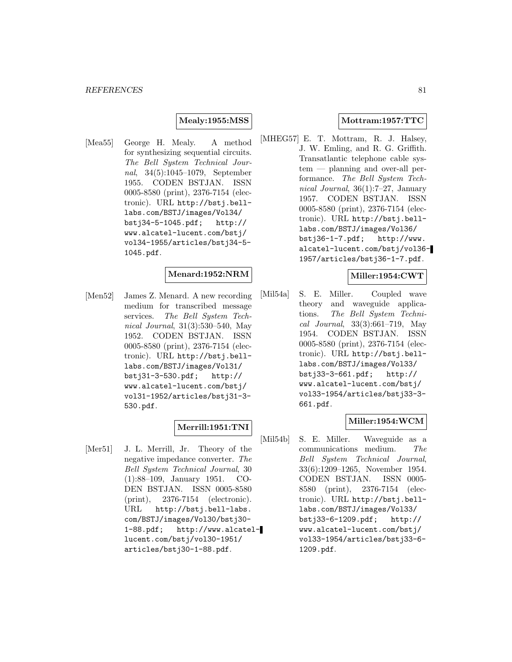### **Mealy:1955:MSS**

[Mea55] George H. Mealy. A method for synthesizing sequential circuits. The Bell System Technical Journal, 34(5):1045–1079, September 1955. CODEN BSTJAN. ISSN 0005-8580 (print), 2376-7154 (electronic). URL http://bstj.belllabs.com/BSTJ/images/Vol34/ bstj34-5-1045.pdf; http:// www.alcatel-lucent.com/bstj/ vol34-1955/articles/bstj34-5- 1045.pdf.

#### **Menard:1952:NRM**

[Men52] James Z. Menard. A new recording medium for transcribed message services. The Bell System Technical Journal, 31(3):530–540, May 1952. CODEN BSTJAN. ISSN 0005-8580 (print), 2376-7154 (electronic). URL http://bstj.belllabs.com/BSTJ/images/Vol31/ bstj31-3-530.pdf; http:// www.alcatel-lucent.com/bstj/ vol31-1952/articles/bstj31-3- 530.pdf.

# **Merrill:1951:TNI**

[Mer51] J. L. Merrill, Jr. Theory of the negative impedance converter. The Bell System Technical Journal, 30 (1):88–109, January 1951. CO-DEN BSTJAN. ISSN 0005-8580 (print), 2376-7154 (electronic). URL http://bstj.bell-labs. com/BSTJ/images/Vol30/bstj30- 1-88.pdf; http://www.alcatellucent.com/bstj/vol30-1951/ articles/bstj30-1-88.pdf.

### **Mottram:1957:TTC**

[MHEG57] E. T. Mottram, R. J. Halsey, J. W. Emling, and R. G. Griffith. Transatlantic telephone cable system — planning and over-all performance. The Bell System Technical Journal, 36(1):7–27, January 1957. CODEN BSTJAN. ISSN 0005-8580 (print), 2376-7154 (electronic). URL http://bstj.belllabs.com/BSTJ/images/Vol36/ bstj36-1-7.pdf; http://www. alcatel-lucent.com/bstj/vol36- 1957/articles/bstj36-1-7.pdf.

### **Miller:1954:CWT**

[Mil54a] S. E. Miller. Coupled wave theory and waveguide applications. The Bell System Technical Journal, 33(3):661–719, May 1954. CODEN BSTJAN. ISSN 0005-8580 (print), 2376-7154 (electronic). URL http://bstj.belllabs.com/BSTJ/images/Vol33/ bstj33-3-661.pdf; http:// www.alcatel-lucent.com/bstj/ vol33-1954/articles/bstj33-3- 661.pdf.

### **Miller:1954:WCM**

[Mil54b] S. E. Miller. Waveguide as a communications medium. The Bell System Technical Journal, 33(6):1209–1265, November 1954. CODEN BSTJAN. ISSN 0005- 8580 (print), 2376-7154 (electronic). URL http://bstj.belllabs.com/BSTJ/images/Vol33/ bstj33-6-1209.pdf; http:// www.alcatel-lucent.com/bstj/ vol33-1954/articles/bstj33-6- 1209.pdf.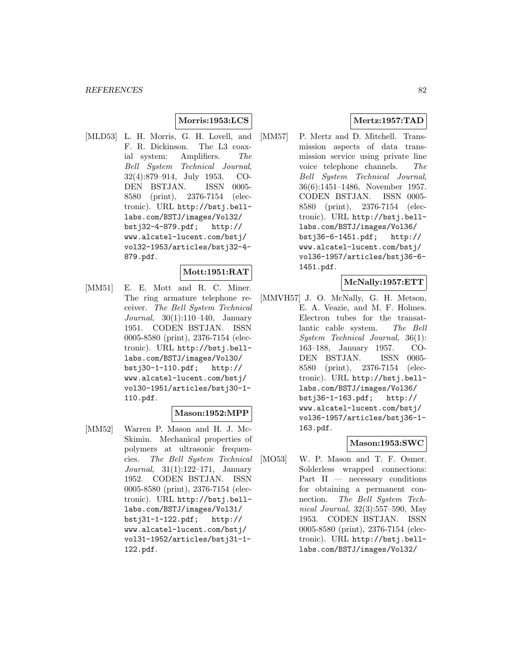### **Morris:1953:LCS**

[MLD53] L. H. Morris, G. H. Lovell, and F. R. Dickinson. The L3 coaxial system: Amplifiers. The Bell System Technical Journal, 32(4):879–914, July 1953. CO-DEN BSTJAN. ISSN 0005- 8580 (print), 2376-7154 (electronic). URL http://bstj.belllabs.com/BSTJ/images/Vol32/ bstj32-4-879.pdf; http:// www.alcatel-lucent.com/bstj/ vol32-1953/articles/bstj32-4- 879.pdf.

#### **Mott:1951:RAT**

[MM51] E. E. Mott and R. C. Miner. The ring armature telephone receiver. The Bell System Technical Journal, 30(1):110–140, January 1951. CODEN BSTJAN. ISSN 0005-8580 (print), 2376-7154 (electronic). URL http://bstj.belllabs.com/BSTJ/images/Vol30/ bstj30-1-110.pdf; http:// www.alcatel-lucent.com/bstj/ vol30-1951/articles/bstj30-1- 110.pdf.

### **Mason:1952:MPP**

[MM52] Warren P. Mason and H. J. Mc-Skimin. Mechanical properties of polymers at ultrasonic frequencies. The Bell System Technical Journal, 31(1):122–171, January 1952. CODEN BSTJAN. ISSN 0005-8580 (print), 2376-7154 (electronic). URL http://bstj.belllabs.com/BSTJ/images/Vol31/ bstj31-1-122.pdf; http:// www.alcatel-lucent.com/bstj/ vol31-1952/articles/bstj31-1- 122.pdf.

# **Mertz:1957:TAD**

[MM57] P. Mertz and D. Mitchell. Transmission aspects of data transmission service using private line voice telephone channels. The Bell System Technical Journal, 36(6):1451–1486, November 1957. CODEN BSTJAN. ISSN 0005- 8580 (print), 2376-7154 (electronic). URL http://bstj.belllabs.com/BSTJ/images/Vol36/ bstj36-6-1451.pdf; http:// www.alcatel-lucent.com/bstj/ vol36-1957/articles/bstj36-6- 1451.pdf.

### **McNally:1957:ETT**

[MMVH57] J. O. McNally, G. H. Metson, E. A. Veazie, and M. F. Holmes. Electron tubes for the transatlantic cable system. The Bell System Technical Journal, 36(1): 163–188, January 1957. CO-DEN BSTJAN. ISSN 0005- 8580 (print), 2376-7154 (electronic). URL http://bstj.belllabs.com/BSTJ/images/Vol36/ bstj36-1-163.pdf; http:// www.alcatel-lucent.com/bstj/ vol36-1957/articles/bstj36-1- 163.pdf.

### **Mason:1953:SWC**

[MO53] W. P. Mason and T. F. Osmer. Solderless wrapped connections: Part  $II$  — necessary conditions for obtaining a permanent connection. The Bell System Technical Journal, 32(3):557–590, May 1953. CODEN BSTJAN. ISSN 0005-8580 (print), 2376-7154 (electronic). URL http://bstj.belllabs.com/BSTJ/images/Vol32/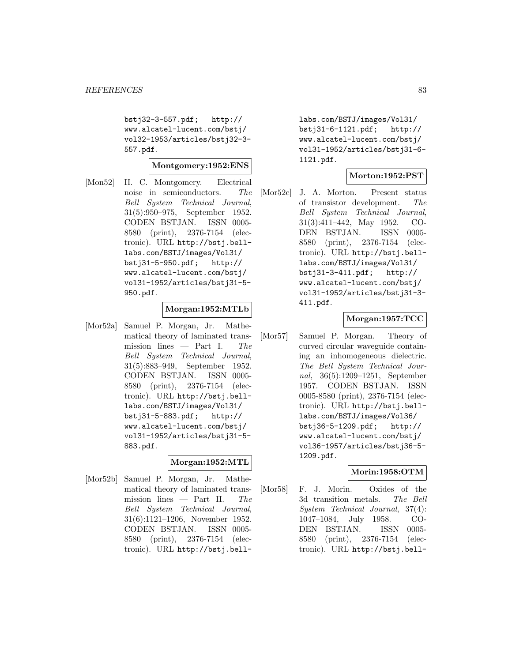bstj32-3-557.pdf; http:// www.alcatel-lucent.com/bstj/ vol32-1953/articles/bstj32-3- 557.pdf.

**Montgomery:1952:ENS**

[Mon52] H. C. Montgomery. Electrical noise in semiconductors. The Bell System Technical Journal, 31(5):950–975, September 1952. CODEN BSTJAN. ISSN 0005- 8580 (print), 2376-7154 (electronic). URL http://bstj.belllabs.com/BSTJ/images/Vol31/ bstj31-5-950.pdf; http:// www.alcatel-lucent.com/bstj/ vol31-1952/articles/bstj31-5- 950.pdf.

### **Morgan:1952:MTLb**

[Mor52a] Samuel P. Morgan, Jr. Mathematical theory of laminated transmission lines  $-$  Part I. The Bell System Technical Journal, 31(5):883–949, September 1952. CODEN BSTJAN. ISSN 0005- 8580 (print), 2376-7154 (electronic). URL http://bstj.belllabs.com/BSTJ/images/Vol31/ bstj31-5-883.pdf; http:// www.alcatel-lucent.com/bstj/ vol31-1952/articles/bstj31-5- 883.pdf.

### **Morgan:1952:MTL**

[Mor52b] Samuel P. Morgan, Jr. Mathematical theory of laminated transmission lines — Part II. The Bell System Technical Journal, 31(6):1121–1206, November 1952. CODEN BSTJAN. ISSN 0005- 8580 (print), 2376-7154 (electronic). URL http://bstj.belllabs.com/BSTJ/images/Vol31/ bstj31-6-1121.pdf; http:// www.alcatel-lucent.com/bstj/ vol31-1952/articles/bstj31-6- 1121.pdf.

### **Morton:1952:PST**

[Mor52c] J. A. Morton. Present status of transistor development. The Bell System Technical Journal, 31(3):411–442, May 1952. CO-DEN BSTJAN. ISSN 0005- 8580 (print), 2376-7154 (electronic). URL http://bstj.belllabs.com/BSTJ/images/Vol31/ bstj31-3-411.pdf; http:// www.alcatel-lucent.com/bstj/ vol31-1952/articles/bstj31-3- 411.pdf.

### **Morgan:1957:TCC**

[Mor57] Samuel P. Morgan. Theory of curved circular waveguide containing an inhomogeneous dielectric. The Bell System Technical Journal, 36(5):1209–1251, September 1957. CODEN BSTJAN. ISSN 0005-8580 (print), 2376-7154 (electronic). URL http://bstj.belllabs.com/BSTJ/images/Vol36/ bstj36-5-1209.pdf; http:// www.alcatel-lucent.com/bstj/ vol36-1957/articles/bstj36-5- 1209.pdf.

# **Morin:1958:OTM**

[Mor58] F. J. Morin. Oxides of the 3d transition metals. The Bell System Technical Journal, 37(4): 1047–1084, July 1958. CO-DEN BSTJAN. ISSN 0005- 8580 (print), 2376-7154 (electronic). URL http://bstj.bell-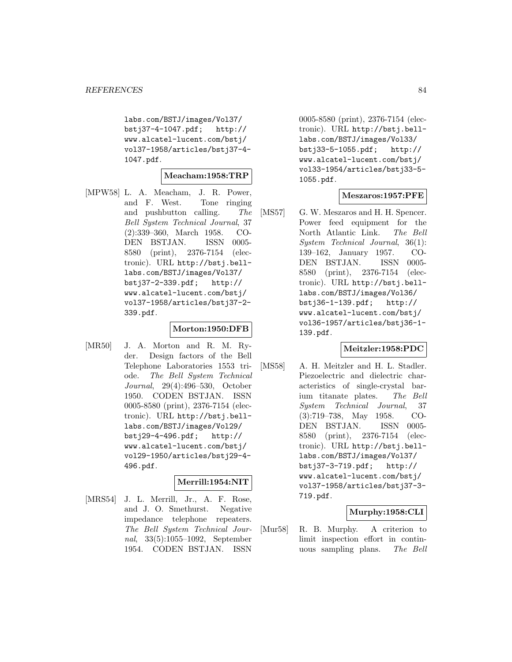labs.com/BSTJ/images/Vol37/ bstj37-4-1047.pdf; http:// www.alcatel-lucent.com/bstj/ vol37-1958/articles/bstj37-4- 1047.pdf.

#### **Meacham:1958:TRP**

[MPW58] L. A. Meacham, J. R. Power, and F. West. Tone ringing and pushbutton calling. The Bell System Technical Journal, 37 (2):339–360, March 1958. CO-DEN BSTJAN. ISSN 0005- 8580 (print), 2376-7154 (electronic). URL http://bstj.belllabs.com/BSTJ/images/Vol37/ bstj37-2-339.pdf; http:// www.alcatel-lucent.com/bstj/ vol37-1958/articles/bstj37-2- 339.pdf.

### **Morton:1950:DFB**

[MR50] J. A. Morton and R. M. Ryder. Design factors of the Bell Telephone Laboratories 1553 triode. The Bell System Technical Journal, 29(4):496–530, October 1950. CODEN BSTJAN. ISSN 0005-8580 (print), 2376-7154 (electronic). URL http://bstj.belllabs.com/BSTJ/images/Vol29/ bstj29-4-496.pdf; http:// www.alcatel-lucent.com/bstj/ vol29-1950/articles/bstj29-4- 496.pdf.

### **Merrill:1954:NIT**

[MRS54] J. L. Merrill, Jr., A. F. Rose, and J. O. Smethurst. Negative impedance telephone repeaters. The Bell System Technical Journal, 33(5):1055–1092, September 1954. CODEN BSTJAN. ISSN

0005-8580 (print), 2376-7154 (electronic). URL http://bstj.belllabs.com/BSTJ/images/Vol33/ bstj33-5-1055.pdf; http:// www.alcatel-lucent.com/bstj/ vol33-1954/articles/bstj33-5- 1055.pdf.

### **Meszaros:1957:PFE**

[MS57] G. W. Meszaros and H. H. Spencer. Power feed equipment for the North Atlantic Link. The Bell System Technical Journal, 36(1): 139–162, January 1957. CO-DEN BSTJAN. ISSN 0005- 8580 (print), 2376-7154 (electronic). URL http://bstj.belllabs.com/BSTJ/images/Vol36/ bstj36-1-139.pdf; http:// www.alcatel-lucent.com/bstj/ vol36-1957/articles/bstj36-1- 139.pdf.

### **Meitzler:1958:PDC**

[MS58] A. H. Meitzler and H. L. Stadler. Piezoelectric and dielectric characteristics of single-crystal barium titanate plates. The Bell System Technical Journal, 37 (3):719–738, May 1958. CO-DEN BSTJAN. ISSN 0005- 8580 (print), 2376-7154 (electronic). URL http://bstj.belllabs.com/BSTJ/images/Vol37/ bstj37-3-719.pdf; http:// www.alcatel-lucent.com/bstj/ vol37-1958/articles/bstj37-3- 719.pdf.

#### **Murphy:1958:CLI**

[Mur58] R. B. Murphy. A criterion to limit inspection effort in continuous sampling plans. The Bell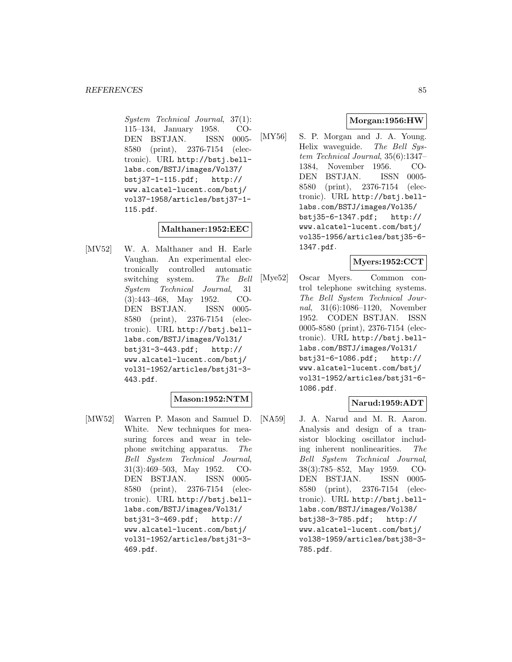System Technical Journal, 37(1): 115–134, January 1958. CO-DEN BSTJAN. ISSN 0005- 8580 (print), 2376-7154 (electronic). URL http://bstj.belllabs.com/BSTJ/images/Vol37/ bstj37-1-115.pdf; http:// www.alcatel-lucent.com/bstj/ vol37-1958/articles/bstj37-1- 115.pdf.

#### **Malthaner:1952:EEC**

[MV52] W. A. Malthaner and H. Earle Vaughan. An experimental electronically controlled automatic switching system. The Bell System Technical Journal, 31 (3):443–468, May 1952. CO-DEN BSTJAN. ISSN 0005- 8580 (print), 2376-7154 (electronic). URL http://bstj.belllabs.com/BSTJ/images/Vol31/ bstj31-3-443.pdf; http:// www.alcatel-lucent.com/bstj/ vol31-1952/articles/bstj31-3- 443.pdf.

# **Mason:1952:NTM**

[MW52] Warren P. Mason and Samuel D. White. New techniques for measuring forces and wear in telephone switching apparatus. The Bell System Technical Journal, 31(3):469–503, May 1952. CO-DEN BSTJAN. ISSN 0005- 8580 (print), 2376-7154 (electronic). URL http://bstj.belllabs.com/BSTJ/images/Vol31/ bstj31-3-469.pdf; http:// www.alcatel-lucent.com/bstj/ vol31-1952/articles/bstj31-3- 469.pdf.

# **Morgan:1956:HW**

[MY56] S. P. Morgan and J. A. Young. Helix waveguide. The Bell System Technical Journal, 35(6):1347– 1384, November 1956. CO-DEN BSTJAN. ISSN 0005- 8580 (print), 2376-7154 (electronic). URL http://bstj.belllabs.com/BSTJ/images/Vol35/ bstj35-6-1347.pdf; http:// www.alcatel-lucent.com/bstj/ vol35-1956/articles/bstj35-6- 1347.pdf.

### **Myers:1952:CCT**

[Mye52] Oscar Myers. Common control telephone switching systems. The Bell System Technical Journal, 31(6):1086–1120, November 1952. CODEN BSTJAN. ISSN 0005-8580 (print), 2376-7154 (electronic). URL http://bstj.belllabs.com/BSTJ/images/Vol31/ bstj31-6-1086.pdf; http:// www.alcatel-lucent.com/bstj/ vol31-1952/articles/bstj31-6- 1086.pdf.

### **Narud:1959:ADT**

[NA59] J. A. Narud and M. R. Aaron. Analysis and design of a transistor blocking oscillator including inherent nonlinearities. The Bell System Technical Journal, 38(3):785–852, May 1959. CO-DEN BSTJAN. ISSN 0005- 8580 (print), 2376-7154 (electronic). URL http://bstj.belllabs.com/BSTJ/images/Vol38/ bstj38-3-785.pdf; http:// www.alcatel-lucent.com/bstj/ vol38-1959/articles/bstj38-3- 785.pdf.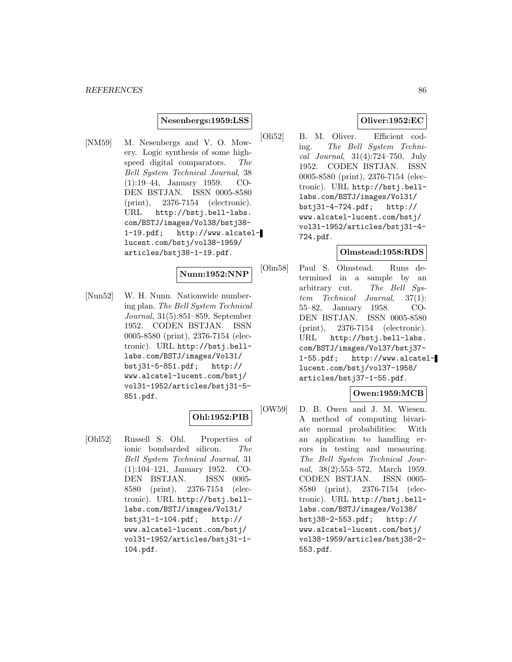#### **Nesenbergs:1959:LSS**

[NM59] M. Nesenbergs and V. O. Mowery. Logic synthesis of some highspeed digital comparators. The Bell System Technical Journal, 38 (1):19–44, January 1959. CO-DEN BSTJAN. ISSN 0005-8580 (print), 2376-7154 (electronic). URL http://bstj.bell-labs. com/BSTJ/images/Vol38/bstj38- 1-19.pdf; http://www.alcatellucent.com/bstj/vol38-1959/ articles/bstj38-1-19.pdf.

**Nunn:1952:NNP**

[Nun52] W. H. Nunn. Nationwide numbering plan. The Bell System Technical Journal, 31(5):851–859, September 1952. CODEN BSTJAN. ISSN 0005-8580 (print), 2376-7154 (electronic). URL http://bstj.belllabs.com/BSTJ/images/Vol31/ bstj31-5-851.pdf; http:// www.alcatel-lucent.com/bstj/ vol31-1952/articles/bstj31-5- 851.pdf.

# **Ohl:1952:PIB**

[Ohl52] Russell S. Ohl. Properties of ionic bombarded silicon. The Bell System Technical Journal, 31 (1):104–121, January 1952. CO-DEN BSTJAN. ISSN 0005- 8580 (print), 2376-7154 (electronic). URL http://bstj.belllabs.com/BSTJ/images/Vol31/ bstj31-1-104.pdf; http:// www.alcatel-lucent.com/bstj/ vol31-1952/articles/bstj31-1- 104.pdf.

### **Oliver:1952:EC**

[Oli52] B. M. Oliver. Efficient coding. The Bell System Technical Journal, 31(4):724–750, July 1952. CODEN BSTJAN. ISSN 0005-8580 (print), 2376-7154 (electronic). URL http://bstj.belllabs.com/BSTJ/images/Vol31/ bstj31-4-724.pdf; http:// www.alcatel-lucent.com/bstj/ vol31-1952/articles/bstj31-4- 724.pdf.

### **Olmstead:1958:RDS**

[Olm58] Paul S. Olmstead. Runs determined in a sample by an arbitrary cut. The Bell System Technical Journal, 37(1): 55–82, January 1958. CO-DEN BSTJAN. ISSN 0005-8580 (print), 2376-7154 (electronic). URL http://bstj.bell-labs. com/BSTJ/images/Vol37/bstj37- 1-55.pdf; http://www.alcatellucent.com/bstj/vol37-1958/ articles/bstj37-1-55.pdf.

### **Owen:1959:MCB**

[OW59] D. B. Owen and J. M. Wiesen. A method of computing bivariate normal probabilities: With an application to handling errors in testing and measuring. The Bell System Technical Journal, 38(2):553–572, March 1959. CODEN BSTJAN. ISSN 0005- 8580 (print), 2376-7154 (electronic). URL http://bstj.belllabs.com/BSTJ/images/Vol38/ bstj38-2-553.pdf; http:// www.alcatel-lucent.com/bstj/ vol38-1959/articles/bstj38-2- 553.pdf.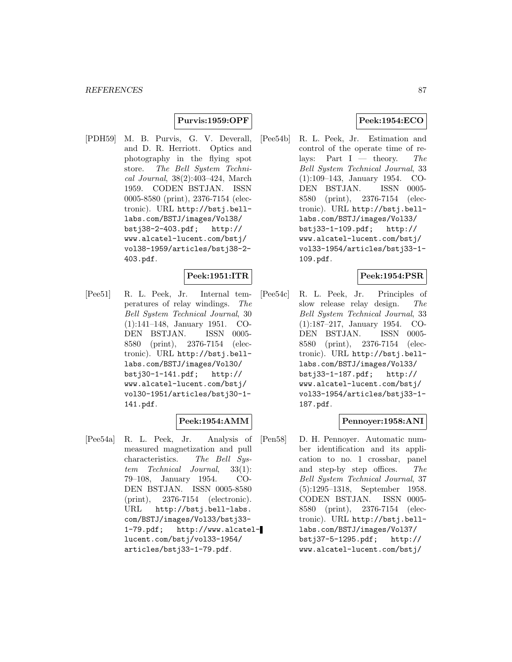### **Purvis:1959:OPF**

[PDH59] M. B. Purvis, G. V. Deverall, and D. R. Herriott. Optics and photography in the flying spot store. The Bell System Technical Journal, 38(2):403–424, March 1959. CODEN BSTJAN. ISSN 0005-8580 (print), 2376-7154 (electronic). URL http://bstj.belllabs.com/BSTJ/images/Vol38/ bstj38-2-403.pdf; http:// www.alcatel-lucent.com/bstj/ vol38-1959/articles/bstj38-2- 403.pdf.

# **Peek:1951:ITR**

[Pee51] R. L. Peek, Jr. Internal temperatures of relay windings. The Bell System Technical Journal, 30 (1):141–148, January 1951. CO-DEN BSTJAN. ISSN 0005- 8580 (print), 2376-7154 (electronic). URL http://bstj.belllabs.com/BSTJ/images/Vol30/ bstj30-1-141.pdf; http:// www.alcatel-lucent.com/bstj/ vol30-1951/articles/bstj30-1- 141.pdf.

# **Peek:1954:AMM**

[Pee54a] R. L. Peek, Jr. Analysis of measured magnetization and pull characteristics. The Bell System Technical Journal, 33(1): 79–108, January 1954. CO-DEN BSTJAN. ISSN 0005-8580 (print), 2376-7154 (electronic). URL http://bstj.bell-labs. com/BSTJ/images/Vol33/bstj33- 1-79.pdf; http://www.alcatellucent.com/bstj/vol33-1954/ articles/bstj33-1-79.pdf.

# **Peek:1954:ECO**

[Pee54b] R. L. Peek, Jr. Estimation and control of the operate time of relays: Part I — theory. The Bell System Technical Journal, 33 (1):109–143, January 1954. CO-DEN BSTJAN. ISSN 0005- 8580 (print), 2376-7154 (electronic). URL http://bstj.belllabs.com/BSTJ/images/Vol33/ bstj33-1-109.pdf; http:// www.alcatel-lucent.com/bstj/ vol33-1954/articles/bstj33-1- 109.pdf.

# **Peek:1954:PSR**

[Pee54c] R. L. Peek, Jr. Principles of slow release relay design. The Bell System Technical Journal, 33 (1):187–217, January 1954. CO-DEN BSTJAN. ISSN 0005- 8580 (print), 2376-7154 (electronic). URL http://bstj.belllabs.com/BSTJ/images/Vol33/ bstj33-1-187.pdf; http:// www.alcatel-lucent.com/bstj/ vol33-1954/articles/bstj33-1- 187.pdf.

### **Pennoyer:1958:ANI**

[Pen58] D. H. Pennoyer. Automatic number identification and its application to no. 1 crossbar, panel and step-by step offices. The Bell System Technical Journal, 37 (5):1295–1318, September 1958. CODEN BSTJAN. ISSN 0005- 8580 (print), 2376-7154 (electronic). URL http://bstj.belllabs.com/BSTJ/images/Vol37/ bstj37-5-1295.pdf; http:// www.alcatel-lucent.com/bstj/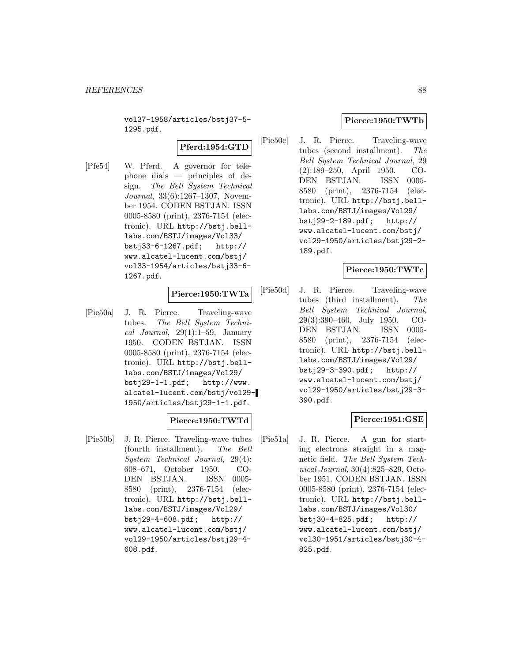vol37-1958/articles/bstj37-5- 1295.pdf.

# **Pferd:1954:GTD**

[Pfe54] W. Pferd. A governor for telephone dials — principles of design. The Bell System Technical Journal, 33(6):1267–1307, November 1954. CODEN BSTJAN. ISSN 0005-8580 (print), 2376-7154 (electronic). URL http://bstj.belllabs.com/BSTJ/images/Vol33/ bstj33-6-1267.pdf; http:// www.alcatel-lucent.com/bstj/ vol33-1954/articles/bstj33-6- 1267.pdf.

#### **Pierce:1950:TWTa**

[Pie50a] J. R. Pierce. Traveling-wave tubes. The Bell System Technical Journal,  $29(1):1-59$ , January 1950. CODEN BSTJAN. ISSN 0005-8580 (print), 2376-7154 (electronic). URL http://bstj.belllabs.com/BSTJ/images/Vol29/ bstj29-1-1.pdf; http://www. alcatel-lucent.com/bstj/vol29- 1950/articles/bstj29-1-1.pdf.

# **Pierce:1950:TWTd**

[Pie50b] J. R. Pierce. Traveling-wave tubes (fourth installment). The Bell System Technical Journal, 29(4): 608–671, October 1950. CO-DEN BSTJAN. ISSN 0005- 8580 (print), 2376-7154 (electronic). URL http://bstj.belllabs.com/BSTJ/images/Vol29/ bstj29-4-608.pdf; http:// www.alcatel-lucent.com/bstj/ vol29-1950/articles/bstj29-4- 608.pdf.

### **Pierce:1950:TWTb**

[Pie50c] J. R. Pierce. Traveling-wave tubes (second installment). The Bell System Technical Journal, 29 (2):189–250, April 1950. CO-DEN BSTJAN. ISSN 0005- 8580 (print), 2376-7154 (electronic). URL http://bstj.belllabs.com/BSTJ/images/Vol29/ bstj29-2-189.pdf; http:// www.alcatel-lucent.com/bstj/ vol29-1950/articles/bstj29-2- 189.pdf.

### **Pierce:1950:TWTc**

[Pie50d] J. R. Pierce. Traveling-wave tubes (third installment). The Bell System Technical Journal, 29(3):390–460, July 1950. CO-DEN BSTJAN. ISSN 0005- 8580 (print), 2376-7154 (electronic). URL http://bstj.belllabs.com/BSTJ/images/Vol29/ bstj29-3-390.pdf; http:// www.alcatel-lucent.com/bstj/ vol29-1950/articles/bstj29-3- 390.pdf.

#### **Pierce:1951:GSE**

[Pie51a] J. R. Pierce. A gun for starting electrons straight in a magnetic field. The Bell System Technical Journal, 30(4):825–829, October 1951. CODEN BSTJAN. ISSN 0005-8580 (print), 2376-7154 (electronic). URL http://bstj.belllabs.com/BSTJ/images/Vol30/ bstj30-4-825.pdf; http:// www.alcatel-lucent.com/bstj/ vol30-1951/articles/bstj30-4- 825.pdf.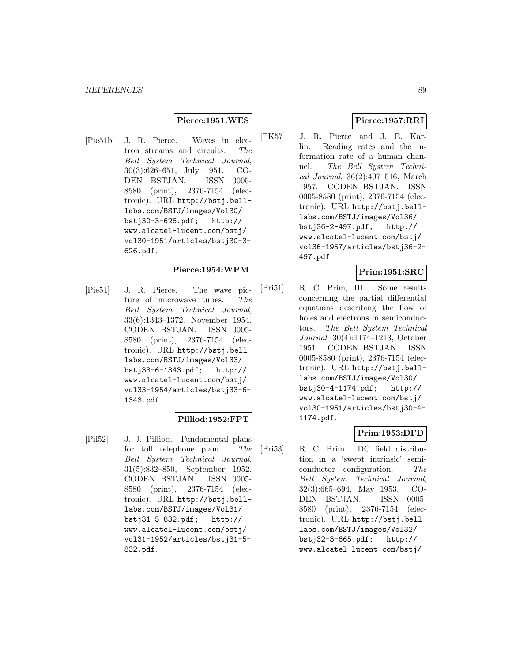### **Pierce:1951:WES**

[Pie51b] J. R. Pierce. Waves in electron streams and circuits. The Bell System Technical Journal, 30(3):626–651, July 1951. CO-DEN BSTJAN. ISSN 0005- 8580 (print), 2376-7154 (electronic). URL http://bstj.belllabs.com/BSTJ/images/Vol30/ bstj30-3-626.pdf; http:// www.alcatel-lucent.com/bstj/ vol30-1951/articles/bstj30-3- 626.pdf.

#### **Pierce:1954:WPM**

[Pie54] J. R. Pierce. The wave picture of microwave tubes. The Bell System Technical Journal, 33(6):1343–1372, November 1954. CODEN BSTJAN. ISSN 0005- 8580 (print), 2376-7154 (electronic). URL http://bstj.belllabs.com/BSTJ/images/Vol33/ bstj33-6-1343.pdf; http:// www.alcatel-lucent.com/bstj/ vol33-1954/articles/bstj33-6- 1343.pdf.

### **Pilliod:1952:FPT**

[Pil52] J. J. Pilliod. Fundamental plans for toll telephone plant. The Bell System Technical Journal, 31(5):832–850, September 1952. CODEN BSTJAN. ISSN 0005- 8580 (print), 2376-7154 (electronic). URL http://bstj.belllabs.com/BSTJ/images/Vol31/ bstj31-5-832.pdf; http:// www.alcatel-lucent.com/bstj/ vol31-1952/articles/bstj31-5- 832.pdf.

### **Pierce:1957:RRI**

[PK57] J. R. Pierce and J. E. Karlin. Reading rates and the information rate of a human channel. The Bell System Technical Journal, 36(2):497–516, March 1957. CODEN BSTJAN. ISSN 0005-8580 (print), 2376-7154 (electronic). URL http://bstj.belllabs.com/BSTJ/images/Vol36/ bstj36-2-497.pdf; http:// www.alcatel-lucent.com/bstj/ vol36-1957/articles/bstj36-2- 497.pdf.

### **Prim:1951:SRC**

[Pri51] R. C. Prim, III. Some results concerning the partial differential equations describing the flow of holes and electrons in semiconductors. The Bell System Technical Journal, 30(4):1174–1213, October 1951. CODEN BSTJAN. ISSN 0005-8580 (print), 2376-7154 (electronic). URL http://bstj.belllabs.com/BSTJ/images/Vol30/ bstj30-4-1174.pdf; http:// www.alcatel-lucent.com/bstj/ vol30-1951/articles/bstj30-4- 1174.pdf.

# **Prim:1953:DFD**

[Pri53] R. C. Prim. DC field distribution in a 'swept intrinsic' semiconductor configuration. The Bell System Technical Journal, 32(3):665–694, May 1953. CO-DEN BSTJAN. ISSN 0005- 8580 (print), 2376-7154 (electronic). URL http://bstj.belllabs.com/BSTJ/images/Vol32/ bstj32-3-665.pdf; http:// www.alcatel-lucent.com/bstj/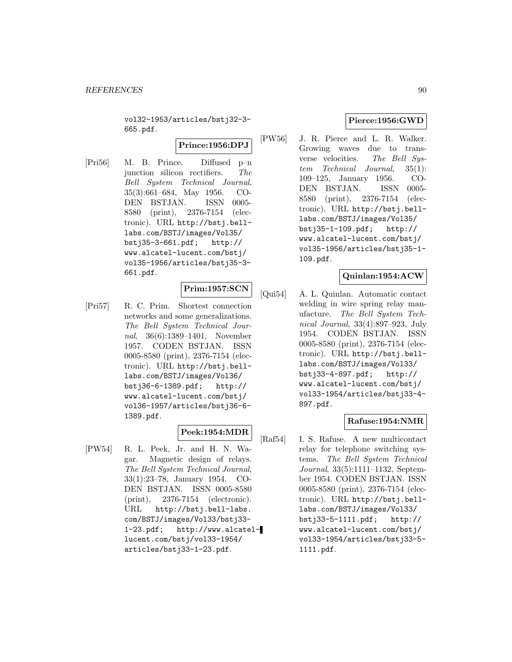vol32-1953/articles/bstj32-3- 665.pdf.

### **Prince:1956:DPJ**

[Pri56] M. B. Prince. Diffused p–n junction silicon rectifiers. The Bell System Technical Journal, 35(3):661–684, May 1956. CO-DEN BSTJAN. ISSN 0005- 8580 (print), 2376-7154 (electronic). URL http://bstj.belllabs.com/BSTJ/images/Vol35/ bstj35-3-661.pdf; http:// www.alcatel-lucent.com/bstj/ vol35-1956/articles/bstj35-3- 661.pdf.

### **Prim:1957:SCN**

[Pri57] R. C. Prim. Shortest connection networks and some generalizations. The Bell System Technical Journal, 36(6):1389–1401, November 1957. CODEN BSTJAN. ISSN 0005-8580 (print), 2376-7154 (electronic). URL http://bstj.belllabs.com/BSTJ/images/Vol36/ bstj36-6-1389.pdf; http:// www.alcatel-lucent.com/bstj/ vol36-1957/articles/bstj36-6- 1389.pdf.

# **Peek:1954:MDR**

[PW54] R. L. Peek, Jr. and H. N. Wagar. Magnetic design of relays. The Bell System Technical Journal, 33(1):23–78, January 1954. CO-DEN BSTJAN. ISSN 0005-8580 (print), 2376-7154 (electronic). URL http://bstj.bell-labs. com/BSTJ/images/Vol33/bstj33- 1-23.pdf; http://www.alcatellucent.com/bstj/vol33-1954/ articles/bstj33-1-23.pdf.

# **Pierce:1956:GWD**

[PW56] J. R. Pierce and L. R. Walker. Growing waves due to transverse velocities. The Bell System Technical Journal, 35(1): 109–125, January 1956. CO-DEN BSTJAN. ISSN 0005- 8580 (print), 2376-7154 (electronic). URL http://bstj.belllabs.com/BSTJ/images/Vol35/ bstj35-1-109.pdf; http:// www.alcatel-lucent.com/bstj/ vol35-1956/articles/bstj35-1- 109.pdf.

# **Quinlan:1954:ACW**

[Qui54] A. L. Quinlan. Automatic contact welding in wire spring relay manufacture. The Bell System Technical Journal, 33(4):897–923, July 1954. CODEN BSTJAN. ISSN 0005-8580 (print), 2376-7154 (electronic). URL http://bstj.belllabs.com/BSTJ/images/Vol33/ bstj33-4-897.pdf; http:// www.alcatel-lucent.com/bstj/ vol33-1954/articles/bstj33-4- 897.pdf.

# **Rafuse:1954:NMR**

[Raf54] I. S. Rafuse. A new multicontact relay for telephone switching systems. The Bell System Technical Journal, 33(5):1111–1132, September 1954. CODEN BSTJAN. ISSN 0005-8580 (print), 2376-7154 (electronic). URL http://bstj.belllabs.com/BSTJ/images/Vol33/ bstj33-5-1111.pdf; http:// www.alcatel-lucent.com/bstj/ vol33-1954/articles/bstj33-5-1111.pdf.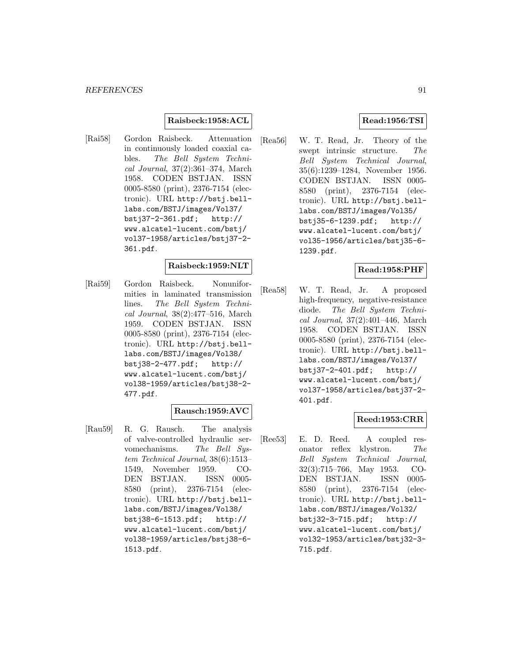### **Raisbeck:1958:ACL**

[Rai58] Gordon Raisbeck. Attenuation in continuously loaded coaxial cables. The Bell System Technical Journal, 37(2):361–374, March 1958. CODEN BSTJAN. ISSN 0005-8580 (print), 2376-7154 (electronic). URL http://bstj.belllabs.com/BSTJ/images/Vol37/ bstj37-2-361.pdf; http:// www.alcatel-lucent.com/bstj/ vol37-1958/articles/bstj37-2- 361.pdf.

### **Raisbeck:1959:NLT**

[Rai59] Gordon Raisbeck. Nonuniformities in laminated transmission lines. The Bell System Technical Journal, 38(2):477–516, March 1959. CODEN BSTJAN. ISSN 0005-8580 (print), 2376-7154 (electronic). URL http://bstj.belllabs.com/BSTJ/images/Vol38/ bstj38-2-477.pdf; http:// www.alcatel-lucent.com/bstj/ vol38-1959/articles/bstj38-2- 477.pdf.

#### **Rausch:1959:AVC**

[Rau59] R. G. Rausch. The analysis of valve-controlled hydraulic servomechanisms. The Bell System Technical Journal, 38(6):1513– 1549, November 1959. CO-DEN BSTJAN. ISSN 0005- 8580 (print), 2376-7154 (electronic). URL http://bstj.belllabs.com/BSTJ/images/Vol38/ bstj38-6-1513.pdf; http:// www.alcatel-lucent.com/bstj/ vol38-1959/articles/bstj38-6- 1513.pdf.

### **Read:1956:TSI**

[Rea56] W. T. Read, Jr. Theory of the swept intrinsic structure. The Bell System Technical Journal, 35(6):1239–1284, November 1956. CODEN BSTJAN. ISSN 0005- 8580 (print), 2376-7154 (electronic). URL http://bstj.belllabs.com/BSTJ/images/Vol35/ bstj35-6-1239.pdf; http:// www.alcatel-lucent.com/bstj/ vol35-1956/articles/bstj35-6- 1239.pdf.

### **Read:1958:PHF**

[Rea58] W. T. Read, Jr. A proposed high-frequency, negative-resistance diode. The Bell System Technical Journal, 37(2):401–446, March 1958. CODEN BSTJAN. ISSN 0005-8580 (print), 2376-7154 (electronic). URL http://bstj.belllabs.com/BSTJ/images/Vol37/ bstj37-2-401.pdf; http:// www.alcatel-lucent.com/bstj/ vol37-1958/articles/bstj37-2- 401.pdf.

#### **Reed:1953:CRR**

[Ree53] E. D. Reed. A coupled resonator reflex klystron. The Bell System Technical Journal, 32(3):715–766, May 1953. CO-DEN BSTJAN. ISSN 0005- 8580 (print), 2376-7154 (electronic). URL http://bstj.belllabs.com/BSTJ/images/Vol32/ bstj32-3-715.pdf; http:// www.alcatel-lucent.com/bstj/ vol32-1953/articles/bstj32-3- 715.pdf.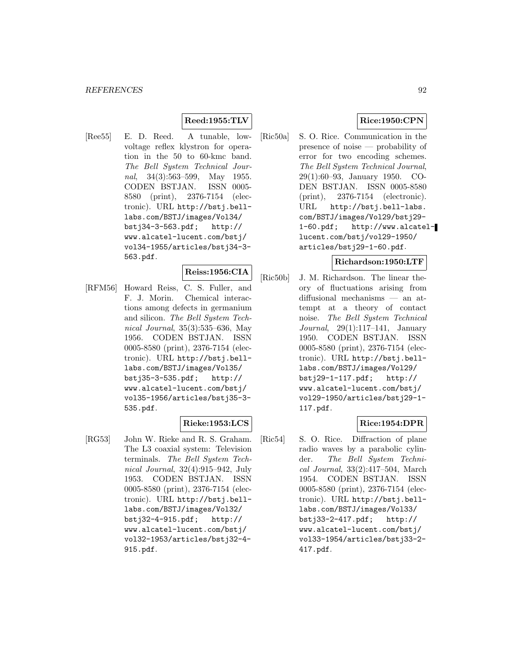### **Reed:1955:TLV**

[Ree55] E. D. Reed. A tunable, lowvoltage reflex klystron for operation in the 50 to 60-kmc band. The Bell System Technical Journal, 34(3):563–599, May 1955. CODEN BSTJAN. ISSN 0005- 8580 (print), 2376-7154 (electronic). URL http://bstj.belllabs.com/BSTJ/images/Vol34/ bstj34-3-563.pdf; http:// www.alcatel-lucent.com/bstj/ vol34-1955/articles/bstj34-3- 563.pdf.

#### **Reiss:1956:CIA**

[RFM56] Howard Reiss, C. S. Fuller, and F. J. Morin. Chemical interactions among defects in germanium and silicon. The Bell System Technical Journal, 35(3):535–636, May 1956. CODEN BSTJAN. ISSN 0005-8580 (print), 2376-7154 (electronic). URL http://bstj.belllabs.com/BSTJ/images/Vol35/ bstj35-3-535.pdf; http:// www.alcatel-lucent.com/bstj/ vol35-1956/articles/bstj35-3- 535.pdf.

### **Rieke:1953:LCS**

[RG53] John W. Rieke and R. S. Graham. The L3 coaxial system: Television terminals. The Bell System Technical Journal, 32(4):915–942, July 1953. CODEN BSTJAN. ISSN 0005-8580 (print), 2376-7154 (electronic). URL http://bstj.belllabs.com/BSTJ/images/Vol32/ bstj32-4-915.pdf; http:// www.alcatel-lucent.com/bstj/ vol32-1953/articles/bstj32-4- 915.pdf.

# **Rice:1950:CPN**

[Ric50a] S. O. Rice. Communication in the presence of noise — probability of error for two encoding schemes. The Bell System Technical Journal, 29(1):60–93, January 1950. CO-DEN BSTJAN. ISSN 0005-8580 (print), 2376-7154 (electronic). URL http://bstj.bell-labs. com/BSTJ/images/Vol29/bstj29- 1-60.pdf; http://www.alcatellucent.com/bstj/vol29-1950/ articles/bstj29-1-60.pdf.

### **Richardson:1950:LTF**

[Ric50b] J. M. Richardson. The linear theory of fluctuations arising from diffusional mechanisms — an attempt at a theory of contact noise. The Bell System Technical Journal, 29(1):117–141, January 1950. CODEN BSTJAN. ISSN 0005-8580 (print), 2376-7154 (electronic). URL http://bstj.belllabs.com/BSTJ/images/Vol29/ bstj29-1-117.pdf; http:// www.alcatel-lucent.com/bstj/ vol29-1950/articles/bstj29-1- 117.pdf.

# **Rice:1954:DPR**

[Ric54] S. O. Rice. Diffraction of plane radio waves by a parabolic cylinder. The Bell System Technical Journal, 33(2):417–504, March 1954. CODEN BSTJAN. ISSN 0005-8580 (print), 2376-7154 (electronic). URL http://bstj.belllabs.com/BSTJ/images/Vol33/ bstj33-2-417.pdf; http:// www.alcatel-lucent.com/bstj/ vol33-1954/articles/bstj33-2- 417.pdf.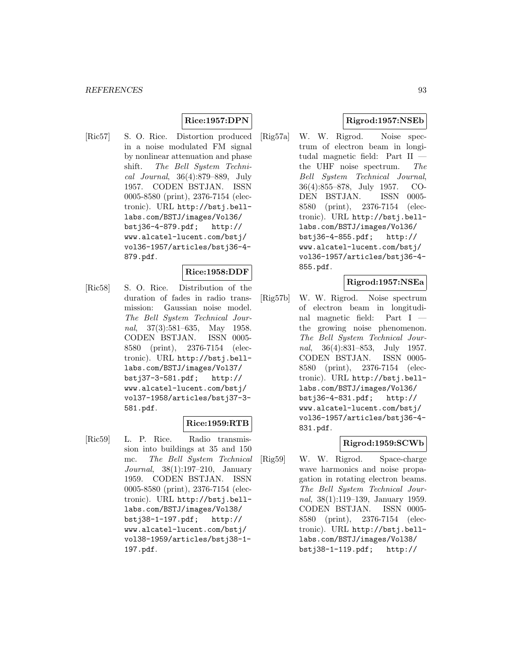# **Rice:1957:DPN**

[Ric57] S. O. Rice. Distortion produced in a noise modulated FM signal by nonlinear attenuation and phase shift. The Bell System Technical Journal, 36(4):879–889, July 1957. CODEN BSTJAN. ISSN 0005-8580 (print), 2376-7154 (electronic). URL http://bstj.belllabs.com/BSTJ/images/Vol36/ bstj36-4-879.pdf; http:// www.alcatel-lucent.com/bstj/ vol36-1957/articles/bstj36-4- 879.pdf.

#### **Rice:1958:DDF**

[Ric58] S. O. Rice. Distribution of the duration of fades in radio transmission: Gaussian noise model. The Bell System Technical Journal, 37(3):581–635, May 1958. CODEN BSTJAN. ISSN 0005- 8580 (print), 2376-7154 (electronic). URL http://bstj.belllabs.com/BSTJ/images/Vol37/ bstj37-3-581.pdf; http:// www.alcatel-lucent.com/bstj/ vol37-1958/articles/bstj37-3- 581.pdf.

### **Rice:1959:RTB**

[Ric59] L. P. Rice. Radio transmission into buildings at 35 and 150 mc. The Bell System Technical Journal, 38(1):197–210, January 1959. CODEN BSTJAN. ISSN 0005-8580 (print), 2376-7154 (electronic). URL http://bstj.belllabs.com/BSTJ/images/Vol38/ bstj38-1-197.pdf; http:// www.alcatel-lucent.com/bstj/ vol38-1959/articles/bstj38-1- 197.pdf.

# **Rigrod:1957:NSEb**

[Rig57a] W. W. Rigrod. Noise spectrum of electron beam in longitudal magnetic field: Part II the UHF noise spectrum. The Bell System Technical Journal, 36(4):855–878, July 1957. CO-DEN BSTJAN. ISSN 0005- 8580 (print), 2376-7154 (electronic). URL http://bstj.belllabs.com/BSTJ/images/Vol36/ bstj36-4-855.pdf; http:// www.alcatel-lucent.com/bstj/ vol36-1957/articles/bstj36-4- 855.pdf.

### **Rigrod:1957:NSEa**

[Rig57b] W. W. Rigrod. Noise spectrum of electron beam in longitudinal magnetic field: Part I the growing noise phenomenon. The Bell System Technical Journal, 36(4):831–853, July 1957. CODEN BSTJAN. ISSN 0005- 8580 (print), 2376-7154 (electronic). URL http://bstj.belllabs.com/BSTJ/images/Vol36/ bstj36-4-831.pdf; http:// www.alcatel-lucent.com/bstj/ vol36-1957/articles/bstj36-4- 831.pdf.

### **Rigrod:1959:SCWb**

[Rig59] W. W. Rigrod. Space-charge wave harmonics and noise propagation in rotating electron beams. The Bell System Technical Journal, 38(1):119–139, January 1959. CODEN BSTJAN. ISSN 0005- 8580 (print), 2376-7154 (electronic). URL http://bstj.belllabs.com/BSTJ/images/Vol38/ bstj38-1-119.pdf; http://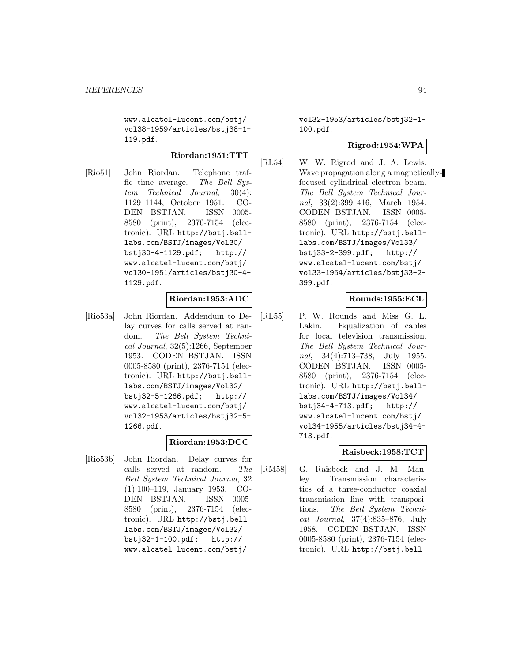www.alcatel-lucent.com/bstj/ vol38-1959/articles/bstj38-1- 119.pdf.

# **Riordan:1951:TTT**

[Rio51] John Riordan. Telephone traffic time average. The Bell System Technical Journal, 30(4): 1129–1144, October 1951. CO-DEN BSTJAN. ISSN 0005- 8580 (print), 2376-7154 (electronic). URL http://bstj.belllabs.com/BSTJ/images/Vol30/ bstj30-4-1129.pdf; http:// www.alcatel-lucent.com/bstj/ vol30-1951/articles/bstj30-4- 1129.pdf.

### **Riordan:1953:ADC**

[Rio53a] John Riordan. Addendum to Delay curves for calls served at random. The Bell System Technical Journal, 32(5):1266, September 1953. CODEN BSTJAN. ISSN 0005-8580 (print), 2376-7154 (electronic). URL http://bstj.belllabs.com/BSTJ/images/Vol32/ bstj32-5-1266.pdf; http:// www.alcatel-lucent.com/bstj/ vol32-1953/articles/bstj32-5- 1266.pdf.

# **Riordan:1953:DCC**

[Rio53b] John Riordan. Delay curves for calls served at random. The Bell System Technical Journal, 32 (1):100–119, January 1953. CO-DEN BSTJAN. ISSN 0005- 8580 (print), 2376-7154 (electronic). URL http://bstj.belllabs.com/BSTJ/images/Vol32/ bstj32-1-100.pdf; http:// www.alcatel-lucent.com/bstj/

vol32-1953/articles/bstj32-1- 100.pdf.

### **Rigrod:1954:WPA**

[RL54] W. W. Rigrod and J. A. Lewis. Wave propagation along a magneticallyfocused cylindrical electron beam. The Bell System Technical Journal, 33(2):399–416, March 1954. CODEN BSTJAN. ISSN 0005- 8580 (print), 2376-7154 (electronic). URL http://bstj.belllabs.com/BSTJ/images/Vol33/ bstj33-2-399.pdf; http:// www.alcatel-lucent.com/bstj/ vol33-1954/articles/bstj33-2- 399.pdf.

### **Rounds:1955:ECL**

[RL55] P. W. Rounds and Miss G. L. Lakin. Equalization of cables for local television transmission. The Bell System Technical Journal, 34(4):713–738, July 1955. CODEN BSTJAN. ISSN 0005- 8580 (print), 2376-7154 (electronic). URL http://bstj.belllabs.com/BSTJ/images/Vol34/ bstj34-4-713.pdf; http:// www.alcatel-lucent.com/bstj/ vol34-1955/articles/bstj34-4- 713.pdf.

### **Raisbeck:1958:TCT**

[RM58] G. Raisbeck and J. M. Manley. Transmission characteristics of a three-conductor coaxial transmission line with transpositions. The Bell System Technical Journal, 37(4):835–876, July 1958. CODEN BSTJAN. ISSN 0005-8580 (print), 2376-7154 (electronic). URL http://bstj.bell-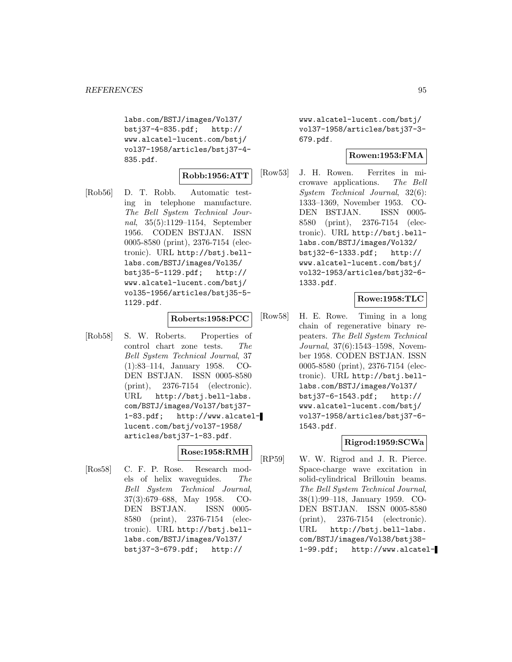labs.com/BSTJ/images/Vol37/ bstj37-4-835.pdf; http:// www.alcatel-lucent.com/bstj/ vol37-1958/articles/bstj37-4- 835.pdf.

#### **Robb:1956:ATT**

[Rob56] D. T. Robb. Automatic testing in telephone manufacture. The Bell System Technical Journal, 35(5):1129–1154, September 1956. CODEN BSTJAN. ISSN 0005-8580 (print), 2376-7154 (electronic). URL http://bstj.belllabs.com/BSTJ/images/Vol35/ bstj35-5-1129.pdf; http:// www.alcatel-lucent.com/bstj/ vol35-1956/articles/bstj35-5- 1129.pdf.

### **Roberts:1958:PCC**

[Rob58] S. W. Roberts. Properties of control chart zone tests. The Bell System Technical Journal, 37 (1):83–114, January 1958. CO-DEN BSTJAN. ISSN 0005-8580 (print), 2376-7154 (electronic). URL http://bstj.bell-labs. com/BSTJ/images/Vol37/bstj37- 1-83.pdf; http://www.alcatellucent.com/bstj/vol37-1958/ articles/bstj37-1-83.pdf.

# **Rose:1958:RMH**

[Ros58] C. F. P. Rose. Research models of helix waveguides. The Bell System Technical Journal, 37(3):679–688, May 1958. CO-DEN BSTJAN. ISSN 0005- 8580 (print), 2376-7154 (electronic). URL http://bstj.belllabs.com/BSTJ/images/Vol37/ bstj37-3-679.pdf; http://

www.alcatel-lucent.com/bstj/ vol37-1958/articles/bstj37-3- 679.pdf.

### **Rowen:1953:FMA**

[Row53] J. H. Rowen. Ferrites in microwave applications. The Bell System Technical Journal, 32(6): 1333–1369, November 1953. CO-DEN BSTJAN. ISSN 0005- 8580 (print), 2376-7154 (electronic). URL http://bstj.belllabs.com/BSTJ/images/Vol32/ bstj32-6-1333.pdf; http:// www.alcatel-lucent.com/bstj/ vol32-1953/articles/bstj32-6- 1333.pdf.

# **Rowe:1958:TLC**

[Row58] H. E. Rowe. Timing in a long chain of regenerative binary repeaters. The Bell System Technical Journal, 37(6):1543–1598, November 1958. CODEN BSTJAN. ISSN 0005-8580 (print), 2376-7154 (electronic). URL http://bstj.belllabs.com/BSTJ/images/Vol37/ bstj37-6-1543.pdf; http:// www.alcatel-lucent.com/bstj/ vol37-1958/articles/bstj37-6- 1543.pdf.

# **Rigrod:1959:SCWa**

[RP59] W. W. Rigrod and J. R. Pierce. Space-charge wave excitation in solid-cylindrical Brillouin beams. The Bell System Technical Journal, 38(1):99–118, January 1959. CO-DEN BSTJAN. ISSN 0005-8580 (print), 2376-7154 (electronic). URL http://bstj.bell-labs. com/BSTJ/images/Vol38/bstj38- 1-99.pdf; http://www.alcatel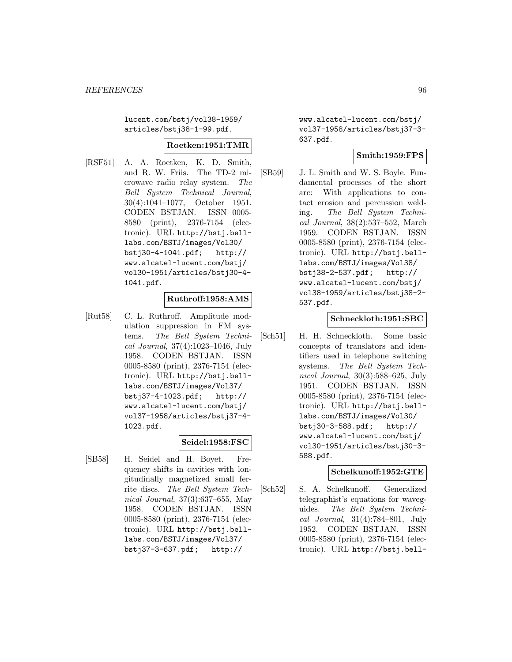lucent.com/bstj/vol38-1959/ articles/bstj38-1-99.pdf.

#### **Roetken:1951:TMR**

[RSF51] A. A. Roetken, K. D. Smith, and R. W. Friis. The TD-2 microwave radio relay system. The Bell System Technical Journal, 30(4):1041–1077, October 1951. CODEN BSTJAN. ISSN 0005- 8580 (print), 2376-7154 (electronic). URL http://bstj.belllabs.com/BSTJ/images/Vol30/ bstj30-4-1041.pdf; http:// www.alcatel-lucent.com/bstj/ vol30-1951/articles/bstj30-4- 1041.pdf.

### **Ruthroff:1958:AMS**

[Rut58] C. L. Ruthroff. Amplitude modulation suppression in FM systems. The Bell System Technical Journal, 37(4):1023–1046, July 1958. CODEN BSTJAN. ISSN 0005-8580 (print), 2376-7154 (electronic). URL http://bstj.belllabs.com/BSTJ/images/Vol37/ bstj37-4-1023.pdf; http:// www.alcatel-lucent.com/bstj/ vol37-1958/articles/bstj37-4- 1023.pdf.

### **Seidel:1958:FSC**

[SB58] H. Seidel and H. Boyet. Frequency shifts in cavities with longitudinally magnetized small ferrite discs. The Bell System Technical Journal, 37(3):637–655, May 1958. CODEN BSTJAN. ISSN 0005-8580 (print), 2376-7154 (electronic). URL http://bstj.belllabs.com/BSTJ/images/Vol37/ bstj37-3-637.pdf; http://

www.alcatel-lucent.com/bstj/ vol37-1958/articles/bstj37-3- 637.pdf.

### **Smith:1959:FPS**

[SB59] J. L. Smith and W. S. Boyle. Fundamental processes of the short arc: With applications to contact erosion and percussion welding. The Bell System Technical Journal, 38(2):537–552, March 1959. CODEN BSTJAN. ISSN 0005-8580 (print), 2376-7154 (electronic). URL http://bstj.belllabs.com/BSTJ/images/Vol38/ bstj38-2-537.pdf; http:// www.alcatel-lucent.com/bstj/ vol38-1959/articles/bstj38-2- 537.pdf.

#### **Schneckloth:1951:SBC**

[Sch51] H. H. Schneckloth. Some basic concepts of translators and identifiers used in telephone switching systems. The Bell System Technical Journal, 30(3):588–625, July 1951. CODEN BSTJAN. ISSN 0005-8580 (print), 2376-7154 (electronic). URL http://bstj.belllabs.com/BSTJ/images/Vol30/ bstj30-3-588.pdf; http:// www.alcatel-lucent.com/bstj/ vol30-1951/articles/bstj30-3- 588.pdf.

### **Schelkunoff:1952:GTE**

[Sch52] S. A. Schelkunoff. Generalized telegraphist's equations for waveguides. The Bell System Technical Journal, 31(4):784–801, July 1952. CODEN BSTJAN. ISSN 0005-8580 (print), 2376-7154 (electronic). URL http://bstj.bell-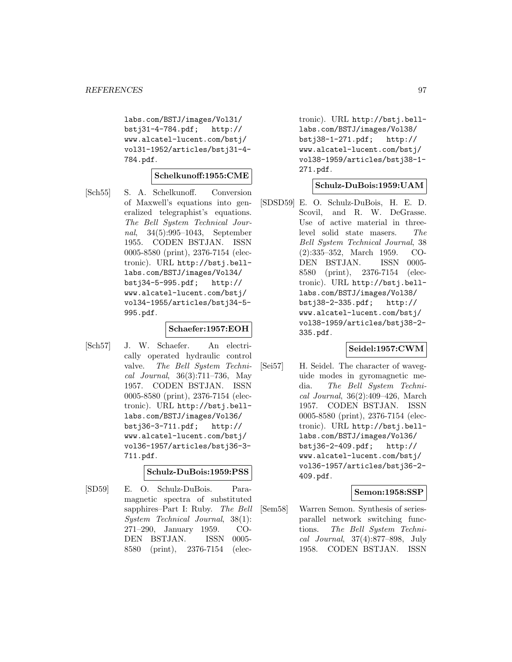labs.com/BSTJ/images/Vol31/ bstj31-4-784.pdf; http:// www.alcatel-lucent.com/bstj/ vol31-1952/articles/bstj31-4- 784.pdf.

### **Schelkunoff:1955:CME**

[Sch55] S. A. Schelkunoff. Conversion of Maxwell's equations into generalized telegraphist's equations. The Bell System Technical Journal, 34(5):995–1043, September 1955. CODEN BSTJAN. ISSN 0005-8580 (print), 2376-7154 (electronic). URL http://bstj.belllabs.com/BSTJ/images/Vol34/ bstj34-5-995.pdf; http:// www.alcatel-lucent.com/bstj/ vol34-1955/articles/bstj34-5- 995.pdf.

### **Schaefer:1957:EOH**

[Sch57] J. W. Schaefer. An electrically operated hydraulic control valve. The Bell System Technical Journal, 36(3):711–736, May 1957. CODEN BSTJAN. ISSN 0005-8580 (print), 2376-7154 (electronic). URL http://bstj.belllabs.com/BSTJ/images/Vol36/ bstj36-3-711.pdf; http:// www.alcatel-lucent.com/bstj/ vol36-1957/articles/bstj36-3- 711.pdf.

### **Schulz-DuBois:1959:PSS**

[SD59] E. O. Schulz-DuBois. Paramagnetic spectra of substituted sapphires–Part I: Ruby. The Bell System Technical Journal, 38(1): 271–290, January 1959. CO-DEN BSTJAN. ISSN 0005- 8580 (print), 2376-7154 (electronic). URL http://bstj.belllabs.com/BSTJ/images/Vol38/ bstj38-1-271.pdf; http:// www.alcatel-lucent.com/bstj/ vol38-1959/articles/bstj38-1- 271.pdf.

### **Schulz-DuBois:1959:UAM**

[SDSD59] E. O. Schulz-DuBois, H. E. D. Scovil, and R. W. DeGrasse. Use of active material in threelevel solid state masers. The Bell System Technical Journal, 38 (2):335–352, March 1959. CO-DEN BSTJAN. ISSN 0005- 8580 (print), 2376-7154 (electronic). URL http://bstj.belllabs.com/BSTJ/images/Vol38/ bstj38-2-335.pdf; http:// www.alcatel-lucent.com/bstj/ vol38-1959/articles/bstj38-2- 335.pdf.

### **Seidel:1957:CWM**

[Sei57] H. Seidel. The character of waveguide modes in gyromagnetic media. The Bell System Technical Journal, 36(2):409–426, March 1957. CODEN BSTJAN. ISSN 0005-8580 (print), 2376-7154 (electronic). URL http://bstj.belllabs.com/BSTJ/images/Vol36/ bstj36-2-409.pdf; http:// www.alcatel-lucent.com/bstj/ vol36-1957/articles/bstj36-2- 409.pdf.

### **Semon:1958:SSP**

[Sem58] Warren Semon. Synthesis of seriesparallel network switching functions. The Bell System Technical Journal, 37(4):877–898, July 1958. CODEN BSTJAN. ISSN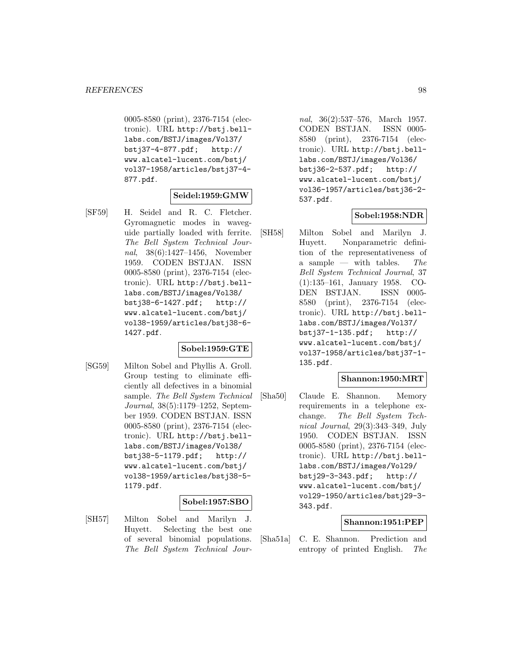0005-8580 (print), 2376-7154 (electronic). URL http://bstj.belllabs.com/BSTJ/images/Vol37/ bstj37-4-877.pdf; http:// www.alcatel-lucent.com/bstj/ vol37-1958/articles/bstj37-4- 877.pdf.

# **Seidel:1959:GMW**

[SF59] H. Seidel and R. C. Fletcher. Gyromagnetic modes in waveguide partially loaded with ferrite. The Bell System Technical Journal, 38(6):1427–1456, November 1959. CODEN BSTJAN. ISSN 0005-8580 (print), 2376-7154 (electronic). URL http://bstj.belllabs.com/BSTJ/images/Vol38/ bstj38-6-1427.pdf; http:// www.alcatel-lucent.com/bstj/ vol38-1959/articles/bstj38-6- 1427.pdf.

### **Sobel:1959:GTE**

[SG59] Milton Sobel and Phyllis A. Groll. Group testing to eliminate efficiently all defectives in a binomial sample. The Bell System Technical Journal, 38(5):1179–1252, September 1959. CODEN BSTJAN. ISSN 0005-8580 (print), 2376-7154 (electronic). URL http://bstj.belllabs.com/BSTJ/images/Vol38/ bstj38-5-1179.pdf; http:// www.alcatel-lucent.com/bstj/ vol38-1959/articles/bstj38-5- 1179.pdf.

#### **Sobel:1957:SBO**

[SH57] Milton Sobel and Marilyn J. Huyett. Selecting the best one of several binomial populations. The Bell System Technical Journal, 36(2):537–576, March 1957. CODEN BSTJAN. ISSN 0005- 8580 (print), 2376-7154 (electronic). URL http://bstj.belllabs.com/BSTJ/images/Vol36/ bstj36-2-537.pdf; http:// www.alcatel-lucent.com/bstj/ vol36-1957/articles/bstj36-2- 537.pdf.

### **Sobel:1958:NDR**

[SH58] Milton Sobel and Marilyn J. Huyett. Nonparametric definition of the representativeness of a sample — with tables. The Bell System Technical Journal, 37 (1):135–161, January 1958. CO-DEN BSTJAN. ISSN 0005- 8580 (print), 2376-7154 (electronic). URL http://bstj.belllabs.com/BSTJ/images/Vol37/ bstj37-1-135.pdf; http:// www.alcatel-lucent.com/bstj/ vol37-1958/articles/bstj37-1- 135.pdf.

### **Shannon:1950:MRT**

[Sha50] Claude E. Shannon. Memory requirements in a telephone exchange. The Bell System Technical Journal, 29(3):343–349, July 1950. CODEN BSTJAN. ISSN 0005-8580 (print), 2376-7154 (electronic). URL http://bstj.belllabs.com/BSTJ/images/Vol29/ bstj29-3-343.pdf; http:// www.alcatel-lucent.com/bstj/ vol29-1950/articles/bstj29-3- 343.pdf.

### **Shannon:1951:PEP**

[Sha51a] C. E. Shannon. Prediction and entropy of printed English. The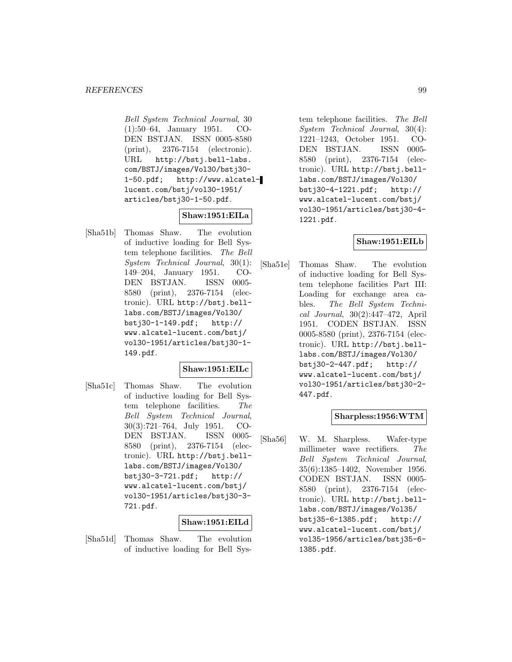Bell System Technical Journal, 30 (1):50–64, January 1951. CO-DEN BSTJAN. ISSN 0005-8580 (print), 2376-7154 (electronic). URL http://bstj.bell-labs. com/BSTJ/images/Vol30/bstj30- 1-50.pdf; http://www.alcatellucent.com/bstj/vol30-1951/ articles/bstj30-1-50.pdf.

# **Shaw:1951:EILa**

[Sha51b] Thomas Shaw. The evolution of inductive loading for Bell System telephone facilities. The Bell System Technical Journal, 30(1): 149–204, January 1951. CO-DEN BSTJAN. ISSN 0005- 8580 (print), 2376-7154 (electronic). URL http://bstj.belllabs.com/BSTJ/images/Vol30/ bstj30-1-149.pdf; http:// www.alcatel-lucent.com/bstj/ vol30-1951/articles/bstj30-1- 149.pdf.

### **Shaw:1951:EILc**

[Sha51c] Thomas Shaw. The evolution of inductive loading for Bell System telephone facilities. The Bell System Technical Journal, 30(3):721–764, July 1951. CO-DEN BSTJAN. ISSN 0005- 8580 (print), 2376-7154 (electronic). URL http://bstj.belllabs.com/BSTJ/images/Vol30/ bstj30-3-721.pdf; http:// www.alcatel-lucent.com/bstj/ vol30-1951/articles/bstj30-3- 721.pdf.

### **Shaw:1951:EILd**

[Sha51d] Thomas Shaw. The evolution of inductive loading for Bell System telephone facilities. The Bell System Technical Journal, 30(4): 1221–1243, October 1951. CO-DEN BSTJAN. ISSN 0005- 8580 (print), 2376-7154 (electronic). URL http://bstj.belllabs.com/BSTJ/images/Vol30/ bstj30-4-1221.pdf; http:// www.alcatel-lucent.com/bstj/ vol30-1951/articles/bstj30-4- 1221.pdf.

# **Shaw:1951:EILb**

[Sha51e] Thomas Shaw. The evolution of inductive loading for Bell System telephone facilities Part III: Loading for exchange area cables. The Bell System Technical Journal, 30(2):447–472, April 1951. CODEN BSTJAN. ISSN 0005-8580 (print), 2376-7154 (electronic). URL http://bstj.belllabs.com/BSTJ/images/Vol30/ bstj30-2-447.pdf; http:// www.alcatel-lucent.com/bstj/ vol30-1951/articles/bstj30-2- 447.pdf.

### **Sharpless:1956:WTM**

[Sha56] W. M. Sharpless. Wafer-type millimeter wave rectifiers. The Bell System Technical Journal, 35(6):1385–1402, November 1956. CODEN BSTJAN. ISSN 0005- 8580 (print), 2376-7154 (electronic). URL http://bstj.belllabs.com/BSTJ/images/Vol35/ bstj35-6-1385.pdf; http:// www.alcatel-lucent.com/bstj/ vol35-1956/articles/bstj35-6- 1385.pdf.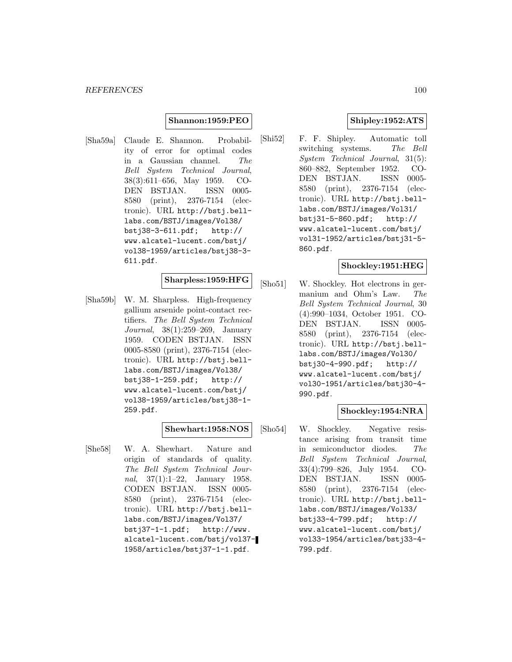### **Shannon:1959:PEO**

[Sha59a] Claude E. Shannon. Probability of error for optimal codes in a Gaussian channel. The Bell System Technical Journal, 38(3):611–656, May 1959. CO-DEN BSTJAN. ISSN 0005- 8580 (print), 2376-7154 (electronic). URL http://bstj.belllabs.com/BSTJ/images/Vol38/ bstj38-3-611.pdf; http:// www.alcatel-lucent.com/bstj/ vol38-1959/articles/bstj38-3- 611.pdf.

### **Sharpless:1959:HFG**

[Sha59b] W. M. Sharpless. High-frequency gallium arsenide point-contact rectifiers. The Bell System Technical Journal, 38(1):259–269, January 1959. CODEN BSTJAN. ISSN 0005-8580 (print), 2376-7154 (electronic). URL http://bstj.belllabs.com/BSTJ/images/Vol38/ bstj38-1-259.pdf; http:// www.alcatel-lucent.com/bstj/ vol38-1959/articles/bstj38-1- 259.pdf.

#### **Shewhart:1958:NOS**

[She58] W. A. Shewhart. Nature and origin of standards of quality. The Bell System Technical Journal, 37(1):1–22, January 1958. CODEN BSTJAN. ISSN 0005- 8580 (print), 2376-7154 (electronic). URL http://bstj.belllabs.com/BSTJ/images/Vol37/ bstj37-1-1.pdf; http://www. alcatel-lucent.com/bstj/vol37- 1958/articles/bstj37-1-1.pdf.

# **Shipley:1952:ATS**

[Shi52] F. F. Shipley. Automatic toll switching systems. The Bell System Technical Journal, 31(5): 860–882, September 1952. CO-DEN BSTJAN. ISSN 0005- 8580 (print), 2376-7154 (electronic). URL http://bstj.belllabs.com/BSTJ/images/Vol31/ bstj31-5-860.pdf; http:// www.alcatel-lucent.com/bstj/ vol31-1952/articles/bstj31-5- 860.pdf.

#### **Shockley:1951:HEG**

[Sho51] W. Shockley. Hot electrons in germanium and Ohm's Law. The Bell System Technical Journal, 30 (4):990–1034, October 1951. CO-DEN BSTJAN. ISSN 0005- 8580 (print), 2376-7154 (electronic). URL http://bstj.belllabs.com/BSTJ/images/Vol30/ bstj30-4-990.pdf; http:// www.alcatel-lucent.com/bstj/ vol30-1951/articles/bstj30-4- 990.pdf.

# **Shockley:1954:NRA**

[Sho54] W. Shockley. Negative resistance arising from transit time in semiconductor diodes. The Bell System Technical Journal, 33(4):799–826, July 1954. CO-DEN BSTJAN. ISSN 0005- 8580 (print), 2376-7154 (electronic). URL http://bstj.belllabs.com/BSTJ/images/Vol33/ bstj33-4-799.pdf; http:// www.alcatel-lucent.com/bstj/ vol33-1954/articles/bstj33-4- 799.pdf.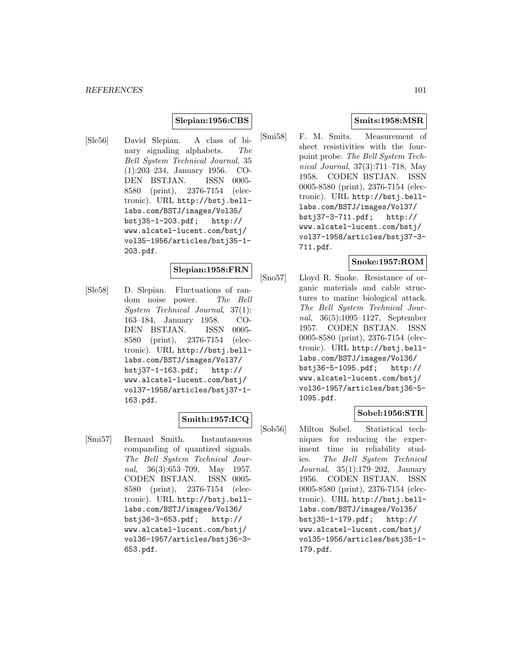### **Slepian:1956:CBS**

[Sle56] David Slepian. A class of binary signaling alphabets. The Bell System Technical Journal, 35 (1):203–234, January 1956. CO-DEN BSTJAN. ISSN 0005- 8580 (print), 2376-7154 (electronic). URL http://bstj.belllabs.com/BSTJ/images/Vol35/ bstj35-1-203.pdf; http:// www.alcatel-lucent.com/bstj/ vol35-1956/articles/bstj35-1- 203.pdf.

### **Slepian:1958:FRN**

[Sle58] D. Slepian. Fluctuations of random noise power. The Bell System Technical Journal, 37(1): 163–184, January 1958. CO-DEN BSTJAN. ISSN 0005- 8580 (print), 2376-7154 (electronic). URL http://bstj.belllabs.com/BSTJ/images/Vol37/ bstj37-1-163.pdf; http:// www.alcatel-lucent.com/bstj/ vol37-1958/articles/bstj37-1- 163.pdf.

### **Smith:1957:ICQ**

[Smi57] Bernard Smith. Instantaneous companding of quantized signals. The Bell System Technical Journal, 36(3):653–709, May 1957. CODEN BSTJAN. ISSN 0005- 8580 (print), 2376-7154 (electronic). URL http://bstj.belllabs.com/BSTJ/images/Vol36/ bstj36-3-653.pdf; http:// www.alcatel-lucent.com/bstj/ vol36-1957/articles/bstj36-3- 653.pdf.

### **Smits:1958:MSR**

[Smi58] F. M. Smits. Measurement of sheet resistivities with the fourpoint probe. The Bell System Technical Journal, 37(3):711–718, May 1958. CODEN BSTJAN. ISSN 0005-8580 (print), 2376-7154 (electronic). URL http://bstj.belllabs.com/BSTJ/images/Vol37/ bstj37-3-711.pdf; http:// www.alcatel-lucent.com/bstj/ vol37-1958/articles/bstj37-3- 711.pdf.

# **Snoke:1957:ROM**

[Sno57] Lloyd R. Snoke. Resistance of organic materials and cable structures to marine biological attack. The Bell System Technical Journal, 36(5):1095–1127, September 1957. CODEN BSTJAN. ISSN 0005-8580 (print), 2376-7154 (electronic). URL http://bstj.belllabs.com/BSTJ/images/Vol36/ bstj36-5-1095.pdf; http:// www.alcatel-lucent.com/bstj/ vol36-1957/articles/bstj36-5- 1095.pdf.

# **Sobel:1956:STR**

[Sob56] Milton Sobel. Statistical techniques for reducing the experiment time in reliability studies. The Bell System Technical Journal, 35(1):179–202, January 1956. CODEN BSTJAN. ISSN 0005-8580 (print), 2376-7154 (electronic). URL http://bstj.belllabs.com/BSTJ/images/Vol35/ bstj35-1-179.pdf; http:// www.alcatel-lucent.com/bstj/ vol35-1956/articles/bstj35-1- 179.pdf.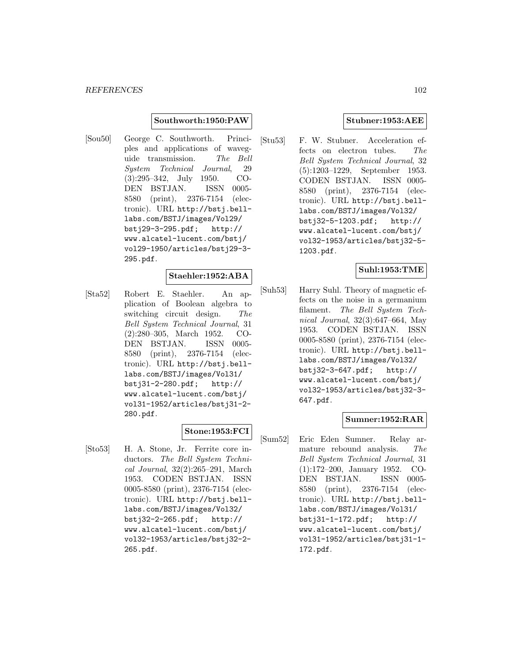#### **Southworth:1950:PAW**

[Sou50] George C. Southworth. Principles and applications of waveguide transmission. The Bell System Technical Journal, 29 (3):295–342, July 1950. CO-DEN BSTJAN. ISSN 0005- 8580 (print), 2376-7154 (electronic). URL http://bstj.belllabs.com/BSTJ/images/Vol29/ bstj29-3-295.pdf; http:// www.alcatel-lucent.com/bstj/ vol29-1950/articles/bstj29-3- 295.pdf.

### **Staehler:1952:ABA**

[Sta52] Robert E. Staehler. An application of Boolean algebra to switching circuit design. The Bell System Technical Journal, 31 (2):280–305, March 1952. CO-DEN BSTJAN. ISSN 0005- 8580 (print), 2376-7154 (electronic). URL http://bstj.belllabs.com/BSTJ/images/Vol31/ bstj31-2-280.pdf; http:// www.alcatel-lucent.com/bstj/ vol31-1952/articles/bstj31-2- 280.pdf.

# **Stone:1953:FCI**

[Sto53] H. A. Stone, Jr. Ferrite core inductors. The Bell System Technical Journal, 32(2):265–291, March 1953. CODEN BSTJAN. ISSN 0005-8580 (print), 2376-7154 (electronic). URL http://bstj.belllabs.com/BSTJ/images/Vol32/ bstj32-2-265.pdf; http:// www.alcatel-lucent.com/bstj/ vol32-1953/articles/bstj32-2- 265.pdf.

### **Stubner:1953:AEE**

[Stu53] F. W. Stubner. Acceleration effects on electron tubes. The Bell System Technical Journal, 32 (5):1203–1229, September 1953. CODEN BSTJAN. ISSN 0005- 8580 (print), 2376-7154 (electronic). URL http://bstj.belllabs.com/BSTJ/images/Vol32/ bstj32-5-1203.pdf; http:// www.alcatel-lucent.com/bstj/ vol32-1953/articles/bstj32-5- 1203.pdf.

### **Suhl:1953:TME**

[Suh53] Harry Suhl. Theory of magnetic effects on the noise in a germanium filament. The Bell System Technical Journal, 32(3):647–664, May 1953. CODEN BSTJAN. ISSN 0005-8580 (print), 2376-7154 (electronic). URL http://bstj.belllabs.com/BSTJ/images/Vol32/ bstj32-3-647.pdf; http:// www.alcatel-lucent.com/bstj/ vol32-1953/articles/bstj32-3- 647.pdf.

### **Sumner:1952:RAR**

[Sum52] Eric Eden Sumner. Relay armature rebound analysis. The Bell System Technical Journal, 31 (1):172–200, January 1952. CO-DEN BSTJAN. ISSN 0005- 8580 (print), 2376-7154 (electronic). URL http://bstj.belllabs.com/BSTJ/images/Vol31/ bstj31-1-172.pdf; http:// www.alcatel-lucent.com/bstj/ vol31-1952/articles/bstj31-1- 172.pdf.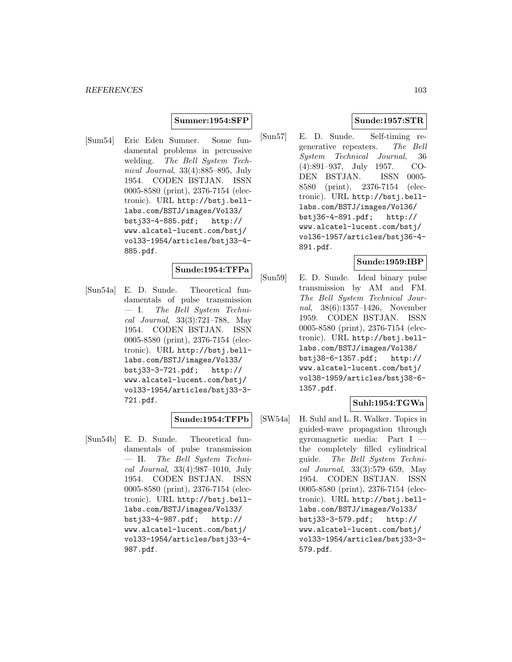### **Sumner:1954:SFP**

[Sum54] Eric Eden Sumner. Some fundamental problems in percussive welding. The Bell System Technical Journal, 33(4):885–895, July 1954. CODEN BSTJAN. ISSN 0005-8580 (print), 2376-7154 (electronic). URL http://bstj.belllabs.com/BSTJ/images/Vol33/ bstj33-4-885.pdf; http:// www.alcatel-lucent.com/bstj/ vol33-1954/articles/bstj33-4- 885.pdf.

### **Sunde:1954:TFPa**

[Sun54a] E. D. Sunde. Theoretical fundamentals of pulse transmission — I. The Bell System Technical Journal, 33(3):721–788, May 1954. CODEN BSTJAN. ISSN 0005-8580 (print), 2376-7154 (electronic). URL http://bstj.belllabs.com/BSTJ/images/Vol33/ bstj33-3-721.pdf; http:// www.alcatel-lucent.com/bstj/ vol33-1954/articles/bstj33-3- 721.pdf.

### **Sunde:1954:TFPb**

[Sun54b] E. D. Sunde. Theoretical fundamentals of pulse transmission — II. The Bell System Technical Journal, 33(4):987–1010, July 1954. CODEN BSTJAN. ISSN 0005-8580 (print), 2376-7154 (electronic). URL http://bstj.belllabs.com/BSTJ/images/Vol33/ bstj33-4-987.pdf; http:// www.alcatel-lucent.com/bstj/ vol33-1954/articles/bstj33-4- 987.pdf.

### **Sunde:1957:STR**

[Sun57] E. D. Sunde. Self-timing regenerative repeaters. The Bell System Technical Journal, 36 (4):891–937, July 1957. CO-DEN BSTJAN. ISSN 0005- 8580 (print), 2376-7154 (electronic). URL http://bstj.belllabs.com/BSTJ/images/Vol36/ bstj36-4-891.pdf; http:// www.alcatel-lucent.com/bstj/ vol36-1957/articles/bstj36-4- 891.pdf.

### **Sunde:1959:IBP**

[Sun59] E. D. Sunde. Ideal binary pulse transmission by AM and FM. The Bell System Technical Journal, 38(6):1357–1426, November 1959. CODEN BSTJAN. ISSN 0005-8580 (print), 2376-7154 (electronic). URL http://bstj.belllabs.com/BSTJ/images/Vol38/ bstj38-6-1357.pdf; http:// www.alcatel-lucent.com/bstj/ vol38-1959/articles/bstj38-6- 1357.pdf.

### **Suhl:1954:TGWa**

[SW54a] H. Suhl and L. R. Walker. Topics in guided-wave propagation through gyromagnetic media: Part I the completely filled cylindrical guide. The Bell System Technical Journal, 33(3):579–659, May 1954. CODEN BSTJAN. ISSN 0005-8580 (print), 2376-7154 (electronic). URL http://bstj.belllabs.com/BSTJ/images/Vol33/ bstj33-3-579.pdf; http:// www.alcatel-lucent.com/bstj/ vol33-1954/articles/bstj33-3- 579.pdf.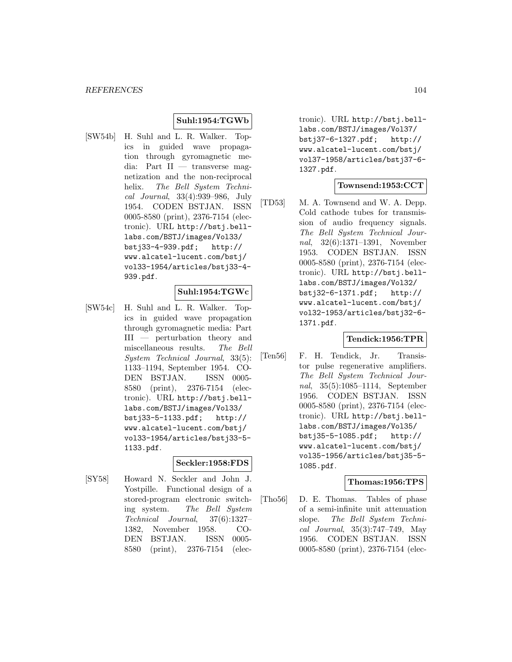### **Suhl:1954:TGWb**

[SW54b] H. Suhl and L. R. Walker. Topics in guided wave propagation through gyromagnetic media: Part II — transverse magnetization and the non-reciprocal helix. The Bell System Technical Journal, 33(4):939–986, July 1954. CODEN BSTJAN. ISSN 0005-8580 (print), 2376-7154 (electronic). URL http://bstj.belllabs.com/BSTJ/images/Vol33/ bstj33-4-939.pdf; http:// www.alcatel-lucent.com/bstj/ vol33-1954/articles/bstj33-4- 939.pdf.

### **Suhl:1954:TGWc**

[SW54c] H. Suhl and L. R. Walker. Topics in guided wave propagation through gyromagnetic media: Part III — perturbation theory and miscellaneous results. The Bell System Technical Journal, 33(5): 1133–1194, September 1954. CO-DEN BSTJAN. ISSN 0005- 8580 (print), 2376-7154 (electronic). URL http://bstj.belllabs.com/BSTJ/images/Vol33/ bstj33-5-1133.pdf; http:// www.alcatel-lucent.com/bstj/ vol33-1954/articles/bstj33-5- 1133.pdf.

# **Seckler:1958:FDS**

[SY58] Howard N. Seckler and John J. Yostpille. Functional design of a stored-program electronic switching system. The Bell System Technical Journal, 37(6):1327– 1382, November 1958. CO-DEN BSTJAN. ISSN 0005- 8580 (print), 2376-7154 (electronic). URL http://bstj.belllabs.com/BSTJ/images/Vol37/ bstj37-6-1327.pdf; http:// www.alcatel-lucent.com/bstj/ vol37-1958/articles/bstj37-6- 1327.pdf.

### **Townsend:1953:CCT**

[TD53] M. A. Townsend and W. A. Depp. Cold cathode tubes for transmission of audio frequency signals. The Bell System Technical Journal, 32(6):1371–1391, November 1953. CODEN BSTJAN. ISSN 0005-8580 (print), 2376-7154 (electronic). URL http://bstj.belllabs.com/BSTJ/images/Vol32/ bstj32-6-1371.pdf; http:// www.alcatel-lucent.com/bstj/ vol32-1953/articles/bstj32-6- 1371.pdf.

### **Tendick:1956:TPR**

[Ten56] F. H. Tendick, Jr. Transistor pulse regenerative amplifiers. The Bell System Technical Journal, 35(5):1085–1114, September 1956. CODEN BSTJAN. ISSN 0005-8580 (print), 2376-7154 (electronic). URL http://bstj.belllabs.com/BSTJ/images/Vol35/ bstj35-5-1085.pdf; http:// www.alcatel-lucent.com/bstj/ vol35-1956/articles/bstj35-5- 1085.pdf.

#### **Thomas:1956:TPS**

[Tho56] D. E. Thomas. Tables of phase of a semi-infinite unit attenuation slope. The Bell System Technical Journal, 35(3):747–749, May 1956. CODEN BSTJAN. ISSN 0005-8580 (print), 2376-7154 (elec-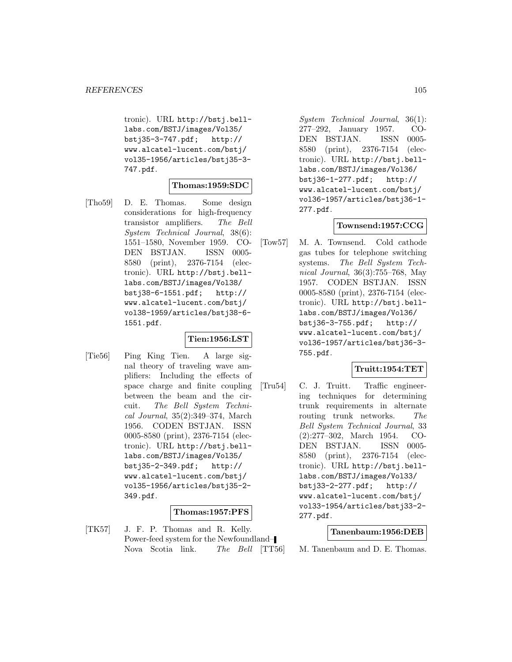tronic). URL http://bstj.belllabs.com/BSTJ/images/Vol35/ bstj35-3-747.pdf; http:// www.alcatel-lucent.com/bstj/ vol35-1956/articles/bstj35-3- 747.pdf.

#### **Thomas:1959:SDC**

[Tho59] D. E. Thomas. Some design considerations for high-frequency transistor amplifiers. The Bell System Technical Journal, 38(6): 1551–1580, November 1959. CO-DEN BSTJAN. ISSN 0005- 8580 (print), 2376-7154 (electronic). URL http://bstj.belllabs.com/BSTJ/images/Vol38/ bstj38-6-1551.pdf; http:// www.alcatel-lucent.com/bstj/ vol38-1959/articles/bstj38-6- 1551.pdf.

### **Tien:1956:LST**

[Tie56] Ping King Tien. A large signal theory of traveling wave amplifiers: Including the effects of space charge and finite coupling between the beam and the circuit. The Bell System Technical Journal, 35(2):349–374, March 1956. CODEN BSTJAN. ISSN 0005-8580 (print), 2376-7154 (electronic). URL http://bstj.belllabs.com/BSTJ/images/Vol35/ bstj35-2-349.pdf; http:// www.alcatel-lucent.com/bstj/ vol35-1956/articles/bstj35-2- 349.pdf.

### **Thomas:1957:PFS**

[TK57] J. F. P. Thomas and R. Kelly. Power-feed system for the Newfoundland– Nova Scotia link. The Bell [TT56] System Technical Journal, 36(1): 277–292, January 1957. CO-DEN BSTJAN. ISSN 0005- 8580 (print), 2376-7154 (electronic). URL http://bstj.belllabs.com/BSTJ/images/Vol36/ bstj36-1-277.pdf; http:// www.alcatel-lucent.com/bstj/ vol36-1957/articles/bstj36-1- 277.pdf.

### **Townsend:1957:CCG**

[Tow57] M. A. Townsend. Cold cathode gas tubes for telephone switching systems. The Bell System Technical Journal, 36(3):755–768, May 1957. CODEN BSTJAN. ISSN 0005-8580 (print), 2376-7154 (electronic). URL http://bstj.belllabs.com/BSTJ/images/Vol36/ bstj36-3-755.pdf; http:// www.alcatel-lucent.com/bstj/ vol36-1957/articles/bstj36-3- 755.pdf.

### **Truitt:1954:TET**

[Tru54] C. J. Truitt. Traffic engineering techniques for determining trunk requirements in alternate routing trunk networks. The Bell System Technical Journal, 33 (2):277–302, March 1954. CO-DEN BSTJAN. ISSN 0005- 8580 (print), 2376-7154 (electronic). URL http://bstj.belllabs.com/BSTJ/images/Vol33/ bstj33-2-277.pdf; http:// www.alcatel-lucent.com/bstj/ vol33-1954/articles/bstj33-2- 277.pdf.

#### **Tanenbaum:1956:DEB**

M. Tanenbaum and D. E. Thomas.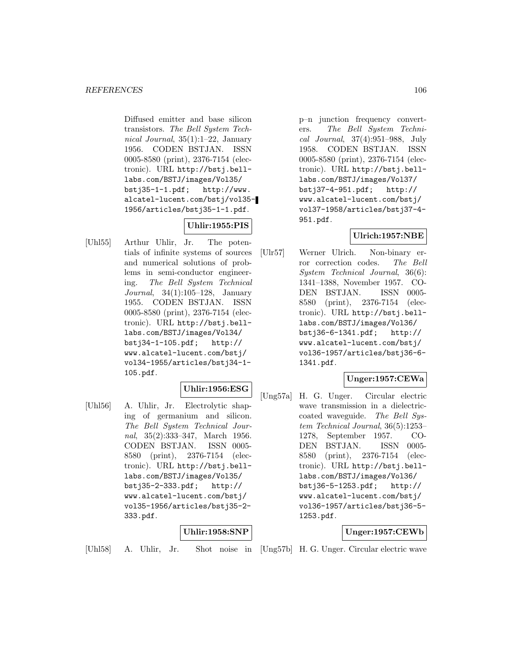Diffused emitter and base silicon transistors. The Bell System Technical Journal, 35(1):1–22, January 1956. CODEN BSTJAN. ISSN 0005-8580 (print), 2376-7154 (electronic). URL http://bstj.belllabs.com/BSTJ/images/Vol35/ bstj35-1-1.pdf; http://www. alcatel-lucent.com/bstj/vol35- 1956/articles/bstj35-1-1.pdf.

# **Uhlir:1955:PIS**

[Uhl55] Arthur Uhlir, Jr. The potentials of infinite systems of sources and numerical solutions of problems in semi-conductor engineering. The Bell System Technical Journal, 34(1):105–128, January 1955. CODEN BSTJAN. ISSN 0005-8580 (print), 2376-7154 (electronic). URL http://bstj.belllabs.com/BSTJ/images/Vol34/ bstj34-1-105.pdf; http:// www.alcatel-lucent.com/bstj/ vol34-1955/articles/bstj34-1- 105.pdf.

### **Uhlir:1956:ESG**

[Uhl56] A. Uhlir, Jr. Electrolytic shaping of germanium and silicon. The Bell System Technical Journal, 35(2):333–347, March 1956. CODEN BSTJAN. ISSN 0005- 8580 (print), 2376-7154 (electronic). URL http://bstj.belllabs.com/BSTJ/images/Vol35/ bstj35-2-333.pdf; http:// www.alcatel-lucent.com/bstj/ vol35-1956/articles/bstj35-2- 333.pdf.

### **Uhlir:1958:SNP**

p–n junction frequency converters. The Bell System Technical Journal, 37(4):951–988, July 1958. CODEN BSTJAN. ISSN 0005-8580 (print), 2376-7154 (electronic). URL http://bstj.belllabs.com/BSTJ/images/Vol37/ bstj37-4-951.pdf; http:// www.alcatel-lucent.com/bstj/ vol37-1958/articles/bstj37-4- 951.pdf.

# **Ulrich:1957:NBE**

[Ulr57] Werner Ulrich. Non-binary error correction codes. The Bell System Technical Journal, 36(6): 1341–1388, November 1957. CO-DEN BSTJAN. ISSN 0005- 8580 (print), 2376-7154 (electronic). URL http://bstj.belllabs.com/BSTJ/images/Vol36/ bstj36-6-1341.pdf; http:// www.alcatel-lucent.com/bstj/ vol36-1957/articles/bstj36-6- 1341.pdf.

# **Unger:1957:CEWa**

[Ung57a] H. G. Unger. Circular electric wave transmission in a dielectriccoated waveguide. The Bell System Technical Journal, 36(5):1253– 1278, September 1957. CO-DEN BSTJAN. ISSN 0005- 8580 (print), 2376-7154 (electronic). URL http://bstj.belllabs.com/BSTJ/images/Vol36/ bstj36-5-1253.pdf; http:// www.alcatel-lucent.com/bstj/ vol36-1957/articles/bstj36-5- 1253.pdf.

# **Unger:1957:CEWb**

[Uhl58] A. Uhlir, Jr. Shot noise in [Ung57b] H. G. Unger. Circular electric wave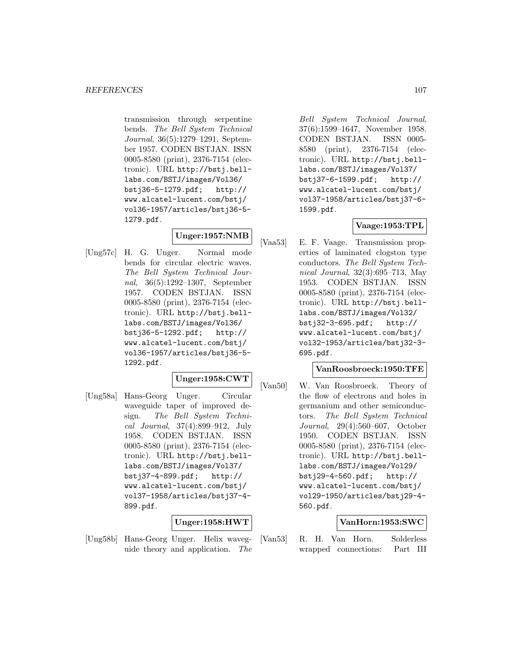transmission through serpentine bends. The Bell System Technical Journal, 36(5):1279–1291, September 1957. CODEN BSTJAN. ISSN 0005-8580 (print), 2376-7154 (electronic). URL http://bstj.belllabs.com/BSTJ/images/Vol36/ bstj36-5-1279.pdf; http:// www.alcatel-lucent.com/bstj/ vol36-1957/articles/bstj36-5- 1279.pdf.

# **Unger:1957:NMB**

[Ung57c] H. G. Unger. Normal mode bends for circular electric waves. The Bell System Technical Journal, 36(5):1292–1307, September 1957. CODEN BSTJAN. ISSN 0005-8580 (print), 2376-7154 (electronic). URL http://bstj.belllabs.com/BSTJ/images/Vol36/ bstj36-5-1292.pdf; http:// www.alcatel-lucent.com/bstj/ vol36-1957/articles/bstj36-5- 1292.pdf.

# **Unger:1958:CWT**

[Ung58a] Hans-Georg Unger. Circular waveguide taper of improved design. The Bell System Technical Journal, 37(4):899–912, July 1958. CODEN BSTJAN. ISSN 0005-8580 (print), 2376-7154 (electronic). URL http://bstj.belllabs.com/BSTJ/images/Vol37/ bstj37-4-899.pdf; http:// www.alcatel-lucent.com/bstj/ vol37-1958/articles/bstj37-4- 899.pdf.

# **Unger:1958:HWT**

[Ung58b] Hans-Georg Unger. Helix waveguide theory and application. The

Bell System Technical Journal, 37(6):1599–1647, November 1958. CODEN BSTJAN. ISSN 0005- 8580 (print), 2376-7154 (electronic). URL http://bstj.belllabs.com/BSTJ/images/Vol37/ bstj37-6-1599.pdf; http:// www.alcatel-lucent.com/bstj/ vol37-1958/articles/bstj37-6- 1599.pdf.

### **Vaage:1953:TPL**

[Vaa53] E. F. Vaage. Transmission properties of laminated clogston type conductors. The Bell System Technical Journal, 32(3):695–713, May 1953. CODEN BSTJAN. ISSN 0005-8580 (print), 2376-7154 (electronic). URL http://bstj.belllabs.com/BSTJ/images/Vol32/ bstj32-3-695.pdf; http:// www.alcatel-lucent.com/bstj/ vol32-1953/articles/bstj32-3- 695.pdf.

### **VanRoosbroeck:1950:TFE**

[Van50] W. Van Roosbroeck. Theory of the flow of electrons and holes in germanium and other semiconductors. The Bell System Technical Journal, 29(4):560–607, October 1950. CODEN BSTJAN. ISSN 0005-8580 (print), 2376-7154 (electronic). URL http://bstj.belllabs.com/BSTJ/images/Vol29/ bstj29-4-560.pdf; http:// www.alcatel-lucent.com/bstj/ vol29-1950/articles/bstj29-4- 560.pdf.

### **VanHorn:1953:SWC**

[Van53] R. H. Van Horn. Solderless wrapped connections: Part III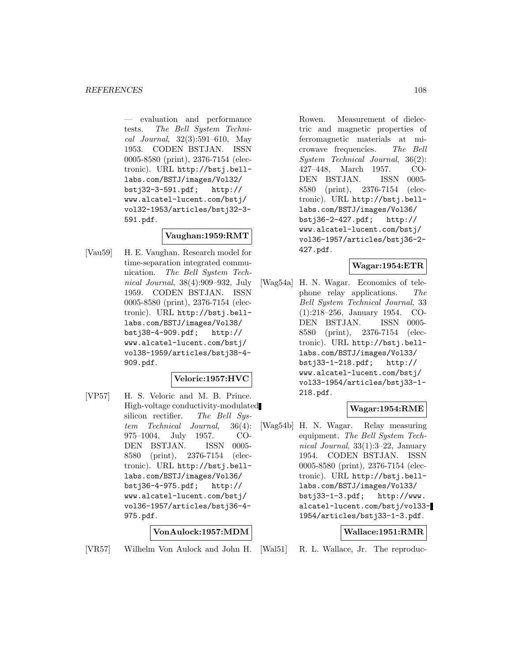— evaluation and performance tests. The Bell System Technical Journal, 32(3):591–610, May 1953. CODEN BSTJAN. ISSN 0005-8580 (print), 2376-7154 (electronic). URL http://bstj.belllabs.com/BSTJ/images/Vol32/ bstj32-3-591.pdf; http:// www.alcatel-lucent.com/bstj/ vol32-1953/articles/bstj32-3- 591.pdf.

### **Vaughan:1959:RMT**

[Vau59] H. E. Vaughan. Research model for time-separation integrated communication. The Bell System Technical Journal, 38(4):909–932, July 1959. CODEN BSTJAN. ISSN 0005-8580 (print), 2376-7154 (electronic). URL http://bstj.belllabs.com/BSTJ/images/Vol38/ bstj38-4-909.pdf; http:// www.alcatel-lucent.com/bstj/ vol38-1959/articles/bstj38-4- 909.pdf.

### **Veloric:1957:HVC**

[VP57] H. S. Veloric and M. B. Prince. High-voltage conductivity-modulated silicon rectifier. The Bell System Technical Journal, 36(4): 975–1004, July 1957. CO-DEN BSTJAN. ISSN 0005- 8580 (print), 2376-7154 (electronic). URL http://bstj.belllabs.com/BSTJ/images/Vol36/ bstj36-4-975.pdf; http:// www.alcatel-lucent.com/bstj/ vol36-1957/articles/bstj36-4- 975.pdf.

### **VonAulock:1957:MDM**

[VR57] Wilhelm Von Aulock and John H.

Rowen. Measurement of dielectric and magnetic properties of ferromagnetic materials at microwave frequencies. The Bell System Technical Journal, 36(2): 427–448, March 1957. CO-DEN BSTJAN. ISSN 0005- 8580 (print), 2376-7154 (electronic). URL http://bstj.belllabs.com/BSTJ/images/Vol36/ bstj36-2-427.pdf; http:// www.alcatel-lucent.com/bstj/ vol36-1957/articles/bstj36-2- 427.pdf.

### **Wagar:1954:ETR**

[Wag54a] H. N. Wagar. Economics of telephone relay applications. The Bell System Technical Journal, 33 (1):218–256, January 1954. CO-DEN BSTJAN. ISSN 0005- 8580 (print), 2376-7154 (electronic). URL http://bstj.belllabs.com/BSTJ/images/Vol33/ bstj33-1-218.pdf; http:// www.alcatel-lucent.com/bstj/ vol33-1954/articles/bstj33-1- 218.pdf.

### **Wagar:1954:RME**

[Wag54b] H. N. Wagar. Relay measuring equipment. The Bell System Technical Journal, 33(1):3–22, January 1954. CODEN BSTJAN. ISSN 0005-8580 (print), 2376-7154 (electronic). URL http://bstj.belllabs.com/BSTJ/images/Vol33/ bstj33-1-3.pdf; http://www. alcatel-lucent.com/bstj/vol33- 1954/articles/bstj33-1-3.pdf.

### **Wallace:1951:RMR**

R. L. Wallace, Jr. The reproduc-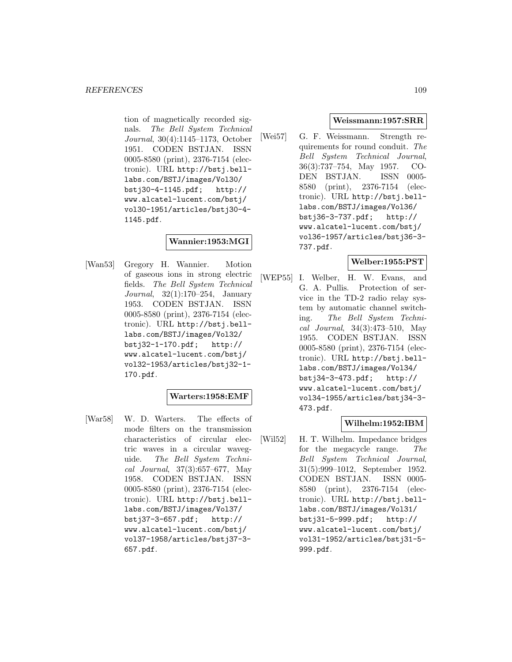tion of magnetically recorded signals. The Bell System Technical Journal, 30(4):1145–1173, October 1951. CODEN BSTJAN. ISSN 0005-8580 (print), 2376-7154 (electronic). URL http://bstj.belllabs.com/BSTJ/images/Vol30/ bstj30-4-1145.pdf; http:// www.alcatel-lucent.com/bstj/ vol30-1951/articles/bstj30-4- 1145.pdf.

# **Wannier:1953:MGI**

[Wan53] Gregory H. Wannier. Motion of gaseous ions in strong electric fields. The Bell System Technical Journal, 32(1):170–254, January 1953. CODEN BSTJAN. ISSN 0005-8580 (print), 2376-7154 (electronic). URL http://bstj.belllabs.com/BSTJ/images/Vol32/ bstj32-1-170.pdf; http:// www.alcatel-lucent.com/bstj/ vol32-1953/articles/bstj32-1- 170.pdf.

# **Warters:1958:EMF**

[War58] W. D. Warters. The effects of mode filters on the transmission characteristics of circular electric waves in a circular waveguide. The Bell System Technical Journal, 37(3):657–677, May 1958. CODEN BSTJAN. ISSN 0005-8580 (print), 2376-7154 (electronic). URL http://bstj.belllabs.com/BSTJ/images/Vol37/<br>bstj37-3-657.pdf; http://  $bstj37-3-657.pdf;$ www.alcatel-lucent.com/bstj/ vol37-1958/articles/bstj37-3- 657.pdf.

#### **Weissmann:1957:SRR**

[Wei57] G. F. Weissmann. Strength requirements for round conduit. The Bell System Technical Journal, 36(3):737–754, May 1957. CO-DEN BSTJAN. ISSN 0005- 8580 (print), 2376-7154 (electronic). URL http://bstj.belllabs.com/BSTJ/images/Vol36/ bstj36-3-737.pdf; http:// www.alcatel-lucent.com/bstj/ vol36-1957/articles/bstj36-3- 737.pdf.

# **Welber:1955:PST**

[WEP55] I. Welber, H. W. Evans, and G. A. Pullis. Protection of service in the TD-2 radio relay system by automatic channel switching. The Bell System Technical Journal, 34(3):473–510, May 1955. CODEN BSTJAN. ISSN 0005-8580 (print), 2376-7154 (electronic). URL http://bstj.belllabs.com/BSTJ/images/Vol34/ bstj34-3-473.pdf; http:// www.alcatel-lucent.com/bstj/ vol34-1955/articles/bstj34-3- 473.pdf.

# **Wilhelm:1952:IBM**

[Wil52] H. T. Wilhelm. Impedance bridges for the megacycle range. The Bell System Technical Journal, 31(5):999–1012, September 1952. CODEN BSTJAN. ISSN 0005- 8580 (print), 2376-7154 (electronic). URL http://bstj.belllabs.com/BSTJ/images/Vol31/ bstj31-5-999.pdf; http:// www.alcatel-lucent.com/bstj/ vol31-1952/articles/bstj31-5- 999.pdf.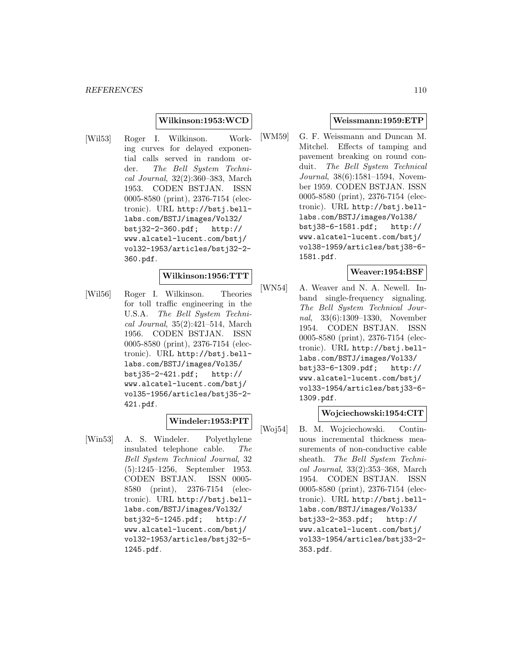### **Wilkinson:1953:WCD**

[Wil53] Roger I. Wilkinson. Working curves for delayed exponential calls served in random order. The Bell System Technical Journal, 32(2):360–383, March 1953. CODEN BSTJAN. ISSN 0005-8580 (print), 2376-7154 (electronic). URL http://bstj.belllabs.com/BSTJ/images/Vol32/ bstj32-2-360.pdf; http:// www.alcatel-lucent.com/bstj/ vol32-1953/articles/bstj32-2- 360.pdf.

## **Wilkinson:1956:TTT**

[Wil56] Roger I. Wilkinson. Theories for toll traffic engineering in the U.S.A. The Bell System Technical Journal, 35(2):421–514, March 1956. CODEN BSTJAN. ISSN 0005-8580 (print), 2376-7154 (electronic). URL http://bstj.belllabs.com/BSTJ/images/Vol35/ bstj35-2-421.pdf; http:// www.alcatel-lucent.com/bstj/ vol35-1956/articles/bstj35-2- 421.pdf.

### **Windeler:1953:PIT**

[Win53] A. S. Windeler. Polyethylene insulated telephone cable. The Bell System Technical Journal, 32 (5):1245–1256, September 1953. CODEN BSTJAN. ISSN 0005- 8580 (print), 2376-7154 (electronic). URL http://bstj.belllabs.com/BSTJ/images/Vol32/ bstj32-5-1245.pdf; http:// www.alcatel-lucent.com/bstj/ vol32-1953/articles/bstj32-5- 1245.pdf.

#### **Weissmann:1959:ETP**

[WM59] G. F. Weissmann and Duncan M. Mitchel. Effects of tamping and pavement breaking on round conduit. The Bell System Technical Journal, 38(6):1581–1594, November 1959. CODEN BSTJAN. ISSN 0005-8580 (print), 2376-7154 (electronic). URL http://bstj.belllabs.com/BSTJ/images/Vol38/ bstj38-6-1581.pdf; http:// www.alcatel-lucent.com/bstj/ vol38-1959/articles/bstj38-6- 1581.pdf.

### **Weaver:1954:BSF**

[WN54] A. Weaver and N. A. Newell. Inband single-frequency signaling. The Bell System Technical Journal, 33(6):1309–1330, November 1954. CODEN BSTJAN. ISSN 0005-8580 (print), 2376-7154 (electronic). URL http://bstj.belllabs.com/BSTJ/images/Vol33/ bstj33-6-1309.pdf; http:// www.alcatel-lucent.com/bstj/ vol33-1954/articles/bstj33-6- 1309.pdf.

## **Wojciechowski:1954:CIT**

[Woj54] B. M. Wojciechowski. Continuous incremental thickness measurements of non-conductive cable sheath. The Bell System Technical Journal, 33(2):353–368, March 1954. CODEN BSTJAN. ISSN 0005-8580 (print), 2376-7154 (electronic). URL http://bstj.belllabs.com/BSTJ/images/Vol33/ bstj33-2-353.pdf; http:// www.alcatel-lucent.com/bstj/ vol33-1954/articles/bstj33-2- 353.pdf.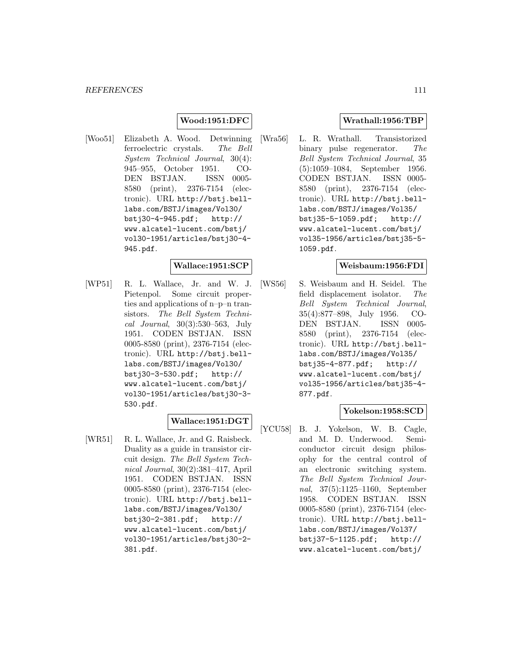## **Wood:1951:DFC**

[Woo51] Elizabeth A. Wood. Detwinning ferroelectric crystals. The Bell System Technical Journal, 30(4): 945–955, October 1951. CO-DEN BSTJAN. ISSN 0005- 8580 (print), 2376-7154 (electronic). URL http://bstj.belllabs.com/BSTJ/images/Vol30/ bstj30-4-945.pdf; http:// www.alcatel-lucent.com/bstj/ vol30-1951/articles/bstj30-4- 945.pdf.

### **Wallace:1951:SCP**

[WP51] R. L. Wallace, Jr. and W. J. Pietenpol. Some circuit properties and applications of n–p–n transistors. The Bell System Technical Journal, 30(3):530–563, July 1951. CODEN BSTJAN. ISSN 0005-8580 (print), 2376-7154 (electronic). URL http://bstj.belllabs.com/BSTJ/images/Vol30/ bstj30-3-530.pdf; http:// www.alcatel-lucent.com/bstj/ vol30-1951/articles/bstj30-3- 530.pdf.

### **Wallace:1951:DGT**

[WR51] R. L. Wallace, Jr. and G. Raisbeck. Duality as a guide in transistor circuit design. The Bell System Technical Journal, 30(2):381–417, April 1951. CODEN BSTJAN. ISSN 0005-8580 (print), 2376-7154 (electronic). URL http://bstj.belllabs.com/BSTJ/images/Vol30/ bstj30-2-381.pdf; http:// www.alcatel-lucent.com/bstj/ vol30-1951/articles/bstj30-2- 381.pdf.

### **Wrathall:1956:TBP**

[Wra56] L. R. Wrathall. Transistorized binary pulse regenerator. The Bell System Technical Journal, 35 (5):1059–1084, September 1956. CODEN BSTJAN. ISSN 0005- 8580 (print), 2376-7154 (electronic). URL http://bstj.belllabs.com/BSTJ/images/Vol35/ bstj35-5-1059.pdf; http:// www.alcatel-lucent.com/bstj/ vol35-1956/articles/bstj35-5- 1059.pdf.

#### **Weisbaum:1956:FDI**

[WS56] S. Weisbaum and H. Seidel. The field displacement isolator. The Bell System Technical Journal, 35(4):877–898, July 1956. CO-DEN BSTJAN. ISSN 0005- 8580 (print), 2376-7154 (electronic). URL http://bstj.belllabs.com/BSTJ/images/Vol35/ bstj35-4-877.pdf; http:// www.alcatel-lucent.com/bstj/ vol35-1956/articles/bstj35-4- 877.pdf.

### **Yokelson:1958:SCD**

[YCU58] B. J. Yokelson, W. B. Cagle, and M. D. Underwood. Semiconductor circuit design philosophy for the central control of an electronic switching system. The Bell System Technical Journal, 37(5):1125–1160, September 1958. CODEN BSTJAN. ISSN 0005-8580 (print), 2376-7154 (electronic). URL http://bstj.belllabs.com/BSTJ/images/Vol37/ bstj37-5-1125.pdf; http:// www.alcatel-lucent.com/bstj/